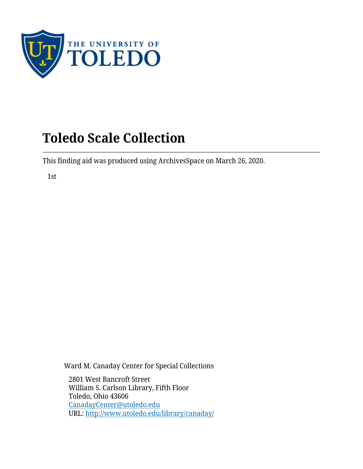

This finding aid was produced using ArchivesSpace on March 26, 2020.

1st

Ward M. Canaday Center for Special Collections

2801 West Bancroft Street William S. Carlson Library, Fifth Floor Toledo, Ohio 43606 [CanadayCenter@utoledo.edu](mailto:CanadayCenter@utoledo.edu) URL:<http://www.utoledo.edu/library/canaday/>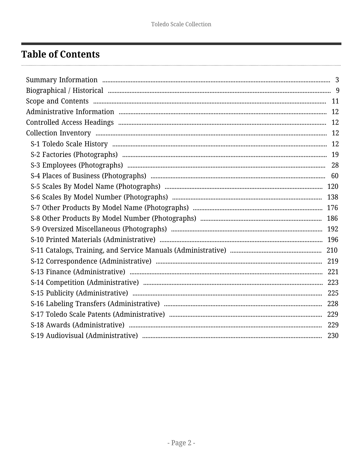# <span id="page-1-0"></span>**Table of Contents**

| 229 |
|-----|
| 230 |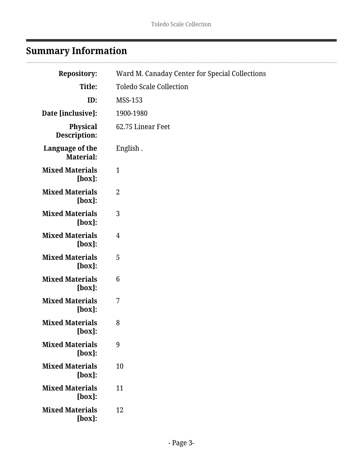# <span id="page-2-0"></span>**Summary Information**

| <b>Repository:</b>                  | Ward M. Canaday Center for Special Collections |
|-------------------------------------|------------------------------------------------|
| Title:                              | <b>Toledo Scale Collection</b>                 |
| ID:                                 | <b>MSS-153</b>                                 |
| Date [inclusive]:                   | 1900-1980                                      |
| <b>Physical</b><br>Description:     | 62.75 Linear Feet                              |
| Language of the<br><b>Material:</b> | English.                                       |
| <b>Mixed Materials</b><br>$[box]$ : | $\mathbf{1}$                                   |
| <b>Mixed Materials</b><br>$[box]$ : | 2                                              |
| <b>Mixed Materials</b><br>$[box]$ : | 3                                              |
| <b>Mixed Materials</b><br>$[box]$ : | 4                                              |
| <b>Mixed Materials</b><br>$[box]$ : | 5                                              |
| <b>Mixed Materials</b><br>$[box]$ : | 6                                              |
| <b>Mixed Materials</b><br>$[box]$ : | 7                                              |
| <b>Mixed Materials</b><br>$[box]$ : | 8                                              |
| <b>Mixed Materials</b><br>$[box]$ : | 9                                              |
| <b>Mixed Materials</b><br>$[box]$ : | 10                                             |
| <b>Mixed Materials</b><br>[box]:    | 11                                             |
| <b>Mixed Materials</b><br>[box]:    | 12                                             |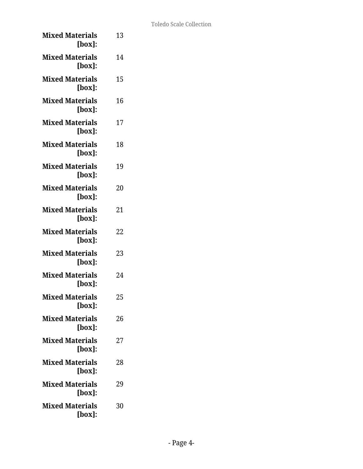| <b>Mixed Materials</b><br>[box]:    | 13 |
|-------------------------------------|----|
| <b>Mixed Materials</b><br>[box]:    | 14 |
| <b>Mixed Materials</b><br>[box]:    | 15 |
| <b>Mixed Materials</b><br>[box]:    | 16 |
| <b>Mixed Materials</b><br>[box]:    | 17 |
| <b>Mixed Materials</b><br>[box]:    | 18 |
| <b>Mixed Materials</b><br>[box]:    | 19 |
| <b>Mixed Materials</b><br>$[box]$ : | 20 |
| <b>Mixed Materials</b><br>[box]:    | 21 |
| <b>Mixed Materials</b><br>$[box]$ : | 22 |
| <b>Mixed Materials</b><br>[box]:    | 23 |
| <b>Mixed Materials</b><br>[box]:    | 24 |
| <b>Mixed Materials</b><br>[box]:    | 25 |
| <b>Mixed Materials</b><br>[box]:    | 26 |
| <b>Mixed Materials</b><br>[box]:    | 27 |
| <b>Mixed Materials</b><br>[box]:    | 28 |
| <b>Mixed Materials</b><br>$[box]$ : | 29 |
| <b>Mixed Materials</b><br>[box]:    | 30 |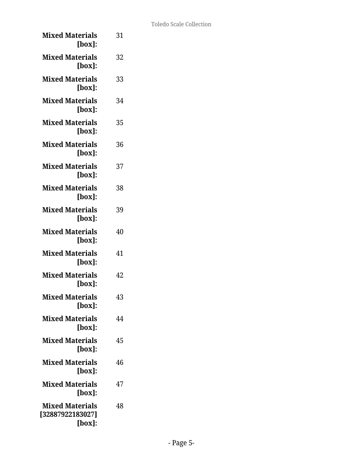| <b>Mixed Materials</b><br>[box]:                     | 31 |
|------------------------------------------------------|----|
| <b>Mixed Materials</b><br>$[box]$ :                  | 32 |
| <b>Mixed Materials</b><br>$[box]$ :                  | 33 |
| <b>Mixed Materials</b><br>[box]:                     | 34 |
| <b>Mixed Materials</b><br>$[box]$ :                  | 35 |
| <b>Mixed Materials</b><br>$[box]$ :                  | 36 |
| <b>Mixed Materials</b><br>$[box]$ :                  | 37 |
| <b>Mixed Materials</b><br>$[box]$ :                  | 38 |
| <b>Mixed Materials</b><br>$[box]$ :                  | 39 |
| <b>Mixed Materials</b><br>$[box]$ :                  | 40 |
| <b>Mixed Materials</b><br>$[box]$ :                  | 41 |
| <b>Mixed Materials</b><br>[box]:                     | 42 |
| <b>Mixed Materials</b><br>$[box]$ :                  | 43 |
| <b>Mixed Materials</b><br>[box]:                     | 44 |
| <b>Mixed Materials</b><br>[box]:                     | 45 |
| <b>Mixed Materials</b><br>$[box]$ :                  | 46 |
| <b>Mixed Materials</b><br>$[box]$ :                  | 47 |
| <b>Mixed Materials</b><br>[32887922183027]<br>[box]: | 48 |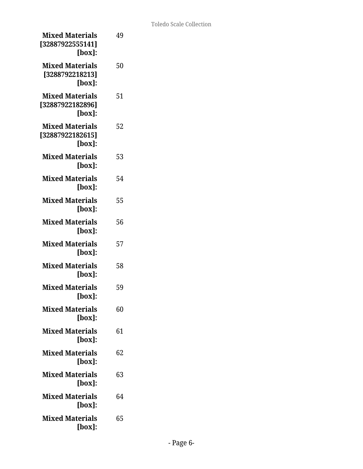| <b>Mixed Materials</b><br>[32887922555141]<br>[box]:    | 49 |
|---------------------------------------------------------|----|
| <b>Mixed Materials</b><br>[3288792218213]<br>$[box]$ :  | 50 |
| <b>Mixed Materials</b><br>[32887922182896]<br>$[box]$ : | 51 |
| <b>Mixed Materials</b><br>[32887922182615]<br>$[box]$ : | 52 |
| <b>Mixed Materials</b><br>$[box]$ :                     | 53 |
| <b>Mixed Materials</b><br>$[box]$ :                     | 54 |
| <b>Mixed Materials</b><br>$[box]$ :                     | 55 |
| <b>Mixed Materials</b><br>$[box]$ :                     | 56 |
| <b>Mixed Materials</b><br>$[box]$ :                     | 57 |
| <b>Mixed Materials</b><br>[box]:                        | 58 |
| <b>Mixed Materials</b><br>[box]                         | 59 |
| <b>Mixed Materials</b><br>[box]:                        | 60 |
| <b>Mixed Materials</b><br>$[box]$ :                     | 61 |
| <b>Mixed Materials</b><br>$[box]$ :                     | 62 |
| <b>Mixed Materials</b><br>$[box]$ :                     | 63 |
| <b>Mixed Materials</b><br>$[box]$ :                     | 64 |
| <b>Mixed Materials</b><br>$[box]$ :                     | 65 |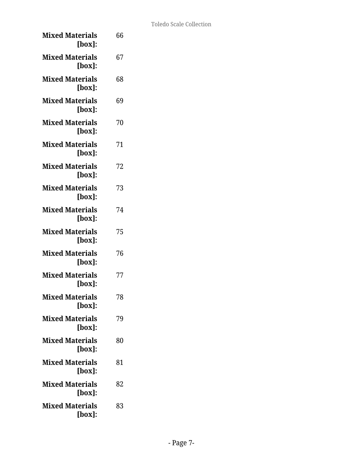| <b>Mixed Materials</b><br>[box]: | 66 |
|----------------------------------|----|
| <b>Mixed Materials</b><br>[box]: | 67 |
| <b>Mixed Materials</b><br>[box]: | 68 |
| <b>Mixed Materials</b><br>[box]: | 69 |
| <b>Mixed Materials</b><br>[box]: | 70 |
| <b>Mixed Materials</b><br>[box]: | 71 |
| <b>Mixed Materials</b><br>[box]: | 72 |
| <b>Mixed Materials</b><br>[box]: | 73 |
| <b>Mixed Materials</b><br>[box]: | 74 |
| <b>Mixed Materials</b><br>[box]: | 75 |
| <b>Mixed Materials</b><br>[box]: | 76 |
| <b>Mixed Materials</b><br>[box]: | 77 |
| <b>Mixed Materials</b><br>[box]: | 78 |
| <b>Mixed Materials</b><br>[box]: | 79 |
| <b>Mixed Materials</b><br>[box]: | 80 |
| <b>Mixed Materials</b><br>[box]: | 81 |
| <b>Mixed Materials</b><br>[box]: | 82 |
| <b>Mixed Materials</b><br>[box]: | 83 |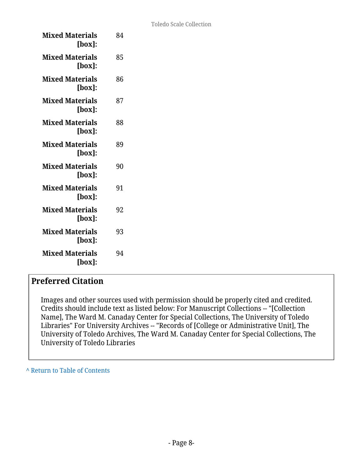| <b>Mixed Materials</b><br>[box]:    | 84 |
|-------------------------------------|----|
| <b>Mixed Materials</b><br>[box]:    | 85 |
| <b>Mixed Materials</b><br>[box]:    | 86 |
| <b>Mixed Materials</b><br>[box]:    | 87 |
| <b>Mixed Materials</b><br>[box]:    | 88 |
| <b>Mixed Materials</b><br>[box]:    | 89 |
| <b>Mixed Materials</b><br>[box]     | 90 |
| <b>Mixed Materials</b><br>[box]:    | 91 |
| <b>Mixed Materials</b><br>$[box]$ : | 92 |
| <b>Mixed Materials</b><br>[box]:    | 93 |
| <b>Mixed Materials</b><br>[box]:    | 94 |

### **Preferred Citation**

Images and other sources used with permission should be properly cited and credited. Credits should include text as listed below: For Manuscript Collections -- "[Collection Name], The Ward M. Canaday Center for Special Collections, The University of Toledo Libraries" For University Archives -- "Records of [College or Administrative Unit], The University of Toledo Archives, The Ward M. Canaday Center for Special Collections, The University of Toledo Libraries

**^** [Return to Table of Contents](#page-1-0)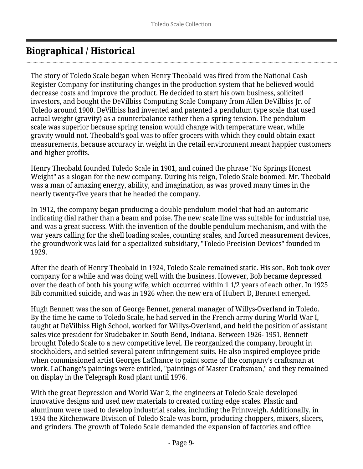# <span id="page-8-0"></span>**Biographical / Historical**

The story of Toledo Scale began when Henry Theobald was fired from the National Cash Register Company for instituting changes in the production system that he believed would decrease costs and improve the product. He decided to start his own business, solicited investors, and bought the DeVilbiss Computing Scale Company from Allen DeVilbiss Jr. of Toledo around 1900. DeVilbiss had invented and patented a pendulum type scale that used actual weight (gravity) as a counterbalance rather then a spring tension. The pendulum scale was superior because spring tension would change with temperature wear, while gravity would not. Theobald's goal was to offer grocers with which they could obtain exact measurements, because accuracy in weight in the retail environment meant happier customers and higher profits.

Henry Theobald founded Toledo Scale in 1901, and coined the phrase "No Springs Honest Weight" as a slogan for the new company. During his reign, Toledo Scale boomed. Mr. Theobald was a man of amazing energy, ability, and imagination, as was proved many times in the nearly twenty-five years that he headed the company.

In 1912, the company began producing a double pendulum model that had an automatic indicating dial rather than a beam and poise. The new scale line was suitable for industrial use, and was a great success. With the invention of the double pendulum mechanism, and with the war years calling for the shell loading scales, counting scales, and forced measurement devices, the groundwork was laid for a specialized subsidiary, "Toledo Precision Devices" founded in 1929.

After the death of Henry Theobald in 1924, Toledo Scale remained static. His son, Bob took over company for a while and was doing well with the business. However, Bob became depressed over the death of both his young wife, which occurred within 1 1/2 years of each other. In 1925 Bib committed suicide, and was in 1926 when the new era of Hubert D, Bennett emerged.

Hugh Bennett was the son of George Bennet, general manager of Willys-Overland in Toledo. By the time he came to Toledo Scale, he had served in the French army during World War I, taught at DeVilbiss High School, worked for Willys-Overland, and held the position of assistant sales vice president for Studebaker in South Bend, Indiana. Between 1926- 1951, Bennett brought Toledo Scale to a new competitive level. He reorganized the company, brought in stockholders, and settled several patent infringement suits. He also inspired employee pride when commissioned artist Georges LaChance to paint some of the company's craftsman at work. LaChange's paintings were entitled, "paintings of Master Craftsman," and they remained on display in the Telegraph Road plant until 1976.

With the great Depression and World War 2, the engineers at Toledo Scale developed innovative designs and used new materials to created cutting edge scales. Plastic and aluminum were used to develop industrial scales, including the Printweigh. Additionally, in 1934 the Kitchenware Division of Toledo Scale was born, producing choppers, mixers, slicers, and grinders. The growth of Toledo Scale demanded the expansion of factories and office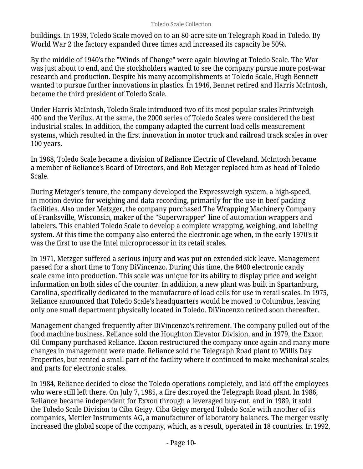buildings. In 1939, Toledo Scale moved on to an 80-acre site on Telegraph Road in Toledo. By World War 2 the factory expanded three times and increased its capacity be 50%.

By the middle of 1940's the "Winds of Change" were again blowing at Toledo Scale. The War was just about to end, and the stockholders wanted to see the company pursue more post-war research and production. Despite his many accomplishments at Toledo Scale, Hugh Bennett wanted to pursue further innovations in plastics. In 1946, Bennet retired and Harris McIntosh, became the third president of Toledo Scale.

Under Harris McIntosh, Toledo Scale introduced two of its most popular scales Printweigh 400 and the Verilux. At the same, the 2000 series of Toledo Scales were considered the best industrial scales. In addition, the company adapted the current load cells measurement systems, which resulted in the first innovation in motor truck and railroad track scales in over 100 years.

In 1968, Toledo Scale became a division of Reliance Electric of Cleveland. McIntosh became a member of Reliance's Board of Directors, and Bob Metzger replaced him as head of Toledo Scale.

During Metzger's tenure, the company developed the Expressweigh system, a high-speed, in motion device for weighing and data recording, primarily for the use in beef packing facilities. Also under Metzger, the company purchased The Wrapping Machinery Company of Franksville, Wisconsin, maker of the "Superwrapper" line of automation wrappers and labelers. This enabled Toledo Scale to develop a complete wrapping, weighing, and labeling system. At this time the company also entered the electronic age when, in the early 1970's it was the first to use the Intel microprocessor in its retail scales.

In 1971, Metzger suffered a serious injury and was put on extended sick leave. Management passed for a short time to Tony DiVincenzo. During this time, the 8400 electronic candy scale came into production. This scale was unique for its ability to display price and weight information on both sides of the counter. In addition, a new plant was built in Spartanburg, Carolina, specifically dedicated to the manufacture of load cells for use in retail scales. In 1975, Reliance announced that Toledo Scale's headquarters would be moved to Columbus, leaving only one small department physically located in Toledo. DiVincenzo retired soon thereafter.

Management changed frequently after DiVincenzo's retirement. The company pulled out of the food machine business. Reliance sold the Houghton Elevator Division, and in 1979, the Exxon Oil Company purchased Reliance. Exxon restructured the company once again and many more changes in management were made. Reliance sold the Telegraph Road plant to Willis Day Properties, but rented a small part of the facility where it continued to make mechanical scales and parts for electronic scales.

In 1984, Reliance decided to close the Toledo operations completely, and laid off the employees who were still left there. On July 7, 1985, a fire destroyed the Telegraph Road plant. In 1986, Reliance became independent for Exxon through a leveraged buy-out, and in 1989, it sold the Toledo Scale Division to Ciba Geigy. Ciba Geigy merged Toledo Scale with another of its companies, Mettler Instruments AG, a manufacturer of laboratory balances. The merger vastly increased the global scope of the company, which, as a result, operated in 18 countries. In 1992,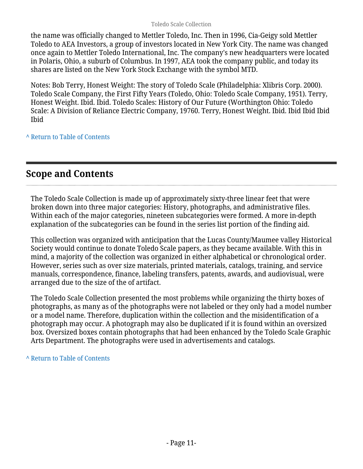the name was officially changed to Mettler Toledo, Inc. Then in 1996, Cia-Geigy sold Mettler Toledo to AEA Investors, a group of investors located in New York City. The name was changed once again to Mettler Toledo International, Inc. The company's new headquarters were located in Polaris, Ohio, a suburb of Columbus. In 1997, AEA took the company public, and today its shares are listed on the New York Stock Exchange with the symbol MTD.

Notes: Bob Terry, Honest Weight: The story of Toledo Scale (Philadelphia: Xlibris Corp. 2000). Toledo Scale Company, the First Fifty Years (Toledo, Ohio: Toledo Scale Company, 1951). Terry, Honest Weight. Ibid. Ibid. Toledo Scales: History of Our Future (Worthington Ohio: Toledo Scale: A Division of Reliance Electric Company, 19760. Terry, Honest Weight. Ibid. Ibid Ibid Ibid Ibid

#### **^** [Return to Table of Contents](#page-1-0)

# <span id="page-10-0"></span>**Scope and Contents**

The Toledo Scale Collection is made up of approximately sixty-three linear feet that were broken down into three major categories: History, photographs, and administrative files. Within each of the major categories, nineteen subcategories were formed. A more in-depth explanation of the subcategories can be found in the series list portion of the finding aid.

This collection was organized with anticipation that the Lucas County/Maumee valley Historical Society would continue to donate Toledo Scale papers, as they became available. With this in mind, a majority of the collection was organized in either alphabetical or chronological order. However, series such as over size materials, printed materials, catalogs, training, and service manuals, correspondence, finance, labeling transfers, patents, awards, and audiovisual, were arranged due to the size of the of artifact.

The Toledo Scale Collection presented the most problems while organizing the thirty boxes of photographs, as many as of the photographs were not labeled or they only had a model number or a model name. Therefore, duplication within the collection and the misidentification of a photograph may occur. A photograph may also be duplicated if it is found within an oversized box. Oversized boxes contain photographs that had been enhanced by the Toledo Scale Graphic Arts Department. The photographs were used in advertisements and catalogs.

**^** [Return to Table of Contents](#page-1-0)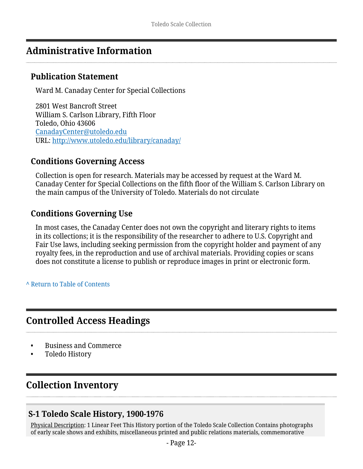## <span id="page-11-0"></span>**Administrative Information**

### **Publication Statement**

Ward M. Canaday Center for Special Collections

2801 West Bancroft Street William S. Carlson Library, Fifth Floor Toledo, Ohio 43606 [CanadayCenter@utoledo.edu](mailto:CanadayCenter@utoledo.edu) URL:<http://www.utoledo.edu/library/canaday/>

### **Conditions Governing Access**

Collection is open for research. Materials may be accessed by request at the Ward M. Canaday Center for Special Collections on the fifth floor of the William S. Carlson Library on the main campus of the University of Toledo. Materials do not circulate

#### **Conditions Governing Use**

In most cases, the Canaday Center does not own the copyright and literary rights to items in its collections; it is the responsibility of the researcher to adhere to U.S. Copyright and Fair Use laws, including seeking permission from the copyright holder and payment of any royalty fees, in the reproduction and use of archival materials. Providing copies or scans does not constitute a license to publish or reproduce images in print or electronic form.

**^** [Return to Table of Contents](#page-1-0)

### <span id="page-11-1"></span>**Controlled Access Headings**

- Business and Commerce
- Toledo History

# <span id="page-11-2"></span>**Collection Inventory**

### <span id="page-11-3"></span>**S-1 Toledo Scale History, 1900-1976**

Physical Description: 1 Linear Feet This History portion of the Toledo Scale Collection Contains photographs of early scale shows and exhibits, miscellaneous printed and public relations materials, commemorative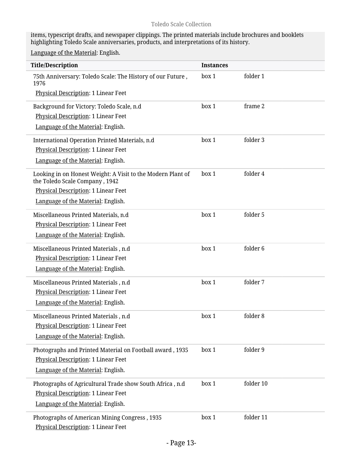items, typescript drafts, and newspaper clippings. The printed materials include brochures and booklets highlighting Toledo Scale anniversaries, products, and interpretations of its history.

| <b>Title/Description</b>                                                                      | <b>Instances</b> |           |
|-----------------------------------------------------------------------------------------------|------------------|-----------|
| 75th Anniversary: Toledo Scale: The History of our Future,<br>1976                            | box 1            | folder 1  |
| Physical Description: 1 Linear Feet                                                           |                  |           |
| Background for Victory: Toledo Scale, n.d                                                     | box 1            | frame 2   |
| Physical Description: 1 Linear Feet                                                           |                  |           |
| Language of the Material: English.                                                            |                  |           |
| International Operation Printed Materials, n.d                                                | box 1            | folder 3  |
| <b>Physical Description: 1 Linear Feet</b>                                                    |                  |           |
| Language of the Material: English.                                                            |                  |           |
| Looking in on Honest Weight: A Visit to the Modern Plant of<br>the Toledo Scale Company, 1942 | box 1            | folder 4  |
| <b>Physical Description: 1 Linear Feet</b>                                                    |                  |           |
| Language of the Material: English.                                                            |                  |           |
| Miscellaneous Printed Materials, n.d                                                          | box 1            | folder 5  |
| Physical Description: 1 Linear Feet                                                           |                  |           |
| Language of the Material: English.                                                            |                  |           |
| Miscellaneous Printed Materials, n.d                                                          | box 1            | folder 6  |
| Physical Description: 1 Linear Feet                                                           |                  |           |
| Language of the Material: English.                                                            |                  |           |
| Miscellaneous Printed Materials, n.d                                                          | box 1            | folder 7  |
| Physical Description: 1 Linear Feet                                                           |                  |           |
| Language of the Material: English.                                                            |                  |           |
| Miscellaneous Printed Materials, n.d                                                          | box 1            | folder 8  |
| Physical Description: 1 Linear Feet                                                           |                  |           |
| Language of the Material: English.                                                            |                  |           |
| Photographs and Printed Material on Football award, 1935                                      | box 1            | folder 9  |
| Physical Description: 1 Linear Feet                                                           |                  |           |
| Language of the Material: English.                                                            |                  |           |
| Photographs of Agricultural Trade show South Africa, n.d                                      | box 1            | folder 10 |
| Physical Description: 1 Linear Feet                                                           |                  |           |
| Language of the Material: English.                                                            |                  |           |
| Photographs of American Mining Congress, 1935<br>Physical Description: 1 Linear Feet          | box 1            | folder 11 |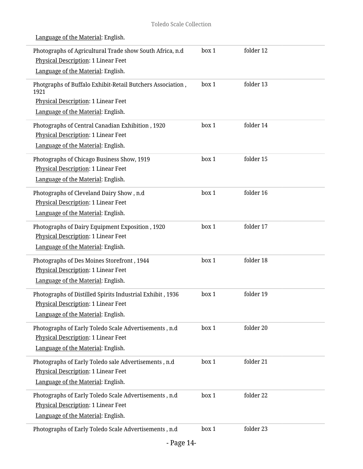| Photographs of Agricultural Trade show South Africa, n.d                                                                | box 1 | folder 12 |  |
|-------------------------------------------------------------------------------------------------------------------------|-------|-----------|--|
| Physical Description: 1 Linear Feet                                                                                     |       |           |  |
| Language of the Material: English.                                                                                      |       |           |  |
| Photgraphs of Buffalo Exhibit-Retail Butchers Association,<br>1921                                                      | box 1 | folder 13 |  |
| Physical Description: 1 Linear Feet                                                                                     |       |           |  |
| Language of the Material: English.                                                                                      |       |           |  |
| Photographs of Central Canadian Exhibition, 1920<br>Physical Description: 1 Linear Feet                                 | box 1 | folder 14 |  |
| Language of the Material: English.                                                                                      |       |           |  |
| Photographs of Chicago Business Show, 1919<br>Physical Description: 1 Linear Feet<br>Language of the Material: English. | box 1 | folder 15 |  |
|                                                                                                                         |       |           |  |
| Photographs of Cleveland Dairy Show, n.d                                                                                | box 1 | folder 16 |  |
| Physical Description: 1 Linear Feet<br>Language of the Material: English.                                               |       |           |  |
|                                                                                                                         |       |           |  |
| Photographs of Dairy Equipment Exposition, 1920                                                                         | box 1 | folder 17 |  |
| Physical Description: 1 Linear Feet                                                                                     |       |           |  |
| Language of the Material: English.                                                                                      |       |           |  |
| Photographs of Des Moines Storefront, 1944                                                                              | box 1 | folder 18 |  |
| Physical Description: 1 Linear Feet                                                                                     |       |           |  |
| Language of the Material: English.                                                                                      |       |           |  |
| Photographs of Distilled Spirits Industrial Exhibit, 1936                                                               | box 1 | folder 19 |  |
| <b>Physical Description: 1 Linear Feet</b>                                                                              |       |           |  |
| Language of the Material: English.                                                                                      |       |           |  |
| Photographs of Early Toledo Scale Advertisements, n.d                                                                   | box 1 | folder 20 |  |
| Physical Description: 1 Linear Feet                                                                                     |       |           |  |
| Language of the Material: English.                                                                                      |       |           |  |
| Photographs of Early Toledo sale Advertisements, n.d                                                                    | box 1 | folder 21 |  |
| <b>Physical Description: 1 Linear Feet</b>                                                                              |       |           |  |
| Language of the Material: English.                                                                                      |       |           |  |
| Photographs of Early Toledo Scale Advertisements, n.d.                                                                  | box 1 | folder 22 |  |
| Physical Description: 1 Linear Feet                                                                                     |       |           |  |
| Language of the Material: English.                                                                                      |       |           |  |
| Photographs of Early Toledo Scale Advertisements, n.d                                                                   | box 1 | folder 23 |  |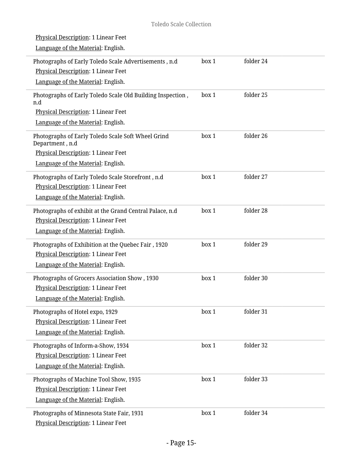| Physical Description: 1 Linear Feet<br>Language of the Material: English. |       |           |
|---------------------------------------------------------------------------|-------|-----------|
| Photographs of Early Toledo Scale Advertisements, n.d                     | box 1 | folder 24 |
| Physical Description: 1 Linear Feet                                       |       |           |
| Language of the Material: English.                                        |       |           |
| Photographs of Early Toledo Scale Old Building Inspection,                | box 1 | folder 25 |
| n.d                                                                       |       |           |
| Physical Description: 1 Linear Feet                                       |       |           |
| Language of the Material: English.                                        |       |           |
| Photographs of Early Toledo Scale Soft Wheel Grind<br>Department, n.d     | box 1 | folder 26 |
| Physical Description: 1 Linear Feet                                       |       |           |
| Language of the Material: English.                                        |       |           |
| Photographs of Early Toledo Scale Storefront, n.d                         | box 1 | folder 27 |
| <b>Physical Description: 1 Linear Feet</b>                                |       |           |
| Language of the Material: English.                                        |       |           |
| Photographs of exhibit at the Grand Central Palace, n.d                   | box 1 | folder 28 |
| Physical Description: 1 Linear Feet                                       |       |           |
| Language of the Material: English.                                        |       |           |
| Photographs of Exhibition at the Quebec Fair, 1920                        | box 1 | folder 29 |
| Physical Description: 1 Linear Feet                                       |       |           |
| Language of the Material: English.                                        |       |           |
| Photographs of Grocers Association Show, 1930                             | box 1 | folder 30 |
| Physical Description: 1 Linear Feet                                       |       |           |
| Language of the Material: English.                                        |       |           |
| Photographs of Hotel expo, 1929                                           | box 1 | folder 31 |
| Physical Description: 1 Linear Feet                                       |       |           |
| Language of the Material: English.                                        |       |           |
| Photographs of Inform-a-Show, 1934                                        | box 1 | folder 32 |
| Physical Description: 1 Linear Feet                                       |       |           |
| Language of the Material: English.                                        |       |           |
| Photographs of Machine Tool Show, 1935                                    | box 1 | folder 33 |
| Physical Description: 1 Linear Feet                                       |       |           |
| Language of the Material: English.                                        |       |           |
| Photographs of Minnesota State Fair, 1931                                 | box 1 | folder 34 |
| Physical Description: 1 Linear Feet                                       |       |           |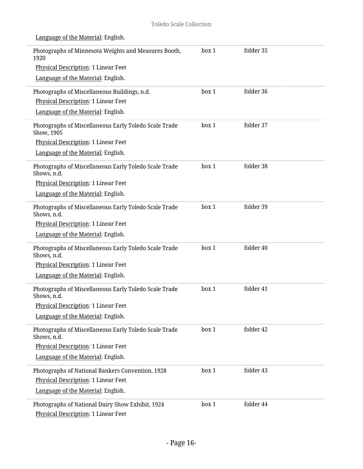| Language of the Material: English.                                                      |       |           |  |
|-----------------------------------------------------------------------------------------|-------|-----------|--|
| Photographs of Minnesota Weights and Measures Booth,<br>1920                            | box 1 | folder 35 |  |
| Physical Description: 1 Linear Feet                                                     |       |           |  |
| Language of the Material: English.                                                      |       |           |  |
| Photographs of Miscellaneous Buildings, n.d.                                            | box 1 | folder 36 |  |
| Physical Description: 1 Linear Feet                                                     |       |           |  |
| Language of the Material: English.                                                      |       |           |  |
| Photographs of Miscellaneous Early Toledo Scale Trade<br>Show, 1905                     | box 1 | folder 37 |  |
| Physical Description: 1 Linear Feet                                                     |       |           |  |
| Language of the Material: English.                                                      |       |           |  |
| Photographs of Miscellaneous Early Toledo Scale Trade<br>Shows, n.d.                    | box 1 | folder 38 |  |
| Physical Description: 1 Linear Feet                                                     |       |           |  |
| Language of the Material: English.                                                      |       |           |  |
| Photographs of Miscellaneous Early Toledo Scale Trade<br>Shows, n.d.                    | box 1 | folder 39 |  |
| Physical Description: 1 Linear Feet                                                     |       |           |  |
| Language of the Material: English.                                                      |       |           |  |
| Photographs of Miscellaneous Early Toledo Scale Trade<br>Shows, n.d.                    | box 1 | folder 40 |  |
| Physical Description: 1 Linear Feet                                                     |       |           |  |
| Language of the Material: English.                                                      |       |           |  |
| Photographs of Miscellaneous Early Toledo Scale Trade<br>Shows, n.d.                    | box 1 | folder 41 |  |
| Physical Description: 1 Linear Feet                                                     |       |           |  |
| Language of the Material: English.                                                      |       |           |  |
| Photographs of Miscellaneous Early Toledo Scale Trade<br>Shows, n.d.                    | box 1 | folder 42 |  |
| Physical Description: 1 Linear Feet                                                     |       |           |  |
| Language of the Material: English.                                                      |       |           |  |
| Photographs of National Bankers Convention, 1928                                        | box 1 | folder 43 |  |
| Physical Description: 1 Linear Feet                                                     |       |           |  |
| Language of the Material: English.                                                      |       |           |  |
| Photographs of National Dairy Show Exhibit, 1924<br>Physical Description: 1 Linear Feet | box 1 | folder 44 |  |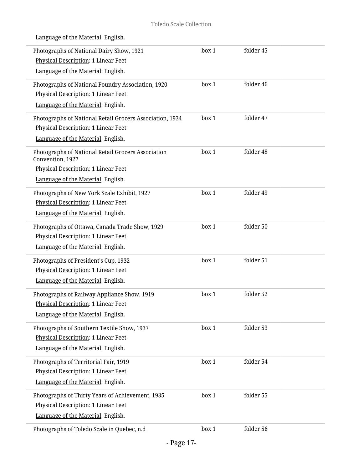| Photographs of National Dairy Show, 1921                               | box 1 | folder 45 |  |
|------------------------------------------------------------------------|-------|-----------|--|
| Physical Description: 1 Linear Feet                                    |       |           |  |
| Language of the Material: English.                                     |       |           |  |
| Photographs of National Foundry Association, 1920                      | box 1 | folder 46 |  |
| Physical Description: 1 Linear Feet                                    |       |           |  |
| Language of the Material: English.                                     |       |           |  |
| Photographs of National Retail Grocers Association, 1934               | box 1 | folder 47 |  |
| <b>Physical Description: 1 Linear Feet</b>                             |       |           |  |
| Language of the Material: English.                                     |       |           |  |
| Photographs of National Retail Grocers Association<br>Convention, 1927 | box 1 | folder 48 |  |
| Physical Description: 1 Linear Feet                                    |       |           |  |
| Language of the Material: English.                                     |       |           |  |
| Photographs of New York Scale Exhibit, 1927                            | box 1 | folder 49 |  |
| Physical Description: 1 Linear Feet                                    |       |           |  |
| Language of the Material: English.                                     |       |           |  |
| Photographs of Ottawa, Canada Trade Show, 1929                         | box 1 | folder 50 |  |
| Physical Description: 1 Linear Feet                                    |       |           |  |
| Language of the Material: English.                                     |       |           |  |
| Photographs of President's Cup, 1932                                   | box 1 | folder 51 |  |
| Physical Description: 1 Linear Feet                                    |       |           |  |
| Language of the Material: English.                                     |       |           |  |
| Photographs of Railway Appliance Show, 1919                            | box 1 | folder 52 |  |
| Physical Description: 1 Linear Feet                                    |       |           |  |
| Language of the Material: English.                                     |       |           |  |
| Photographs of Southern Textile Show, 1937                             | box 1 | folder 53 |  |
| Physical Description: 1 Linear Feet                                    |       |           |  |
| Language of the Material: English.                                     |       |           |  |
| Photographs of Territorial Fair, 1919                                  | box 1 | folder 54 |  |
| Physical Description: 1 Linear Feet                                    |       |           |  |
| Language of the Material: English.                                     |       |           |  |
| Photographs of Thirty Years of Achievement, 1935                       | box 1 | folder 55 |  |
| Physical Description: 1 Linear Feet                                    |       |           |  |
| Language of the Material: English.                                     |       |           |  |
| Photographs of Toledo Scale in Quebec, n.d                             | box 1 | folder 56 |  |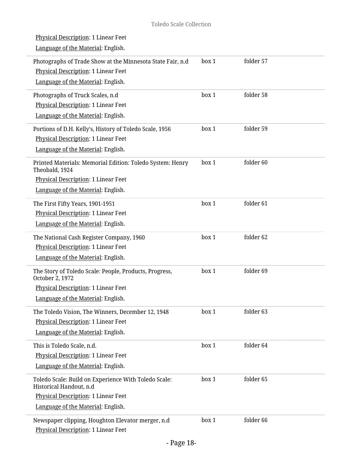| Physical Description: 1 Linear Feet<br>Language of the Material: English.                                                                                    |       |                      |
|--------------------------------------------------------------------------------------------------------------------------------------------------------------|-------|----------------------|
| Photographs of Trade Show at the Minnesota State Fair, n.d<br>Physical Description: 1 Linear Feet<br>Language of the Material: English.                      | box 1 | folder 57            |
| Photographs of Truck Scales, n.d<br>Physical Description: 1 Linear Feet<br>Language of the Material: English.                                                | box 1 | folder 58            |
| Portions of D.H. Kelly's, History of Toledo Scale, 1956<br>Physical Description: 1 Linear Feet<br>Language of the Material: English.                         | box 1 | folder 59            |
| Printed Materials: Memorial Edition: Toledo System: Henry<br>Theobald, 1924<br>Physical Description: 1 Linear Feet<br>Language of the Material: English.     | box 1 | folder <sub>60</sub> |
| The First Fifty Years, 1901-1951<br>Physical Description: 1 Linear Feet<br>Language of the Material: English.                                                | box 1 | folder 61            |
| The National Cash Register Company, 1960<br>Physical Description: 1 Linear Feet<br>Language of the Material: English.                                        | box 1 | folder 62            |
| The Story of Toledo Scale: People, Products, Progress,<br>October 2, 1972<br>Physical Description: 1 Linear Feet<br>Language of the Material: English.       | box 1 | folder 69            |
| The Toledo Vision, The Winners, December 12, 1948<br>Physical Description: 1 Linear Feet<br>Language of the Material: English.                               | box 1 | folder 63            |
| This is Toledo Scale, n.d.<br>Physical Description: 1 Linear Feet<br>Language of the Material: English.                                                      | box 1 | folder 64            |
| Toledo Scale: Build on Experience With Toledo Scale:<br>Historical Handout, n.d<br>Physical Description: 1 Linear Feet<br>Language of the Material: English. | box 1 | folder 65            |
| Newspaper clipping, Houghton Elevator merger, n.d.<br>Physical Description: 1 Linear Feet                                                                    | box 1 | folder 66            |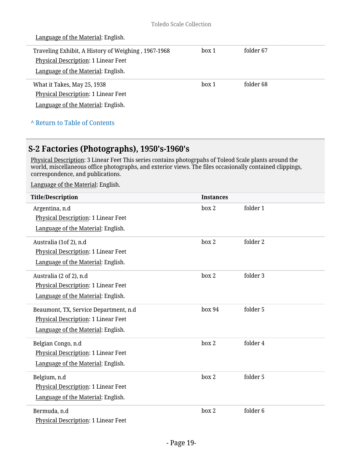| Language of the Material: English.                                               |       |                      |  |
|----------------------------------------------------------------------------------|-------|----------------------|--|
| Traveling Exhibit, A History of Weighing, 1967-1968                              | box 1 | folder 67            |  |
| <b>Physical Description: 1 Linear Feet</b><br>Language of the Material: English. |       |                      |  |
|                                                                                  |       |                      |  |
| What it Takes, May 25, 1938                                                      | box 1 | folder <sub>68</sub> |  |
| Physical Description: 1 Linear Feet                                              |       |                      |  |
| Language of the Material: English.                                               |       |                      |  |
| A Return to Table of Contents                                                    |       |                      |  |

### <span id="page-18-0"></span>**S-2 Factories (Photographs), 1950's-1960's**

Physical Description: 3 Linear Feet This series contains photogrpahs of Toleod Scale plants around the world, miscellaneous office photographs, and exterior views. The files occasionally contained clippings, correspondence, and publications.

| <b>Title/Description</b>                                                                                            | <b>Instances</b> |                     |
|---------------------------------------------------------------------------------------------------------------------|------------------|---------------------|
| Argentina, n.d<br>Physical Description: 1 Linear Feet<br>Language of the Material: English.                         | box 2            | folder 1            |
| Australia (1of 2), n.d<br>Physical Description: 1 Linear Feet<br>Language of the Material: English.                 | box 2            | folder 2            |
| Australia (2 of 2), n.d<br>Physical Description: 1 Linear Feet<br>Language of the Material: English.                | box 2            | folder 3            |
| Beaumont, TX, Service Department, n.d.<br>Physical Description: 1 Linear Feet<br>Language of the Material: English. | box 94           | folder 5            |
| Belgian Congo, n.d<br>Physical Description: 1 Linear Feet<br>Language of the Material: English.                     | box 2            | folder 4            |
| Belgium, n.d<br>Physical Description: 1 Linear Feet<br>Language of the Material: English.                           | box 2            | folder 5            |
| Bermuda, n.d<br>Physical Description: 1 Linear Feet                                                                 | box 2            | folder <sub>6</sub> |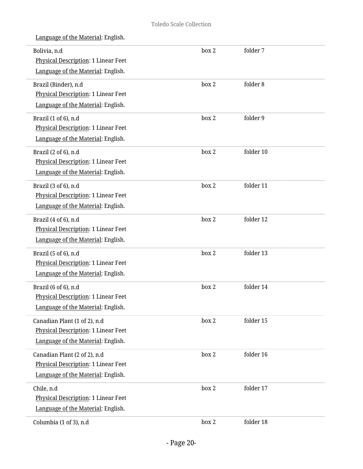| Bolivia, n.d<br>Physical Description: 1 Linear Feet<br>Language of the Material: English.                 | box 2 | folder 7  |
|-----------------------------------------------------------------------------------------------------------|-------|-----------|
| Brazil (Binder), n.d<br>Physical Description: 1 Linear Feet<br>Language of the Material: English.         | box 2 | folder 8  |
| Brazil (1 of 6), n.d<br><b>Physical Description: 1 Linear Feet</b><br>Language of the Material: English.  | box 2 | folder 9  |
| Brazil (2 of 6), n.d<br>Physical Description: 1 Linear Feet<br>Language of the Material: English.         | box 2 | folder 10 |
| Brazil (3 of 6), n.d<br><b>Physical Description: 1 Linear Feet</b><br>Language of the Material: English.  | box 2 | folder 11 |
| Brazil (4 of 6), n.d<br>Physical Description: 1 Linear Feet<br>Language of the Material: English.         | box 2 | folder 12 |
| Brazil (5 of 6), n.d<br>Physical Description: 1 Linear Feet<br>Language of the Material: English.         | box 2 | folder 13 |
| Brazil (6 of 6), n.d<br><b>Physical Description: 1 Linear Feet</b><br>Language of the Material: English.  | box 2 | folder 14 |
| Canadian Plant (1 of 2), n.d<br>Physical Description: 1 Linear Feet<br>Language of the Material: English. | box 2 | folder 15 |
| Canadian Plant (2 of 2), n.d<br>Physical Description: 1 Linear Feet<br>Language of the Material: English. | box 2 | folder 16 |
| Chile, n.d<br>Physical Description: 1 Linear Feet<br>Language of the Material: English.                   | box 2 | folder 17 |
| Columbia (1 of 3), n.d                                                                                    | box 2 | folder 18 |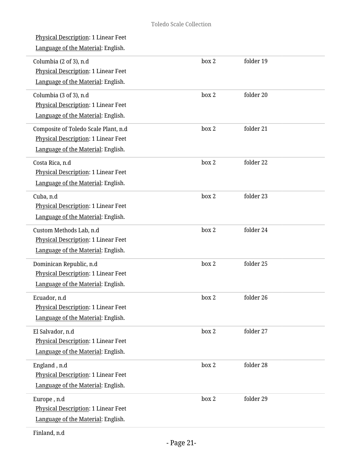| <b>Physical Description: 1 Linear Feet</b><br>Language of the Material: English.                                  |       |           |  |
|-------------------------------------------------------------------------------------------------------------------|-------|-----------|--|
| Columbia (2 of 3), n.d<br><b>Physical Description: 1 Linear Feet</b><br>Language of the Material: English.        | box 2 | folder 19 |  |
| Columbia (3 of 3), n.d<br>Physical Description: 1 Linear Feet<br>Language of the Material: English.               | box 2 | folder 20 |  |
| Composite of Toledo Scale Plant, n.d<br>Physical Description: 1 Linear Feet<br>Language of the Material: English. | box 2 | folder 21 |  |
| Costa Rica, n.d<br>Physical Description: 1 Linear Feet<br>Language of the Material: English.                      | box 2 | folder 22 |  |
| Cuba, n.d<br>Physical Description: 1 Linear Feet<br>Language of the Material: English.                            | box 2 | folder 23 |  |
| Custom Methods Lab, n.d<br>Physical Description: 1 Linear Feet<br>Language of the Material: English.              | box 2 | folder 24 |  |
| Dominican Republic, n.d<br><b>Physical Description: 1 Linear Feet</b><br>Language of the Material: English.       | box 2 | folder 25 |  |
| Ecuador, n.d<br>Physical Description: 1 Linear Feet<br>Language of the Material: English.                         | box 2 | folder 26 |  |
| El Salvador, n.d<br>Physical Description: 1 Linear Feet<br>Language of the Material: English.                     | box 2 | folder 27 |  |
| England, n.d<br>Physical Description: 1 Linear Feet<br>Language of the Material: English.                         | box 2 | folder 28 |  |
| Europe, n.d<br>Physical Description: 1 Linear Feet<br>Language of the Material: English.                          | box 2 | folder 29 |  |
|                                                                                                                   |       |           |  |

Finland, n.d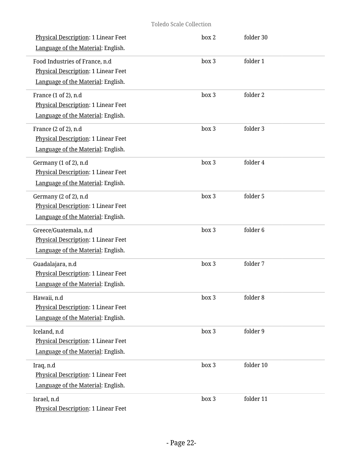| <b>Physical Description: 1 Linear Feet</b><br>Language of the Material: English.                            | box 2 | folder 30 |
|-------------------------------------------------------------------------------------------------------------|-------|-----------|
| Food Industries of France, n.d<br>Physical Description: 1 Linear Feet<br>Language of the Material: English. | box 3 | folder 1  |
| France (1 of 2), n.d<br>Physical Description: 1 Linear Feet<br>Language of the Material: English.           | box 3 | folder 2  |
| France (2 of 2), n.d<br>Physical Description: 1 Linear Feet<br>Language of the Material: English.           | box 3 | folder 3  |
| Germany (1 of 2), n.d<br>Physical Description: 1 Linear Feet<br>Language of the Material: English.          | box 3 | folder 4  |
| Germany (2 of 2), n.d<br>Physical Description: 1 Linear Feet<br>Language of the Material: English.          | box 3 | folder 5  |
| Greece/Guatemala, n.d<br>Physical Description: 1 Linear Feet<br>Language of the Material: English.          | box 3 | folder 6  |
| Guadalajara, n.d<br>Physical Description: 1 Linear Feet<br>Language of the Material: English.               | box 3 | folder 7  |
| Hawaii, n.d<br>Physical Description: 1 Linear Feet<br>Language of the Material: English.                    | box 3 | folder 8  |
| Iceland, n.d<br>Physical Description: 1 Linear Feet<br>Language of the Material: English.                   | box 3 | folder 9  |
| Iraq, n.d<br>Physical Description: 1 Linear Feet<br>Language of the Material: English.                      | box 3 | folder 10 |
| Israel, n.d<br>Physical Description: 1 Linear Feet                                                          | box 3 | folder 11 |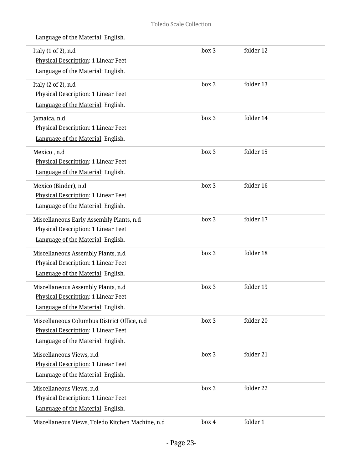| Italy (1 of 2), n.d<br>Physical Description: 1 Linear Feet | box 3 | folder 12 |  |
|------------------------------------------------------------|-------|-----------|--|
| Language of the Material: English.                         |       |           |  |
| Italy (2 of 2), n.d                                        | box 3 | folder 13 |  |
| Physical Description: 1 Linear Feet                        |       |           |  |
| Language of the Material: English.                         |       |           |  |
| Jamaica, n.d                                               | box 3 | folder 14 |  |
| Physical Description: 1 Linear Feet                        |       |           |  |
| Language of the Material: English.                         |       |           |  |
| Mexico, n.d                                                | box 3 | folder 15 |  |
| <b>Physical Description: 1 Linear Feet</b>                 |       |           |  |
| Language of the Material: English.                         |       |           |  |
| Mexico (Binder), n.d                                       | box 3 | folder 16 |  |
| Physical Description: 1 Linear Feet                        |       |           |  |
| Language of the Material: English.                         |       |           |  |
| Miscellaneous Early Assembly Plants, n.d                   | box 3 | folder 17 |  |
| Physical Description: 1 Linear Feet                        |       |           |  |
| Language of the Material: English.                         |       |           |  |
| Miscellaneous Assembly Plants, n.d                         | box 3 | folder 18 |  |
| Physical Description: 1 Linear Feet                        |       |           |  |
| Language of the Material: English.                         |       |           |  |
| Miscellaneous Assembly Plants, n.d                         | box 3 | folder 19 |  |
| Physical Description: 1 Linear Feet                        |       |           |  |
| Language of the Material: English.                         |       |           |  |
| Miscellaneous Columbus District Office, n.d                | box 3 | folder 20 |  |
| Physical Description: 1 Linear Feet                        |       |           |  |
| Language of the Material: English.                         |       |           |  |
| Miscellaneous Views, n.d                                   | box 3 | folder 21 |  |
| Physical Description: 1 Linear Feet                        |       |           |  |
| Language of the Material: English.                         |       |           |  |
| Miscellaneous Views, n.d                                   | box 3 | folder 22 |  |
| Physical Description: 1 Linear Feet                        |       |           |  |
| Language of the Material: English.                         |       |           |  |
| Miscellaneous Views, Toledo Kitchen Machine, n.d           | box 4 | folder 1  |  |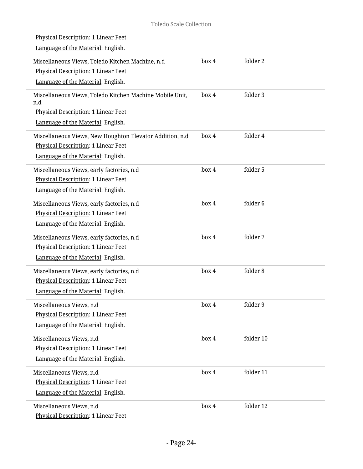L

| Physical Description: 1 Linear Feet                             |       |                     |
|-----------------------------------------------------------------|-------|---------------------|
| Language of the Material: English.                              |       |                     |
| Miscellaneous Views, Toledo Kitchen Machine, n.d                | box 4 | folder 2            |
| Physical Description: 1 Linear Feet                             |       |                     |
| Language of the Material: English.                              |       |                     |
| Miscellaneous Views, Toledo Kitchen Machine Mobile Unit,<br>n.d | box 4 | folder 3            |
| Physical Description: 1 Linear Feet                             |       |                     |
| Language of the Material: English.                              |       |                     |
| Miscellaneous Views, New Houghton Elevator Addition, n.d        | box 4 | folder 4            |
| Physical Description: 1 Linear Feet                             |       |                     |
| Language of the Material: English.                              |       |                     |
| Miscellaneous Views, early factories, n.d                       | box 4 | folder 5            |
| Physical Description: 1 Linear Feet                             |       |                     |
| Language of the Material: English.                              |       |                     |
| Miscellaneous Views, early factories, n.d                       | box 4 | folder <sub>6</sub> |
| Physical Description: 1 Linear Feet                             |       |                     |
| Language of the Material: English.                              |       |                     |
| Miscellaneous Views, early factories, n.d                       | box 4 | folder 7            |
| Physical Description: 1 Linear Feet                             |       |                     |
| Language of the Material: English.                              |       |                     |
| Miscellaneous Views, early factories, n.d                       | box 4 | folder 8            |
| Physical Description: 1 Linear Feet                             |       |                     |
| Language of the Material: English.                              |       |                     |
| Miscellaneous Views, n.d                                        | box 4 | folder 9            |
| <b>Physical Description: 1 Linear Feet</b>                      |       |                     |
| Language of the Material: English.                              |       |                     |
| Miscellaneous Views, n.d                                        | box 4 | folder 10           |
| Physical Description: 1 Linear Feet                             |       |                     |
| Language of the Material: English.                              |       |                     |
| Miscellaneous Views, n.d                                        | box 4 | folder 11           |
| Physical Description: 1 Linear Feet                             |       |                     |
| Language of the Material: English.                              |       |                     |
| Miscellaneous Views, n.d                                        | box 4 | folder 12           |
| Physical Description: 1 Linear Feet                             |       |                     |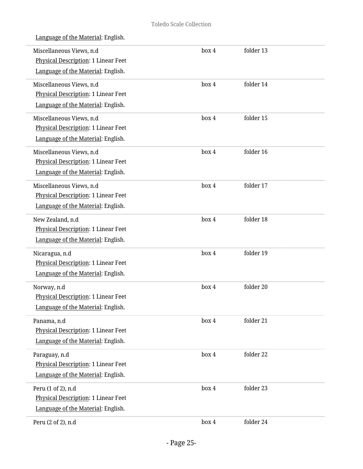| Language of the Material: English.                                                                    |       |           |  |
|-------------------------------------------------------------------------------------------------------|-------|-----------|--|
| Miscellaneous Views, n.d<br>Physical Description: 1 Linear Feet<br>Language of the Material: English. | box 4 | folder 13 |  |
| Miscellaneous Views, n.d<br>Physical Description: 1 Linear Feet<br>Language of the Material: English. | box 4 | folder 14 |  |
| Miscellaneous Views, n.d<br>Physical Description: 1 Linear Feet<br>Language of the Material: English. | box 4 | folder 15 |  |
| Miscellaneous Views, n.d<br>Physical Description: 1 Linear Feet<br>Language of the Material: English. | box 4 | folder 16 |  |
| Miscellaneous Views, n.d<br>Physical Description: 1 Linear Feet<br>Language of the Material: English. | box 4 | folder 17 |  |
| New Zealand, n.d<br>Physical Description: 1 Linear Feet<br>Language of the Material: English.         | box 4 | folder 18 |  |
| Nicaragua, n.d<br>Physical Description: 1 Linear Feet<br>Language of the Material: English.           | box 4 | folder 19 |  |
| Norway, n.d<br>Physical Description: 1 Linear Feet<br>Language of the Material: English.              | box 4 | folder 20 |  |
| Panama, n.d<br>Physical Description: 1 Linear Feet<br>Language of the Material: English.              | box 4 | folder 21 |  |
| Paraguay, n.d<br>Physical Description: 1 Linear Feet<br>Language of the Material: English.            | box 4 | folder 22 |  |
| Peru (1 of 2), n.d<br>Physical Description: 1 Linear Feet<br>Language of the Material: English.       | box 4 | folder 23 |  |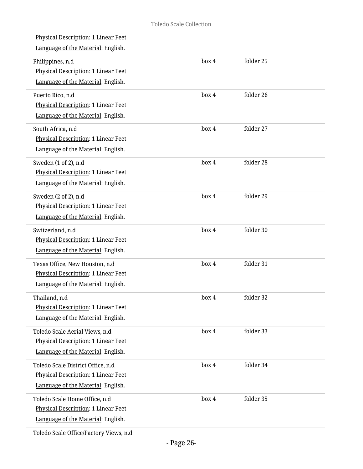| Physical Description: 1 Linear Feet<br>Language of the Material: English.                                             |       |           |  |
|-----------------------------------------------------------------------------------------------------------------------|-------|-----------|--|
| Philippines, n.d<br>Physical Description: 1 Linear Feet<br>Language of the Material: English.                         | box 4 | folder 25 |  |
| Puerto Rico, n.d<br>Physical Description: 1 Linear Feet<br>Language of the Material: English.                         | box 4 | folder 26 |  |
| South Africa, n.d<br>Physical Description: 1 Linear Feet<br>Language of the Material: English.                        | box 4 | folder 27 |  |
| Sweden (1 of 2), n.d<br><b>Physical Description: 1 Linear Feet</b><br>Language of the Material: English.              | box 4 | folder 28 |  |
| Sweden (2 of 2), n.d<br>Physical Description: 1 Linear Feet<br>Language of the Material: English.                     | box 4 | folder 29 |  |
| Switzerland, n.d<br>Physical Description: 1 Linear Feet<br>Language of the Material: English.                         | box 4 | folder 30 |  |
| Texas Office, New Houston, n.d<br>Physical Description: 1 Linear Feet<br>Language of the Material: English.           | box 4 | folder 31 |  |
| Thailand, n.d<br>Physical Description: 1 Linear Feet<br>Language of the Material: English.                            | box 4 | folder 32 |  |
| Toledo Scale Aerial Views, n.d<br>Physical Description: 1 Linear Feet<br>Language of the Material: English.           | box 4 | folder 33 |  |
| Toledo Scale District Office, n.d<br><b>Physical Description: 1 Linear Feet</b><br>Language of the Material: English. | box 4 | folder 34 |  |
| Toledo Scale Home Office, n.d<br>Physical Description: 1 Linear Feet<br>Language of the Material: English.            | box 4 | folder 35 |  |
|                                                                                                                       |       |           |  |

Toledo Scale Office/Factory Views, n.d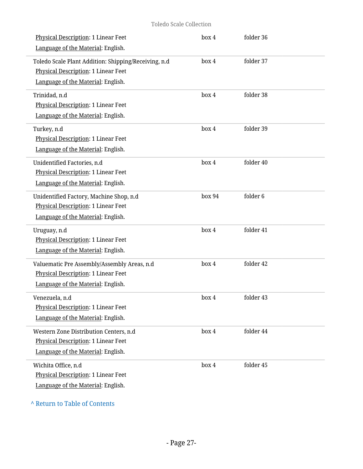| Physical Description: 1 Linear Feet<br>Language of the Material: English.                                                                | box 4  | folder 36 |  |
|------------------------------------------------------------------------------------------------------------------------------------------|--------|-----------|--|
| Toledo Scale Plant Addition: Shipping/Receiving, n.d<br><b>Physical Description: 1 Linear Feet</b><br>Language of the Material: English. | box 4  | folder 37 |  |
| Trinidad, n.d<br>Physical Description: 1 Linear Feet<br>Language of the Material: English.                                               | box 4  | folder 38 |  |
| Turkey, n.d<br>Physical Description: 1 Linear Feet<br>Language of the Material: English.                                                 | box 4  | folder 39 |  |
| Unidentified Factories, n.d<br><b>Physical Description: 1 Linear Feet</b><br>Language of the Material: English.                          | box 4  | folder 40 |  |
| Unidentified Factory, Machine Shop, n.d<br>Physical Description: 1 Linear Feet<br>Language of the Material: English.                     | box 94 | folder 6  |  |
| Uruguay, n.d<br>Physical Description: 1 Linear Feet<br>Language of the Material: English.                                                | box 4  | folder 41 |  |
| Valuematic Pre Assembly/Assembly Areas, n.d<br>Physical Description: 1 Linear Feet<br>Language of the Material: English.                 | box 4  | folder 42 |  |
| Venezuela, n.d<br>Physical Description: 1 Linear Feet<br>Language of the Material: English.                                              | box 4  | folder 43 |  |
| Western Zone Distribution Centers, n.d<br>Physical Description: 1 Linear Feet<br>Language of the Material: English.                      | box 4  | folder 44 |  |
| Wichita Office, n.d<br>Physical Description: 1 Linear Feet<br>Language of the Material: English.                                         | box 4  | folder 45 |  |

### **^** [Return to Table of Contents](#page-1-0)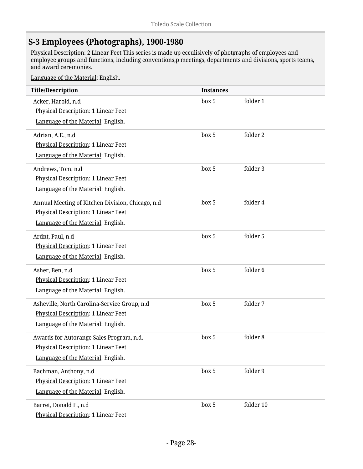### <span id="page-27-0"></span>**S-3 Employees (Photographs), 1900-1980**

Physical Description: 2 Linear Feet This series is made up ecculisively of photgraphs of employees and employee groups and functions, including conventions,p meetings, departments and divisions, sports teams, and award ceremonies.

| <b>Title/Description</b>                         | <b>Instances</b> |           |
|--------------------------------------------------|------------------|-----------|
| Acker, Harold, n.d                               | box 5            | folder 1  |
| Physical Description: 1 Linear Feet              |                  |           |
| Language of the Material: English.               |                  |           |
| Adrian, A.E., n.d                                | box 5            | folder 2  |
| Physical Description: 1 Linear Feet              |                  |           |
| Language of the Material: English.               |                  |           |
| Andrews, Tom, n.d                                | box 5            | folder 3  |
| Physical Description: 1 Linear Feet              |                  |           |
| Language of the Material: English.               |                  |           |
| Annual Meeting of Kitchen Division, Chicago, n.d | box 5            | folder 4  |
| Physical Description: 1 Linear Feet              |                  |           |
| Language of the Material: English.               |                  |           |
| Ardnt, Paul, n.d                                 | box 5            | folder 5  |
| Physical Description: 1 Linear Feet              |                  |           |
| Language of the Material: English.               |                  |           |
| Asher, Ben, n.d                                  | box 5            | folder 6  |
| Physical Description: 1 Linear Feet              |                  |           |
| Language of the Material: English.               |                  |           |
| Asheville, North Carolina-Service Group, n.d     | box 5            | folder 7  |
| Physical Description: 1 Linear Feet              |                  |           |
| Language of the Material: English.               |                  |           |
| Awards for Autorange Sales Program, n.d.         | box 5            | folder 8  |
| Physical Description: 1 Linear Feet              |                  |           |
| Language of the Material: English.               |                  |           |
| Bachman, Anthony, n.d                            | box 5            | folder 9  |
| Physical Description: 1 Linear Feet              |                  |           |
| Language of the Material: English.               |                  |           |
| Barret, Donald F., n.d                           | box 5            | folder 10 |
| Physical Description: 1 Linear Feet              |                  |           |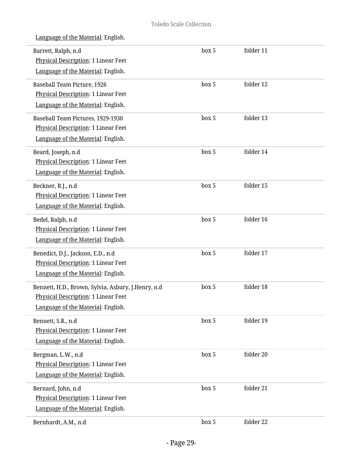| Barrett, Ralph, n.d<br>Physical Description: 1 Linear Feet<br>Language of the Material: English.                                 | box 5 | folder 11 |  |
|----------------------------------------------------------------------------------------------------------------------------------|-------|-----------|--|
| Baseball Team Picture, 1926<br>Physical Description: 1 Linear Feet<br>Language of the Material: English.                         | box 5 | folder 12 |  |
| Baseball Team Pictures, 1929-1930<br>Physical Description: 1 Linear Feet<br>Language of the Material: English.                   | box 5 | folder 13 |  |
| Beard, Joseph, n.d<br>Physical Description: 1 Linear Feet<br>Language of the Material: English.                                  | box 5 | folder 14 |  |
| Beckner, R.J., n.d<br>Physical Description: 1 Linear Feet<br>Language of the Material: English.                                  | box 5 | folder 15 |  |
| Bedel, Ralph, n.d<br>Physical Description: 1 Linear Feet<br>Language of the Material: English.                                   | box 5 | folder 16 |  |
| Benedict, D.J., Jackson, E.D., n.d<br>Physical Description: 1 Linear Feet<br>Language of the Material: English.                  | box 5 | folder 17 |  |
| Bennett, H.D., Brown, Sylvia, Asbury, J.Henry, n.d.<br>Physical Description: 1 Linear Feet<br>Language of the Material: English. | box 5 | folder 18 |  |
| Bennett, S.R., n.d<br>Physical Description: 1 Linear Feet<br>Language of the Material: English.                                  | box 5 | folder 19 |  |
| Bergman, L.W., n.d<br>Physical Description: 1 Linear Feet<br>Language of the Material: English.                                  | box 5 | folder 20 |  |
| Bernard, John, n.d<br>Physical Description: 1 Linear Feet<br>Language of the Material: English.                                  | box 5 | folder 21 |  |
| Bernhardt, A.M., n.d                                                                                                             | box 5 | folder 22 |  |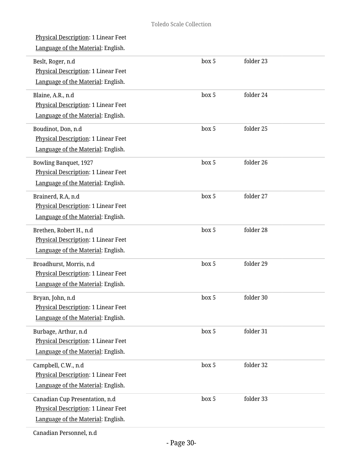| Physical Description: 1 Linear Feet<br>Language of the Material: English.                                   |       |           |  |
|-------------------------------------------------------------------------------------------------------------|-------|-----------|--|
| Beslt, Roger, n.d<br>Physical Description: 1 Linear Feet<br>Language of the Material: English.              | box 5 | folder 23 |  |
| Blaine, A.R., n.d<br>Physical Description: 1 Linear Feet<br>Language of the Material: English.              | box 5 | folder 24 |  |
| Boudinot, Don, n.d<br>Physical Description: 1 Linear Feet<br>Language of the Material: English.             | box 5 | folder 25 |  |
| <b>Bowling Banquet, 1927</b><br>Physical Description: 1 Linear Feet<br>Language of the Material: English.   | box 5 | folder 26 |  |
| Brainerd, R.A, n.d<br>Physical Description: 1 Linear Feet<br>Language of the Material: English.             | box 5 | folder 27 |  |
| Brethen, Robert H., n.d<br>Physical Description: 1 Linear Feet<br>Language of the Material: English.        | box 5 | folder 28 |  |
| Broadhurst, Morris, n.d<br>Physical Description: 1 Linear Feet<br>Language of the Material: English.        | box 5 | folder 29 |  |
| Bryan, John, n.d<br>Physical Description: 1 Linear Feet<br>Language of the Material: English.               | box 5 | folder 30 |  |
| Burbage, Arthur, n.d<br>Physical Description: 1 Linear Feet<br>Language of the Material: English.           | box 5 | folder 31 |  |
| Campbell, C.W., n.d<br><b>Physical Description: 1 Linear Feet</b><br>Language of the Material: English.     | box 5 | folder 32 |  |
| Canadian Cup Presentation, n.d<br>Physical Description: 1 Linear Feet<br>Language of the Material: English. | box 5 | folder 33 |  |
|                                                                                                             |       |           |  |

Canadian Personnel, n.d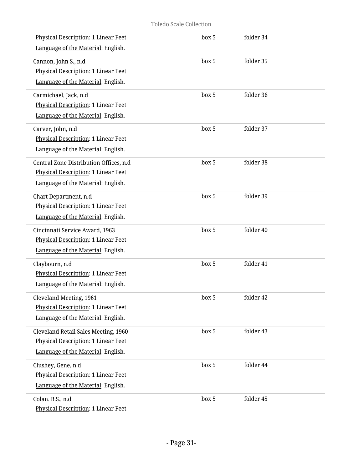| Physical Description: 1 Linear Feet<br>Language of the Material: English.                                                  | box 5 | folder 34 |  |
|----------------------------------------------------------------------------------------------------------------------------|-------|-----------|--|
| Cannon, John S., n.d<br>Physical Description: 1 Linear Feet<br>Language of the Material: English.                          | box 5 | folder 35 |  |
| Carmichael, Jack, n.d<br><b>Physical Description: 1 Linear Feet</b><br>Language of the Material: English.                  | box 5 | folder 36 |  |
| Carver, John, n.d<br>Physical Description: 1 Linear Feet<br>Language of the Material: English.                             | box 5 | folder 37 |  |
| Central Zone Distribution Offices, n.d<br><b>Physical Description: 1 Linear Feet</b><br>Language of the Material: English. | box 5 | folder 38 |  |
| Chart Department, n.d<br>Physical Description: 1 Linear Feet<br>Language of the Material: English.                         | box 5 | folder 39 |  |
| Cincinnati Service Award, 1963<br>Physical Description: 1 Linear Feet<br>Language of the Material: English.                | box 5 | folder 40 |  |
| Claybourn, n.d<br>Physical Description: 1 Linear Feet<br>Language of the Material: English.                                | box 5 | folder 41 |  |
| Cleveland Meeting, 1961<br>Physical Description: 1 Linear Feet<br>Language of the Material: English.                       | box 5 | folder 42 |  |
| Cleveland Retail Sales Meeting, 1960<br><b>Physical Description: 1 Linear Feet</b><br>Language of the Material: English.   | box 5 | folder 43 |  |
| Clushey, Gene, n.d<br>Physical Description: 1 Linear Feet<br>Language of the Material: English.                            | box 5 | folder 44 |  |
| Colan. B.S., n.d<br>Physical Description: 1 Linear Feet                                                                    | box 5 | folder 45 |  |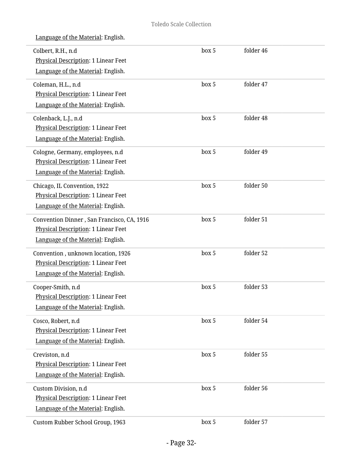| Colbert, R.H., n.d<br>Physical Description: 1 Linear Feet<br>Language of the Material: English.                         | box 5 | folder 46 |
|-------------------------------------------------------------------------------------------------------------------------|-------|-----------|
| Coleman, H.L., n.d<br>Physical Description: 1 Linear Feet<br>Language of the Material: English.                         | box 5 | folder 47 |
| Colenback, L.J., n.d<br><b>Physical Description: 1 Linear Feet</b><br>Language of the Material: English.                | box 5 | folder 48 |
| Cologne, Germany, employees, n.d<br>Physical Description: 1 Linear Feet<br>Language of the Material: English.           | box 5 | folder 49 |
| Chicago, IL Convention, 1922<br>Physical Description: 1 Linear Feet<br>Language of the Material: English.               | box 5 | folder 50 |
| Convention Dinner, San Francisco, CA, 1916<br>Physical Description: 1 Linear Feet<br>Language of the Material: English. | box 5 | folder 51 |
| Convention, unknown location, 1926<br>Physical Description: 1 Linear Feet<br>Language of the Material: English.         | box 5 | folder 52 |
| Cooper-Smith, n.d<br><b>Physical Description: 1 Linear Feet</b><br>Language of the Material: English.                   | box 5 | folder 53 |
| Cosco, Robert, n.d<br>Physical Description: 1 Linear Feet<br>Language of the Material: English.                         | box 5 | folder 54 |
| Creviston, n.d<br>Physical Description: 1 Linear Feet<br>Language of the Material: English.                             | box 5 | folder 55 |
| Custom Division, n.d<br>Physical Description: 1 Linear Feet<br>Language of the Material: English.                       | box 5 | folder 56 |
| Custom Rubber School Group, 1963                                                                                        | box 5 | folder 57 |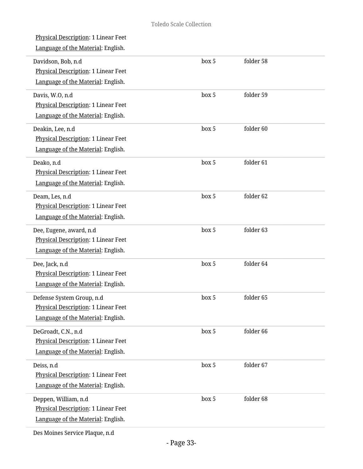| Physical Description: 1 Linear Feet<br>Language of the Material: English.                              |       |           |  |
|--------------------------------------------------------------------------------------------------------|-------|-----------|--|
| Davidson, Bob, n.d<br>Physical Description: 1 Linear Feet<br>Language of the Material: English.        | box 5 | folder 58 |  |
| Davis, W.O, n.d<br>Physical Description: 1 Linear Feet<br>Language of the Material: English.           | box 5 | folder 59 |  |
| Deakin, Lee, n.d<br>Physical Description: 1 Linear Feet<br>Language of the Material: English.          | box 5 | folder 60 |  |
| Deako, n.d<br>Physical Description: 1 Linear Feet<br>Language of the Material: English.                | box 5 | folder 61 |  |
| Deam, Les, n.d<br>Physical Description: 1 Linear Feet<br>Language of the Material: English.            | box 5 | folder 62 |  |
| Dee, Eugene, award, n.d<br>Physical Description: 1 Linear Feet<br>Language of the Material: English.   | box 5 | folder 63 |  |
| Dee, Jack, n.d<br>Physical Description: 1 Linear Feet<br>Language of the Material: English.            | box 5 | folder 64 |  |
| Defense System Group, n.d<br>Physical Description: 1 Linear Feet<br>Language of the Material: English. | box 5 | folder 65 |  |
| DeGroadt, C.N., n.d<br>Physical Description: 1 Linear Feet<br>Language of the Material: English.       | box 5 | folder 66 |  |
| Deiss, n.d<br>Physical Description: 1 Linear Feet<br>Language of the Material: English.                | box 5 | folder 67 |  |
| Deppen, William, n.d<br>Physical Description: 1 Linear Feet<br>Language of the Material: English.      | box 5 | folder 68 |  |
|                                                                                                        |       |           |  |

Des Moines Service Plaque, n.d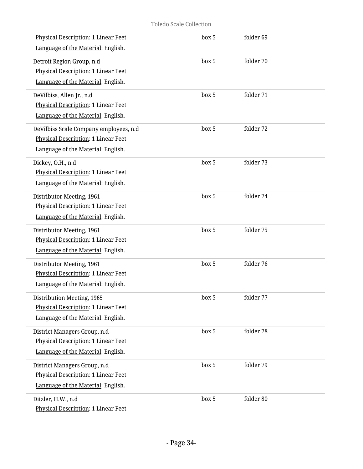| Physical Description: 1 Linear Feet<br>Language of the Material: English.                                           | box 5 | folder 69 |  |
|---------------------------------------------------------------------------------------------------------------------|-------|-----------|--|
| Detroit Region Group, n.d<br><b>Physical Description: 1 Linear Feet</b><br>Language of the Material: English.       | box 5 | folder 70 |  |
| DeVilbiss, Allen Jr., n.d<br><b>Physical Description: 1 Linear Feet</b><br>Language of the Material: English.       | box 5 | folder 71 |  |
| DeVilbiss Scale Company employees, n.d<br>Physical Description: 1 Linear Feet<br>Language of the Material: English. | box 5 | folder 72 |  |
| Dickey, O.H., n.d<br>Physical Description: 1 Linear Feet<br>Language of the Material: English.                      | box 5 | folder 73 |  |
| Distributor Meeting, 1961<br>Physical Description: 1 Linear Feet<br>Language of the Material: English.              | box 5 | folder 74 |  |
| Distributor Meeting, 1961<br>Physical Description: 1 Linear Feet<br>Language of the Material: English.              | box 5 | folder 75 |  |
| Distributor Meeting, 1961<br><b>Physical Description: 1 Linear Feet</b><br>Language of the Material: English.       | box 5 | folder 76 |  |
| Distribution Meeting, 1965<br>Physical Description: 1 Linear Feet<br>Language of the Material: English.             | box 5 | folder 77 |  |
| District Managers Group, n.d<br>Physical Description: 1 Linear Feet<br>Language of the Material: English.           | box 5 | folder 78 |  |
| District Managers Group, n.d<br>Physical Description: 1 Linear Feet<br>Language of the Material: English.           | box 5 | folder 79 |  |
| Ditzler, H.W., n.d<br>Physical Description: 1 Linear Feet                                                           | box 5 | folder 80 |  |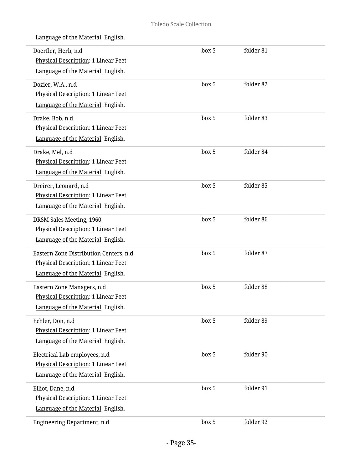| Doerfler, Herb, n.d                        | box 5 | folder 81 |  |
|--------------------------------------------|-------|-----------|--|
| Physical Description: 1 Linear Feet        |       |           |  |
| Language of the Material: English.         |       |           |  |
| Dozier, W.A., n.d                          | box 5 | folder 82 |  |
| Physical Description: 1 Linear Feet        |       |           |  |
| Language of the Material: English.         |       |           |  |
| Drake, Bob, n.d                            | box 5 | folder 83 |  |
| <b>Physical Description: 1 Linear Feet</b> |       |           |  |
| Language of the Material: English.         |       |           |  |
| Drake, Mel, n.d                            | box 5 | folder 84 |  |
| Physical Description: 1 Linear Feet        |       |           |  |
| Language of the Material: English.         |       |           |  |
| Dreirer, Leonard, n.d                      | box 5 | folder 85 |  |
| <b>Physical Description: 1 Linear Feet</b> |       |           |  |
| Language of the Material: English.         |       |           |  |
| DRSM Sales Meeting, 1960                   | box 5 | folder 86 |  |
| Physical Description: 1 Linear Feet        |       |           |  |
| Language of the Material: English.         |       |           |  |
| Eastern Zone Distribution Centers, n.d     | box 5 | folder 87 |  |
| Physical Description: 1 Linear Feet        |       |           |  |
| Language of the Material: English.         |       |           |  |
| Eastern Zone Managers, n.d                 | box 5 | folder 88 |  |
| Physical Description: 1 Linear Feet        |       |           |  |
| Language of the Material: English.         |       |           |  |
| Echler, Don, n.d                           | box 5 | folder 89 |  |
| Physical Description: 1 Linear Feet        |       |           |  |
| Language of the Material: English.         |       |           |  |
| Electrical Lab employees, n.d              | box 5 | folder 90 |  |
| <b>Physical Description: 1 Linear Feet</b> |       |           |  |
| Language of the Material: English.         |       |           |  |
| Elliot, Dane, n.d                          | box 5 | folder 91 |  |
| Physical Description: 1 Linear Feet        |       |           |  |
| Language of the Material: English.         |       |           |  |
| Engineering Department, n.d                | box 5 | folder 92 |  |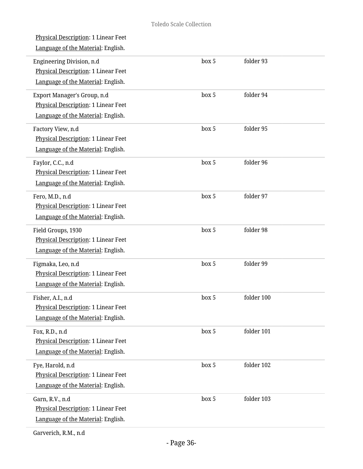| Physical Description: 1 Linear Feet<br>Language of the Material: English.                                |       |            |  |
|----------------------------------------------------------------------------------------------------------|-------|------------|--|
| Engineering Division, n.d<br>Physical Description: 1 Linear Feet<br>Language of the Material: English.   | box 5 | folder 93  |  |
| Export Manager's Group, n.d<br>Physical Description: 1 Linear Feet<br>Language of the Material: English. | box 5 | folder 94  |  |
| Factory View, n.d<br>Physical Description: 1 Linear Feet<br>Language of the Material: English.           | box 5 | folder 95  |  |
| Faylor, C.C., n.d<br>Physical Description: 1 Linear Feet<br>Language of the Material: English.           | box 5 | folder 96  |  |
| Fero, M.D., n.d<br>Physical Description: 1 Linear Feet<br>Language of the Material: English.             | box 5 | folder 97  |  |
| Field Groups, 1930<br>Physical Description: 1 Linear Feet<br>Language of the Material: English.          | box 5 | folder 98  |  |
| Figmaka, Leo, n.d<br>Physical Description: 1 Linear Feet<br>Language of the Material: English.           | box 5 | folder 99  |  |
| Fisher, A.I., n.d<br><b>Physical Description: 1 Linear Feet</b><br>Language of the Material: English.    | box 5 | folder 100 |  |
| Fox, R.D., n.d<br>Physical Description: 1 Linear Feet<br>Language of the Material: English.              | box 5 | folder 101 |  |
| Fye, Harold, n.d<br>Physical Description: 1 Linear Feet<br>Language of the Material: English.            | box 5 | folder 102 |  |
| Garn, R.V., n.d<br>Physical Description: 1 Linear Feet<br>Language of the Material: English.             | box 5 | folder 103 |  |

Garverich, R.M., n.d

 $\overline{a}$ 

L

 $\overline{a}$ 

i.

L

L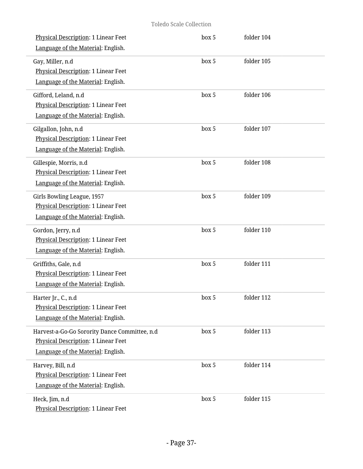| Physical Description: 1 Linear Feet<br>Language of the Material: English.                                                         | box 5 | folder 104 |  |
|-----------------------------------------------------------------------------------------------------------------------------------|-------|------------|--|
| Gay, Miller, n.d<br><b>Physical Description: 1 Linear Feet</b><br>Language of the Material: English.                              | box 5 | folder 105 |  |
| Gifford, Leland, n.d<br>Physical Description: 1 Linear Feet<br>Language of the Material: English.                                 | box 5 | folder 106 |  |
| Gilgallon, John, n.d<br>Physical Description: 1 Linear Feet<br>Language of the Material: English.                                 | box 5 | folder 107 |  |
| Gillespie, Morris, n.d<br>Physical Description: 1 Linear Feet<br>Language of the Material: English.                               | box 5 | folder 108 |  |
| Girls Bowling League, 1957<br>Physical Description: 1 Linear Feet<br>Language of the Material: English.                           | box 5 | folder 109 |  |
| Gordon, Jerry, n.d<br>Physical Description: 1 Linear Feet<br>Language of the Material: English.                                   | box 5 | folder 110 |  |
| Griffiths, Gale, n.d<br>Physical Description: 1 Linear Feet<br>Language of the Material: English.                                 | box 5 | folder 111 |  |
| Harter Jr., C., n.d<br>Physical Description: 1 Linear Feet<br>Language of the Material: English.                                  | box 5 | folder 112 |  |
| Harvest-a-Go-Go Sorority Dance Committee, n.d<br><b>Physical Description: 1 Linear Feet</b><br>Language of the Material: English. | box 5 | folder 113 |  |
| Harvey, Bill, n.d<br>Physical Description: 1 Linear Feet<br>Language of the Material: English.                                    | box 5 | folder 114 |  |
| Heck, Jim, n.d<br>Physical Description: 1 Linear Feet                                                                             | box 5 | folder 115 |  |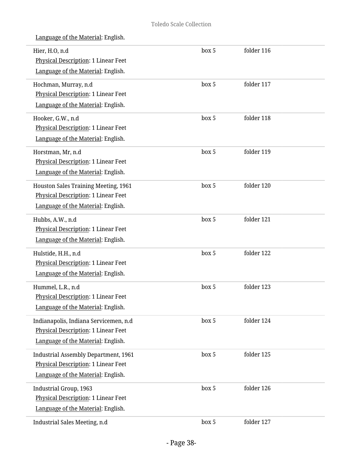| Hier, H.O, n.d<br>Physical Description: 1 Linear Feet<br>Language of the Material: English.                              | box 5 | folder 116 |  |
|--------------------------------------------------------------------------------------------------------------------------|-------|------------|--|
| Hochman, Murray, n.d<br>Physical Description: 1 Linear Feet<br>Language of the Material: English.                        | box 5 | folder 117 |  |
| Hooker, G.W., n.d<br>Physical Description: 1 Linear Feet<br>Language of the Material: English.                           | box 5 | folder 118 |  |
| Horstman, Mr, n.d<br>Physical Description: 1 Linear Feet<br>Language of the Material: English.                           | box 5 | folder 119 |  |
| Houston Sales Training Meeting, 1961<br>Physical Description: 1 Linear Feet<br>Language of the Material: English.        | box 5 | folder 120 |  |
| Hubbs, A.W., n.d<br>Physical Description: 1 Linear Feet<br>Language of the Material: English.                            | box 5 | folder 121 |  |
| Hulstide, H.H., n.d<br>Physical Description: 1 Linear Feet<br>Language of the Material: English.                         | box 5 | folder 122 |  |
| Hummel, L.R., n.d<br>Physical Description: 1 Linear Feet<br>Language of the Material: English.                           | box 5 | folder 123 |  |
| Indianapolis, Indiana Servicemen, n.d.<br>Physical Description: 1 Linear Feet<br>Language of the Material: English.      | box 5 | folder 124 |  |
| <b>Industrial Assembly Department, 1961</b><br>Physical Description: 1 Linear Feet<br>Language of the Material: English. | box 5 | folder 125 |  |
| Industrial Group, 1963<br>Physical Description: 1 Linear Feet<br>Language of the Material: English.                      | box 5 | folder 126 |  |
| Industrial Sales Meeting, n.d                                                                                            | box 5 | folder 127 |  |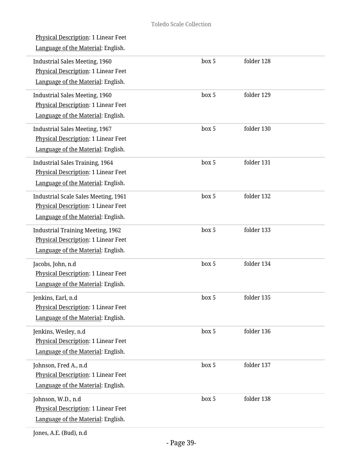| box 5 | folder 128 |
|-------|------------|
| box 5 | folder 129 |
| box 5 | folder 130 |
| box 5 | folder 131 |
| box 5 | folder 132 |
| box 5 | folder 133 |
| box 5 | folder 134 |
| box 5 | folder 135 |
| box 5 | folder 136 |
| box 5 | folder 137 |
| box 5 | folder 138 |
|       |            |

Jones, A.E. (Bud), n.d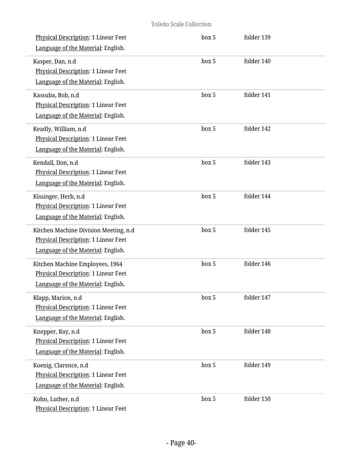| Physical Description: 1 Linear Feet<br>Language of the Material: English.                                          | box 5 | folder 139 |  |
|--------------------------------------------------------------------------------------------------------------------|-------|------------|--|
| Kasper, Dan, n.d<br><b>Physical Description: 1 Linear Feet</b><br>Language of the Material: English.               | box 5 | folder 140 |  |
| Kassuba, Bob, n.d<br>Physical Description: 1 Linear Feet<br>Language of the Material: English.                     | box 5 | folder 141 |  |
| Keadly, William, n.d<br>Physical Description: 1 Linear Feet<br>Language of the Material: English.                  | box 5 | folder 142 |  |
| Kendall, Don, n.d<br><b>Physical Description: 1 Linear Feet</b><br>Language of the Material: English.              | box 5 | folder 143 |  |
| Kissinger, Herb, n.d<br>Physical Description: 1 Linear Feet<br>Language of the Material: English.                  | box 5 | folder 144 |  |
| Kitchen Machine Division Meeting, n.d<br>Physical Description: 1 Linear Feet<br>Language of the Material: English. | box 5 | folder 145 |  |
| Kitchen Machine Employees, 1964<br>Physical Description: 1 Linear Feet<br>Language of the Material: English.       | box 5 | folder 146 |  |
| Klapp, Marion, n.d<br>Physical Description: 1 Linear Feet<br>Language of the Material: English.                    | box 5 | folder 147 |  |
| Knepper, Ray, n.d<br>Physical Description: 1 Linear Feet<br>Language of the Material: English.                     | box 5 | folder 148 |  |
| Koenig, Clarence, n.d<br>Physical Description: 1 Linear Feet<br>Language of the Material: English.                 | box 5 | folder 149 |  |
| Kohn, Luther, n.d<br>Physical Description: 1 Linear Feet                                                           | box 5 | folder 150 |  |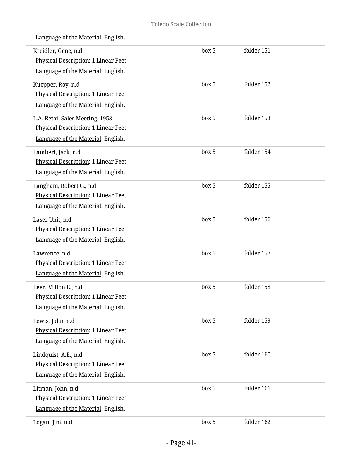| Kreidler, Gene, n.d<br><b>Physical Description: 1 Linear Feet</b><br>Language of the Material: English.      | box 5 | folder 151 |  |
|--------------------------------------------------------------------------------------------------------------|-------|------------|--|
| Kuepper, Roy, n.d<br>Physical Description: 1 Linear Feet<br>Language of the Material: English.               | box 5 | folder 152 |  |
| L.A. Retail Sales Meeting, 1958<br>Physical Description: 1 Linear Feet<br>Language of the Material: English. | box 5 | folder 153 |  |
| Lambert, Jack, n.d<br>Physical Description: 1 Linear Feet<br>Language of the Material: English.              | box 5 | folder 154 |  |
| Langham, Robert G., n.d<br>Physical Description: 1 Linear Feet<br>Language of the Material: English.         | box 5 | folder 155 |  |
| Laser Unit, n.d<br>Physical Description: 1 Linear Feet<br>Language of the Material: English.                 | box 5 | folder 156 |  |
| Lawrence, n.d<br>Physical Description: 1 Linear Feet<br>Language of the Material: English.                   | box 5 | folder 157 |  |
| Leer, Milton E., n.d<br>Physical Description: 1 Linear Feet<br>Language of the Material: English.            | box 5 | folder 158 |  |
| Lewis, John, n.d<br>Physical Description: 1 Linear Feet<br>Language of the Material: English.                | box 5 | folder 159 |  |
| Lindquist, A.E., n.d<br>Physical Description: 1 Linear Feet<br>Language of the Material: English.            | box 5 | folder 160 |  |
| Litman, John, n.d<br>Physical Description: 1 Linear Feet<br>Language of the Material: English.               | box 5 | folder 161 |  |
| Logan, Jim, n.d                                                                                              | box 5 | folder 162 |  |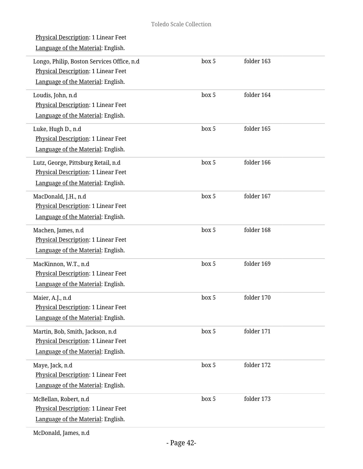| <b>Physical Description: 1 Linear Feet</b><br>Language of the Material: English.                                        |       |            |
|-------------------------------------------------------------------------------------------------------------------------|-------|------------|
| Longo, Philip, Boston Services Office, n.d<br>Physical Description: 1 Linear Feet<br>Language of the Material: English. | box 5 | folder 163 |
| Loudis, John, n.d<br>Physical Description: 1 Linear Feet<br>Language of the Material: English.                          | box 5 | folder 164 |
| Luke, Hugh D., n.d<br>Physical Description: 1 Linear Feet<br>Language of the Material: English.                         | box 5 | folder 165 |
| Lutz, George, Pittsburg Retail, n.d<br>Physical Description: 1 Linear Feet<br>Language of the Material: English.        | box 5 | folder 166 |
| MacDonald, J.H., n.d<br>Physical Description: 1 Linear Feet<br>Language of the Material: English.                       | box 5 | folder 167 |
| Machen, James, n.d<br>Physical Description: 1 Linear Feet<br>Language of the Material: English.                         | box 5 | folder 168 |
| MacKinnon, W.T., n.d<br>Physical Description: 1 Linear Feet<br>Language of the Material: English.                       | box 5 | folder 169 |
| Maier, A.J., n.d<br><b>Physical Description: 1 Linear Feet</b><br>Language of the Material: English.                    | box 5 | folder 170 |
| Martin, Bob, Smith, Jackson, n.d<br>Physical Description: 1 Linear Feet<br>Language of the Material: English.           | box 5 | folder 171 |
| Maye, Jack, n.d<br><b>Physical Description: 1 Linear Feet</b><br>Language of the Material: English.                     | box 5 | folder 172 |
| McBellan, Robert, n.d<br>Physical Description: 1 Linear Feet<br>Language of the Material: English.                      | box 5 | folder 173 |
|                                                                                                                         |       |            |

McDonald, James, n.d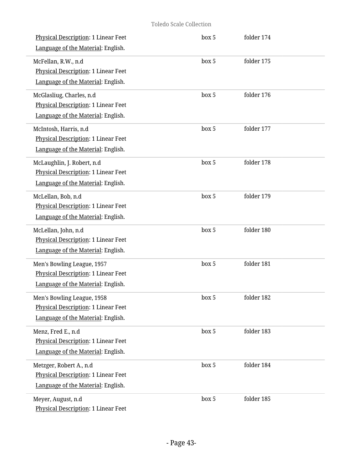| Physical Description: 1 Linear Feet<br>Language of the Material: English.                               | box 5 | folder 174 |  |
|---------------------------------------------------------------------------------------------------------|-------|------------|--|
| McFellan, R.W., n.d<br>Physical Description: 1 Linear Feet<br>Language of the Material: English.        | box 5 | folder 175 |  |
| McGlasliug, Charles, n.d<br>Physical Description: 1 Linear Feet<br>Language of the Material: English.   | box 5 | folder 176 |  |
| McIntosh, Harris, n.d<br>Physical Description: 1 Linear Feet<br>Language of the Material: English.      | box 5 | folder 177 |  |
| McLaughlin, J. Robert, n.d<br>Physical Description: 1 Linear Feet<br>Language of the Material: English. | box 5 | folder 178 |  |
| McLellan, Bob, n.d<br>Physical Description: 1 Linear Feet<br>Language of the Material: English.         | box 5 | folder 179 |  |
| McLellan, John, n.d<br>Physical Description: 1 Linear Feet<br>Language of the Material: English.        | box 5 | folder 180 |  |
| Men's Bowling League, 1957<br>Physical Description: 1 Linear Feet<br>Language of the Material: English. | box 5 | folder 181 |  |
| Men's Bowling League, 1958<br>Physical Description: 1 Linear Feet<br>Language of the Material: English. | box 5 | folder 182 |  |
| Menz, Fred E., n.d<br>Physical Description: 1 Linear Feet<br>Language of the Material: English.         | box 5 | folder 183 |  |
| Metzger, Robert A., n.d<br>Physical Description: 1 Linear Feet<br>Language of the Material: English.    | box 5 | folder 184 |  |
| Meyer, August, n.d<br>Physical Description: 1 Linear Feet                                               | box 5 | folder 185 |  |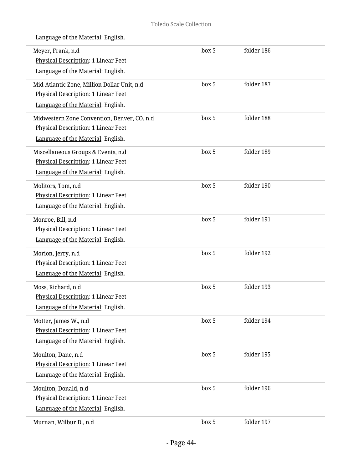| Meyer, Frank, n.d<br>Physical Description: 1 Linear Feet<br>Language of the Material: English.                           | box 5 | folder 186 |  |
|--------------------------------------------------------------------------------------------------------------------------|-------|------------|--|
| Mid-Atlantic Zone, Million Dollar Unit, n.d<br>Physical Description: 1 Linear Feet<br>Language of the Material: English. | box 5 | folder 187 |  |
| Midwestern Zone Convention, Denver, CO, n.d<br>Physical Description: 1 Linear Feet<br>Language of the Material: English. | box 5 | folder 188 |  |
| Miscellaneous Groups & Events, n.d<br>Physical Description: 1 Linear Feet<br>Language of the Material: English.          | box 5 | folder 189 |  |
| Molitors, Tom, n.d<br><b>Physical Description: 1 Linear Feet</b><br>Language of the Material: English.                   | box 5 | folder 190 |  |
| Monroe, Bill, n.d<br>Physical Description: 1 Linear Feet<br>Language of the Material: English.                           | box 5 | folder 191 |  |
| Morion, Jerry, n.d<br>Physical Description: 1 Linear Feet<br>Language of the Material: English.                          | box 5 | folder 192 |  |
| Moss, Richard, n.d<br>Physical Description: 1 Linear Feet<br>Language of the Material: English.                          | box 5 | folder 193 |  |
| Motter, James W., n.d<br>Physical Description: 1 Linear Feet<br>Language of the Material: English.                       | box 5 | folder 194 |  |
| Moulton, Dane, n.d<br>Physical Description: 1 Linear Feet<br>Language of the Material: English.                          | box 5 | folder 195 |  |
| Moulton, Donald, n.d<br>Physical Description: 1 Linear Feet<br>Language of the Material: English.                        | box 5 | folder 196 |  |
| Murnan, Wilbur D., n.d                                                                                                   | box 5 | folder 197 |  |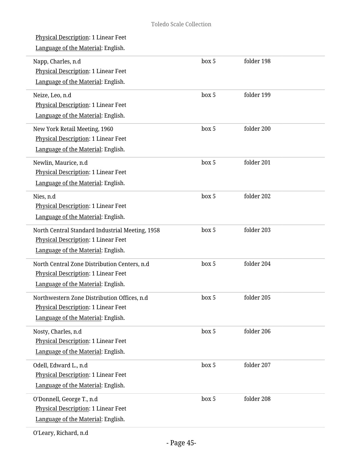| Physical Description: 1 Linear Feet<br>Language of the Material: English.                                                    |       |            |
|------------------------------------------------------------------------------------------------------------------------------|-------|------------|
| Napp, Charles, n.d<br><b>Physical Description: 1 Linear Feet</b><br>Language of the Material: English.                       | box 5 | folder 198 |
| Neize, Leo, n.d<br>Physical Description: 1 Linear Feet<br>Language of the Material: English.                                 | box 5 | folder 199 |
| New York Retail Meeting, 1960<br>Physical Description: 1 Linear Feet<br>Language of the Material: English.                   | box 5 | folder 200 |
| Newlin, Maurice, n.d<br><b>Physical Description: 1 Linear Feet</b><br>Language of the Material: English.                     | box 5 | folder 201 |
| Nies, n.d<br>Physical Description: 1 Linear Feet<br>Language of the Material: English.                                       | box 5 | folder 202 |
| North Central Standard Industrial Meeting, 1958<br>Physical Description: 1 Linear Feet<br>Language of the Material: English. | box 5 | folder 203 |
| North Central Zone Distribution Centers, n.d.<br>Physical Description: 1 Linear Feet<br>Language of the Material: English.   | box 5 | folder 204 |
| Northwestern Zone Distribution Offices, n.d<br>Physical Description: 1 Linear Feet<br>Language of the Material: English.     | box 5 | folder 205 |
| Nosty, Charles, n.d<br>Physical Description: 1 Linear Feet<br>Language of the Material: English.                             | box 5 | folder 206 |
| Odell, Edward L., n.d<br>Physical Description: 1 Linear Feet<br>Language of the Material: English.                           | box 5 | folder 207 |
| O'Donnell, George T., n.d<br>Physical Description: 1 Linear Feet<br>Language of the Material: English.                       | box 5 | folder 208 |
|                                                                                                                              |       |            |

O'Leary, Richard, n.d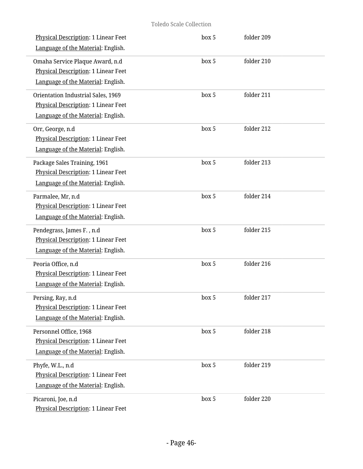| Physical Description: 1 Linear Feet<br>Language of the Material: English.                                              | box 5 | folder 209 |  |
|------------------------------------------------------------------------------------------------------------------------|-------|------------|--|
| Omaha Service Plaque Award, n.d<br>Physical Description: 1 Linear Feet<br>Language of the Material: English.           | box 5 | folder 210 |  |
| Orientation Industrial Sales, 1969<br><b>Physical Description: 1 Linear Feet</b><br>Language of the Material: English. | box 5 | folder 211 |  |
| Orr, George, n.d<br>Physical Description: 1 Linear Feet<br>Language of the Material: English.                          | box 5 | folder 212 |  |
| Package Sales Training, 1961<br><b>Physical Description: 1 Linear Feet</b><br>Language of the Material: English.       | box 5 | folder 213 |  |
| Parmalee, Mr, n.d<br>Physical Description: 1 Linear Feet<br>Language of the Material: English.                         | box 5 | folder 214 |  |
| Pendegrass, James F., n.d<br>Physical Description: 1 Linear Feet<br>Language of the Material: English.                 | box 5 | folder 215 |  |
| Peoria Office, n.d<br>Physical Description: 1 Linear Feet<br>Language of the Material: English.                        | box 5 | folder 216 |  |
| Persing, Ray, n.d<br>Physical Description: 1 Linear Feet<br>Language of the Material: English.                         | box 5 | folder 217 |  |
| Personnel Office, 1968<br>Physical Description: 1 Linear Feet<br>Language of the Material: English.                    | box 5 | folder 218 |  |
| Phyfe, W.L., n.d<br><b>Physical Description: 1 Linear Feet</b><br>Language of the Material: English.                   | box 5 | folder 219 |  |
| Picaroni, Joe, n.d<br>Physical Description: 1 Linear Feet                                                              | box 5 | folder 220 |  |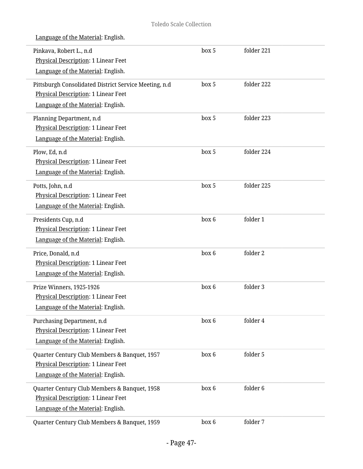| Language of the Material: English. |  |
|------------------------------------|--|
|                                    |  |

| Pinkava, Robert L., n.d<br>Physical Description: 1 Linear Feet<br>Language of the Material: English.                               | box 5 | folder 221 |  |
|------------------------------------------------------------------------------------------------------------------------------------|-------|------------|--|
| Pittsburgh Consolidated District Service Meeting, n.d<br>Physical Description: 1 Linear Feet<br>Language of the Material: English. | box 5 | folder 222 |  |
| Planning Department, n.d<br>Physical Description: 1 Linear Feet<br>Language of the Material: English.                              | box 5 | folder 223 |  |
| Plow, Ed, n.d<br>Physical Description: 1 Linear Feet<br>Language of the Material: English.                                         | box 5 | folder 224 |  |
| Potts, John, n.d<br>Physical Description: 1 Linear Feet<br>Language of the Material: English.                                      | box 5 | folder 225 |  |
| Presidents Cup, n.d<br>Physical Description: 1 Linear Feet<br>Language of the Material: English.                                   | box 6 | folder 1   |  |
| Price, Donald, n.d<br>Physical Description: 1 Linear Feet<br>Language of the Material: English.                                    | box 6 | folder 2   |  |
| Prize Winners, 1925-1926<br>Physical Description: 1 Linear Feet<br>Language of the Material: English.                              | box 6 | folder 3   |  |
| Purchasing Department, n.d<br>Physical Description: 1 Linear Feet<br>Language of the Material: English.                            | box 6 | folder 4   |  |
| Quarter Century Club Members & Banquet, 1957<br>Physical Description: 1 Linear Feet<br>Language of the Material: English.          | box 6 | folder 5   |  |
| Quarter Century Club Members & Banquet, 1958<br>Physical Description: 1 Linear Feet<br>Language of the Material: English.          | box 6 | folder 6   |  |
| Quarter Century Club Members & Banquet, 1959                                                                                       | box 6 | folder 7   |  |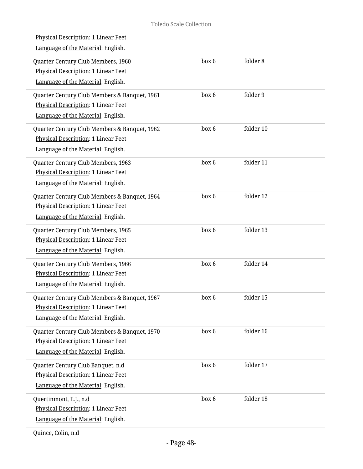| <u>Physical Description</u> : 1 Linear Feet<br>Language of the Material: English.                                                |       |           |  |
|----------------------------------------------------------------------------------------------------------------------------------|-------|-----------|--|
| Quarter Century Club Members, 1960<br>Physical Description: 1 Linear Feet<br>Language of the Material: English.                  | box 6 | folder 8  |  |
| Quarter Century Club Members & Banquet, 1961<br>Physical Description: 1 Linear Feet<br>Language of the Material: English.        | box 6 | folder 9  |  |
| Quarter Century Club Members & Banquet, 1962<br>Physical Description: 1 Linear Feet<br>Language of the Material: English.        | box 6 | folder 10 |  |
| Quarter Century Club Members, 1963<br>Physical Description: 1 Linear Feet<br>Language of the Material: English.                  | box 6 | folder 11 |  |
| Quarter Century Club Members & Banquet, 1964<br><b>Physical Description: 1 Linear Feet</b><br>Language of the Material: English. | box 6 | folder 12 |  |
| Quarter Century Club Members, 1965<br>Physical Description: 1 Linear Feet<br>Language of the Material: English.                  | box 6 | folder 13 |  |
| Quarter Century Club Members, 1966<br>Physical Description: 1 Linear Feet<br>Language of the Material: English.                  | box 6 | folder 14 |  |
| Quarter Century Club Members & Banquet, 1967<br>Physical Description: 1 Linear Feet<br>Language of the Material: English.        | box 6 | folder 15 |  |
| Quarter Century Club Members & Banquet, 1970<br>Physical Description: 1 Linear Feet<br>Language of the Material: English.        | box 6 | folder 16 |  |
| Quarter Century Club Banquet, n.d<br><b>Physical Description: 1 Linear Feet</b><br>Language of the Material: English.            | box 6 | folder 17 |  |
| Quertinmont, E.J., n.d<br>Physical Description: 1 Linear Feet<br>Language of the Material: English.                              | box 6 | folder 18 |  |

Quince, Colin, n.d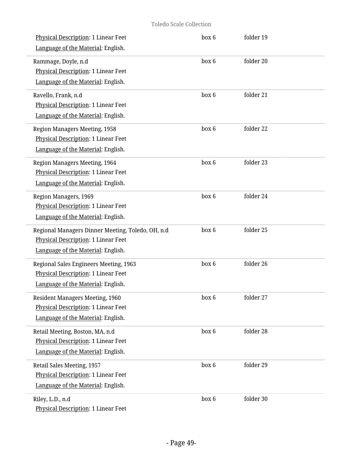| Physical Description: 1 Linear Feet<br>Language of the Material: English.                                                      | box 6 | folder 19 |  |
|--------------------------------------------------------------------------------------------------------------------------------|-------|-----------|--|
| Rammage, Doyle, n.d<br>Physical Description: 1 Linear Feet<br>Language of the Material: English.                               | box 6 | folder 20 |  |
| Ravello, Frank, n.d<br>Physical Description: 1 Linear Feet<br>Language of the Material: English.                               | box 6 | folder 21 |  |
| Region Managers Meeting, 1958<br>Physical Description: 1 Linear Feet<br>Language of the Material: English.                     | box 6 | folder 22 |  |
| Region Managers Meeting, 1964<br>Physical Description: 1 Linear Feet<br>Language of the Material: English.                     | box 6 | folder 23 |  |
| Region Managers, 1969<br>Physical Description: 1 Linear Feet<br>Language of the Material: English.                             | box 6 | folder 24 |  |
| Regional Managers Dinner Meeting, Toledo, OH, n.d<br>Physical Description: 1 Linear Feet<br>Language of the Material: English. | box 6 | folder 25 |  |
| Regional Sales Engineers Meeting, 1963<br>Physical Description: 1 Linear Feet<br>Language of the Material: English.            | box 6 | folder 26 |  |
| Resident Managers Meeting, 1960<br><b>Physical Description: 1 Linear Feet</b><br>Language of the Material: English.            | box 6 | folder 27 |  |
| Retail Meeting, Boston, MA, n.d<br><b>Physical Description: 1 Linear Feet</b><br>Language of the Material: English.            | box 6 | folder 28 |  |
| Retail Sales Meeting, 1957<br>Physical Description: 1 Linear Feet<br>Language of the Material: English.                        | box 6 | folder 29 |  |
| Riley, L.D., n.d<br>Physical Description: 1 Linear Feet                                                                        | box 6 | folder 30 |  |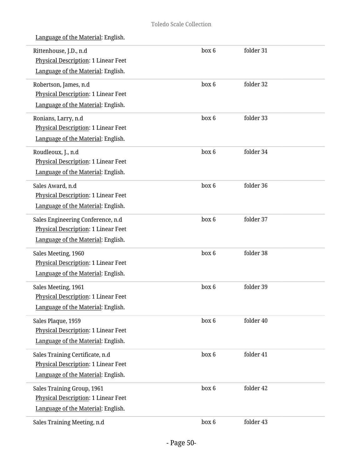| Language of the Material: English. |  |
|------------------------------------|--|
|                                    |  |

| Rittenhouse, J.D., n.d<br>Physical Description: 1 Linear Feet<br>Language of the Material: English.                 | box 6 | folder 31 |
|---------------------------------------------------------------------------------------------------------------------|-------|-----------|
| Robertson, James, n.d<br>Physical Description: 1 Linear Feet<br>Language of the Material: English.                  | box 6 | folder 32 |
| Ronians, Larry, n.d<br>Physical Description: 1 Linear Feet<br>Language of the Material: English.                    | box 6 | folder 33 |
| Roudleoux, J., n.d<br>Physical Description: 1 Linear Feet<br>Language of the Material: English.                     | box 6 | folder 34 |
| Sales Award, n.d<br>Physical Description: 1 Linear Feet<br>Language of the Material: English.                       | box 6 | folder 36 |
| Sales Engineering Conference, n.d<br>Physical Description: 1 Linear Feet<br>Language of the Material: English.      | box 6 | folder 37 |
| Sales Meeting, 1960<br>Physical Description: 1 Linear Feet<br>Language of the Material: English.                    | box 6 | folder 38 |
| Sales Meeting, 1961<br>Physical Description: 1 Linear Feet<br>Language of the Material: English.                    | box 6 | folder 39 |
| Sales Plaque, 1959<br>Physical Description: 1 Linear Feet<br>Language of the Material: English.                     | box 6 | folder 40 |
| Sales Training Certificate, n.d<br><b>Physical Description: 1 Linear Feet</b><br>Language of the Material: English. | box 6 | folder 41 |
| Sales Training Group, 1961<br>Physical Description: 1 Linear Feet<br>Language of the Material: English.             | box 6 | folder 42 |
| Sales Training Meeting, n.d                                                                                         | box 6 | folder 43 |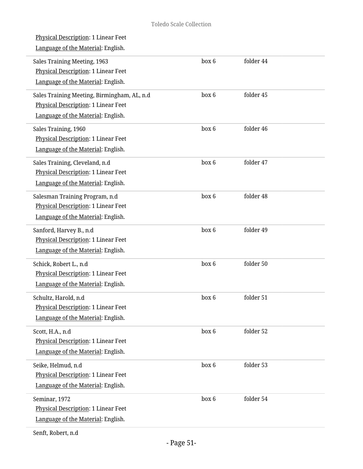| box 6<br>folder 44<br>Sales Training Meeting, 1963<br>Physical Description: 1 Linear Feet<br>Language of the Material: English.<br>box 6<br>folder 45<br>Sales Training Meeting, Birmingham, AL, n.d<br>Physical Description: 1 Linear Feet<br>Language of the Material: English.<br>box 6<br>folder 46<br>Sales Training, 1960<br>Physical Description: 1 Linear Feet<br>Language of the Material: English.<br>box 6<br>folder 47<br>Sales Training, Cleveland, n.d<br>Physical Description: 1 Linear Feet<br>Language of the Material: English.<br>box 6<br>folder 48<br>Salesman Training Program, n.d<br>Physical Description: 1 Linear Feet<br>Language of the Material: English.<br>box 6<br>folder 49<br>Sanford, Harvey B., n.d<br>Physical Description: 1 Linear Feet<br>Language of the Material: English.<br>folder 50<br>box 6<br>Schick, Robert L., n.d<br>Physical Description: 1 Linear Feet<br>Language of the Material: English.<br>folder 51<br>box 6<br>Schultz, Harold, n.d<br><b>Physical Description: 1 Linear Feet</b><br>Language of the Material: English.<br>box 6<br>folder 52<br>Scott, H.A., n.d<br>Physical Description: 1 Linear Feet<br>Language of the Material: English.<br>box 6<br>folder 53<br>Seike, Helmud, n.d<br><b>Physical Description: 1 Linear Feet</b><br>Language of the Material: English.<br>folder 54<br>box 6<br>Seminar, 1972<br>Physical Description: 1 Linear Feet<br>Language of the Material: English. | <b>Physical Description: 1 Linear Feet</b><br>Language of the Material: English. |  |  |
|----------------------------------------------------------------------------------------------------------------------------------------------------------------------------------------------------------------------------------------------------------------------------------------------------------------------------------------------------------------------------------------------------------------------------------------------------------------------------------------------------------------------------------------------------------------------------------------------------------------------------------------------------------------------------------------------------------------------------------------------------------------------------------------------------------------------------------------------------------------------------------------------------------------------------------------------------------------------------------------------------------------------------------------------------------------------------------------------------------------------------------------------------------------------------------------------------------------------------------------------------------------------------------------------------------------------------------------------------------------------------------------------------------------------------------------------------------------|----------------------------------------------------------------------------------|--|--|
|                                                                                                                                                                                                                                                                                                                                                                                                                                                                                                                                                                                                                                                                                                                                                                                                                                                                                                                                                                                                                                                                                                                                                                                                                                                                                                                                                                                                                                                                |                                                                                  |  |  |
|                                                                                                                                                                                                                                                                                                                                                                                                                                                                                                                                                                                                                                                                                                                                                                                                                                                                                                                                                                                                                                                                                                                                                                                                                                                                                                                                                                                                                                                                |                                                                                  |  |  |
|                                                                                                                                                                                                                                                                                                                                                                                                                                                                                                                                                                                                                                                                                                                                                                                                                                                                                                                                                                                                                                                                                                                                                                                                                                                                                                                                                                                                                                                                |                                                                                  |  |  |
|                                                                                                                                                                                                                                                                                                                                                                                                                                                                                                                                                                                                                                                                                                                                                                                                                                                                                                                                                                                                                                                                                                                                                                                                                                                                                                                                                                                                                                                                |                                                                                  |  |  |
|                                                                                                                                                                                                                                                                                                                                                                                                                                                                                                                                                                                                                                                                                                                                                                                                                                                                                                                                                                                                                                                                                                                                                                                                                                                                                                                                                                                                                                                                |                                                                                  |  |  |
|                                                                                                                                                                                                                                                                                                                                                                                                                                                                                                                                                                                                                                                                                                                                                                                                                                                                                                                                                                                                                                                                                                                                                                                                                                                                                                                                                                                                                                                                |                                                                                  |  |  |
|                                                                                                                                                                                                                                                                                                                                                                                                                                                                                                                                                                                                                                                                                                                                                                                                                                                                                                                                                                                                                                                                                                                                                                                                                                                                                                                                                                                                                                                                |                                                                                  |  |  |
|                                                                                                                                                                                                                                                                                                                                                                                                                                                                                                                                                                                                                                                                                                                                                                                                                                                                                                                                                                                                                                                                                                                                                                                                                                                                                                                                                                                                                                                                |                                                                                  |  |  |
|                                                                                                                                                                                                                                                                                                                                                                                                                                                                                                                                                                                                                                                                                                                                                                                                                                                                                                                                                                                                                                                                                                                                                                                                                                                                                                                                                                                                                                                                |                                                                                  |  |  |
|                                                                                                                                                                                                                                                                                                                                                                                                                                                                                                                                                                                                                                                                                                                                                                                                                                                                                                                                                                                                                                                                                                                                                                                                                                                                                                                                                                                                                                                                |                                                                                  |  |  |
|                                                                                                                                                                                                                                                                                                                                                                                                                                                                                                                                                                                                                                                                                                                                                                                                                                                                                                                                                                                                                                                                                                                                                                                                                                                                                                                                                                                                                                                                |                                                                                  |  |  |

Senft, Robert, n.d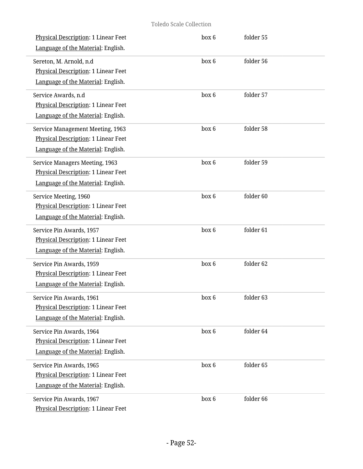| Physical Description: 1 Linear Feet<br>Language of the Material: English.                                     | box 6 | folder 55 |  |
|---------------------------------------------------------------------------------------------------------------|-------|-----------|--|
| Sereton, M. Arnold, n.d<br><b>Physical Description: 1 Linear Feet</b><br>Language of the Material: English.   | box 6 | folder 56 |  |
| Service Awards, n.d<br>Physical Description: 1 Linear Feet<br>Language of the Material: English.              | box 6 | folder 57 |  |
| Service Management Meeting, 1963<br>Physical Description: 1 Linear Feet<br>Language of the Material: English. | box 6 | folder 58 |  |
| Service Managers Meeting, 1963<br>Physical Description: 1 Linear Feet<br>Language of the Material: English.   | box 6 | folder 59 |  |
| Service Meeting, 1960<br>Physical Description: 1 Linear Feet<br>Language of the Material: English.            | box 6 | folder 60 |  |
| Service Pin Awards, 1957<br>Physical Description: 1 Linear Feet<br>Language of the Material: English.         | box 6 | folder 61 |  |
| Service Pin Awards, 1959<br>Physical Description: 1 Linear Feet<br>Language of the Material: English.         | box 6 | folder 62 |  |
| Service Pin Awards, 1961<br><b>Physical Description: 1 Linear Feet</b><br>Language of the Material: English.  | box 6 | folder 63 |  |
| Service Pin Awards, 1964<br><b>Physical Description: 1 Linear Feet</b><br>Language of the Material: English.  | box 6 | folder 64 |  |
| Service Pin Awards, 1965<br>Physical Description: 1 Linear Feet<br>Language of the Material: English.         | box 6 | folder 65 |  |
| Service Pin Awards, 1967<br>Physical Description: 1 Linear Feet                                               | box 6 | folder 66 |  |

i.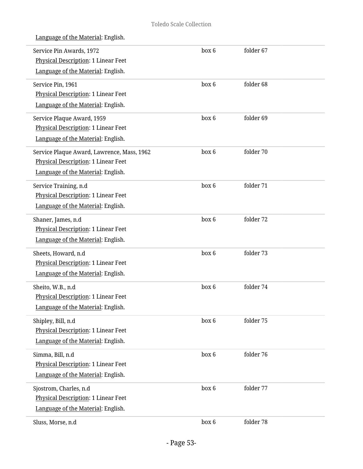|                    | Service Pin Awards, 1972<br><b>Physical Description: 1 Linear Feet</b><br>Language of the Material: English.            | box 6 | folder 67 |
|--------------------|-------------------------------------------------------------------------------------------------------------------------|-------|-----------|
| Service Pin, 1961  | Physical Description: 1 Linear Feet<br>Language of the Material: English.                                               | box 6 | folder 68 |
|                    | Service Plaque Award, 1959<br>Physical Description: 1 Linear Feet<br>Language of the Material: English.                 | box 6 | folder 69 |
|                    | Service Plaque Award, Lawrence, Mass, 1962<br>Physical Description: 1 Linear Feet<br>Language of the Material: English. | box 6 | folder 70 |
|                    | Service Training, n.d<br>Physical Description: 1 Linear Feet<br>Language of the Material: English.                      | box 6 | folder 71 |
| Shaner, James, n.d | Physical Description: 1 Linear Feet<br>Language of the Material: English.                                               | box 6 | folder 72 |
|                    | Sheets, Howard, n.d<br>Physical Description: 1 Linear Feet<br>Language of the Material: English.                        | box 6 | folder 73 |
| Sheito, W.B., n.d  | Physical Description: 1 Linear Feet<br>Language of the Material: English.                                               | box 6 | folder 74 |
| Shipley, Bill, n.d | Physical Description: 1 Linear Feet<br>Language of the Material: English.                                               | box 6 | folder 75 |
| Simma, Bill, n.d   | Physical Description: 1 Linear Feet<br>Language of the Material: English.                                               | box 6 | folder 76 |
|                    | Sjostrom, Charles, n.d<br>Physical Description: 1 Linear Feet<br>Language of the Material: English.                     | box 6 | folder 77 |
| Sluss, Morse, n.d  |                                                                                                                         | box 6 | folder 78 |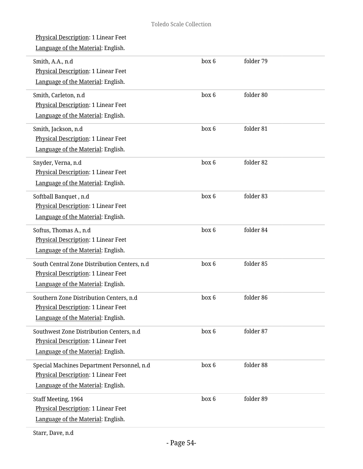| Physical Description: 1 Linear Feet<br>Language of the Material: English.                                                    |       |           |
|------------------------------------------------------------------------------------------------------------------------------|-------|-----------|
| Smith, A.A., n.d<br>Physical Description: 1 Linear Feet<br>Language of the Material: English.                                | box 6 | folder 79 |
| Smith, Carleton, n.d<br>Physical Description: 1 Linear Feet<br>Language of the Material: English.                            | box 6 | folder 80 |
| Smith, Jackson, n.d<br>Physical Description: 1 Linear Feet<br>Language of the Material: English.                             | box 6 | folder 81 |
| Snyder, Verna, n.d<br>Physical Description: 1 Linear Feet<br>Language of the Material: English.                              | box 6 | folder 82 |
| Softball Banquet, n.d<br>Physical Description: 1 Linear Feet<br>Language of the Material: English.                           | box 6 | folder 83 |
| Softus, Thomas A., n.d<br>Physical Description: 1 Linear Feet<br>Language of the Material: English.                          | box 6 | folder 84 |
| South Central Zone Distribution Centers, n.d<br>Physical Description: 1 Linear Feet<br>Language of the Material: English.    | box 6 | folder 85 |
| Southern Zone Distribution Centers, n.d.<br><b>Physical Description: 1 Linear Feet</b><br>Language of the Material: English. | box 6 | folder 86 |
| Southwest Zone Distribution Centers, n.d<br><b>Physical Description: 1 Linear Feet</b><br>Language of the Material: English. | box 6 | folder 87 |
| Special Machines Department Personnel, n.d<br>Physical Description: 1 Linear Feet<br>Language of the Material: English.      | box 6 | folder 88 |
| Staff Meeting, 1964<br>Physical Description: 1 Linear Feet<br>Language of the Material: English.                             | box 6 | folder 89 |
|                                                                                                                              |       |           |

Starr, Dave, n.d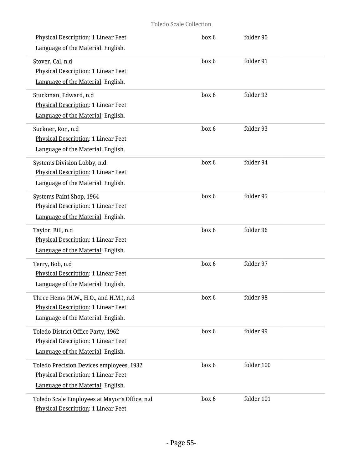| Physical Description: 1 Linear Feet<br>Language of the Material: English.                                             | box 6 | folder 90  |  |
|-----------------------------------------------------------------------------------------------------------------------|-------|------------|--|
| Stover, Cal, n.d<br>Physical Description: 1 Linear Feet<br>Language of the Material: English.                         | box 6 | folder 91  |  |
| Stuckman, Edward, n.d<br>Physical Description: 1 Linear Feet<br>Language of the Material: English.                    | box 6 | folder 92  |  |
| Suckner, Ron, n.d<br>Physical Description: 1 Linear Feet<br>Language of the Material: English.                        | box 6 | folder 93  |  |
| Systems Division Lobby, n.d<br><b>Physical Description: 1 Linear Feet</b><br>Language of the Material: English.       | box 6 | folder 94  |  |
| Systems Paint Shop, 1964<br>Physical Description: 1 Linear Feet<br>Language of the Material: English.                 | box 6 | folder 95  |  |
| Taylor, Bill, n.d<br>Physical Description: 1 Linear Feet<br>Language of the Material: English.                        | box 6 | folder 96  |  |
| Terry, Bob, n.d<br>Physical Description: 1 Linear Feet<br>Language of the Material: English.                          | box 6 | folder 97  |  |
| Three Hems (H.W., H.O., and H.M.), n.d<br>Physical Description: 1 Linear Feet<br>Language of the Material: English.   | box 6 | folder 98  |  |
| Toledo District Office Party, 1962<br>Physical Description: 1 Linear Feet<br>Language of the Material: English.       | box 6 | folder 99  |  |
| Toledo Precision Devices employees, 1932<br>Physical Description: 1 Linear Feet<br>Language of the Material: English. | box 6 | folder 100 |  |
| Toledo Scale Employees at Mayor's Office, n.d<br>Physical Description: 1 Linear Feet                                  | box 6 | folder 101 |  |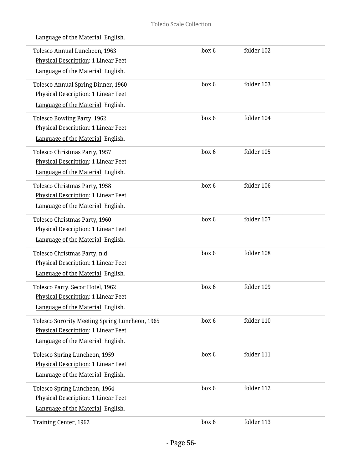| Language of the Material: English.                                                                                                 |       |            |  |
|------------------------------------------------------------------------------------------------------------------------------------|-------|------------|--|
| Tolesco Annual Luncheon, 1963<br>Physical Description: 1 Linear Feet<br>Language of the Material: English.                         | box 6 | folder 102 |  |
| <b>Tolesco Annual Spring Dinner, 1960</b><br>Physical Description: 1 Linear Feet<br>Language of the Material: English.             | box 6 | folder 103 |  |
| <b>Tolesco Bowling Party, 1962</b><br>Physical Description: 1 Linear Feet<br>Language of the Material: English.                    | box 6 | folder 104 |  |
| Tolesco Christmas Party, 1957<br><b>Physical Description: 1 Linear Feet</b><br>Language of the Material: English.                  | box 6 | folder 105 |  |
| Tolesco Christmas Party, 1958<br>Physical Description: 1 Linear Feet<br>Language of the Material: English.                         | box 6 | folder 106 |  |
| Tolesco Christmas Party, 1960<br>Physical Description: 1 Linear Feet<br>Language of the Material: English.                         | box 6 | folder 107 |  |
| Tolesco Christmas Party, n.d<br>Physical Description: 1 Linear Feet<br>Language of the Material: English.                          | box 6 | folder 108 |  |
| Tolesco Party, Secor Hotel, 1962<br>Physical Description: 1 Linear Feet<br>Language of the Material: English.                      | box 6 | folder 109 |  |
| Tolesco Sorority Meeting Spring Luncheon, 1965<br><b>Physical Description: 1 Linear Feet</b><br>Language of the Material: English. | box 6 | folder 110 |  |
| Tolesco Spring Luncheon, 1959<br>Physical Description: 1 Linear Feet<br>Language of the Material: English.                         | box 6 | folder 111 |  |
| Tolesco Spring Luncheon, 1964<br>Physical Description: 1 Linear Feet<br>Language of the Material: English.                         | box 6 | folder 112 |  |
| Training Center, 1962                                                                                                              | box 6 | folder 113 |  |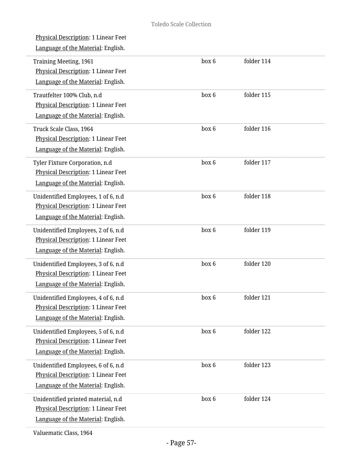| <b>Physical Description: 1 Linear Feet</b><br>Language of the Material: English.                                        |       |            |
|-------------------------------------------------------------------------------------------------------------------------|-------|------------|
| Training Meeting, 1961<br>Physical Description: 1 Linear Feet<br>Language of the Material: English.                     | box 6 | folder 114 |
| Trautfelter 100% Club, n.d<br>Physical Description: 1 Linear Feet<br>Language of the Material: English.                 | box 6 | folder 115 |
| Truck Scale Class, 1964<br>Physical Description: 1 Linear Feet<br>Language of the Material: English.                    | box 6 | folder 116 |
| Tyler Fixture Corporation, n.d<br>Physical Description: 1 Linear Feet<br>Language of the Material: English.             | box 6 | folder 117 |
| Unidentified Employees, 1 of 6, n.d<br>Physical Description: 1 Linear Feet<br>Language of the Material: English.        | box 6 | folder 118 |
| Unidentified Employees, 2 of 6, n.d<br>Physical Description: 1 Linear Feet<br>Language of the Material: English.        | box 6 | folder 119 |
| Unidentified Employees, 3 of 6, n.d<br>Physical Description: 1 Linear Feet<br>Language of the Material: English.        | box 6 | folder 120 |
| Unidentified Employees, 4 of 6, n.d<br><b>Physical Description: 1 Linear Feet</b><br>Language of the Material: English. | box 6 | folder 121 |
| Unidentified Employees, 5 of 6, n.d<br>Physical Description: 1 Linear Feet<br>Language of the Material: English.        | box 6 | folder 122 |
| Unidentified Employees, 6 of 6, n.d<br>Physical Description: 1 Linear Feet<br>Language of the Material: English.        | box 6 | folder 123 |
| Unidentified printed material, n.d<br>Physical Description: 1 Linear Feet<br>Language of the Material: English.         | box 6 | folder 124 |

Valuematic Class, 1964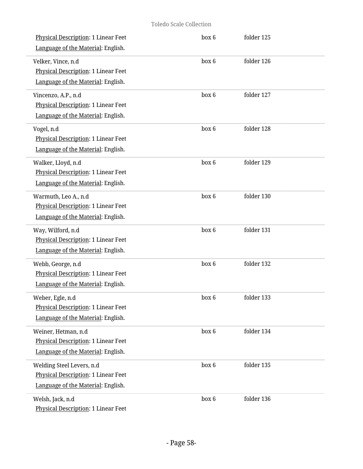| Physical Description: 1 Linear Feet<br>Language of the Material: English.                              | box 6 | folder 125 |  |
|--------------------------------------------------------------------------------------------------------|-------|------------|--|
| Velker, Vince, n.d<br>Physical Description: 1 Linear Feet<br>Language of the Material: English.        | box 6 | folder 126 |  |
| Vincenzo, A.P., n.d<br>Physical Description: 1 Linear Feet<br>Language of the Material: English.       | box 6 | folder 127 |  |
| Vogel, n.d<br>Physical Description: 1 Linear Feet<br>Language of the Material: English.                | box 6 | folder 128 |  |
| Walker, Lloyd, n.d<br>Physical Description: 1 Linear Feet<br>Language of the Material: English.        | box 6 | folder 129 |  |
| Warmuth, Leo A., n.d<br>Physical Description: 1 Linear Feet<br>Language of the Material: English.      | box 6 | folder 130 |  |
| Way, Wilford, n.d<br>Physical Description: 1 Linear Feet<br>Language of the Material: English.         | box 6 | folder 131 |  |
| Webb, George, n.d<br>Physical Description: 1 Linear Feet<br>Language of the Material: English.         | box 6 | folder 132 |  |
| Weber, Egle, n.d<br>Physical Description: 1 Linear Feet<br>Language of the Material: English.          | box 6 | folder 133 |  |
| Weiner, Hetman, n.d<br>Physical Description: 1 Linear Feet<br>Language of the Material: English.       | box 6 | folder 134 |  |
| Welding Steel Levers, n.d<br>Physical Description: 1 Linear Feet<br>Language of the Material: English. | box 6 | folder 135 |  |
| Welsh, Jack, n.d<br>Physical Description: 1 Linear Feet                                                | box 6 | folder 136 |  |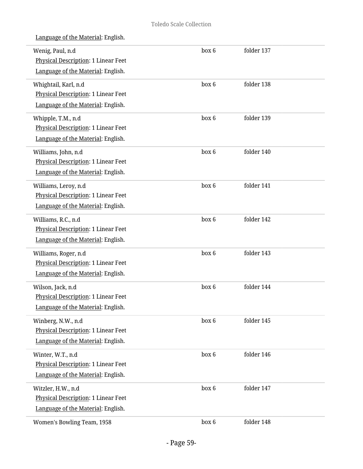| Wenig, Paul, n.d<br>Physical Description: 1 Linear Feet<br>Language of the Material: English.          | box 6 | folder 137 |  |
|--------------------------------------------------------------------------------------------------------|-------|------------|--|
| Whightail, Karl, n.d<br>Physical Description: 1 Linear Feet<br>Language of the Material: English.      | box 6 | folder 138 |  |
| Whipple, T.M., n.d<br>Physical Description: 1 Linear Feet<br>Language of the Material: English.        | box 6 | folder 139 |  |
| Williams, John, n.d<br>Physical Description: 1 Linear Feet<br>Language of the Material: English.       | box 6 | folder 140 |  |
| Williams, Leroy, n.d<br>Physical Description: 1 Linear Feet<br>Language of the Material: English.      | box 6 | folder 141 |  |
| Williams, R.C., n.d<br>Physical Description: 1 Linear Feet<br>Language of the Material: English.       | box 6 | folder 142 |  |
| Williams, Roger, n.d<br>Physical Description: 1 Linear Feet<br>Language of the Material: English.      | box 6 | folder 143 |  |
| Wilson, Jack, n.d<br>Physical Description: 1 Linear Feet<br>Language of the Material: English.         | box 6 | folder 144 |  |
| Winberg, N.W., n.d<br><b>Physical Description: 1 Linear Feet</b><br>Language of the Material: English. | box 6 | folder 145 |  |
| Winter, W.T., n.d<br>Physical Description: 1 Linear Feet<br>Language of the Material: English.         | box 6 | folder 146 |  |
| Witzler, H.W., n.d<br>Physical Description: 1 Linear Feet<br>Language of the Material: English.        | box 6 | folder 147 |  |
| Women's Bowling Team, 1958                                                                             | box 6 | folder 148 |  |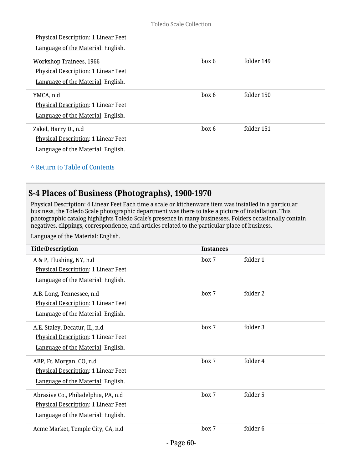| Physical Description: 1 Linear Feet<br>Language of the Material: English. |       |            |
|---------------------------------------------------------------------------|-------|------------|
| Workshop Trainees, 1966                                                   | box 6 | folder 149 |
| Physical Description: 1 Linear Feet                                       |       |            |
| Language of the Material: English.                                        |       |            |
| YMCA, n.d                                                                 | box 6 | folder 150 |
| Physical Description: 1 Linear Feet                                       |       |            |
| Language of the Material: English.                                        |       |            |
| Zakel, Harry D., n.d                                                      | box 6 | folder 151 |
| <b>Physical Description: 1 Linear Feet</b>                                |       |            |
| Language of the Material: English.                                        |       |            |
|                                                                           |       |            |

# **^** [Return to Table of Contents](#page-1-0)

# **S-4 Places of Business (Photographs), 1900-1970**

Physical Description: 4 Linear Feet Each time a scale or kitchenware item was installed in a particular business, the Toledo Scale photographic department was there to take a picture of installation. This photographic catalog highlights Toledo Scale's presence in many businesses. Folders occasionally contain negatives, clippings, correspondence, and articles related to the particular place of business.

| <b>Title/Description</b>                                                                                          | <b>Instances</b> |          |
|-------------------------------------------------------------------------------------------------------------------|------------------|----------|
| A & P, Flushing, NY, n.d<br>Physical Description: 1 Linear Feet<br>Language of the Material: English.             | box 7            | folder 1 |
| A.B. Long, Tennessee, n.d<br><b>Physical Description: 1 Linear Feet</b><br>Language of the Material: English.     | box 7            | folder 2 |
| A.E. Staley, Decatur, IL, n.d.<br>Physical Description: 1 Linear Feet<br>Language of the Material: English.       | box 7            | folder 3 |
| ABP, Ft. Morgan, CO, n.d<br>Physical Description: 1 Linear Feet<br>Language of the Material: English.             | box 7            | folder 4 |
| Abrasive Co., Philadelphia, PA, n.d.<br>Physical Description: 1 Linear Feet<br>Language of the Material: English. | box 7            | folder 5 |
| Acme Market, Temple City, CA, n.d                                                                                 | box 7            | folder 6 |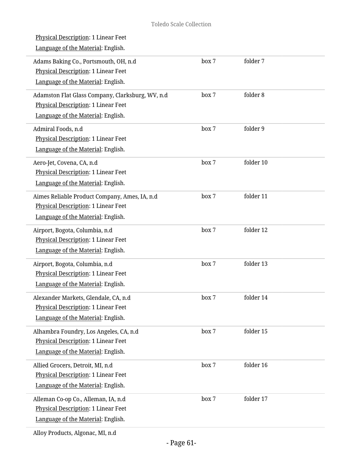| <b>Physical Description: 1 Linear Feet</b><br>Language of the Material: English.                                              |       |           |  |
|-------------------------------------------------------------------------------------------------------------------------------|-------|-----------|--|
| Adams Baking Co., Portsmouth, OH, n.d<br>Physical Description: 1 Linear Feet<br>Language of the Material: English.            | box 7 | folder 7  |  |
| Adamston Flat Glass Company, Clarksburg, WV, n.d<br>Physical Description: 1 Linear Feet<br>Language of the Material: English. | box 7 | folder 8  |  |
| Admiral Foods, n.d<br>Physical Description: 1 Linear Feet<br>Language of the Material: English.                               | box 7 | folder 9  |  |
| Aero-Jet, Covena, CA, n.d<br>Physical Description: 1 Linear Feet<br>Language of the Material: English.                        | box 7 | folder 10 |  |
| Aimes Reliable Product Company, Ames, IA, n.d<br>Physical Description: 1 Linear Feet<br>Language of the Material: English.    | box 7 | folder 11 |  |
| Airport, Bogota, Columbia, n.d<br>Physical Description: 1 Linear Feet<br>Language of the Material: English.                   | box 7 | folder 12 |  |
| Airport, Bogota, Columbia, n.d<br>Physical Description: 1 Linear Feet<br>Language of the Material: English.                   | box 7 | folder 13 |  |
| Alexander Markets, Glendale, CA, n.d<br><b>Physical Description: 1 Linear Feet</b><br>Language of the Material: English.      | box 7 | folder 14 |  |
| Alhambra Foundry, Los Angeles, CA, n.d<br>Physical Description: 1 Linear Feet<br>Language of the Material: English.           | box 7 | folder 15 |  |
| Allied Grocers, Detroit, MI, n.d<br>Physical Description: 1 Linear Feet<br>Language of the Material: English.                 | box 7 | folder 16 |  |
| Alleman Co-op Co., Alleman, IA, n.d<br>Physical Description: 1 Linear Feet<br>Language of the Material: English.              | box 7 | folder 17 |  |
|                                                                                                                               |       |           |  |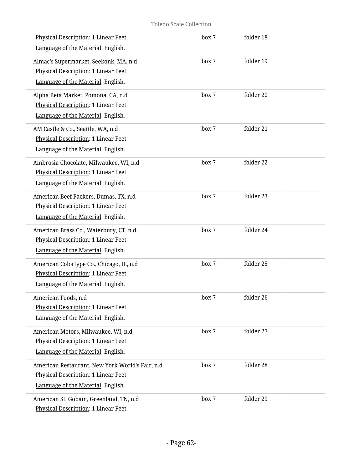| Physical Description: 1 Linear Feet<br>Language of the Material: English.                                                    | box 7 | folder 18 |  |
|------------------------------------------------------------------------------------------------------------------------------|-------|-----------|--|
| Almac's Supermarket, Seekonk, MA, n.d<br><b>Physical Description: 1 Linear Feet</b><br>Language of the Material: English.    | box 7 | folder 19 |  |
| Alpha Beta Market, Pomona, CA, n.d<br><b>Physical Description: 1 Linear Feet</b><br>Language of the Material: English.       | box 7 | folder 20 |  |
| AM Castle & Co., Seattle, WA, n.d<br>Physical Description: 1 Linear Feet<br>Language of the Material: English.               | box 7 | folder 21 |  |
| Ambrosia Chocolate, Milwaukee, WI, n.d<br>Physical Description: 1 Linear Feet<br>Language of the Material: English.          | box 7 | folder 22 |  |
| American Beef Packers, Dumas, TX, n.d<br>Physical Description: 1 Linear Feet<br>Language of the Material: English.           | box 7 | folder 23 |  |
| American Brass Co., Waterbury, CT, n.d<br>Physical Description: 1 Linear Feet<br>Language of the Material: English.          | box 7 | folder 24 |  |
| American Colortype Co., Chicago, IL, n.d<br>Physical Description: 1 Linear Feet<br>Language of the Material: English.        | box 7 | folder 25 |  |
| American Foods, n.d<br>Physical Description: 1 Linear Feet<br>Language of the Material: English.                             | box 7 | folder 26 |  |
| American Motors, Milwaukee, WI, n.d<br><b>Physical Description: 1 Linear Feet</b><br>Language of the Material: English.      | box 7 | folder 27 |  |
| American Restaurant, New York World's Fair, n.d<br>Physical Description: 1 Linear Feet<br>Language of the Material: English. | box 7 | folder 28 |  |
| American St. Gobain, Greenland, TN, n.d<br>Physical Description: 1 Linear Feet                                               | box 7 | folder 29 |  |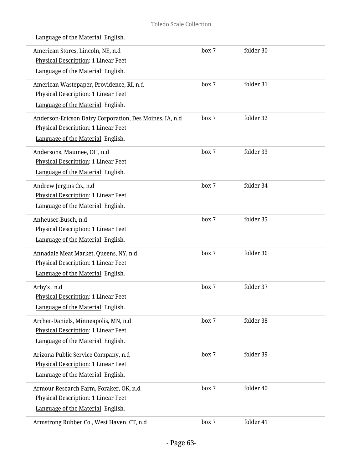|  |  |  |  | Language of the Material: English. |
|--|--|--|--|------------------------------------|
|  |  |  |  |                                    |

| American Stores, Lincoln, NE, n.d.<br>Physical Description: 1 Linear Feet<br>Language of the Material: English.                      | box 7 | folder 30 |  |
|--------------------------------------------------------------------------------------------------------------------------------------|-------|-----------|--|
| American Wastepaper, Providence, RI, n.d<br>Physical Description: 1 Linear Feet<br>Language of the Material: English.                | box 7 | folder 31 |  |
| Anderson-Ericson Dairy Corporation, Des Moines, IA, n.d<br>Physical Description: 1 Linear Feet<br>Language of the Material: English. | box 7 | folder 32 |  |
| Andersons, Maumee, OH, n.d<br>Physical Description: 1 Linear Feet<br>Language of the Material: English.                              | box 7 | folder 33 |  |
| Andrew Jergins Co., n.d<br><b>Physical Description: 1 Linear Feet</b><br>Language of the Material: English.                          | box 7 | folder 34 |  |
| Anheuser-Busch, n.d<br>Physical Description: 1 Linear Feet<br>Language of the Material: English.                                     | box 7 | folder 35 |  |
| Annadale Meat Market, Queens, NY, n.d<br>Physical Description: 1 Linear Feet<br>Language of the Material: English.                   | box 7 | folder 36 |  |
| Arby's, n.d<br>Physical Description: 1 Linear Feet<br>Language of the Material: English.                                             | box 7 | folder 37 |  |
| Archer-Daniels, Minneapolis, MN, n.d<br><b>Physical Description: 1 Linear Feet</b><br>Language of the Material: English.             | box 7 | folder 38 |  |
| Arizona Public Service Company, n.d<br>Physical Description: 1 Linear Feet<br>Language of the Material: English.                     | box 7 | folder 39 |  |
| Armour Research Farm, Foraker, OK, n.d<br>Physical Description: 1 Linear Feet<br>Language of the Material: English.                  | box 7 | folder 40 |  |
| Armstrong Rubber Co., West Haven, CT, n.d                                                                                            | box 7 | folder 41 |  |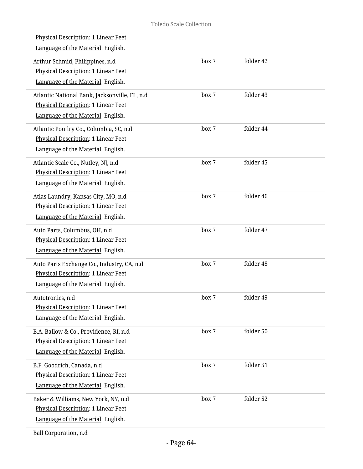| <b>Physical Description: 1 Linear Feet</b><br>Language of the Material: English.                                                  |       |           |  |
|-----------------------------------------------------------------------------------------------------------------------------------|-------|-----------|--|
| Arthur Schmid, Philippines, n.d<br><b>Physical Description: 1 Linear Feet</b><br>Language of the Material: English.               | box 7 | folder 42 |  |
| Atlantic National Bank, Jacksonville, FL, n.d<br><b>Physical Description: 1 Linear Feet</b><br>Language of the Material: English. | box 7 | folder 43 |  |
| Atlantic Poutlry Co., Columbia, SC, n.d<br>Physical Description: 1 Linear Feet<br>Language of the Material: English.              | box 7 | folder 44 |  |
| Atlantic Scale Co., Nutley, NJ, n.d<br><b>Physical Description: 1 Linear Feet</b><br>Language of the Material: English.           | box 7 | folder 45 |  |
| Atlas Laundry, Kansas City, MO, n.d<br>Physical Description: 1 Linear Feet<br>Language of the Material: English.                  | box 7 | folder 46 |  |
| Auto Parts, Columbus, OH, n.d<br>Physical Description: 1 Linear Feet<br>Language of the Material: English.                        | box 7 | folder 47 |  |
| Auto Parts Exchange Co., Industry, CA, n.d<br>Physical Description: 1 Linear Feet<br>Language of the Material: English.           | box 7 | folder 48 |  |
| Autotronics, n.d<br>Physical Description: 1 Linear Feet<br>Language of the Material: English.                                     | box 7 | folder 49 |  |
| B.A. Ballow & Co., Providence, RI, n.d<br>Physical Description: 1 Linear Feet<br>Language of the Material: English.               | box 7 | folder 50 |  |
| B.F. Goodrich, Canada, n.d<br>Physical Description: 1 Linear Feet<br>Language of the Material: English.                           | box 7 | folder 51 |  |
| Baker & Williams, New York, NY, n.d<br>Physical Description: 1 Linear Feet<br>Language of the Material: English.                  | box 7 | folder 52 |  |
|                                                                                                                                   |       |           |  |

Ball Corporation, n.d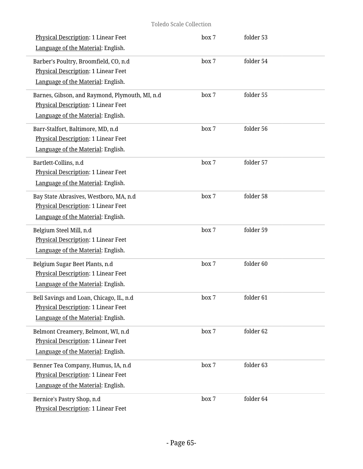| Physical Description: 1 Linear Feet<br>Language of the Material: English.                                                   | box 7 | folder 53 |  |
|-----------------------------------------------------------------------------------------------------------------------------|-------|-----------|--|
| Barber's Poultry, Broomfield, CO, n.d<br>Physical Description: 1 Linear Feet<br>Language of the Material: English.          | box 7 | folder 54 |  |
| Barnes, Gibson, and Raymond, Plymouth, MI, n.d<br>Physical Description: 1 Linear Feet<br>Language of the Material: English. | box 7 | folder 55 |  |
| Barr-Stalfort, Baltimore, MD, n.d<br>Physical Description: 1 Linear Feet<br>Language of the Material: English.              | box 7 | folder 56 |  |
| Bartlett-Collins, n.d<br>Physical Description: 1 Linear Feet<br>Language of the Material: English.                          | box 7 | folder 57 |  |
| Bay State Abrasives, Westboro, MA, n.d<br>Physical Description: 1 Linear Feet<br>Language of the Material: English.         | box 7 | folder 58 |  |
| Belgium Steel Mill, n.d<br>Physical Description: 1 Linear Feet<br>Language of the Material: English.                        | box 7 | folder 59 |  |
| Belgium Sugar Beet Plants, n.d<br>Physical Description: 1 Linear Feet<br>Language of the Material: English.                 | box 7 | folder 60 |  |
| Bell Savings and Loan, Chicago, IL, n.d<br>Physical Description: 1 Linear Feet<br>Language of the Material: English.        | box 7 | folder 61 |  |
| Belmont Creamery, Belmont, WI, n.d<br>Physical Description: 1 Linear Feet<br>Language of the Material: English.             | box 7 | folder 62 |  |
| Benner Tea Company, Humus, IA, n.d<br><b>Physical Description: 1 Linear Feet</b><br>Language of the Material: English.      | box 7 | folder 63 |  |
| Bernice's Pastry Shop, n.d<br>Physical Description: 1 Linear Feet                                                           | box 7 | folder 64 |  |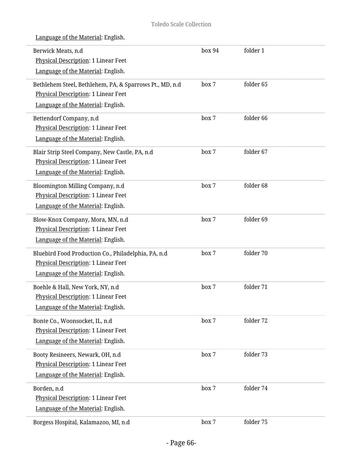| Berwick Meats, n.d<br>Physical Description: 1 Linear Feet<br>Language of the Material: English.                                      | box 94 | folder 1  |
|--------------------------------------------------------------------------------------------------------------------------------------|--------|-----------|
| Bethlehem Steel, Bethlehem, PA, & Sparrows Pt., MD, n.d<br>Physical Description: 1 Linear Feet<br>Language of the Material: English. | box 7  | folder 65 |
| Bettendorf Company, n.d<br>Physical Description: 1 Linear Feet<br>Language of the Material: English.                                 | box 7  | folder 66 |
| Blair Strip Steel Company, New Castle, PA, n.d<br>Physical Description: 1 Linear Feet<br>Language of the Material: English.          | box 7  | folder 67 |
| Bloomington Milling Company, n.d<br>Physical Description: 1 Linear Feet<br>Language of the Material: English.                        | box 7  | folder 68 |
| Blow-Knox Company, Mora, MN, n.d<br>Physical Description: 1 Linear Feet<br>Language of the Material: English.                        | box 7  | folder 69 |
| Bluebird Food Production Co., Philadelphia, PA, n.d<br>Physical Description: 1 Linear Feet<br>Language of the Material: English.     | box 7  | folder 70 |
| Boehle & Hall, New York, NY, n.d<br>Physical Description: 1 Linear Feet<br>Language of the Material: English.                        | box 7  | folder 71 |
| Bonte Co., Woonsocket, IL, n.d<br>Physical Description: 1 Linear Feet<br>Language of the Material: English.                          | box 7  | folder 72 |
| Booty Resineers, Newark, OH, n.d<br><b>Physical Description: 1 Linear Feet</b><br>Language of the Material: English.                 | box 7  | folder 73 |
| Borden, n.d<br>Physical Description: 1 Linear Feet<br>Language of the Material: English.                                             | box 7  | folder 74 |
| Borgess Hospital, Kalamazoo, MI, n.d                                                                                                 | box 7  | folder 75 |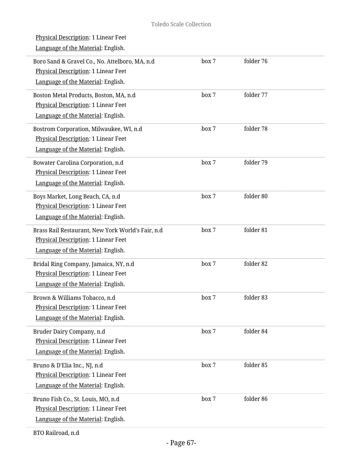| box 7 | folder 76 |  |
|-------|-----------|--|
| box 7 | folder 77 |  |
| box 7 | folder 78 |  |
| box 7 | folder 79 |  |
| box 7 | folder 80 |  |
| box 7 | folder 81 |  |
| box 7 | folder 82 |  |
| box 7 | folder 83 |  |
| box 7 | folder 84 |  |
| box 7 | folder 85 |  |
| box 7 | folder 86 |  |
|       |           |  |

BTO Railroad, n.d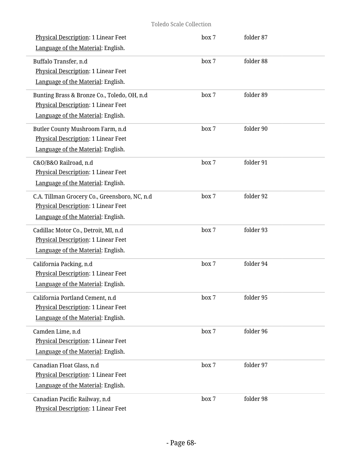| Physical Description: 1 Linear Feet<br>Language of the Material: English.                                                  | box 7 | folder 87 |  |
|----------------------------------------------------------------------------------------------------------------------------|-------|-----------|--|
| Buffalo Transfer, n.d<br>Physical Description: 1 Linear Feet<br>Language of the Material: English.                         | box 7 | folder 88 |  |
| Bunting Brass & Bronze Co., Toledo, OH, n.d<br>Physical Description: 1 Linear Feet<br>Language of the Material: English.   | box 7 | folder 89 |  |
| Butler County Mushroom Farm, n.d<br>Physical Description: 1 Linear Feet<br>Language of the Material: English.              | box 7 | folder 90 |  |
| C&O/B&O Railroad, n.d<br>Physical Description: 1 Linear Feet<br>Language of the Material: English.                         | box 7 | folder 91 |  |
| C.A. Tillman Grocery Co., Greensboro, NC, n.d<br>Physical Description: 1 Linear Feet<br>Language of the Material: English. | box 7 | folder 92 |  |
| Cadillac Motor Co., Detroit, MI, n.d<br>Physical Description: 1 Linear Feet<br>Language of the Material: English.          | box 7 | folder 93 |  |
| California Packing, n.d<br>Physical Description: 1 Linear Feet<br>Language of the Material: English.                       | box 7 | folder 94 |  |
| California Portland Cement, n.d<br><b>Physical Description: 1 Linear Feet</b><br>Language of the Material: English.        | box 7 | folder 95 |  |
| Camden Lime, n.d<br>Physical Description: 1 Linear Feet<br>Language of the Material: English.                              | box 7 | folder 96 |  |
| Canadian Float Glass, n.d<br><b>Physical Description: 1 Linear Feet</b><br>Language of the Material: English.              | box 7 | folder 97 |  |
| Canadian Pacific Railway, n.d<br>Physical Description: 1 Linear Feet                                                       | box 7 | folder 98 |  |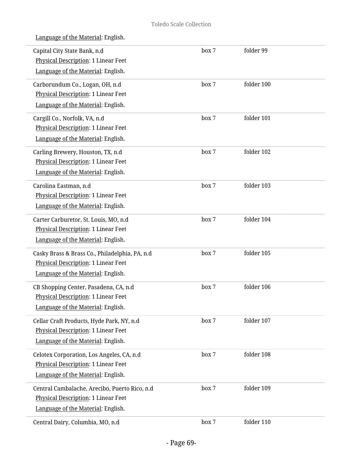| Language of the Material: English. |  |  |
|------------------------------------|--|--|
|                                    |  |  |

| Capital City State Bank, n.d<br>Physical Description: 1 Linear Feet | box 7 | folder 99  |  |
|---------------------------------------------------------------------|-------|------------|--|
| Language of the Material: English.                                  |       |            |  |
| Carborundum Co., Logan, OH, n.d                                     | box 7 | folder 100 |  |
| Physical Description: 1 Linear Feet                                 |       |            |  |
| Language of the Material: English.                                  |       |            |  |
| Cargill Co., Norfolk, VA, n.d                                       | box 7 | folder 101 |  |
| Physical Description: 1 Linear Feet                                 |       |            |  |
| Language of the Material: English.                                  |       |            |  |
| Carling Brewery, Houston, TX, n.d                                   | box 7 | folder 102 |  |
| <b>Physical Description: 1 Linear Feet</b>                          |       |            |  |
| Language of the Material: English.                                  |       |            |  |
| Carolina Eastman, n.d                                               | box 7 | folder 103 |  |
| Physical Description: 1 Linear Feet                                 |       |            |  |
| Language of the Material: English.                                  |       |            |  |
| Carter Carburetor, St. Louis, MO, n.d                               | box 7 | folder 104 |  |
| Physical Description: 1 Linear Feet                                 |       |            |  |
| Language of the Material: English.                                  |       |            |  |
| Casky Brass & Brass Co., Philadelphia, PA, n.d                      | box 7 | folder 105 |  |
| Physical Description: 1 Linear Feet                                 |       |            |  |
| Language of the Material: English.                                  |       |            |  |
| CB Shopping Center, Pasadena, CA, n.d.                              | box 7 | folder 106 |  |
| Physical Description: 1 Linear Feet                                 |       |            |  |
| Language of the Material: English.                                  |       |            |  |
| Cellar Craft Products, Hyde Park, NY, n.d                           | box 7 | folder 107 |  |
| <b>Physical Description: 1 Linear Feet</b>                          |       |            |  |
| Language of the Material: English.                                  |       |            |  |
| Celotex Corporation, Los Angeles, CA, n.d                           | box 7 | folder 108 |  |
| Physical Description: 1 Linear Feet                                 |       |            |  |
| Language of the Material: English.                                  |       |            |  |
| Central Cambalache, Arecibo, Puerto Rico, n.d                       | box 7 | folder 109 |  |
| Physical Description: 1 Linear Feet                                 |       |            |  |
| Language of the Material: English.                                  |       |            |  |
| Central Dairy, Columbia, MO, n.d                                    | box 7 | folder 110 |  |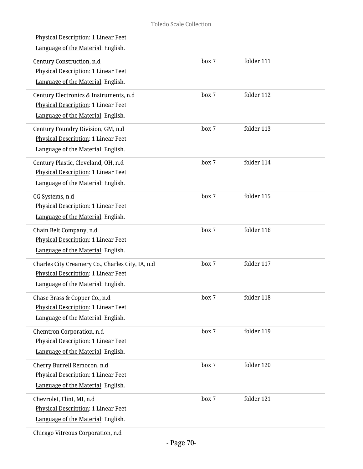| <u>Physical Description</u> : 1 Linear Feet<br>Language of the Material: English.                                             |       |            |  |
|-------------------------------------------------------------------------------------------------------------------------------|-------|------------|--|
| Century Construction, n.d<br><b>Physical Description: 1 Linear Feet</b><br>Language of the Material: English.                 | box 7 | folder 111 |  |
| Century Electronics & Instruments, n.d<br>Physical Description: 1 Linear Feet<br>Language of the Material: English.           | box 7 | folder 112 |  |
| Century Foundry Division, GM, n.d<br>Physical Description: 1 Linear Feet<br>Language of the Material: English.                | box 7 | folder 113 |  |
| Century Plastic, Cleveland, OH, n.d<br>Physical Description: 1 Linear Feet<br>Language of the Material: English.              | box 7 | folder 114 |  |
| CG Systems, n.d<br>Physical Description: 1 Linear Feet<br>Language of the Material: English.                                  | box 7 | folder 115 |  |
| Chain Belt Company, n.d<br>Physical Description: 1 Linear Feet<br>Language of the Material: English.                          | box 7 | folder 116 |  |
| Charles City Creamery Co., Charles City, IA, n.d<br>Physical Description: 1 Linear Feet<br>Language of the Material: English. | box 7 | folder 117 |  |
| Chase Brass & Copper Co., n.d<br>Physical Description: 1 Linear Feet<br>Language of the Material: English.                    | box 7 | folder 118 |  |
| Chemtron Corporation, n.d<br><b>Physical Description: 1 Linear Feet</b><br>Language of the Material: English.                 | box 7 | folder 119 |  |
| Cherry Burrell Remocon, n.d<br><b>Physical Description: 1 Linear Feet</b><br>Language of the Material: English.               | box 7 | folder 120 |  |
| Chevrolet, Flint, MI, n.d<br>Physical Description: 1 Linear Feet<br>Language of the Material: English.                        | box 7 | folder 121 |  |
| Chicago Vitreous Corporation, n.d                                                                                             |       |            |  |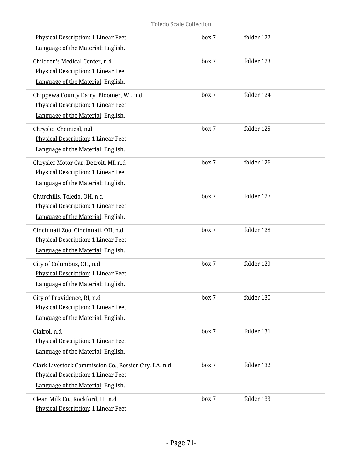| Physical Description: 1 Linear Feet<br>Language of the Material: English.                                                          | box 7 | folder 122 |  |
|------------------------------------------------------------------------------------------------------------------------------------|-------|------------|--|
| Children's Medical Center, n.d<br>Physical Description: 1 Linear Feet<br>Language of the Material: English.                        | box 7 | folder 123 |  |
| Chippewa County Dairy, Bloomer, WI, n.d<br><b>Physical Description: 1 Linear Feet</b><br>Language of the Material: English.        | box 7 | folder 124 |  |
| Chrysler Chemical, n.d<br>Physical Description: 1 Linear Feet<br>Language of the Material: English.                                | box 7 | folder 125 |  |
| Chrysler Motor Car, Detroit, MI, n.d<br>Physical Description: 1 Linear Feet<br>Language of the Material: English.                  | box 7 | folder 126 |  |
| Churchills, Toledo, OH, n.d<br>Physical Description: 1 Linear Feet<br>Language of the Material: English.                           | box 7 | folder 127 |  |
| Cincinnati Zoo, Cincinnati, OH, n.d<br>Physical Description: 1 Linear Feet<br>Language of the Material: English.                   | box 7 | folder 128 |  |
| City of Columbus, OH, n.d<br><b>Physical Description: 1 Linear Feet</b><br>Language of the Material: English.                      | box 7 | folder 129 |  |
| City of Providence, RI, n.d<br>Physical Description: 1 Linear Feet<br>Language of the Material: English.                           | box 7 | folder 130 |  |
| Clairol, n.d<br>Physical Description: 1 Linear Feet<br>Language of the Material: English.                                          | box 7 | folder 131 |  |
| Clark Livestock Commission Co., Bossier City, LA, n.d<br>Physical Description: 1 Linear Feet<br>Language of the Material: English. | box 7 | folder 132 |  |
| Clean Milk Co., Rockford, IL, n.d<br>Physical Description: 1 Linear Feet                                                           | box 7 | folder 133 |  |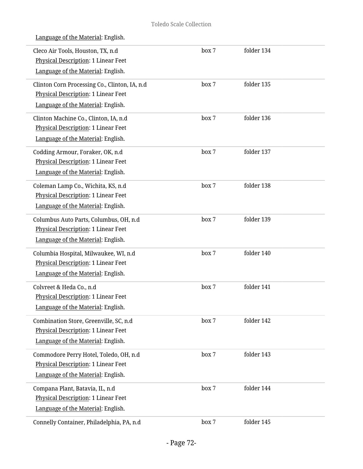| Cleco Air Tools, Houston, TX, n.d<br><b>Physical Description: 1 Linear Feet</b><br>Language of the Material: English.      | box 7 | folder 134 |  |
|----------------------------------------------------------------------------------------------------------------------------|-------|------------|--|
| Clinton Corn Processing Co., Clinton, IA, n.d<br>Physical Description: 1 Linear Feet<br>Language of the Material: English. | box 7 | folder 135 |  |
| Clinton Machine Co., Clinton, IA, n.d.<br><b>Physical Description: 1 Linear Feet</b><br>Language of the Material: English. | box 7 | folder 136 |  |
| Codding Armour, Foraker, OK, n.d<br>Physical Description: 1 Linear Feet<br>Language of the Material: English.              | box 7 | folder 137 |  |
| Coleman Lamp Co., Wichita, KS, n.d<br>Physical Description: 1 Linear Feet<br>Language of the Material: English.            | box 7 | folder 138 |  |
| Columbus Auto Parts, Columbus, OH, n.d<br>Physical Description: 1 Linear Feet<br>Language of the Material: English.        | box 7 | folder 139 |  |
| Columbia Hospital, Milwaukee, WI, n.d<br>Physical Description: 1 Linear Feet<br>Language of the Material: English.         | box 7 | folder 140 |  |
| Colvreet & Heda Co., n.d<br>Physical Description: 1 Linear Feet<br>Language of the Material: English.                      | box 7 | folder 141 |  |
| Combination Store, Greenville, SC, n.d.<br>Physical Description: 1 Linear Feet<br>Language of the Material: English.       | box 7 | folder 142 |  |
| Commodore Perry Hotel, Toledo, OH, n.d<br>Physical Description: 1 Linear Feet<br>Language of the Material: English.        | box 7 | folder 143 |  |
| Compana Plant, Batavia, IL, n.d<br>Physical Description: 1 Linear Feet<br>Language of the Material: English.               | box 7 | folder 144 |  |
| Connelly Container, Philadelphia, PA, n.d                                                                                  | box 7 | folder 145 |  |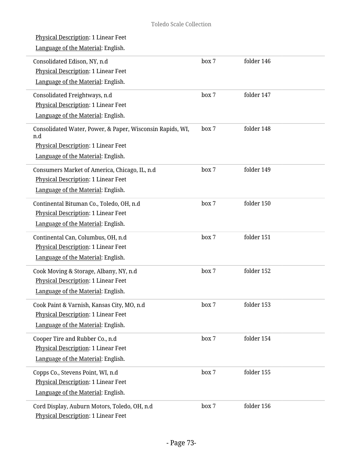| <b>Physical Description: 1 Linear Feet</b><br>Language of the Material: English.                                                              |       |            |
|-----------------------------------------------------------------------------------------------------------------------------------------------|-------|------------|
| Consolidated Edison, NY, n.d<br><b>Physical Description: 1 Linear Feet</b><br>Language of the Material: English.                              | box 7 | folder 146 |
| Consolidated Freightways, n.d<br><b>Physical Description: 1 Linear Feet</b><br>Language of the Material: English.                             | box 7 | folder 147 |
| Consolidated Water, Power, & Paper, Wisconsin Rapids, WI,<br>n.d<br>Physical Description: 1 Linear Feet<br>Language of the Material: English. | box 7 | folder 148 |
| Consumers Market of America, Chicago, IL, n.d<br>Physical Description: 1 Linear Feet<br>Language of the Material: English.                    | box 7 | folder 149 |
| Continental Bituman Co., Toledo, OH, n.d<br>Physical Description: 1 Linear Feet<br>Language of the Material: English.                         | box 7 | folder 150 |
| Continental Can, Columbus, OH, n.d<br>Physical Description: 1 Linear Feet<br>Language of the Material: English.                               | box 7 | folder 151 |
| Cook Moving & Storage, Albany, NY, n.d<br>Physical Description: 1 Linear Feet<br>Language of the Material: English.                           | box 7 | folder 152 |
| Cook Paint & Varnish, Kansas City, MO, n.d<br>Physical Description: 1 Linear Feet<br>Language of the Material: English.                       | box 7 | folder 153 |
| Cooper Tire and Rubber Co., n.d<br>Physical Description: 1 Linear Feet<br>Language of the Material: English.                                  | box 7 | folder 154 |
| Copps Co., Stevens Point, WI, n.d<br>Physical Description: 1 Linear Feet<br>Language of the Material: English.                                | box 7 | folder 155 |
| Cord Display, Auburn Motors, Toledo, OH, n.d<br>Physical Description: 1 Linear Feet                                                           | box 7 | folder 156 |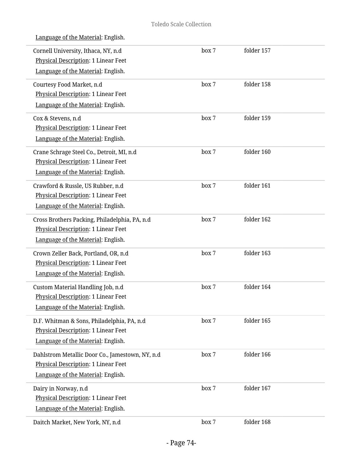|  | Language of the Material: English. |  |
|--|------------------------------------|--|
|  |                                    |  |

| Cornell University, Ithaca, NY, n.d<br>Physical Description: 1 Linear Feet<br>Language of the Material: English.             | box 7 | folder 157 |  |
|------------------------------------------------------------------------------------------------------------------------------|-------|------------|--|
| Courtesy Food Market, n.d<br>Physical Description: 1 Linear Feet<br>Language of the Material: English.                       | box 7 | folder 158 |  |
| Cox & Stevens, n.d<br>Physical Description: 1 Linear Feet<br>Language of the Material: English.                              | box 7 | folder 159 |  |
| Crane Schrage Steel Co., Detroit, MI, n.d<br>Physical Description: 1 Linear Feet<br>Language of the Material: English.       | box 7 | folder 160 |  |
| Crawford & Russle, US Rubber, n.d<br>Physical Description: 1 Linear Feet<br>Language of the Material: English.               | box 7 | folder 161 |  |
| Cross Brothers Packing, Philadelphia, PA, n.d<br>Physical Description: 1 Linear Feet<br>Language of the Material: English.   | box 7 | folder 162 |  |
| Crown Zeller Back, Portland, OR, n.d<br>Physical Description: 1 Linear Feet<br>Language of the Material: English.            | box 7 | folder 163 |  |
| Custom Material Handling Job, n.d<br>Physical Description: 1 Linear Feet<br>Language of the Material: English.               | box 7 | folder 164 |  |
| D.F. Whitman & Sons, Philadelphia, PA, n.d<br>Physical Description: 1 Linear Feet<br>Language of the Material: English.      | box 7 | folder 165 |  |
| Dahlstrom Metallic Door Co., Jamestown, NY, n.d<br>Physical Description: 1 Linear Feet<br>Language of the Material: English. | box 7 | folder 166 |  |
| Dairy in Norway, n.d<br>Physical Description: 1 Linear Feet<br>Language of the Material: English.                            | box 7 | folder 167 |  |
| Daitch Market, New York, NY, n.d                                                                                             | box 7 | folder 168 |  |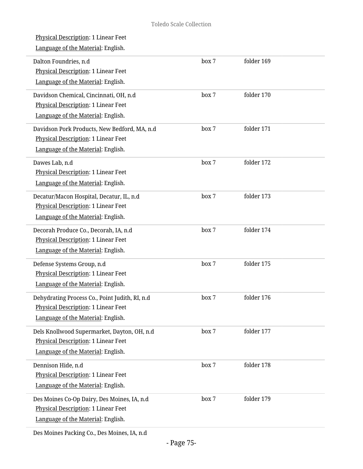| <b>Physical Description: 1 Linear Feet</b><br>Language of the Material: English.                                            |       |            |
|-----------------------------------------------------------------------------------------------------------------------------|-------|------------|
| Dalton Foundries, n.d<br>Physical Description: 1 Linear Feet<br>Language of the Material: English.                          | box 7 | folder 169 |
| Davidson Chemical, Cincinnati, OH, n.d<br>Physical Description: 1 Linear Feet<br>Language of the Material: English.         | box 7 | folder 170 |
| Davidson Pork Products, New Bedford, MA, n.d<br>Physical Description: 1 Linear Feet<br>Language of the Material: English.   | box 7 | folder 171 |
| Dawes Lab, n.d<br>Physical Description: 1 Linear Feet<br>Language of the Material: English.                                 | box 7 | folder 172 |
| Decatur/Macon Hospital, Decatur, IL, n.d<br>Physical Description: 1 Linear Feet<br>Language of the Material: English.       | box 7 | folder 173 |
| Decorah Produce Co., Decorah, IA, n.d<br>Physical Description: 1 Linear Feet<br>Language of the Material: English.          | box 7 | folder 174 |
| Defense Systems Group, n.d<br>Physical Description: 1 Linear Feet<br>Language of the Material: English.                     | box 7 | folder 175 |
| Dehydrating Process Co., Point Judith, RI, n.d<br>Physical Description: 1 Linear Feet<br>Language of the Material: English. | box 7 | folder 176 |
| Dels Knollwood Supermarket, Dayton, OH, n.d<br>Physical Description: 1 Linear Feet<br>Language of the Material: English.    | box 7 | folder 177 |
| Dennison Hide, n.d<br>Physical Description: 1 Linear Feet<br>Language of the Material: English.                             | box 7 | folder 178 |
| Des Moines Co-Op Dairy, Des Moines, IA, n.d<br>Physical Description: 1 Linear Feet<br>Language of the Material: English.    | box 7 | folder 179 |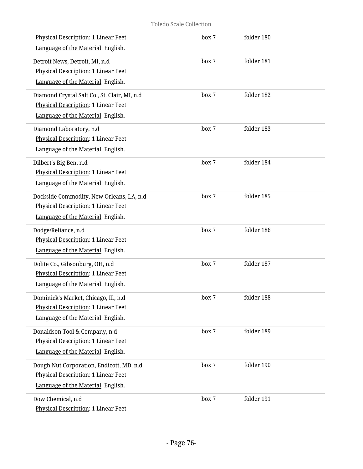| Physical Description: 1 Linear Feet<br>Language of the Material: English.                                                 | box 7 | folder 180 |  |
|---------------------------------------------------------------------------------------------------------------------------|-------|------------|--|
| Detroit News, Detroit, MI, n.d<br>Physical Description: 1 Linear Feet<br>Language of the Material: English.               | box 7 | folder 181 |  |
| Diamond Crystal Salt Co., St. Clair, MI, n.d<br>Physical Description: 1 Linear Feet<br>Language of the Material: English. | box 7 | folder 182 |  |
| Diamond Laboratory, n.d<br>Physical Description: 1 Linear Feet<br>Language of the Material: English.                      | box 7 | folder 183 |  |
| Dilbert's Big Ben, n.d<br>Physical Description: 1 Linear Feet<br>Language of the Material: English.                       | box 7 | folder 184 |  |
| Dockside Commodity, New Orleans, LA, n.d<br>Physical Description: 1 Linear Feet<br>Language of the Material: English.     | box 7 | folder 185 |  |
| Dodge/Reliance, n.d<br>Physical Description: 1 Linear Feet<br>Language of the Material: English.                          | box 7 | folder 186 |  |
| Dolite Co., Gibsonburg, OH, n.d<br>Physical Description: 1 Linear Feet<br>Language of the Material: English.              | box 7 | folder 187 |  |
| Dominick's Market, Chicago, IL, n.d.<br>Physical Description: 1 Linear Feet<br>Language of the Material: English.         | box 7 | folder 188 |  |
| Donaldson Tool & Company, n.d<br>Physical Description: 1 Linear Feet<br>Language of the Material: English.                | box 7 | folder 189 |  |
| Dough Nut Corporation, Endicott, MD, n.d<br>Physical Description: 1 Linear Feet<br>Language of the Material: English.     | box 7 | folder 190 |  |
| Dow Chemical, n.d<br>Physical Description: 1 Linear Feet                                                                  | box 7 | folder 191 |  |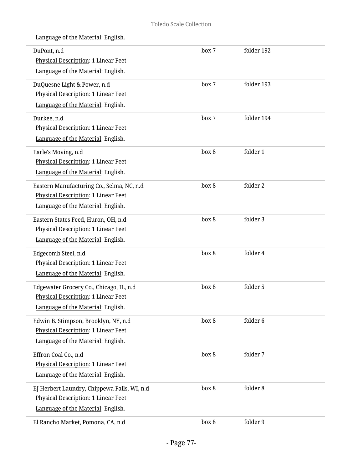| DuPont, n.d<br>Physical Description: 1 Linear Feet | box 7 | folder 192 |  |
|----------------------------------------------------|-------|------------|--|
| Language of the Material: English.                 |       |            |  |
| DuQuesne Light & Power, n.d                        | box 7 | folder 193 |  |
| Physical Description: 1 Linear Feet                |       |            |  |
| Language of the Material: English.                 |       |            |  |
| Durkee, n.d                                        | box 7 | folder 194 |  |
| <b>Physical Description: 1 Linear Feet</b>         |       |            |  |
| Language of the Material: English.                 |       |            |  |
| Earle's Moving, n.d                                | box 8 | folder 1   |  |
| Physical Description: 1 Linear Feet                |       |            |  |
| Language of the Material: English.                 |       |            |  |
| Eastern Manufacturing Co., Selma, NC, n.d          | box 8 | folder 2   |  |
| <b>Physical Description: 1 Linear Feet</b>         |       |            |  |
| Language of the Material: English.                 |       |            |  |
| Eastern States Feed, Huron, OH, n.d                | box 8 | folder 3   |  |
| Physical Description: 1 Linear Feet                |       |            |  |
| Language of the Material: English.                 |       |            |  |
| Edgecomb Steel, n.d                                | box 8 | folder 4   |  |
| Physical Description: 1 Linear Feet                |       |            |  |
| Language of the Material: English.                 |       |            |  |
| Edgewater Grocery Co., Chicago, IL, n.d            | box 8 | folder 5   |  |
| <b>Physical Description: 1 Linear Feet</b>         |       |            |  |
| Language of the Material: English.                 |       |            |  |
| Edwin B. Stimpson, Brooklyn, NY, n.d.              | box 8 | folder 6   |  |
| <b>Physical Description: 1 Linear Feet</b>         |       |            |  |
| Language of the Material: English.                 |       |            |  |
| Effron Coal Co., n.d                               | box 8 | folder 7   |  |
| Physical Description: 1 Linear Feet                |       |            |  |
| Language of the Material: English.                 |       |            |  |
| EJ Herbert Laundry, Chippewa Falls, WI, n.d        | box 8 | folder 8   |  |
| Physical Description: 1 Linear Feet                |       |            |  |
| Language of the Material: English.                 |       |            |  |
| El Rancho Market, Pomona, CA, n.d                  | box 8 | folder 9   |  |
|                                                    |       |            |  |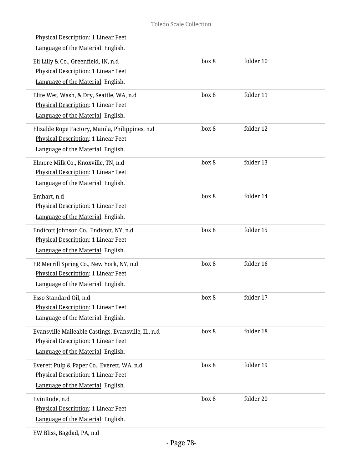| <u>Physical Description</u> : 1 Linear Feet<br>Language of the Material: English.                                               |       |           |  |
|---------------------------------------------------------------------------------------------------------------------------------|-------|-----------|--|
| Eli Lilly & Co., Greenfield, IN, n.d<br><b>Physical Description: 1 Linear Feet</b><br>Language of the Material: English.        | box 8 | folder 10 |  |
| Elite Wet, Wash, & Dry, Seattle, WA, n.d<br><b>Physical Description: 1 Linear Feet</b><br>Language of the Material: English.    | box 8 | folder 11 |  |
| Elizalde Rope Factory, Manila, Philippines, n.d<br>Physical Description: 1 Linear Feet<br>Language of the Material: English.    | box 8 | folder 12 |  |
| Elmore Milk Co., Knoxville, TN, n.d<br><b>Physical Description: 1 Linear Feet</b><br>Language of the Material: English.         | box 8 | folder 13 |  |
| Emhart, n.d<br>Physical Description: 1 Linear Feet<br>Language of the Material: English.                                        | box 8 | folder 14 |  |
| Endicott Johnson Co., Endicott, NY, n.d<br>Physical Description: 1 Linear Feet<br>Language of the Material: English.            | box 8 | folder 15 |  |
| ER Merrill Spring Co., New York, NY, n.d<br><b>Physical Description: 1 Linear Feet</b><br>Language of the Material: English.    | box 8 | folder 16 |  |
| Esso Standard Oil, n.d<br><b>Physical Description: 1 Linear Feet</b><br>Language of the Material: English.                      | box 8 | folder 17 |  |
| Evansville Malleable Castings, Evansville, IL, n.d<br>Physical Description: 1 Linear Feet<br>Language of the Material: English. | box 8 | folder 18 |  |
| Everett Pulp & Paper Co., Everett, WA, n.d<br>Physical Description: 1 Linear Feet<br>Language of the Material: English.         | box 8 | folder 19 |  |
| EvinRude, n.d<br>Physical Description: 1 Linear Feet<br>Language of the Material: English.                                      | box 8 | folder 20 |  |
|                                                                                                                                 |       |           |  |

EW Bliss, Bagdad, PA, n.d

L

i,

i.

i.

L

L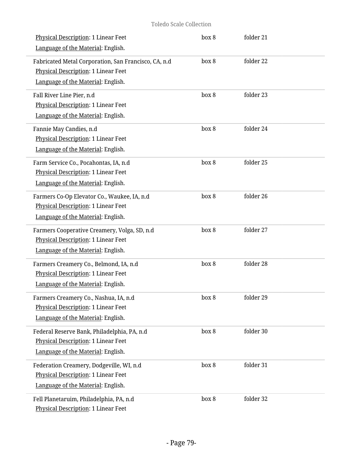| Physical Description: 1 Linear Feet<br>Language of the Material: English.                                                 | box 8 | folder 21 |  |
|---------------------------------------------------------------------------------------------------------------------------|-------|-----------|--|
| Fabricated Metal Corporation, San Francisco, CA, n.d                                                                      | box 8 | folder 22 |  |
| Physical Description: 1 Linear Feet<br>Language of the Material: English.                                                 |       |           |  |
| Fall River Line Pier, n.d                                                                                                 | box 8 | folder 23 |  |
| Physical Description: 1 Linear Feet<br>Language of the Material: English.                                                 |       |           |  |
| Fannie May Candies, n.d<br>Physical Description: 1 Linear Feet<br>Language of the Material: English.                      | box 8 | folder 24 |  |
| Farm Service Co., Pocahontas, IA, n.d<br><b>Physical Description: 1 Linear Feet</b><br>Language of the Material: English. | box 8 | folder 25 |  |
| Farmers Co-Op Elevator Co., Waukee, IA, n.d<br>Physical Description: 1 Linear Feet<br>Language of the Material: English.  | box 8 | folder 26 |  |
| Farmers Cooperative Creamery, Volga, SD, n.d<br>Physical Description: 1 Linear Feet<br>Language of the Material: English. | box 8 | folder 27 |  |
| Farmers Creamery Co., Belmond, IA, n.d<br>Physical Description: 1 Linear Feet<br>Language of the Material: English.       | box 8 | folder 28 |  |
| Farmers Creamery Co., Nashua, IA, n.d<br>Physical Description: 1 Linear Feet<br>Language of the Material: English.        | box 8 | folder 29 |  |
| Federal Reserve Bank, Philadelphia, PA, n.d<br>Physical Description: 1 Linear Feet<br>Language of the Material: English.  | box 8 | folder 30 |  |
| Federation Creamery, Dodgeville, WI, n.d<br>Physical Description: 1 Linear Feet<br>Language of the Material: English.     | box 8 | folder 31 |  |
| Fell Planetaruim, Philadelphia, PA, n.d<br>Physical Description: 1 Linear Feet                                            | box 8 | folder 32 |  |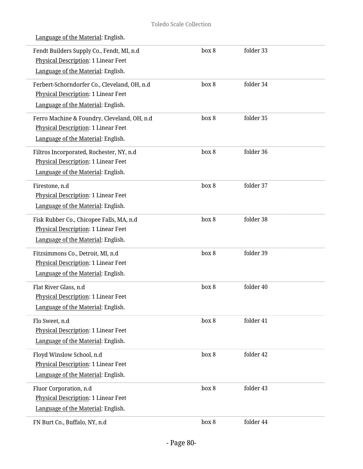| Fendt Builders Supply Co., Fendt, MI, n.d.<br>Physical Description: 1 Linear Feet<br>Language of the Material: English.   | box 8 | folder 33 |  |
|---------------------------------------------------------------------------------------------------------------------------|-------|-----------|--|
| Ferbert-Schorndorfer Co., Cleveland, OH, n.d<br>Physical Description: 1 Linear Feet<br>Language of the Material: English. | box 8 | folder 34 |  |
| Ferro Machine & Foundry, Cleveland, OH, n.d<br>Physical Description: 1 Linear Feet<br>Language of the Material: English.  | box 8 | folder 35 |  |
| Filtros Incorporated, Rochester, NY, n.d<br>Physical Description: 1 Linear Feet<br>Language of the Material: English.     | box 8 | folder 36 |  |
| Firestone, n.d<br>Physical Description: 1 Linear Feet<br>Language of the Material: English.                               | box 8 | folder 37 |  |
| Fisk Rubber Co., Chicopee Falls, MA, n.d<br>Physical Description: 1 Linear Feet<br>Language of the Material: English.     | box 8 | folder 38 |  |
| Fitzsimmons Co., Detroit, MI, n.d<br>Physical Description: 1 Linear Feet<br>Language of the Material: English.            | box 8 | folder 39 |  |
| Flat River Glass, n.d<br>Physical Description: 1 Linear Feet<br>Language of the Material: English.                        | box 8 | folder 40 |  |
| Flo Sweet, n.d<br><b>Physical Description: 1 Linear Feet</b><br>Language of the Material: English.                        | box 8 | folder 41 |  |
| Floyd Winslow School, n.d<br>Physical Description: 1 Linear Feet<br>Language of the Material: English.                    | box 8 | folder 42 |  |
| Fluor Corporation, n.d<br>Physical Description: 1 Linear Feet<br>Language of the Material: English.                       | box 8 | folder 43 |  |
| FN Burt Co., Buffalo, NY, n.d                                                                                             | box 8 | folder 44 |  |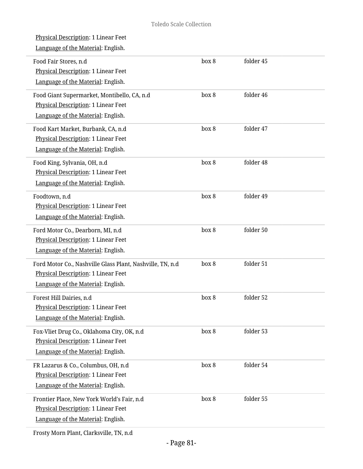| Physical Description: 1 Linear Feet<br>Language of the Material: English.                                                               |       |           |  |
|-----------------------------------------------------------------------------------------------------------------------------------------|-------|-----------|--|
| Food Fair Stores, n.d<br>Physical Description: 1 Linear Feet<br>Language of the Material: English.                                      | box 8 | folder 45 |  |
| Food Giant Supermarket, Montibello, CA, n.d<br>Physical Description: 1 Linear Feet<br>Language of the Material: English.                | box 8 | folder 46 |  |
| Food Kart Market, Burbank, CA, n.d<br>Physical Description: 1 Linear Feet<br>Language of the Material: English.                         | box 8 | folder 47 |  |
| Food King, Sylvania, OH, n.d<br>Physical Description: 1 Linear Feet<br>Language of the Material: English.                               | box 8 | folder 48 |  |
| Foodtown, n.d<br>Physical Description: 1 Linear Feet<br>Language of the Material: English.                                              | box 8 | folder 49 |  |
| Ford Motor Co., Dearborn, MI, n.d<br>Physical Description: 1 Linear Feet<br>Language of the Material: English.                          | box 8 | folder 50 |  |
| Ford Motor Co., Nashville Glass Plant, Nashville, TN, n.d.<br>Physical Description: 1 Linear Feet<br>Language of the Material: English. | box 8 | folder 51 |  |
| Forest Hill Dairies, n.d<br>Physical Description: 1 Linear Feet<br>Language of the Material: English.                                   | box 8 | folder 52 |  |
| Fox-Vliet Drug Co., Oklahoma City, OK, n.d<br>Physical Description: 1 Linear Feet<br>Language of the Material: English.                 | box 8 | folder 53 |  |
| FR Lazarus & Co., Columbus, OH, n.d<br>Physical Description: 1 Linear Feet<br>Language of the Material: English.                        | box 8 | folder 54 |  |
| Frontier Place, New York World's Fair, n.d<br>Physical Description: 1 Linear Feet<br>Language of the Material: English.                 | box 8 | folder 55 |  |
|                                                                                                                                         |       |           |  |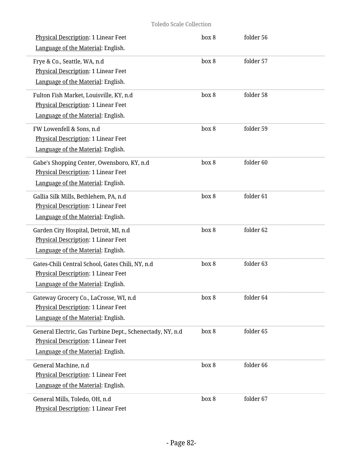| Physical Description: 1 Linear Feet<br>Language of the Material: English.                                                              | box 8 | folder 56 |  |
|----------------------------------------------------------------------------------------------------------------------------------------|-------|-----------|--|
| Frye & Co., Seattle, WA, n.d<br><b>Physical Description: 1 Linear Feet</b><br>Language of the Material: English.                       | box 8 | folder 57 |  |
| Fulton Fish Market, Louisville, KY, n.d<br>Physical Description: 1 Linear Feet<br>Language of the Material: English.                   | box 8 | folder 58 |  |
| FW Lowenfell & Sons, n.d<br>Physical Description: 1 Linear Feet<br>Language of the Material: English.                                  | box 8 | folder 59 |  |
| Gabe's Shopping Center, Owensboro, KY, n.d<br>Physical Description: 1 Linear Feet<br>Language of the Material: English.                | box 8 | folder 60 |  |
| Gallia Silk Mills, Bethlehem, PA, n.d<br>Physical Description: 1 Linear Feet<br>Language of the Material: English.                     | box 8 | folder 61 |  |
| Garden City Hospital, Detroit, MI, n.d<br>Physical Description: 1 Linear Feet<br>Language of the Material: English.                    | box 8 | folder 62 |  |
| Gates-Chili Central School, Gates Chili, NY, n.d<br>Physical Description: 1 Linear Feet<br>Language of the Material: English.          | box 8 | folder 63 |  |
| Gateway Grocery Co., LaCrosse, WI, n.d<br>Physical Description: 1 Linear Feet<br>Language of the Material: English.                    | box 8 | folder 64 |  |
| General Electric, Gas Turbine Dept., Schenectady, NY, n.d<br>Physical Description: 1 Linear Feet<br>Language of the Material: English. | box 8 | folder 65 |  |
| General Machine, n.d<br>Physical Description: 1 Linear Feet<br>Language of the Material: English.                                      | box 8 | folder 66 |  |
| General Mills, Toledo, OH, n.d<br>Physical Description: 1 Linear Feet                                                                  | box 8 | folder 67 |  |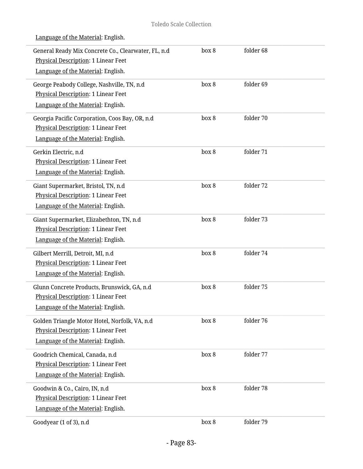| General Ready Mix Concrete Co., Clearwater, FL, n.d<br>Physical Description: 1 Linear Feet<br>Language of the Material: English.   | box 8 | folder 68 |  |
|------------------------------------------------------------------------------------------------------------------------------------|-------|-----------|--|
| George Peabody College, Nashville, TN, n.d<br>Physical Description: 1 Linear Feet<br>Language of the Material: English.            | box 8 | folder 69 |  |
| Georgia Pacific Corporation, Coos Bay, OR, n.d<br>Physical Description: 1 Linear Feet<br>Language of the Material: English.        | box 8 | folder 70 |  |
| Gerkin Electric, n.d<br>Physical Description: 1 Linear Feet<br>Language of the Material: English.                                  | box 8 | folder 71 |  |
| Giant Supermarket, Bristol, TN, n.d<br>Physical Description: 1 Linear Feet<br>Language of the Material: English.                   | box 8 | folder 72 |  |
| Giant Supermarket, Elizabethton, TN, n.d<br>Physical Description: 1 Linear Feet<br>Language of the Material: English.              | box 8 | folder 73 |  |
| Gilbert Merrill, Detroit, MI, n.d<br>Physical Description: 1 Linear Feet<br>Language of the Material: English.                     | box 8 | folder 74 |  |
| Glunn Concrete Products, Brunswick, GA, n.d.<br><b>Physical Description: 1 Linear Feet</b><br>Language of the Material: English.   | box 8 | folder 75 |  |
| Golden Triangle Motor Hotel, Norfolk, VA, n.d.<br><b>Physical Description: 1 Linear Feet</b><br>Language of the Material: English. | box 8 | folder 76 |  |
| Goodrich Chemical, Canada, n.d<br>Physical Description: 1 Linear Feet<br>Language of the Material: English.                        | box 8 | folder 77 |  |
| Goodwin & Co., Cairo, IN, n.d<br>Physical Description: 1 Linear Feet<br>Language of the Material: English.                         | box 8 | folder 78 |  |
| Goodyear (1 of 3), n.d                                                                                                             | box 8 | folder 79 |  |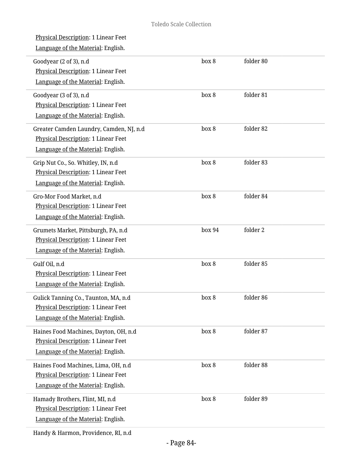| <u>Physical Description</u> : 1 Linear Feet<br>Language of the Material: English.                                      |        |           |
|------------------------------------------------------------------------------------------------------------------------|--------|-----------|
| Goodyear (2 of 3), n.d<br>Physical Description: 1 Linear Feet<br>Language of the Material: English.                    | box 8  | folder 80 |
| Goodyear (3 of 3), n.d<br>Physical Description: 1 Linear Feet<br>Language of the Material: English.                    | box 8  | folder 81 |
| Greater Camden Laundry, Camden, NJ, n.d<br>Physical Description: 1 Linear Feet<br>Language of the Material: English.   | box 8  | folder 82 |
| Grip Nut Co., So. Whitley, IN, n.d<br><b>Physical Description: 1 Linear Feet</b><br>Language of the Material: English. | box 8  | folder 83 |
| Gro-Mor Food Market, n.d<br>Physical Description: 1 Linear Feet<br>Language of the Material: English.                  | box 8  | folder 84 |
| Grumets Market, Pittsburgh, PA, n.d<br>Physical Description: 1 Linear Feet<br>Language of the Material: English.       | box 94 | folder 2  |
| Gulf Oil, n.d<br>Physical Description: 1 Linear Feet<br>Language of the Material: English.                             | box 8  | folder 85 |
| Gulick Tanning Co., Taunton, MA, n.d<br>Physical Description: 1 Linear Feet<br>Language of the Material: English.      | box 8  | folder 86 |
| Haines Food Machines, Dayton, OH, n.d<br>Physical Description: 1 Linear Feet<br>Language of the Material: English.     | box 8  | folder 87 |
| Haines Food Machines, Lima, OH, n.d<br>Physical Description: 1 Linear Feet<br>Language of the Material: English.       | box 8  | folder 88 |
| Hamady Brothers, Flint, MI, n.d<br>Physical Description: 1 Linear Feet<br>Language of the Material: English.           | box 8  | folder 89 |

Handy & Harmon, Providence, RI, n.d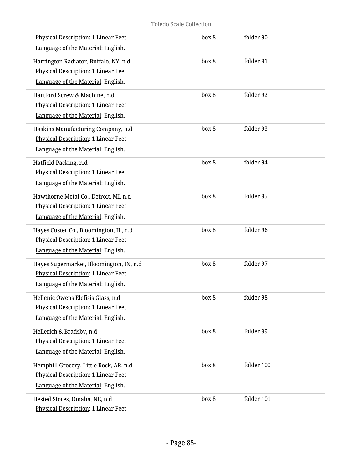| Physical Description: 1 Linear Feet        | box 8 | folder 90  |  |
|--------------------------------------------|-------|------------|--|
| Language of the Material: English.         |       |            |  |
| Harrington Radiator, Buffalo, NY, n.d      | box 8 | folder 91  |  |
| <b>Physical Description: 1 Linear Feet</b> |       |            |  |
| Language of the Material: English.         |       |            |  |
| Hartford Screw & Machine, n.d              | box 8 | folder 92  |  |
| Physical Description: 1 Linear Feet        |       |            |  |
| Language of the Material: English.         |       |            |  |
| Haskins Manufacturing Company, n.d         | box 8 | folder 93  |  |
| Physical Description: 1 Linear Feet        |       |            |  |
| Language of the Material: English.         |       |            |  |
| Hatfield Packing, n.d                      | box 8 | folder 94  |  |
| Physical Description: 1 Linear Feet        |       |            |  |
| Language of the Material: English.         |       |            |  |
| Hawthorne Metal Co., Detroit, MI, n.d      | box 8 | folder 95  |  |
| Physical Description: 1 Linear Feet        |       |            |  |
| Language of the Material: English.         |       |            |  |
| Hayes Custer Co., Bloomington, IL, n.d     | box 8 | folder 96  |  |
| Physical Description: 1 Linear Feet        |       |            |  |
| Language of the Material: English.         |       |            |  |
| Hayes Supermarket, Bloomington, IN, n.d    | box 8 | folder 97  |  |
| Physical Description: 1 Linear Feet        |       |            |  |
| Language of the Material: English.         |       |            |  |
| Hellenic Owens Elefisis Glass, n.d         | box 8 | folder 98  |  |
| Physical Description: 1 Linear Feet        |       |            |  |
| Language of the Material: English.         |       |            |  |
| Hellerich & Bradsby, n.d                   | box 8 | folder 99  |  |
| Physical Description: 1 Linear Feet        |       |            |  |
| Language of the Material: English.         |       |            |  |
| Hemphill Grocery, Little Rock, AR, n.d     | box 8 | folder 100 |  |
| <b>Physical Description: 1 Linear Feet</b> |       |            |  |
| Language of the Material: English.         |       |            |  |
| Hested Stores, Omaha, NE, n.d              | box 8 | folder 101 |  |
| Physical Description: 1 Linear Feet        |       |            |  |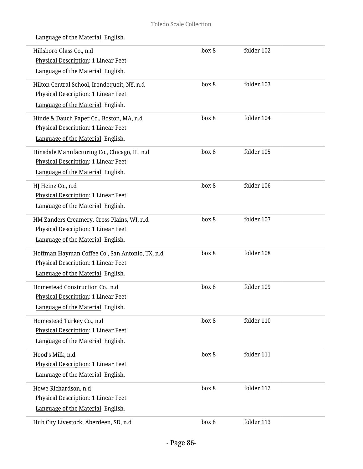| Hillsboro Glass Co., n.d<br>Physical Description: 1 Linear Feet<br>Language of the Material: English.                        | box 8 | folder 102 |  |
|------------------------------------------------------------------------------------------------------------------------------|-------|------------|--|
| Hilton Central School, Irondequoit, NY, n.d<br>Physical Description: 1 Linear Feet<br>Language of the Material: English.     | box 8 | folder 103 |  |
| Hinde & Dauch Paper Co., Boston, MA, n.d<br>Physical Description: 1 Linear Feet<br>Language of the Material: English.        | box 8 | folder 104 |  |
| Hinsdale Manufacturing Co., Chicago, IL, n.d<br>Physical Description: 1 Linear Feet<br>Language of the Material: English.    | box 8 | folder 105 |  |
| HJ Heinz Co., n.d<br><b>Physical Description: 1 Linear Feet</b><br>Language of the Material: English.                        | box 8 | folder 106 |  |
| HM Zanders Creamery, Cross Plains, WI, n.d<br>Physical Description: 1 Linear Feet<br>Language of the Material: English.      | box 8 | folder 107 |  |
| Hoffman Hayman Coffee Co., San Antonio, TX, n.d<br>Physical Description: 1 Linear Feet<br>Language of the Material: English. | box 8 | folder 108 |  |
| Homestead Construction Co., n.d<br><b>Physical Description: 1 Linear Feet</b><br>Language of the Material: English.          | box 8 | folder 109 |  |
| Homestead Turkey Co., n.d<br>Physical Description: 1 Linear Feet<br>Language of the Material: English.                       | box 8 | folder 110 |  |
| Hood's Milk, n.d<br>Physical Description: 1 Linear Feet<br>Language of the Material: English.                                | box 8 | folder 111 |  |
| Howe-Richardson, n.d<br>Physical Description: 1 Linear Feet<br>Language of the Material: English.                            | box 8 | folder 112 |  |
| Hub City Livestock, Aberdeen, SD, n.d                                                                                        | box 8 | folder 113 |  |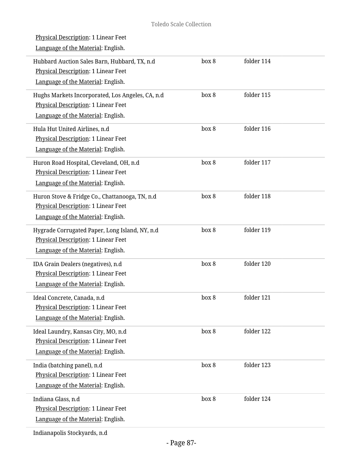| <u>Physical Description</u> : 1 Linear Feet<br>Language of the Material: English.                                             |       |            |
|-------------------------------------------------------------------------------------------------------------------------------|-------|------------|
| Hubbard Auction Sales Barn, Hubbard, TX, n.d<br>Physical Description: 1 Linear Feet<br>Language of the Material: English.     | box 8 | folder 114 |
| Hughs Markets Incorporated, Los Angeles, CA, n.d<br>Physical Description: 1 Linear Feet<br>Language of the Material: English. | box 8 | folder 115 |
| Hula Hut United Airlines, n.d<br>Physical Description: 1 Linear Feet<br>Language of the Material: English.                    | box 8 | folder 116 |
| Huron Road Hospital, Cleveland, OH, n.d<br>Physical Description: 1 Linear Feet<br>Language of the Material: English.          | box 8 | folder 117 |
| Huron Stove & Fridge Co., Chattanooga, TN, n.d<br>Physical Description: 1 Linear Feet<br>Language of the Material: English.   | box 8 | folder 118 |
| Hygrade Corrugated Paper, Long Island, NY, n.d<br>Physical Description: 1 Linear Feet<br>Language of the Material: English.   | box 8 | folder 119 |
| IDA Grain Dealers (negatives), n.d<br><b>Physical Description: 1 Linear Feet</b><br>Language of the Material: English.        | box 8 | folder 120 |
| Ideal Concrete, Canada, n.d<br><b>Physical Description: 1 Linear Feet</b><br>Language of the Material: English.               | box 8 | folder 121 |
| Ideal Laundry, Kansas City, MO, n.d<br><b>Physical Description: 1 Linear Feet</b><br>Language of the Material: English.       | box 8 | folder 122 |
| India (batching panel), n.d<br>Physical Description: 1 Linear Feet<br>Language of the Material: English.                      | box 8 | folder 123 |
| Indiana Glass, n.d<br>Physical Description: 1 Linear Feet<br>Language of the Material: English.<br>dianonalia Ctaglumada n.d  | box 8 | folder 124 |

Indianapolis Stockyards, n.d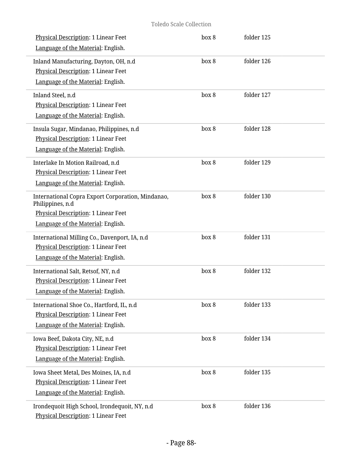| Physical Description: 1 Linear Feet<br>Language of the Material: English.                                                                          | box 8 | folder 125 |  |
|----------------------------------------------------------------------------------------------------------------------------------------------------|-------|------------|--|
| Inland Manufacturing, Dayton, OH, n.d<br>Physical Description: 1 Linear Feet<br>Language of the Material: English.                                 | box 8 | folder 126 |  |
| Inland Steel, n.d<br>Physical Description: 1 Linear Feet<br>Language of the Material: English.                                                     | box 8 | folder 127 |  |
| Insula Sugar, Mindanao, Philippines, n.d<br>Physical Description: 1 Linear Feet<br>Language of the Material: English.                              | box 8 | folder 128 |  |
| Interlake In Motion Railroad, n.d<br><b>Physical Description: 1 Linear Feet</b><br>Language of the Material: English.                              | box 8 | folder 129 |  |
| International Copra Export Corporation, Mindanao,<br>Philippines, n.d<br>Physical Description: 1 Linear Feet<br>Language of the Material: English. | box 8 | folder 130 |  |
| International Milling Co., Davenport, IA, n.d<br>Physical Description: 1 Linear Feet<br>Language of the Material: English.                         | box 8 | folder 131 |  |
| International Salt, Retsof, NY, n.d<br>Physical Description: 1 Linear Feet<br>Language of the Material: English.                                   | box 8 | folder 132 |  |
| International Shoe Co., Hartford, IL, n.d.<br>Physical Description: 1 Linear Feet<br>Language of the Material: English.                            | box 8 | folder 133 |  |
| Iowa Beef, Dakota City, NE, n.d<br><b>Physical Description: 1 Linear Feet</b><br>Language of the Material: English.                                | box 8 | folder 134 |  |
| Iowa Sheet Metal, Des Moines, IA, n.d<br>Physical Description: 1 Linear Feet<br>Language of the Material: English.                                 | box 8 | folder 135 |  |
| Irondequoit High School, Irondequoit, NY, n.d<br>Physical Description: 1 Linear Feet                                                               | box 8 | folder 136 |  |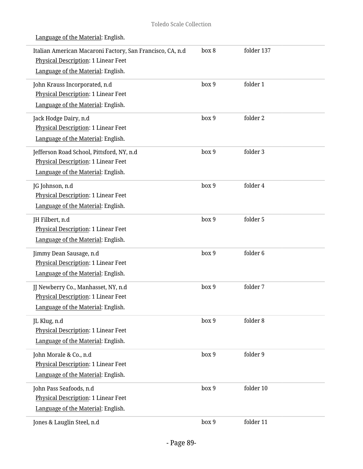| Italian American Macaroni Factory, San Francisco, CA, n.d.<br><b>Physical Description: 1 Linear Feet</b><br>Language of the Material: English. | box 8 | folder 137 |
|------------------------------------------------------------------------------------------------------------------------------------------------|-------|------------|
| John Krauss Incorporated, n.d<br>Physical Description: 1 Linear Feet<br>Language of the Material: English.                                     | box 9 | folder 1   |
| Jack Hodge Dairy, n.d<br>Physical Description: 1 Linear Feet<br>Language of the Material: English.                                             | box 9 | folder 2   |
| Jefferson Road School, Pittsford, NY, n.d<br>Physical Description: 1 Linear Feet<br>Language of the Material: English.                         | box 9 | folder 3   |
| JG Johnson, n.d<br>Physical Description: 1 Linear Feet<br>Language of the Material: English.                                                   | box 9 | folder 4   |
| JH Filbert, n.d<br>Physical Description: 1 Linear Feet<br>Language of the Material: English.                                                   | box 9 | folder 5   |
| Jimmy Dean Sausage, n.d<br>Physical Description: 1 Linear Feet<br>Language of the Material: English.                                           | box 9 | folder 6   |
| JJ Newberry Co., Manhasset, NY, n.d<br>Physical Description: 1 Linear Feet<br>Language of the Material: English.                               | box 9 | folder 7   |
| JL Klug, n.d<br>Physical Description: 1 Linear Feet<br>Language of the Material: English.                                                      | box 9 | folder 8   |
| John Morale & Co., n.d<br>Physical Description: 1 Linear Feet<br>Language of the Material: English.                                            | box 9 | folder 9   |
| John Pass Seafoods, n.d<br>Physical Description: 1 Linear Feet<br>Language of the Material: English.                                           | box 9 | folder 10  |
| Jones & Lauglin Steel, n.d                                                                                                                     | box 9 | folder 11  |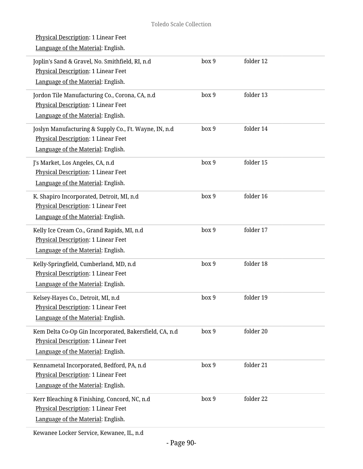| <b>Physical Description: 1 Linear Feet</b><br>Language of the Material: English.                                                    |       |           |  |
|-------------------------------------------------------------------------------------------------------------------------------------|-------|-----------|--|
| Joplin's Sand & Gravel, No. Smithfield, RI, n.d<br>Physical Description: 1 Linear Feet<br>Language of the Material: English.        | box 9 | folder 12 |  |
| Jordon Tile Manufacturing Co., Corona, CA, n.d<br>Physical Description: 1 Linear Feet<br>Language of the Material: English.         | box 9 | folder 13 |  |
| Joslyn Manufacturing & Supply Co., Ft. Wayne, IN, n.d<br>Physical Description: 1 Linear Feet<br>Language of the Material: English.  | box 9 | folder 14 |  |
| J's Market, Los Angeles, CA, n.d<br>Physical Description: 1 Linear Feet<br>Language of the Material: English.                       | box 9 | folder 15 |  |
| K. Shapiro Incorporated, Detroit, MI, n.d<br>Physical Description: 1 Linear Feet<br>Language of the Material: English.              | box 9 | folder 16 |  |
| Kelly Ice Cream Co., Grand Rapids, MI, n.d<br>Physical Description: 1 Linear Feet<br>Language of the Material: English.             | box 9 | folder 17 |  |
| Kelly-Springfield, Cumberland, MD, n.d<br>Physical Description: 1 Linear Feet<br>Language of the Material: English.                 | box 9 | folder 18 |  |
| Kelsey-Hayes Co., Detroit, MI, n.d<br>Physical Description: 1 Linear Feet<br>Language of the Material: English.                     | box 9 | folder 19 |  |
| Kem Delta Co-Op Gin Incorporated, Bakersfield, CA, n.d<br>Physical Description: 1 Linear Feet<br>Language of the Material: English. | box 9 | folder 20 |  |
| Kennametal Incorporated, Bedford, PA, n.d<br>Physical Description: 1 Linear Feet<br>Language of the Material: English.              | box 9 | folder 21 |  |
| Kerr Bleaching & Finishing, Concord, NC, n.d<br>Physical Description: 1 Linear Feet<br>Language of the Material: English.           | box 9 | folder 22 |  |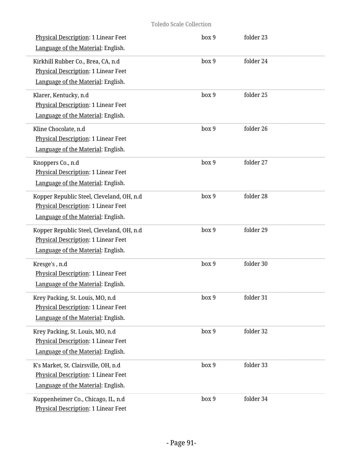| Physical Description: 1 Linear Feet<br>Language of the Material: English.                                              | box 9 | folder 23 |
|------------------------------------------------------------------------------------------------------------------------|-------|-----------|
| Kirkhill Rubber Co., Brea, CA, n.d<br>Physical Description: 1 Linear Feet<br>Language of the Material: English.        | box 9 | folder 24 |
| Klarer, Kentucky, n.d<br>Physical Description: 1 Linear Feet<br>Language of the Material: English.                     | box 9 | folder 25 |
| Kline Chocolate, n.d<br>Physical Description: 1 Linear Feet<br>Language of the Material: English.                      | box 9 | folder 26 |
| Knoppers Co., n.d<br>Physical Description: 1 Linear Feet<br>Language of the Material: English.                         | box 9 | folder 27 |
| Kopper Republic Steel, Cleveland, OH, n.d<br>Physical Description: 1 Linear Feet<br>Language of the Material: English. | box 9 | folder 28 |
| Kopper Republic Steel, Cleveland, OH, n.d<br>Physical Description: 1 Linear Feet<br>Language of the Material: English. | box 9 | folder 29 |
| Kresge's, n.d<br>Physical Description: 1 Linear Feet<br>Language of the Material: English.                             | box 9 | folder 30 |
| Krey Packing, St. Louis, MO, n.d<br>Physical Description: 1 Linear Feet<br>Language of the Material: English.          | box 9 | folder 31 |
| Krey Packing, St. Louis, MO, n.d<br><b>Physical Description: 1 Linear Feet</b><br>Language of the Material: English.   | box 9 | folder 32 |
| K's Market, St. Clairsville, OH, n.d<br>Physical Description: 1 Linear Feet<br>Language of the Material: English.      | box 9 | folder 33 |
| Kuppenheimer Co., Chicago, IL, n.d<br>Physical Description: 1 Linear Feet                                              | box 9 | folder 34 |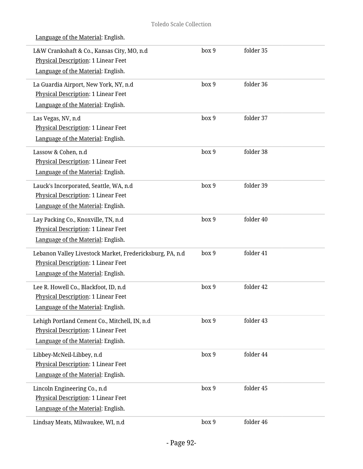| L&W Crankshaft & Co., Kansas City, MO, n.d<br><b>Physical Description: 1 Linear Feet</b><br>Language of the Material: English.        | box 9 | folder 35 |  |
|---------------------------------------------------------------------------------------------------------------------------------------|-------|-----------|--|
| La Guardia Airport, New York, NY, n.d<br>Physical Description: 1 Linear Feet<br>Language of the Material: English.                    | box 9 | folder 36 |  |
| Las Vegas, NV, n.d<br>Physical Description: 1 Linear Feet<br>Language of the Material: English.                                       | box 9 | folder 37 |  |
| Lassow & Cohen, n.d<br>Physical Description: 1 Linear Feet<br>Language of the Material: English.                                      | box 9 | folder 38 |  |
| Lauck's Incorporated, Seattle, WA, n.d<br><b>Physical Description: 1 Linear Feet</b><br>Language of the Material: English.            | box 9 | folder 39 |  |
| Lay Packing Co., Knoxville, TN, n.d<br>Physical Description: 1 Linear Feet<br>Language of the Material: English.                      | box 9 | folder 40 |  |
| Lebanon Valley Livestock Market, Fredericksburg, PA, n.d<br>Physical Description: 1 Linear Feet<br>Language of the Material: English. | box 9 | folder 41 |  |
| Lee R. Howell Co., Blackfoot, ID, n.d<br>Physical Description: 1 Linear Feet<br>Language of the Material: English.                    | box 9 | folder 42 |  |
| Lehigh Portland Cement Co., Mitchell, IN, n.d<br><b>Physical Description: 1 Linear Feet</b><br>Language of the Material: English.     | box 9 | folder 43 |  |
| Libbey-McNeil-Libbey, n.d<br><b>Physical Description: 1 Linear Feet</b><br>Language of the Material: English.                         | box 9 | folder 44 |  |
| Lincoln Engineering Co., n.d<br>Physical Description: 1 Linear Feet<br>Language of the Material: English.                             | box 9 | folder 45 |  |
| Lindsay Meats, Milwaukee, WI, n.d                                                                                                     | box 9 | folder 46 |  |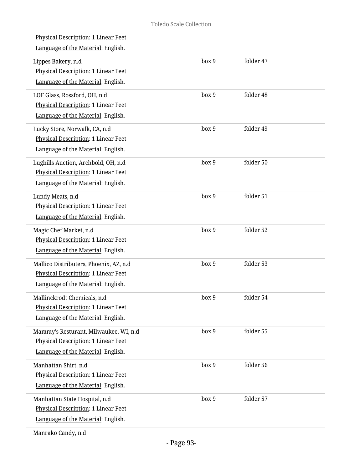| Physical Description: 1 Linear Feet<br>Language of the Material: English.                                           |       |           |  |
|---------------------------------------------------------------------------------------------------------------------|-------|-----------|--|
| Lippes Bakery, n.d<br>Physical Description: 1 Linear Feet<br>Language of the Material: English.                     | box 9 | folder 47 |  |
| LOF Glass, Rossford, OH, n.d<br>Physical Description: 1 Linear Feet<br>Language of the Material: English.           | box 9 | folder 48 |  |
| Lucky Store, Norwalk, CA, n.d<br>Physical Description: 1 Linear Feet<br>Language of the Material: English.          | box 9 | folder 49 |  |
| Lugbills Auction, Archbold, OH, n.d<br>Physical Description: 1 Linear Feet<br>Language of the Material: English.    | box 9 | folder 50 |  |
| Lundy Meats, n.d<br><b>Physical Description: 1 Linear Feet</b><br>Language of the Material: English.                | box 9 | folder 51 |  |
| Magic Chef Market, n.d<br>Physical Description: 1 Linear Feet<br>Language of the Material: English.                 | box 9 | folder 52 |  |
| Mallico Distributers, Phoenix, AZ, n.d<br>Physical Description: 1 Linear Feet<br>Language of the Material: English. | box 9 | folder 53 |  |
| Mallinckrodt Chemicals, n.d<br>Physical Description: 1 Linear Feet<br>Language of the Material: English.            | box 9 | folder 54 |  |
| Mammy's Resturant, Milwaukee, WI, n.d<br>Physical Description: 1 Linear Feet<br>Language of the Material: English.  | box 9 | folder 55 |  |
| Manhattan Shirt, n.d<br>Physical Description: 1 Linear Feet<br>Language of the Material: English.                   | box 9 | folder 56 |  |
| Manhattan State Hospital, n.d<br>Physical Description: 1 Linear Feet<br>Language of the Material: English.          | box 9 | folder 57 |  |
|                                                                                                                     |       |           |  |

Manrako Candy, n.d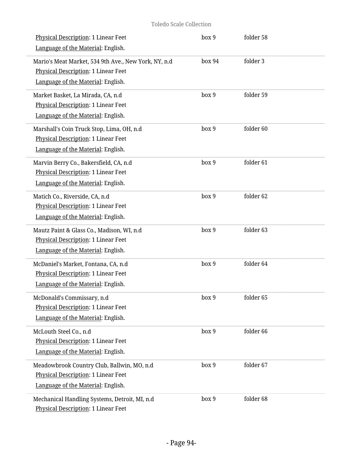| Physical Description: 1 Linear Feet<br>Language of the Material: English.                                                         | box 9  | folder 58 |  |
|-----------------------------------------------------------------------------------------------------------------------------------|--------|-----------|--|
| Mario's Meat Market, 534 9th Ave., New York, NY, n.d<br>Physical Description: 1 Linear Feet<br>Language of the Material: English. | box 94 | folder 3  |  |
| Market Basket, La Mirada, CA, n.d<br>Physical Description: 1 Linear Feet<br>Language of the Material: English.                    | box 9  | folder 59 |  |
| Marshall's Coin Truck Stop, Lima, OH, n.d<br>Physical Description: 1 Linear Feet<br>Language of the Material: English.            | box 9  | folder 60 |  |
| Marvin Berry Co., Bakersfield, CA, n.d<br>Physical Description: 1 Linear Feet<br>Language of the Material: English.               | box 9  | folder 61 |  |
| Matich Co., Riverside, CA, n.d<br>Physical Description: 1 Linear Feet<br>Language of the Material: English.                       | box 9  | folder 62 |  |
| Mautz Paint & Glass Co., Madison, WI, n.d<br>Physical Description: 1 Linear Feet<br>Language of the Material: English.            | box 9  | folder 63 |  |
| McDaniel's Market, Fontana, CA, n.d<br>Physical Description: 1 Linear Feet<br>Language of the Material: English.                  | box 9  | folder 64 |  |
| McDonald's Commissary, n.d<br>Physical Description: 1 Linear Feet<br>Language of the Material: English.                           | box 9  | folder 65 |  |
| McLouth Steel Co., n.d<br><b>Physical Description: 1 Linear Feet</b><br>Language of the Material: English.                        | box 9  | folder 66 |  |
| Meadowbrook Country Club, Ballwin, MO, n.d<br>Physical Description: 1 Linear Feet<br>Language of the Material: English.           | box 9  | folder 67 |  |
| Mechanical Handling Systems, Detroit, MI, n.d<br>Physical Description: 1 Linear Feet                                              | box 9  | folder 68 |  |

i.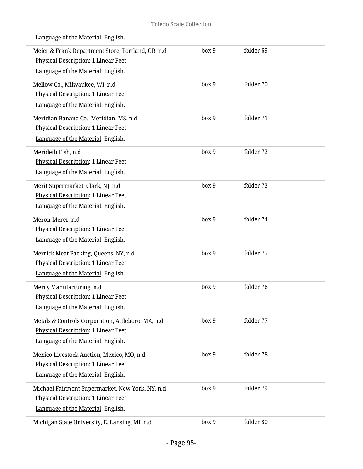| Meier & Frank Department Store, Portland, OR, n.d<br>Physical Description: 1 Linear Feet<br>Language of the Material: English.        | box 9 | folder 69 |  |
|---------------------------------------------------------------------------------------------------------------------------------------|-------|-----------|--|
| Mellow Co., Milwaukee, WI, n.d<br>Physical Description: 1 Linear Feet<br>Language of the Material: English.                           | box 9 | folder 70 |  |
| Meridian Banana Co., Meridian, MS, n.d<br>Physical Description: 1 Linear Feet<br>Language of the Material: English.                   | box 9 | folder 71 |  |
| Merideth Fish, n.d<br>Physical Description: 1 Linear Feet<br>Language of the Material: English.                                       | box 9 | folder 72 |  |
| Merit Supermarket, Clark, NJ, n.d<br>Physical Description: 1 Linear Feet<br>Language of the Material: English.                        | box 9 | folder 73 |  |
| Meron-Merer, n.d<br>Physical Description: 1 Linear Feet<br>Language of the Material: English.                                         | box 9 | folder 74 |  |
| Merrick Meat Packing, Queens, NY, n.d<br>Physical Description: 1 Linear Feet<br>Language of the Material: English.                    | box 9 | folder 75 |  |
| Merry Manufacturing, n.d<br>Physical Description: 1 Linear Feet<br>Language of the Material: English.                                 | box 9 | folder 76 |  |
| Metals & Controls Corporation, Attleboro, MA, n.d<br><b>Physical Description: 1 Linear Feet</b><br>Language of the Material: English. | box 9 | folder 77 |  |
| Mexico Livestock Auction, Mexico, MO, n.d<br>Physical Description: 1 Linear Feet<br>Language of the Material: English.                | box 9 | folder 78 |  |
| Michael Fairmont Supermarket, New York, NY, n.d<br>Physical Description: 1 Linear Feet<br>Language of the Material: English.          | box 9 | folder 79 |  |
| Michigan State University, E. Lansing, MI, n.d                                                                                        | box 9 | folder 80 |  |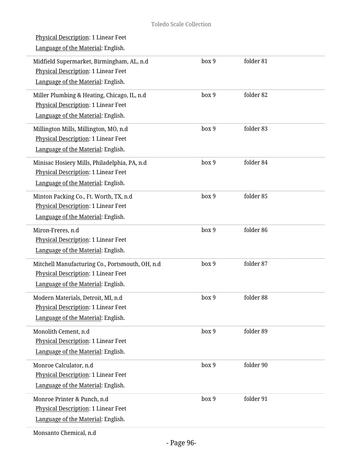| <u>Physical Description</u> : 1 Linear Feet<br>Language of the Material: English.                                                |       |           |  |
|----------------------------------------------------------------------------------------------------------------------------------|-------|-----------|--|
| Midfield Supermarket, Birmingham, AL, n.d<br><b>Physical Description: 1 Linear Feet</b><br>Language of the Material: English.    | box 9 | folder 81 |  |
| Miller Plumbing & Heating, Chicago, IL, n.d<br>Physical Description: 1 Linear Feet<br>Language of the Material: English.         | box 9 | folder 82 |  |
| Millington Mills, Millington, MO, n.d<br>Physical Description: 1 Linear Feet<br>Language of the Material: English.               | box 9 | folder 83 |  |
| Minisac Hosiery Mills, Philadelphia, PA, n.d<br><b>Physical Description: 1 Linear Feet</b><br>Language of the Material: English. | box 9 | folder 84 |  |
| Minton Packing Co., Ft. Worth, TX, n.d<br>Physical Description: 1 Linear Feet<br>Language of the Material: English.              | box 9 | folder 85 |  |
| Miron-Freres, n.d<br>Physical Description: 1 Linear Feet<br>Language of the Material: English.                                   | box 9 | folder 86 |  |
| Mitchell Manufacturing Co., Portsmouth, OH, n.d<br>Physical Description: 1 Linear Feet<br>Language of the Material: English.     | box 9 | folder 87 |  |
| Modern Materials, Detroit, MI, n.d<br>Physical Description: 1 Linear Feet<br>Language of the Material: English.                  | box 9 | folder 88 |  |
| Monolith Cement, n.d<br><b>Physical Description: 1 Linear Feet</b><br>Language of the Material: English.                         | box 9 | folder 89 |  |
| Monroe Calculator, n.d<br>Physical Description: 1 Linear Feet<br>Language of the Material: English.                              | box 9 | folder 90 |  |
| Monroe Printer & Punch, n.d<br>Physical Description: 1 Linear Feet<br>Language of the Material: English.                         | box 9 | folder 91 |  |
|                                                                                                                                  |       |           |  |

Monsanto Chemical, n.d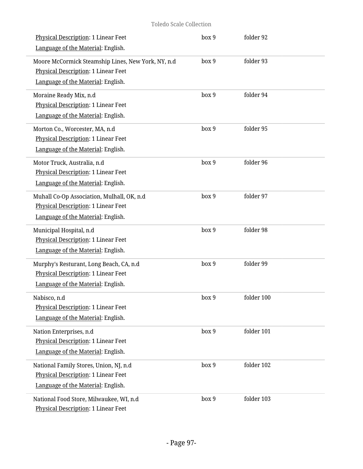| Physical Description: 1 Linear Feet<br>Language of the Material: English.                                                       | box 9 | folder 92  |  |
|---------------------------------------------------------------------------------------------------------------------------------|-------|------------|--|
| Moore McCormick Steamship Lines, New York, NY, n.d<br>Physical Description: 1 Linear Feet<br>Language of the Material: English. | box 9 | folder 93  |  |
| Moraine Ready Mix, n.d<br><b>Physical Description: 1 Linear Feet</b><br>Language of the Material: English.                      | box 9 | folder 94  |  |
| Morton Co., Worcester, MA, n.d<br>Physical Description: 1 Linear Feet<br>Language of the Material: English.                     | box 9 | folder 95  |  |
| Motor Truck, Australia, n.d<br>Physical Description: 1 Linear Feet<br>Language of the Material: English.                        | box 9 | folder 96  |  |
| Muhall Co-Op Association, Mulhall, OK, n.d<br>Physical Description: 1 Linear Feet<br>Language of the Material: English.         | box 9 | folder 97  |  |
| Municipal Hospital, n.d<br>Physical Description: 1 Linear Feet<br>Language of the Material: English.                            | box 9 | folder 98  |  |
| Murphy's Resturant, Long Beach, CA, n.d<br>Physical Description: 1 Linear Feet<br>Language of the Material: English.            | box 9 | folder 99  |  |
| Nabisco, n.d<br>Physical Description: 1 Linear Feet<br>Language of the Material: English.                                       | box 9 | folder 100 |  |
| Nation Enterprises, n.d<br><b>Physical Description: 1 Linear Feet</b><br>Language of the Material: English.                     | box 9 | folder 101 |  |
| National Family Stores, Union, NJ, n.d<br><b>Physical Description: 1 Linear Feet</b><br>Language of the Material: English.      | box 9 | folder 102 |  |
| National Food Store, Milwaukee, WI, n.d<br>Physical Description: 1 Linear Feet                                                  | box 9 | folder 103 |  |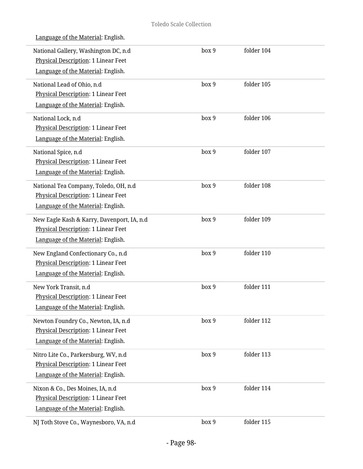box 9 folder 104

| Language of the Material: English.         |
|--------------------------------------------|
| National Gallery, Washington DC, n.d.      |
| <b>Physical Description: 1 Linear Feet</b> |
| Language of the Material: English.         |

| Language of the Material: English.         |       |            |  |
|--------------------------------------------|-------|------------|--|
| National Lead of Ohio, n.d                 | box 9 | folder 105 |  |
| Physical Description: 1 Linear Feet        |       |            |  |
| Language of the Material: English.         |       |            |  |
| National Lock, n.d                         | box 9 | folder 106 |  |
| Physical Description: 1 Linear Feet        |       |            |  |
| Language of the Material: English.         |       |            |  |
| National Spice, n.d                        | box 9 | folder 107 |  |
| Physical Description: 1 Linear Feet        |       |            |  |
| Language of the Material: English.         |       |            |  |
| National Tea Company, Toledo, OH, n.d      | box 9 | folder 108 |  |
| Physical Description: 1 Linear Feet        |       |            |  |
| Language of the Material: English.         |       |            |  |
| New Eagle Kash & Karry, Davenport, IA, n.d | box 9 | folder 109 |  |
| Physical Description: 1 Linear Feet        |       |            |  |
| Language of the Material: English.         |       |            |  |
| New England Confectionary Co., n.d         | box 9 | folder 110 |  |
| Physical Description: 1 Linear Feet        |       |            |  |
| Language of the Material: English.         |       |            |  |
| New York Transit, n.d                      | box 9 | folder 111 |  |
| Physical Description: 1 Linear Feet        |       |            |  |
| Language of the Material: English.         |       |            |  |
| Newton Foundry Co., Newton, IA, n.d        | box 9 | folder 112 |  |
| <b>Physical Description: 1 Linear Feet</b> |       |            |  |
| Language of the Material: English.         |       |            |  |
| Nitro Lite Co., Parkersburg, WV, n.d       | box 9 | folder 113 |  |
| Physical Description: 1 Linear Feet        |       |            |  |
| Language of the Material: English.         |       |            |  |
| Nixon & Co., Des Moines, IA, n.d           | box 9 | folder 114 |  |
| <b>Physical Description: 1 Linear Feet</b> |       |            |  |
| Language of the Material: English.         |       |            |  |
| NJ Toth Stove Co., Waynesboro, VA, n.d     | box 9 | folder 115 |  |
|                                            |       |            |  |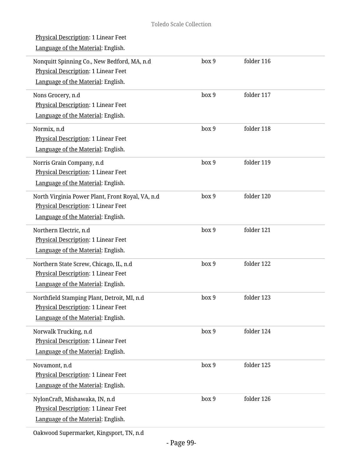| Physical Description: 1 Linear Feet<br>Language of the Material: English.                                                            |       |            |  |
|--------------------------------------------------------------------------------------------------------------------------------------|-------|------------|--|
| Nonquitt Spinning Co., New Bedford, MA, n.d<br>Physical Description: 1 Linear Feet<br>Language of the Material: English.             | box 9 | folder 116 |  |
| Nons Grocery, n.d<br>Physical Description: 1 Linear Feet<br>Language of the Material: English.                                       | box 9 | folder 117 |  |
| Normix, n.d<br>Physical Description: 1 Linear Feet<br>Language of the Material: English.                                             | box 9 | folder 118 |  |
| Norris Grain Company, n.d<br>Physical Description: 1 Linear Feet<br>Language of the Material: English.                               | box 9 | folder 119 |  |
| North Virginia Power Plant, Front Royal, VA, n.d<br><b>Physical Description: 1 Linear Feet</b><br>Language of the Material: English. | box 9 | folder 120 |  |
| Northern Electric, n.d<br>Physical Description: 1 Linear Feet<br>Language of the Material: English.                                  | box 9 | folder 121 |  |
| Northern State Screw, Chicago, IL, n.d<br><b>Physical Description: 1 Linear Feet</b><br>Language of the Material: English.           | box 9 | folder 122 |  |
| Northfield Stamping Plant, Detroit, MI, n.d<br><b>Physical Description: 1 Linear Feet</b><br>Language of the Material: English.      | box 9 | folder 123 |  |
| Norwalk Trucking, n.d<br><b>Physical Description: 1 Linear Feet</b><br>Language of the Material: English.                            | box 9 | folder 124 |  |
| Novamont, n.d<br>Physical Description: 1 Linear Feet<br>Language of the Material: English.                                           | box 9 | folder 125 |  |
| NylonCraft, Mishawaka, IN, n.d<br>Physical Description: 1 Linear Feet<br>Language of the Material: English.                          | box 9 | folder 126 |  |

Oakwood Supermarket, Kingsport, TN, n.d

L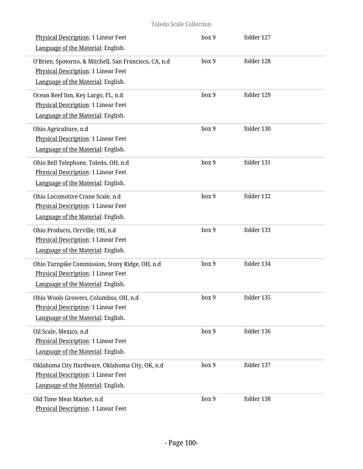| Physical Description: 1 Linear Feet                   | box 9            | folder 127 |  |
|-------------------------------------------------------|------------------|------------|--|
| Language of the Material: English.                    |                  |            |  |
| O'Brien, Spotorno, & Mitchell, San Francisco, CA, n.d | box 9            | folder 128 |  |
| Physical Description: 1 Linear Feet                   |                  |            |  |
| Language of the Material: English.                    |                  |            |  |
| Ocean Reef Inn, Key Largo, FL, n.d                    | box 9            | folder 129 |  |
| Physical Description: 1 Linear Feet                   |                  |            |  |
| Language of the Material: English.                    |                  |            |  |
| Ohio Agriculture, n.d                                 | box 9            | folder 130 |  |
| Physical Description: 1 Linear Feet                   |                  |            |  |
| Language of the Material: English.                    |                  |            |  |
| Ohio Bell Telephone, Toledo, OH, n.d                  | box 9            | folder 131 |  |
| Physical Description: 1 Linear Feet                   |                  |            |  |
| Language of the Material: English.                    |                  |            |  |
| Ohio Locomotive Crane Scale, n.d                      | box 9            | folder 132 |  |
| Physical Description: 1 Linear Feet                   |                  |            |  |
| Language of the Material: English.                    |                  |            |  |
| Ohio Products, Orrville, OH, n.d                      | box 9            | folder 133 |  |
| Physical Description: 1 Linear Feet                   |                  |            |  |
| Language of the Material: English.                    |                  |            |  |
| Ohio Turnpike Commission, Stony Ridge, OH, n.d        | box 9            | folder 134 |  |
| Physical Description: 1 Linear Feet                   |                  |            |  |
| Language of the Material: English.                    |                  |            |  |
| Ohio Wools Growers, Columbus, OH, n.d                 | box <sub>9</sub> | folder 135 |  |
| Physical Description: 1 Linear Feet                   |                  |            |  |
| Language of the Material: English.                    |                  |            |  |
| Oil Scale, Mexico, n.d                                | box 9            | folder 136 |  |
| <b>Physical Description: 1 Linear Feet</b>            |                  |            |  |
| Language of the Material: English.                    |                  |            |  |
| Oklahoma City Hardware, Oklahoma City, OK, n.d        | box 9            | folder 137 |  |
| Physical Description: 1 Linear Feet                   |                  |            |  |
| Language of the Material: English.                    |                  |            |  |
| Old Time Meat Market, n.d                             | box 9            | folder 138 |  |
| Physical Description: 1 Linear Feet                   |                  |            |  |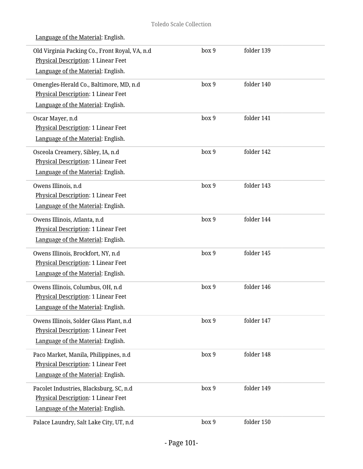| Old Virginia Packing Co., Front Royal, VA, n.d<br>Physical Description: 1 Linear Feet | box 9 | folder 139 |  |
|---------------------------------------------------------------------------------------|-------|------------|--|
| Language of the Material: English.                                                    |       |            |  |
| Omengles-Herald Co., Baltimore, MD, n.d                                               | box 9 | folder 140 |  |
| Physical Description: 1 Linear Feet                                                   |       |            |  |
| Language of the Material: English.                                                    |       |            |  |
| Oscar Mayer, n.d                                                                      | box 9 | folder 141 |  |
| Physical Description: 1 Linear Feet                                                   |       |            |  |
| Language of the Material: English.                                                    |       |            |  |
| Osceola Creamery, Sibley, IA, n.d                                                     | box 9 | folder 142 |  |
| Physical Description: 1 Linear Feet                                                   |       |            |  |
| Language of the Material: English.                                                    |       |            |  |
| Owens Illinois, n.d                                                                   | box 9 | folder 143 |  |
| Physical Description: 1 Linear Feet                                                   |       |            |  |
| Language of the Material: English.                                                    |       |            |  |
| Owens Illinois, Atlanta, n.d                                                          | box 9 | folder 144 |  |
| Physical Description: 1 Linear Feet                                                   |       |            |  |
| Language of the Material: English.                                                    |       |            |  |
| Owens Illinois, Brockfort, NY, n.d                                                    | box 9 | folder 145 |  |
| Physical Description: 1 Linear Feet                                                   |       |            |  |
| Language of the Material: English.                                                    |       |            |  |
| Owens Illinois, Columbus, OH, n.d                                                     | box 9 | folder 146 |  |
| <b>Physical Description: 1 Linear Feet</b>                                            |       |            |  |
| Language of the Material: English.                                                    |       |            |  |
| Owens Illinois, Solder Glass Plant, n.d                                               | box 9 | folder 147 |  |
| <b>Physical Description: 1 Linear Feet</b>                                            |       |            |  |
| Language of the Material: English.                                                    |       |            |  |
| Paco Market, Manila, Philippines, n.d                                                 | box 9 | folder 148 |  |
| Physical Description: 1 Linear Feet                                                   |       |            |  |
| Language of the Material: English.                                                    |       |            |  |
| Pacolet Industries, Blacksburg, SC, n.d                                               | box 9 | folder 149 |  |
| Physical Description: 1 Linear Feet                                                   |       |            |  |
| Language of the Material: English.                                                    |       |            |  |
| Palace Laundry, Salt Lake City, UT, n.d                                               | box 9 | folder 150 |  |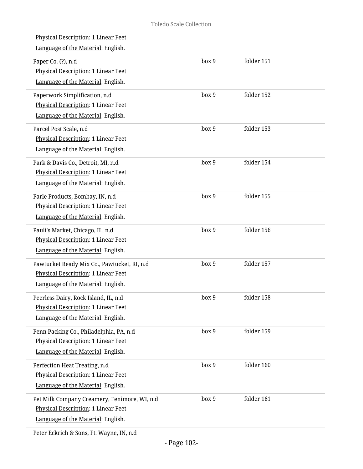| Physical Description: 1 Linear Feet<br>Language of the Material: English.                                                 |       |            |
|---------------------------------------------------------------------------------------------------------------------------|-------|------------|
| Paper Co. (?), n.d<br>Physical Description: 1 Linear Feet<br>Language of the Material: English.                           | box 9 | folder 151 |
| Paperwork Simplification, n.d<br>Physical Description: 1 Linear Feet<br>Language of the Material: English.                | box 9 | folder 152 |
| Parcel Post Scale, n.d<br>Physical Description: 1 Linear Feet<br>Language of the Material: English.                       | box 9 | folder 153 |
| Park & Davis Co., Detroit, MI, n.d<br>Physical Description: 1 Linear Feet<br>Language of the Material: English.           | box 9 | folder 154 |
| Parle Products, Bombay, IN, n.d<br>Physical Description: 1 Linear Feet<br>Language of the Material: English.              | box 9 | folder 155 |
| Pauli's Market, Chicago, IL, n.d<br>Physical Description: 1 Linear Feet<br>Language of the Material: English.             | box 9 | folder 156 |
| Pawtucket Ready Mix Co., Pawtucket, RI, n.d<br>Physical Description: 1 Linear Feet<br>Language of the Material: English.  | box 9 | folder 157 |
| Peerless Dairy, Rock Island, IL, n.d<br>Physical Description: 1 Linear Feet<br>Language of the Material: English.         | box 9 | folder 158 |
| Penn Packing Co., Philadelphia, PA, n.d<br>Physical Description: 1 Linear Feet<br>Language of the Material: English.      | box 9 | folder 159 |
| Perfection Heat Treating, n.d<br>Physical Description: 1 Linear Feet<br>Language of the Material: English.                | box 9 | folder 160 |
| Pet Milk Company Creamery, Fenimore, WI, n.d<br>Physical Description: 1 Linear Feet<br>Language of the Material: English. | box 9 | folder 161 |

Peter Eckrich & Sons, Ft. Wayne, IN, n.d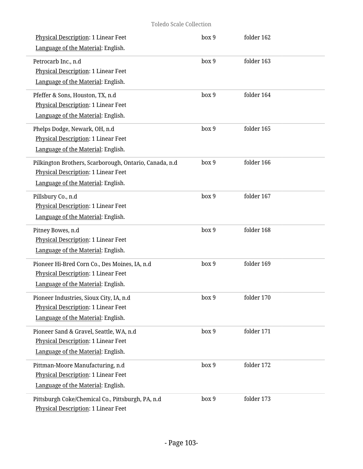| Physical Description: 1 Linear Feet                                                      | box 9 | folder 162 |  |
|------------------------------------------------------------------------------------------|-------|------------|--|
| Language of the Material: English.                                                       |       |            |  |
| Petrocarb Inc., n.d                                                                      | box 9 | folder 163 |  |
| <b>Physical Description: 1 Linear Feet</b>                                               |       |            |  |
| Language of the Material: English.                                                       |       |            |  |
| Pfeffer & Sons, Houston, TX, n.d                                                         | box 9 | folder 164 |  |
| <b>Physical Description: 1 Linear Feet</b>                                               |       |            |  |
| Language of the Material: English.                                                       |       |            |  |
| Phelps Dodge, Newark, OH, n.d                                                            | box 9 | folder 165 |  |
| Physical Description: 1 Linear Feet                                                      |       |            |  |
| Language of the Material: English.                                                       |       |            |  |
| Pilkington Brothers, Scarborough, Ontario, Canada, n.d                                   | box 9 | folder 166 |  |
| <b>Physical Description: 1 Linear Feet</b>                                               |       |            |  |
| Language of the Material: English.                                                       |       |            |  |
| Pillsbury Co., n.d                                                                       | box 9 | folder 167 |  |
| Physical Description: 1 Linear Feet                                                      |       |            |  |
| Language of the Material: English.                                                       |       |            |  |
| Pitney Bowes, n.d                                                                        | box 9 | folder 168 |  |
| Physical Description: 1 Linear Feet                                                      |       |            |  |
| Language of the Material: English.                                                       |       |            |  |
| Pioneer Hi-Bred Corn Co., Des Moines, IA, n.d                                            | box 9 | folder 169 |  |
| Physical Description: 1 Linear Feet                                                      |       |            |  |
| Language of the Material: English.                                                       |       |            |  |
| Pioneer Industries, Sioux City, IA, n.d                                                  | box 9 | folder 170 |  |
| Physical Description: 1 Linear Feet                                                      |       |            |  |
| Language of the Material: English.                                                       |       |            |  |
| Pioneer Sand & Gravel, Seattle, WA, n.d                                                  | box 9 | folder 171 |  |
| Physical Description: 1 Linear Feet                                                      |       |            |  |
| Language of the Material: English.                                                       |       |            |  |
| Pittman-Moore Manufacturing, n.d                                                         | box 9 | folder 172 |  |
| Physical Description: 1 Linear Feet                                                      |       |            |  |
| Language of the Material: English.                                                       |       |            |  |
| Pittsburgh Coke/Chemical Co., Pittsburgh, PA, n.d<br>Physical Description: 1 Linear Feet | box 9 | folder 173 |  |
|                                                                                          |       |            |  |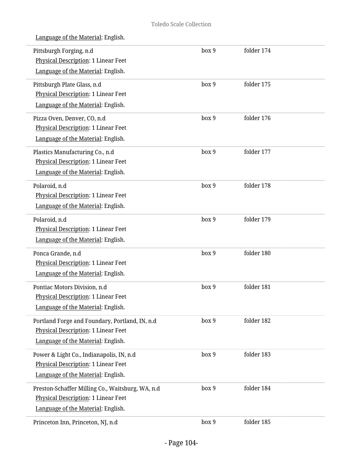| Language of the Material: English. |  |
|------------------------------------|--|
|                                    |  |

| Pittsburgh Forging, n.d<br><b>Physical Description: 1 Linear Feet</b><br>Language of the Material: English.                   | box 9 | folder 174   |  |
|-------------------------------------------------------------------------------------------------------------------------------|-------|--------------|--|
| Pittsburgh Plate Glass, n.d<br>Physical Description: 1 Linear Feet<br>Language of the Material: English.                      | box 9 | folder 175   |  |
| Pizza Oven, Denver, CO, n.d<br>Physical Description: 1 Linear Feet<br>Language of the Material: English.                      | box 9 | folder 176   |  |
| Plastics Manufacturing Co., n.d<br><b>Physical Description: 1 Linear Feet</b><br>Language of the Material: English.           | box 9 | folder 177   |  |
| Polaroid, n.d<br>Physical Description: 1 Linear Feet<br>Language of the Material: English.                                    | box 9 | folder 178   |  |
| Polaroid, n.d<br>Physical Description: 1 Linear Feet<br>Language of the Material: English.                                    | box 9 | folder 179   |  |
| Ponca Grande, n.d<br>Physical Description: 1 Linear Feet<br>Language of the Material: English.                                | box 9 | folder 180   |  |
| Pontiac Motors Division, n.d<br>Physical Description: 1 Linear Feet<br>Language of the Material: English.                     | box 9 | folder 181   |  |
| Portland Forge and Foundary, Portland, IN, n.d<br>Physical Description: 1 Linear Feet<br>Language of the Material: English.   | box 9 | folder 182   |  |
| Power & Light Co., Indianapolis, IN, n.d<br>Physical Description: 1 Linear Feet<br>Language of the Material: English.         | box 9 | folder 183   |  |
| Preston-Schaffer Milling Co., Waitsburg, WA, n.d<br>Physical Description: 1 Linear Feet<br>Language of the Material: English. | box 9 | folder $184$ |  |
| Princeton Inn, Princeton, NJ, n.d                                                                                             | box 9 | folder 185   |  |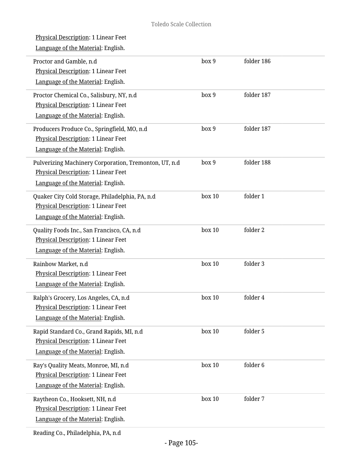L

i.

i,

i.

i.

L.

i,

L.

| <b>Physical Description: 1 Linear Feet</b><br>Language of the Material: English.                                                          |        |            |
|-------------------------------------------------------------------------------------------------------------------------------------------|--------|------------|
| Proctor and Gamble, n.d<br>Physical Description: 1 Linear Feet<br>Language of the Material: English.                                      | box 9  | folder 186 |
| Proctor Chemical Co., Salisbury, NY, n.d<br>Physical Description: 1 Linear Feet<br>Language of the Material: English.                     | box 9  | folder 187 |
| Producers Produce Co., Springfield, MO, n.d<br>Physical Description: 1 Linear Feet<br>Language of the Material: English.                  | box 9  | folder 187 |
| Pulverizing Machinery Corporation, Tremonton, UT, n.d<br><b>Physical Description: 1 Linear Feet</b><br>Language of the Material: English. | box 9  | folder 188 |
| Quaker City Cold Storage, Philadelphia, PA, n.d<br>Physical Description: 1 Linear Feet<br>Language of the Material: English.              | box 10 | folder 1   |
| Quality Foods Inc., San Francisco, CA, n.d<br>Physical Description: 1 Linear Feet<br>Language of the Material: English.                   | box 10 | folder 2   |
| Rainbow Market, n.d<br>Physical Description: 1 Linear Feet<br>Language of the Material: English.                                          | box 10 | folder 3   |
| Ralph's Grocery, Los Angeles, CA, n.d<br><b>Physical Description: 1 Linear Feet</b><br>Language of the Material: English.                 | box 10 | folder 4   |
| Rapid Standard Co., Grand Rapids, MI, n.d<br>Physical Description: 1 Linear Feet<br>Language of the Material: English.                    | box 10 | folder 5   |
| Ray's Quality Meats, Monroe, MI, n.d<br>Physical Description: 1 Linear Feet<br>Language of the Material: English.                         | box 10 | folder 6   |
| Raytheon Co., Hooksett, NH, n.d<br>Physical Description: 1 Linear Feet<br>Language of the Material: English.                              | box 10 | folder 7   |
| Reading Co., Philadelphia, PA, n.d                                                                                                        |        |            |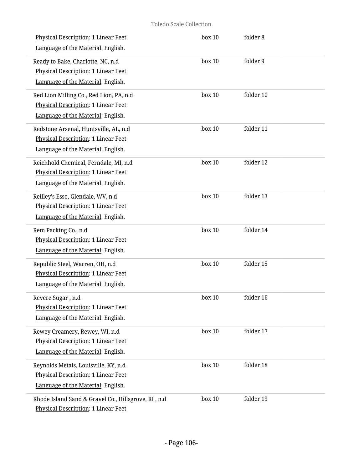| Physical Description: 1 Linear Feet<br>Language of the Material: English.                                                 | box 10         | folder 8  |  |
|---------------------------------------------------------------------------------------------------------------------------|----------------|-----------|--|
| Ready to Bake, Charlotte, NC, n.d<br>Physical Description: 1 Linear Feet<br>Language of the Material: English.            | box 10         | folder 9  |  |
| Red Lion Milling Co., Red Lion, PA, n.d<br>Physical Description: 1 Linear Feet<br>Language of the Material: English.      | box 10         | folder 10 |  |
| Redstone Arsenal, Huntsville, AL, n.d<br>Physical Description: 1 Linear Feet<br>Language of the Material: English.        | box 10         | folder 11 |  |
| Reichhold Chemical, Ferndale, MI, n.d<br><b>Physical Description: 1 Linear Feet</b><br>Language of the Material: English. | box 10         | folder 12 |  |
| Reilley's Esso, Glendale, WV, n.d<br>Physical Description: 1 Linear Feet<br>Language of the Material: English.            | box 10         | folder 13 |  |
| Rem Packing Co., n.d<br>Physical Description: 1 Linear Feet<br>Language of the Material: English.                         | box 10         | folder 14 |  |
| Republic Steel, Warren, OH, n.d<br>Physical Description: 1 Linear Feet<br>Language of the Material: English.              | box 10         | folder 15 |  |
| Revere Sugar, n.d<br>Physical Description: 1 Linear Feet<br>Language of the Material: English.                            | $\rm box$ $10$ | folder 16 |  |
| Rewey Creamery, Rewey, WI, n.d<br><b>Physical Description: 1 Linear Feet</b><br>Language of the Material: English.        | box 10         | folder 17 |  |
| Reynolds Metals, Louisville, KY, n.d<br>Physical Description: 1 Linear Feet<br>Language of the Material: English.         | box 10         | folder 18 |  |
| Rhode Island Sand & Gravel Co., Hillsgrove, RI, n.d<br>Physical Description: 1 Linear Feet                                | box 10         | folder 19 |  |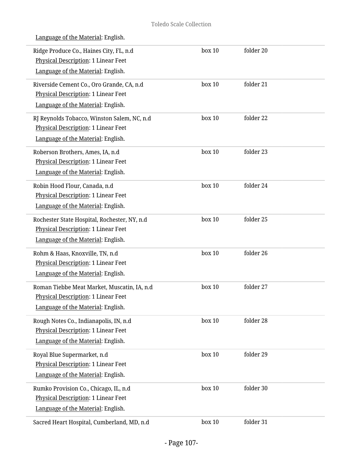| Ridge Produce Co., Haines City, FL, n.d<br><b>Physical Description: 1 Linear Feet</b> | box 10 | folder 20 |  |
|---------------------------------------------------------------------------------------|--------|-----------|--|
| Language of the Material: English.                                                    |        |           |  |
| Riverside Cement Co., Oro Grande, CA, n.d                                             | box 10 | folder 21 |  |
| Physical Description: 1 Linear Feet                                                   |        |           |  |
| Language of the Material: English.                                                    |        |           |  |
| RJ Reynolds Tobacco, Winston Salem, NC, n.d                                           | box 10 | folder 22 |  |
| <b>Physical Description: 1 Linear Feet</b>                                            |        |           |  |
| Language of the Material: English.                                                    |        |           |  |
| Roberson Brothers, Ames, IA, n.d                                                      | box 10 | folder 23 |  |
| Physical Description: 1 Linear Feet                                                   |        |           |  |
| Language of the Material: English.                                                    |        |           |  |
| Robin Hood Flour, Canada, n.d                                                         | box 10 | folder 24 |  |
| <b>Physical Description: 1 Linear Feet</b>                                            |        |           |  |
| Language of the Material: English.                                                    |        |           |  |
| Rochester State Hospital, Rochester, NY, n.d                                          | box 10 | folder 25 |  |
| Physical Description: 1 Linear Feet                                                   |        |           |  |
| Language of the Material: English.                                                    |        |           |  |
| Rohm & Haas, Knoxville, TN, n.d                                                       | box 10 | folder 26 |  |
| Physical Description: 1 Linear Feet                                                   |        |           |  |
| Language of the Material: English.                                                    |        |           |  |
| Roman Tiebbe Meat Market, Muscatin, IA, n.d                                           | box 10 | folder 27 |  |
| Physical Description: 1 Linear Feet                                                   |        |           |  |
| Language of the Material: English.                                                    |        |           |  |
| Rough Notes Co., Indianapolis, IN, n.d                                                | box 10 | folder 28 |  |
| Physical Description: 1 Linear Feet                                                   |        |           |  |
| Language of the Material: English.                                                    |        |           |  |
| Royal Blue Supermarket, n.d                                                           | box 10 | folder 29 |  |
| <b>Physical Description: 1 Linear Feet</b>                                            |        |           |  |
| Language of the Material: English.                                                    |        |           |  |
| Rumko Provision Co., Chicago, IL, n.d                                                 | box 10 | folder 30 |  |
| Physical Description: 1 Linear Feet                                                   |        |           |  |
| Language of the Material: English.                                                    |        |           |  |
| Sacred Heart Hospital, Cumberland, MD, n.d                                            | box 10 | folder 31 |  |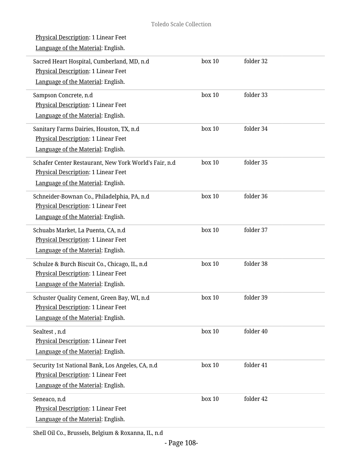| <u>Physical Description</u> : 1 Linear Feet<br>Language of the Material: English.                                                  |        |           |
|------------------------------------------------------------------------------------------------------------------------------------|--------|-----------|
| Sacred Heart Hospital, Cumberland, MD, n.d<br><b>Physical Description: 1 Linear Feet</b><br>Language of the Material: English.     | box 10 | folder 32 |
| Sampson Concrete, n.d<br>Physical Description: 1 Linear Feet<br>Language of the Material: English.                                 | box 10 | folder 33 |
| Sanitary Farms Dairies, Houston, TX, n.d<br>Physical Description: 1 Linear Feet<br>Language of the Material: English.              | box 10 | folder 34 |
| Schafer Center Restaurant, New York World's Fair, n.d<br>Physical Description: 1 Linear Feet<br>Language of the Material: English. | box 10 | folder 35 |
| Schneider-Bownan Co., Philadelphia, PA, n.d<br>Physical Description: 1 Linear Feet<br>Language of the Material: English.           | box 10 | folder 36 |
| Schuabs Market, La Puenta, CA, n.d<br>Physical Description: 1 Linear Feet<br>Language of the Material: English.                    | box 10 | folder 37 |
| Schulze & Burch Biscuit Co., Chicago, IL, n.d<br>Physical Description: 1 Linear Feet<br>Language of the Material: English.         | box 10 | folder 38 |
| Schuster Quality Cement, Green Bay, WI, n.d<br><b>Physical Description: 1 Linear Feet</b><br>Language of the Material: English.    | box 10 | folder 39 |
| Sealtest, n.d<br>Physical Description: 1 Linear Feet<br>Language of the Material: English.                                         | box 10 | folder 40 |
| Security 1st National Bank, Los Angeles, CA, n.d<br>Physical Description: 1 Linear Feet<br>Language of the Material: English.      | box 10 | folder 41 |
| Seneaco, n.d<br>Physical Description: 1 Linear Feet<br>Language of the Material: English.                                          | box 10 | folder 42 |

Shell Oil Co., Brussels, Belgium & Roxanna, IL, n.d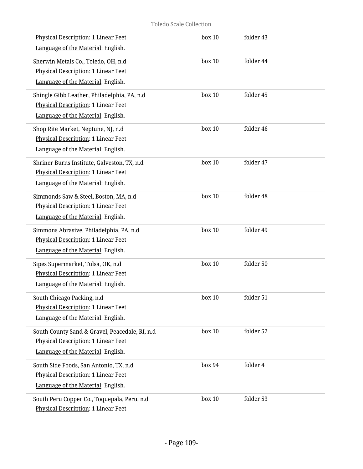# Toledo Scale Collection

| Physical Description: 1 Linear Feet<br>Language of the Material: English.                                                   | box 10 | folder 43 |  |
|-----------------------------------------------------------------------------------------------------------------------------|--------|-----------|--|
| Sherwin Metals Co., Toledo, OH, n.d<br><b>Physical Description: 1 Linear Feet</b><br>Language of the Material: English.     | box 10 | folder 44 |  |
| Shingle Gibb Leather, Philadelphia, PA, n.d<br>Physical Description: 1 Linear Feet<br>Language of the Material: English.    | box 10 | folder 45 |  |
| Shop Rite Market, Neptune, NJ, n.d<br>Physical Description: 1 Linear Feet<br>Language of the Material: English.             | box 10 | folder 46 |  |
| Shriner Burns Institute, Galveston, TX, n.d<br>Physical Description: 1 Linear Feet<br>Language of the Material: English.    | box 10 | folder 47 |  |
| Simmonds Saw & Steel, Boston, MA, n.d<br>Physical Description: 1 Linear Feet<br>Language of the Material: English.          | box 10 | folder 48 |  |
| Simmons Abrasive, Philadelphia, PA, n.d<br>Physical Description: 1 Linear Feet<br>Language of the Material: English.        | box 10 | folder 49 |  |
| Sipes Supermarket, Tulsa, OK, n.d<br><b>Physical Description: 1 Linear Feet</b><br>Language of the Material: English.       | box 10 | folder 50 |  |
| South Chicago Packing, n.d<br>Physical Description: 1 Linear Feet<br>Language of the Material: English.                     | box 10 | folder 51 |  |
| South County Sand & Gravel, Peacedale, RI, n.d<br>Physical Description: 1 Linear Feet<br>Language of the Material: English. | box 10 | folder 52 |  |
| South Side Foods, San Antonio, TX, n.d<br><b>Physical Description: 1 Linear Feet</b><br>Language of the Material: English.  | box 94 | folder 4  |  |
| South Peru Copper Co., Toquepala, Peru, n.d<br>Physical Description: 1 Linear Feet                                          | box 10 | folder 53 |  |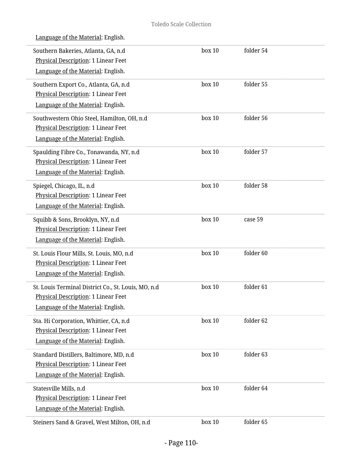| Language of the Material: English. |
|------------------------------------|
|                                    |

| Southern Bakeries, Atlanta, GA, n.d<br><b>Physical Description: 1 Linear Feet</b><br>Language of the Material: English.          | box 10 | folder 54 |
|----------------------------------------------------------------------------------------------------------------------------------|--------|-----------|
| Southern Export Co., Atlanta, GA, n.d<br>Physical Description: 1 Linear Feet<br>Language of the Material: English.               | box 10 | folder 55 |
| Southwestern Ohio Steel, Hamilton, OH, n.d<br><b>Physical Description: 1 Linear Feet</b><br>Language of the Material: English.   | box 10 | folder 56 |
| Spaulding Fibre Co., Tonawanda, NY, n.d<br><b>Physical Description: 1 Linear Feet</b><br>Language of the Material: English.      | box 10 | folder 57 |
| Spiegel, Chicago, IL, n.d<br>Physical Description: 1 Linear Feet<br>Language of the Material: English.                           | box 10 | folder 58 |
| Squibb & Sons, Brooklyn, NY, n.d<br>Physical Description: 1 Linear Feet<br>Language of the Material: English.                    | box 10 | case 59   |
| St. Louis Flour Mills, St. Louis, MO, n.d<br>Physical Description: 1 Linear Feet<br>Language of the Material: English.           | box 10 | folder 60 |
| St. Louis Terminal District Co., St. Louis, MO, n.d<br>Physical Description: 1 Linear Feet<br>Language of the Material: English. | box 10 | folder 61 |
| Sta. Hi Corporation, Whittier, CA, n.d.<br>Physical Description: 1 Linear Feet<br>Language of the Material: English.             | box 10 | folder 62 |
| Standard Distillers, Baltimore, MD, n.d<br>Physical Description: 1 Linear Feet<br>Language of the Material: English.             | box 10 | folder 63 |
| Statesville Mills, n.d<br>Physical Description: 1 Linear Feet<br>Language of the Material: English.                              | box 10 | folder 64 |
| Steiners Sand & Gravel, West Milton, OH, n.d                                                                                     | box 10 | folder 65 |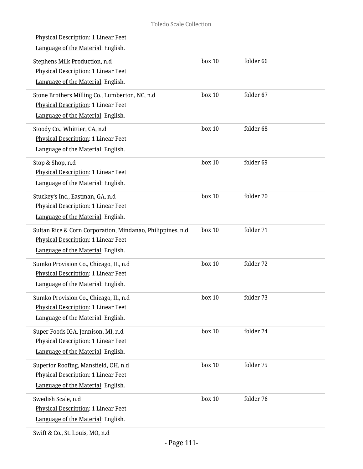| Physical Description: 1 Linear Feet<br>Language of the Material: English.                                                               |        |           |
|-----------------------------------------------------------------------------------------------------------------------------------------|--------|-----------|
| Stephens Milk Production, n.d<br>Physical Description: 1 Linear Feet<br>Language of the Material: English.                              | box 10 | folder 66 |
| Stone Brothers Milling Co., Lumberton, NC, n.d<br>Physical Description: 1 Linear Feet<br>Language of the Material: English.             | box 10 | folder 67 |
| Stoody Co., Whittier, CA, n.d<br>Physical Description: 1 Linear Feet<br>Language of the Material: English.                              | box 10 | folder 68 |
| Stop & Shop, n.d<br>Physical Description: 1 Linear Feet<br>Language of the Material: English.                                           | box 10 | folder 69 |
| Stuckey's Inc., Eastman, GA, n.d<br>Physical Description: 1 Linear Feet<br>Language of the Material: English.                           | box 10 | folder 70 |
| Sultan Rice & Corn Corporation, Mindanao, Philippines, n.d<br>Physical Description: 1 Linear Feet<br>Language of the Material: English. | box 10 | folder 71 |
| Sumko Provision Co., Chicago, IL, n.d<br>Physical Description: 1 Linear Feet<br>Language of the Material: English.                      | box 10 | folder 72 |
| Sumko Provision Co., Chicago, IL, n.d<br>Physical Description: 1 Linear Feet<br>Language of the Material: English.                      | box 10 | folder 73 |
| Super Foods IGA, Jennison, MI, n.d<br>Physical Description: 1 Linear Feet<br>Language of the Material: English.                         | box 10 | folder 74 |
| Superior Roofing, Mansfield, OH, n.d<br>Physical Description: 1 Linear Feet<br>Language of the Material: English.                       | box 10 | folder 75 |
| Swedish Scale, n.d<br>Physical Description: 1 Linear Feet<br>Language of the Material: English.                                         | box 10 | folder 76 |
|                                                                                                                                         |        |           |

Swift & Co., St. Louis, MO, n.d

 $\overline{a}$ 

i,

 $\overline{a}$ 

i,

L

i,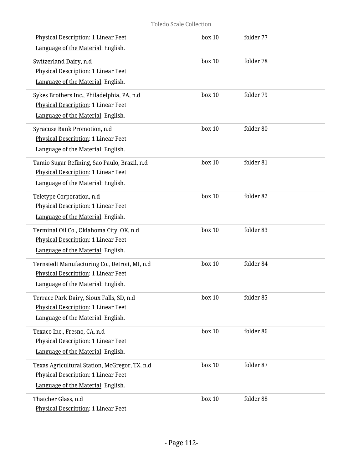| <b>Physical Description: 1 Linear Feet</b><br>Language of the Material: English.                                               | box 10 | folder 77 |  |
|--------------------------------------------------------------------------------------------------------------------------------|--------|-----------|--|
| Switzerland Dairy, n.d<br>Physical Description: 1 Linear Feet<br>Language of the Material: English.                            | box 10 | folder 78 |  |
| Sykes Brothers Inc., Philadelphia, PA, n.d<br><b>Physical Description: 1 Linear Feet</b><br>Language of the Material: English. | box 10 | folder 79 |  |
| Syracuse Bank Promotion, n.d<br>Physical Description: 1 Linear Feet<br>Language of the Material: English.                      | box 10 | folder 80 |  |
| Tamio Sugar Refining, Sao Paulo, Brazil, n.d<br>Physical Description: 1 Linear Feet<br>Language of the Material: English.      | box 10 | folder 81 |  |
| Teletype Corporation, n.d<br>Physical Description: 1 Linear Feet<br>Language of the Material: English.                         | box 10 | folder 82 |  |
| Terminal Oil Co., Oklahoma City, OK, n.d<br>Physical Description: 1 Linear Feet<br>Language of the Material: English.          | box 10 | folder 83 |  |
| Ternstedt Manufacturing Co., Detroit, MI, n.d<br>Physical Description: 1 Linear Feet<br>Language of the Material: English.     | box 10 | folder 84 |  |
| Terrace Park Dairy, Sioux Falls, SD, n.d<br>Physical Description: 1 Linear Feet<br>Language of the Material: English.          | box 10 | folder 85 |  |
| Texaco Inc., Fresno, CA, n.d<br>Physical Description: 1 Linear Feet<br>Language of the Material: English.                      | box 10 | folder 86 |  |
| Texas Agricultural Station, McGregor, TX, n.d<br>Physical Description: 1 Linear Feet<br>Language of the Material: English.     | box 10 | folder 87 |  |
| Thatcher Glass, n.d<br>Physical Description: 1 Linear Feet                                                                     | box 10 | folder 88 |  |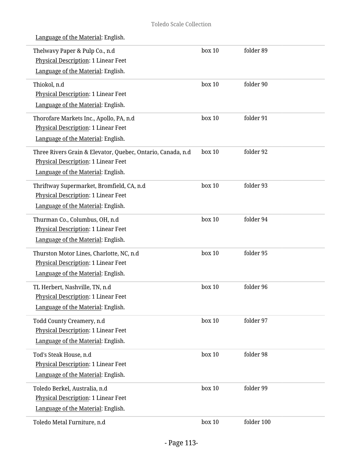| Thelwavy Paper & Pulp Co., n.d<br>Physical Description: 1 Linear Feet<br>Language of the Material: English.                              | box 10 | folder 89  |
|------------------------------------------------------------------------------------------------------------------------------------------|--------|------------|
| Thiokol, n.d<br>Physical Description: 1 Linear Feet<br>Language of the Material: English.                                                | box 10 | folder 90  |
| Thorofare Markets Inc., Apollo, PA, n.d<br>Physical Description: 1 Linear Feet<br>Language of the Material: English.                     | box 10 | folder 91  |
| Three Rivers Grain & Elevator, Quebec, Ontario, Canada, n.d<br>Physical Description: 1 Linear Feet<br>Language of the Material: English. | box 10 | folder 92  |
| Thriftway Supermarket, Bromfield, CA, n.d<br>Physical Description: 1 Linear Feet<br>Language of the Material: English.                   | box 10 | folder 93  |
| Thurman Co., Columbus, OH, n.d<br>Physical Description: 1 Linear Feet<br>Language of the Material: English.                              | box 10 | folder 94  |
| Thurston Motor Lines, Charlotte, NC, n.d<br>Physical Description: 1 Linear Feet<br>Language of the Material: English.                    | box 10 | folder 95  |
| TL Herbert, Nashville, TN, n.d<br><b>Physical Description: 1 Linear Feet</b><br>Language of the Material: English.                       | box 10 | folder 96  |
| Todd County Creamery, n.d<br>Physical Description: 1 Linear Feet<br>Language of the Material: English.                                   | box 10 | folder 97  |
| Tod's Steak House, n.d<br>Physical Description: 1 Linear Feet<br>Language of the Material: English.                                      | box 10 | folder 98  |
| Toledo Berkel, Australia, n.d<br>Physical Description: 1 Linear Feet<br>Language of the Material: English.                               | box 10 | folder 99  |
| Toledo Metal Furniture, n.d                                                                                                              | box 10 | folder 100 |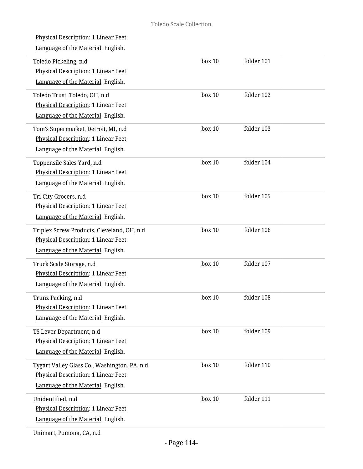| <b>Physical Description: 1 Linear Feet</b><br>Language of the Material: English.                                          |           |            |
|---------------------------------------------------------------------------------------------------------------------------|-----------|------------|
| Toledo Pickeling, n.d<br>Physical Description: 1 Linear Feet<br>Language of the Material: English.                        | box 10    | folder 101 |
| Toledo Trust, Toledo, OH, n.d<br>Physical Description: 1 Linear Feet<br>Language of the Material: English.                | box 10    | folder 102 |
| Tom's Supermarket, Detroit, MI, n.d<br>Physical Description: 1 Linear Feet<br>Language of the Material: English.          | box 10    | folder 103 |
| Toppensile Sales Yard, n.d<br>Physical Description: 1 Linear Feet<br>Language of the Material: English.                   | box 10    | folder 104 |
| Tri-City Grocers, n.d<br>Physical Description: 1 Linear Feet<br>Language of the Material: English.                        | box 10    | folder 105 |
| Triplex Screw Products, Cleveland, OH, n.d<br>Physical Description: 1 Linear Feet<br>Language of the Material: English.   | box 10    | folder 106 |
| Truck Scale Storage, n.d<br><b>Physical Description: 1 Linear Feet</b><br>Language of the Material: English.              | box 10    | folder 107 |
| Trunz Packing, n.d<br><b>Physical Description: 1 Linear Feet</b><br>Language of the Material: English.                    | $h$ ox 10 | folder 108 |
| TS Lever Department, n.d<br>Physical Description: 1 Linear Feet<br>Language of the Material: English.                     | box 10    | folder 109 |
| Tygart Valley Glass Co., Washington, PA, n.d<br>Physical Description: 1 Linear Feet<br>Language of the Material: English. | box 10    | folder 110 |
| Unidentified, n.d<br>Physical Description: 1 Linear Feet<br>Language of the Material: English.                            | box 10    | folder 111 |
|                                                                                                                           |           |            |

Unimart, Pomona, CA, n.d

L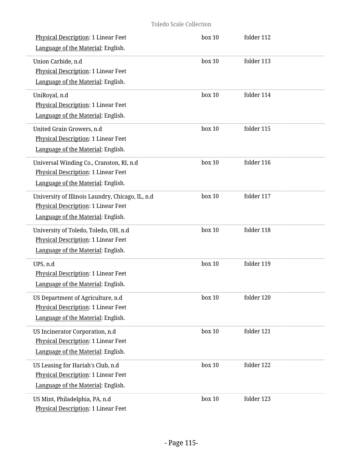| Physical Description: 1 Linear Feet<br>Language of the Material: English.                                                     | box 10 | folder 112 |  |
|-------------------------------------------------------------------------------------------------------------------------------|--------|------------|--|
| Union Carbide, n.d<br>Physical Description: 1 Linear Feet<br>Language of the Material: English.                               | box 10 | folder 113 |  |
| UniRoyal, n.d<br>Physical Description: 1 Linear Feet<br>Language of the Material: English.                                    | box 10 | folder 114 |  |
| United Grain Growers, n.d<br>Physical Description: 1 Linear Feet<br>Language of the Material: English.                        | box 10 | folder 115 |  |
| Universal Winding Co., Cranston, RI, n.d<br>Physical Description: 1 Linear Feet<br>Language of the Material: English.         | box 10 | folder 116 |  |
| University of Illinois Laundry, Chicago, IL, n.d<br>Physical Description: 1 Linear Feet<br>Language of the Material: English. | box 10 | folder 117 |  |
| University of Toledo, Toledo, OH, n.d<br>Physical Description: 1 Linear Feet<br>Language of the Material: English.            | box 10 | folder 118 |  |
| UPS, n.d<br>Physical Description: 1 Linear Feet<br>Language of the Material: English.                                         | box 10 | folder 119 |  |
| US Department of Agriculture, n.d<br><b>Physical Description: 1 Linear Feet</b><br>Language of the Material: English.         | box 10 | folder 120 |  |
| US Incinerator Corporation, n.d<br>Physical Description: 1 Linear Feet<br>Language of the Material: English.                  | box 10 | folder 121 |  |
| US Leasing for Hariah's Club, n.d<br>Physical Description: 1 Linear Feet<br>Language of the Material: English.                | box 10 | folder 122 |  |
| US Mint, Philadelphia, PA, n.d<br>Physical Description: 1 Linear Feet                                                         | box 10 | folder 123 |  |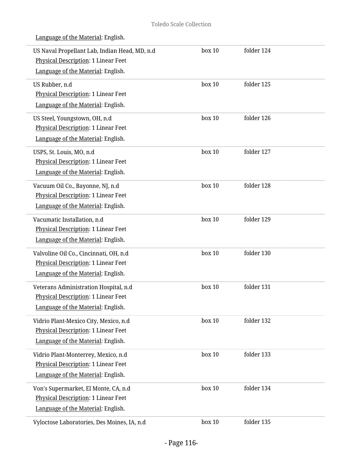| US Naval Propellant Lab, Indian Head, MD, n.d<br>Physical Description: 1 Linear Feet<br>Language of the Material: English. | box 10 | folder 124 |  |
|----------------------------------------------------------------------------------------------------------------------------|--------|------------|--|
| US Rubber, n.d<br>Physical Description: 1 Linear Feet<br>Language of the Material: English.                                | box 10 | folder 125 |  |
| US Steel, Youngstown, OH, n.d<br><b>Physical Description: 1 Linear Feet</b><br>Language of the Material: English.          | box 10 | folder 126 |  |
| USPS, St. Louis, MO, n.d<br>Physical Description: 1 Linear Feet<br>Language of the Material: English.                      | box 10 | folder 127 |  |
| Vacuum Oil Co., Bayonne, NJ, n.d<br>Physical Description: 1 Linear Feet<br>Language of the Material: English.              | box 10 | folder 128 |  |
| Vacumatic Installation, n.d<br>Physical Description: 1 Linear Feet<br>Language of the Material: English.                   | box 10 | folder 129 |  |
| Valvoline Oil Co., Cincinnati, OH, n.d<br>Physical Description: 1 Linear Feet<br>Language of the Material: English.        | box 10 | folder 130 |  |
| Veterans Administration Hospital, n.d<br>Physical Description: 1 Linear Feet<br>Language of the Material: English.         | box 10 | folder 131 |  |
| Vidrio Plant-Mexico City, Mexico, n.d<br>Physical Description: 1 Linear Feet<br>Language of the Material: English.         | box 10 | folder 132 |  |
| Vidrio Plant-Monterrey, Mexico, n.d<br>Physical Description: 1 Linear Feet<br>Language of the Material: English.           | box 10 | folder 133 |  |
| Von's Supermarket, El Monte, CA, n.d<br>Physical Description: 1 Linear Feet<br>Language of the Material: English.          | box 10 | folder 134 |  |
| Vyloctose Laboratories, Des Moines, IA, n.d                                                                                | box 10 | folder 135 |  |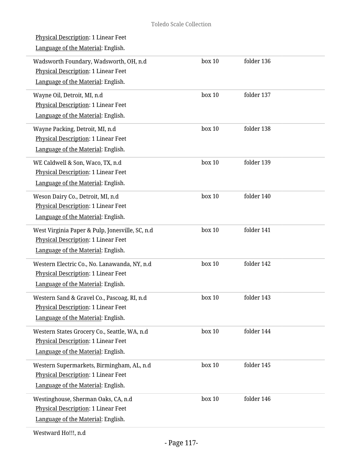| <u>Physical Description</u> : 1 Linear Feet<br>Language of the Material: English.                                            |        |            |  |
|------------------------------------------------------------------------------------------------------------------------------|--------|------------|--|
| Wadsworth Foundary, Wadsworth, OH, n.d<br>Physical Description: 1 Linear Feet<br>Language of the Material: English.          | box 10 | folder 136 |  |
| Wayne Oil, Detroit, MI, n.d<br><b>Physical Description: 1 Linear Feet</b><br>Language of the Material: English.              | box 10 | folder 137 |  |
| Wayne Packing, Detroit, MI, n.d<br>Physical Description: 1 Linear Feet<br>Language of the Material: English.                 | box 10 | folder 138 |  |
| WE Caldwell & Son, Waco, TX, n.d<br>Physical Description: 1 Linear Feet<br>Language of the Material: English.                | box 10 | folder 139 |  |
| Weson Dairy Co., Detroit, MI, n.d<br>Physical Description: 1 Linear Feet<br>Language of the Material: English.               | box 10 | folder 140 |  |
| West Virginia Paper & Pulp, Jonesville, SC, n.d<br>Physical Description: 1 Linear Feet<br>Language of the Material: English. | box 10 | folder 141 |  |
| Western Electric Co., No. Lanawanda, NY, n.d<br>Physical Description: 1 Linear Feet<br>Language of the Material: English.    | box 10 | folder 142 |  |
| Western Sand & Gravel Co., Pascoag, RI, n.d<br>Physical Description: 1 Linear Feet<br>Language of the Material: English.     | box 10 | folder 143 |  |
| Western States Grocery Co., Seattle, WA, n.d<br>Physical Description: 1 Linear Feet<br>Language of the Material: English.    | box 10 | folder 144 |  |
| Western Supermarkets, Birmingham, AL, n.d<br>Physical Description: 1 Linear Feet<br>Language of the Material: English.       | box 10 | folder 145 |  |
| Westinghouse, Sherman Oaks, CA, n.d<br>Physical Description: 1 Linear Feet<br>Language of the Material: English.             | box 10 | folder 146 |  |
|                                                                                                                              |        |            |  |

Westward Ho!!!, n.d

i.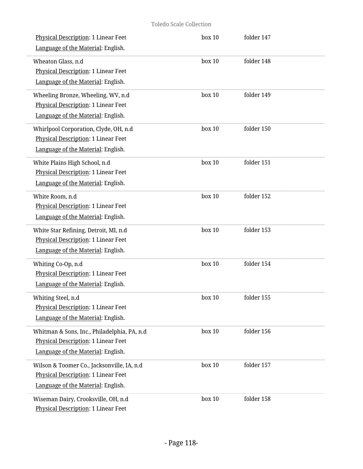# Toledo Scale Collection

| Physical Description: 1 Linear Feet<br>Language of the Material: English.                                                      | box 10 | folder 147 |  |
|--------------------------------------------------------------------------------------------------------------------------------|--------|------------|--|
| Wheaton Glass, n.d<br><b>Physical Description: 1 Linear Feet</b><br>Language of the Material: English.                         | box 10 | folder 148 |  |
| Wheeling Bronze, Wheeling, WV, n.d<br>Physical Description: 1 Linear Feet<br>Language of the Material: English.                | box 10 | folder 149 |  |
| Whirlpool Corporation, Clyde, OH, n.d<br>Physical Description: 1 Linear Feet<br>Language of the Material: English.             | box 10 | folder 150 |  |
| White Plains High School, n.d<br>Physical Description: 1 Linear Feet<br>Language of the Material: English.                     | box 10 | folder 151 |  |
| White Room, n.d<br>Physical Description: 1 Linear Feet<br>Language of the Material: English.                                   | box 10 | folder 152 |  |
| White Star Refining, Detroit, MI, n.d<br>Physical Description: 1 Linear Feet<br>Language of the Material: English.             | box 10 | folder 153 |  |
| Whiting Co-Op, n.d<br>Physical Description: 1 Linear Feet<br>Language of the Material: English.                                | box 10 | folder 154 |  |
| Whiting Steel, n.d<br>Physical Description: 1 Linear Feet<br>Language of the Material: English.                                | box 10 | folder 155 |  |
| Whitman & Sons, Inc., Philadelphia, PA, n.d<br>Physical Description: 1 Linear Feet<br>Language of the Material: English.       | box 10 | folder 156 |  |
| Wilson & Toomer Co., Jacksonville, IA, n.d<br><b>Physical Description: 1 Linear Feet</b><br>Language of the Material: English. | box 10 | folder 157 |  |
| Wiseman Dairy, Crooksville, OH, n.d<br>Physical Description: 1 Linear Feet                                                     | box 10 | folder 158 |  |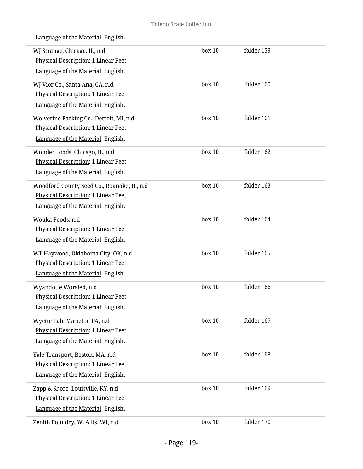|  | Language of the Material: English. |  |
|--|------------------------------------|--|
|  |                                    |  |

| WJ Strange, Chicago, IL, n.d<br>Physical Description: 1 Linear Feet | box 10 | folder 159 |  |
|---------------------------------------------------------------------|--------|------------|--|
| Language of the Material: English.                                  |        |            |  |
| WJ Vior Co., Santa Ana, CA, n.d                                     | box 10 | folder 160 |  |
| Physical Description: 1 Linear Feet                                 |        |            |  |
| Language of the Material: English.                                  |        |            |  |
| Wolverine Packing Co., Detroit, MI, n.d                             | box 10 | folder 161 |  |
| <b>Physical Description: 1 Linear Feet</b>                          |        |            |  |
| Language of the Material: English.                                  |        |            |  |
| Wonder Foods, Chicago, IL, n.d                                      | box 10 | folder 162 |  |
| Physical Description: 1 Linear Feet                                 |        |            |  |
| Language of the Material: English.                                  |        |            |  |
| Woodford County Seed Co., Roanoke, IL, n.d                          | box 10 | folder 163 |  |
| Physical Description: 1 Linear Feet                                 |        |            |  |
| Language of the Material: English.                                  |        |            |  |
| Wouka Foods, n.d                                                    | box 10 | folder 164 |  |
| Physical Description: 1 Linear Feet                                 |        |            |  |
| Language of the Material: English.                                  |        |            |  |
| WT Haywood, Oklahoma City, OK, n.d                                  | box 10 | folder 165 |  |
| Physical Description: 1 Linear Feet                                 |        |            |  |
| Language of the Material: English.                                  |        |            |  |
| Wyandotte Worsted, n.d                                              | box 10 | folder 166 |  |
| <b>Physical Description: 1 Linear Feet</b>                          |        |            |  |
| Language of the Material: English.                                  |        |            |  |
| Wyette Lab, Marietta, PA, n.d                                       | box 10 | folder 167 |  |
| Physical Description: 1 Linear Feet                                 |        |            |  |
| Language of the Material: English.                                  |        |            |  |
| Yale Transport, Boston, MA, n.d                                     | box 10 | folder 168 |  |
| Physical Description: 1 Linear Feet                                 |        |            |  |
| Language of the Material: English.                                  |        |            |  |
| Zapp & Shore, Louisville, KY, n.d                                   | box 10 | folder 169 |  |
| Physical Description: 1 Linear Feet                                 |        |            |  |
| Language of the Material: English.                                  |        |            |  |
| Zenith Foundry, W. Allis, WI, n.d                                   | box 10 | folder 170 |  |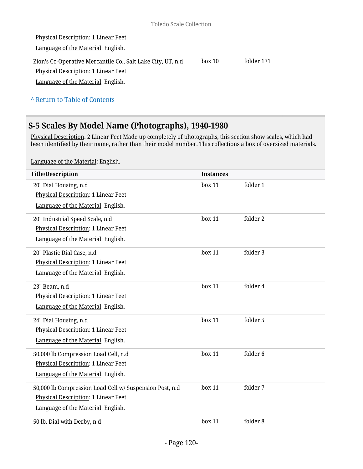| Physical Description: 1 Linear Feet                                                                                                              |        |            |  |
|--------------------------------------------------------------------------------------------------------------------------------------------------|--------|------------|--|
| Language of the Material: English.                                                                                                               |        |            |  |
| Zion's Co-Operative Mercantile Co., Salt Lake City, UT, n.d.<br><b>Physical Description: 1 Linear Feet</b><br>Language of the Material: English. | box 10 | folder 171 |  |
| A Return to Table of Contents                                                                                                                    |        |            |  |

# **S-5 Scales By Model Name (Photographs), 1940-1980**

<u>Physical Description</u>: 2 Linear Feet Made up completely of photographs, this section show scales, which had been identified by their name, rather than their model number. This collections a box of oversized materials.

| <b>Title/Description</b>                                | <b>Instances</b> |          |
|---------------------------------------------------------|------------------|----------|
| 20" Dial Housing, n.d                                   | box 11           | folder 1 |
| Physical Description: 1 Linear Feet                     |                  |          |
| Language of the Material: English.                      |                  |          |
| 20" Industrial Speed Scale, n.d                         | box 11           | folder 2 |
| Physical Description: 1 Linear Feet                     |                  |          |
| Language of the Material: English.                      |                  |          |
| 20" Plastic Dial Case, n.d                              | box 11           | folder 3 |
| Physical Description: 1 Linear Feet                     |                  |          |
| Language of the Material: English.                      |                  |          |
| 23" Beam, n.d                                           | box 11           | folder 4 |
| Physical Description: 1 Linear Feet                     |                  |          |
| Language of the Material: English.                      |                  |          |
| 24" Dial Housing, n.d                                   | box 11           | folder 5 |
| Physical Description: 1 Linear Feet                     |                  |          |
| Language of the Material: English.                      |                  |          |
| 50,000 lb Compression Load Cell, n.d                    | box 11           | folder 6 |
| Physical Description: 1 Linear Feet                     |                  |          |
| Language of the Material: English.                      |                  |          |
| 50,000 lb Compression Load Cell w/ Suspension Post, n.d | box 11           | folder 7 |
| Physical Description: 1 Linear Feet                     |                  |          |
| Language of the Material: English.                      |                  |          |
| 50 lb. Dial with Derby, n.d                             | box 11           | folder 8 |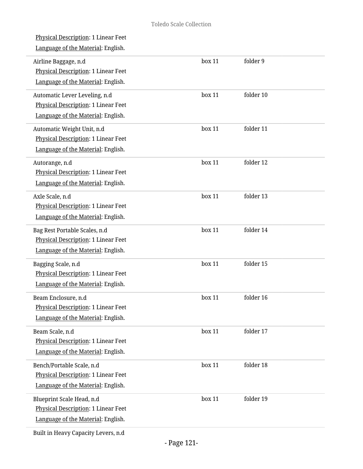L

L.

 $\overline{a}$ 

i.

L

| <u>Physical Description</u> : 1 Linear Feet<br>Language of the Material: English.                          |        |           |  |
|------------------------------------------------------------------------------------------------------------|--------|-----------|--|
| Airline Baggage, n.d<br>Physical Description: 1 Linear Feet<br>Language of the Material: English.          | box 11 | folder 9  |  |
| Automatic Lever Leveling, n.d<br>Physical Description: 1 Linear Feet<br>Language of the Material: English. | box 11 | folder 10 |  |
| Automatic Weight Unit, n.d<br>Physical Description: 1 Linear Feet<br>Language of the Material: English.    | box 11 | folder 11 |  |
| Autorange, n.d<br>Physical Description: 1 Linear Feet<br>Language of the Material: English.                | box 11 | folder 12 |  |
| Axle Scale, n.d<br>Physical Description: 1 Linear Feet<br>Language of the Material: English.               | box 11 | folder 13 |  |
| Bag Rest Portable Scales, n.d<br>Physical Description: 1 Linear Feet<br>Language of the Material: English. | box 11 | folder 14 |  |
| Bagging Scale, n.d<br>Physical Description: 1 Linear Feet<br>Language of the Material: English.            | box 11 | folder 15 |  |
| Beam Enclosure, n.d<br>Physical Description: 1 Linear Feet<br>Language of the Material: English.           | box 11 | folder 16 |  |
| Beam Scale, n.d<br>Physical Description: 1 Linear Feet<br>Language of the Material: English.               | box 11 | folder 17 |  |
| Bench/Portable Scale, n.d<br>Physical Description: 1 Linear Feet<br>Language of the Material: English.     | box 11 | folder 18 |  |
| Blueprint Scale Head, n.d<br>Physical Description: 1 Linear Feet<br>Language of the Material: English.     | box 11 | folder 19 |  |
| Built in Heavy Capacity Levers, n.d                                                                        |        |           |  |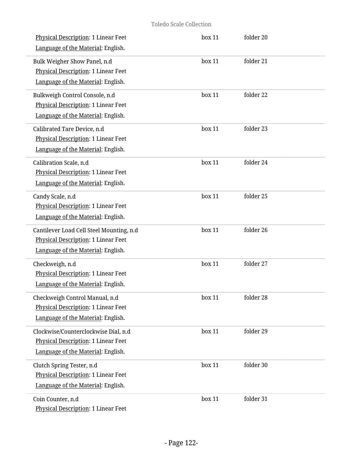#### Toledo Scale Collection

| <b>Physical Description: 1 Linear Feet</b><br>Language of the Material: English.                                      | box 11 | folder 20 |  |
|-----------------------------------------------------------------------------------------------------------------------|--------|-----------|--|
| Bulk Weigher Show Panel, n.d<br>Physical Description: 1 Linear Feet<br>Language of the Material: English.             | box 11 | folder 21 |  |
| Bulkweigh Control Console, n.d<br><b>Physical Description: 1 Linear Feet</b><br>Language of the Material: English.    | box 11 | folder 22 |  |
| Calibrated Tare Device, n.d<br>Physical Description: 1 Linear Feet<br>Language of the Material: English.              | box 11 | folder 23 |  |
| Calibration Scale, n.d<br><b>Physical Description: 1 Linear Feet</b><br>Language of the Material: English.            | box 11 | folder 24 |  |
| Candy Scale, n.d<br>Physical Description: 1 Linear Feet<br>Language of the Material: English.                         | box 11 | folder 25 |  |
| Cantilever Load Cell Steel Mounting, n.d<br>Physical Description: 1 Linear Feet<br>Language of the Material: English. | box 11 | folder 26 |  |
| Checkweigh, n.d<br>Physical Description: 1 Linear Feet<br>Language of the Material: English.                          | box 11 | folder 27 |  |
| Checkweigh Control Manual, n.d<br>Physical Description: 1 Linear Feet<br>Language of the Material: English.           | box 11 | folder 28 |  |
| Clockwise/Counterclockwise Dial, n.d<br>Physical Description: 1 Linear Feet<br>Language of the Material: English.     | box 11 | folder 29 |  |
| Clutch Spring Tester, n.d<br>Physical Description: 1 Linear Feet<br>Language of the Material: English.                | box 11 | folder 30 |  |
| Coin Counter, n.d<br>Physical Description: 1 Linear Feet                                                              | box 11 | folder 31 |  |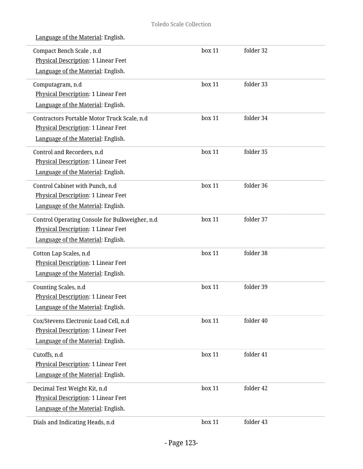| Compact Bench Scale, n.d<br>Physical Description: 1 Linear Feet<br>Language of the Material: English.                       | box 11 | folder 32 |  |
|-----------------------------------------------------------------------------------------------------------------------------|--------|-----------|--|
| Computagram, n.d<br>Physical Description: 1 Linear Feet<br>Language of the Material: English.                               | box 11 | folder 33 |  |
| Contractors Portable Motor Truck Scale, n.d<br>Physical Description: 1 Linear Feet<br>Language of the Material: English.    | box 11 | folder 34 |  |
| Control and Recorders, n.d<br>Physical Description: 1 Linear Feet<br>Language of the Material: English.                     | box 11 | folder 35 |  |
| Control Cabinet with Punch, n.d<br>Physical Description: 1 Linear Feet<br>Language of the Material: English.                | box 11 | folder 36 |  |
| Control Operating Console for Bulkweigher, n.d<br>Physical Description: 1 Linear Feet<br>Language of the Material: English. | box 11 | folder 37 |  |
| Cotton Lap Scales, n.d<br>Physical Description: 1 Linear Feet<br>Language of the Material: English.                         | box 11 | folder 38 |  |
| Counting Scales, n.d<br>Physical Description: 1 Linear Feet<br>Language of the Material: English.                           | box 11 | folder 39 |  |
| Cox/Stevens Electronic Load Cell, n.d<br>Physical Description: 1 Linear Feet<br>Language of the Material: English.          | box 11 | folder 40 |  |
| Cutoffs, n.d<br>Physical Description: 1 Linear Feet<br>Language of the Material: English.                                   | box 11 | folder 41 |  |
| Decimal Test Weight Kit, n.d<br>Physical Description: 1 Linear Feet<br>Language of the Material: English.                   | box 11 | folder 42 |  |
| Dials and Indicating Heads, n.d                                                                                             | box 11 | folder 43 |  |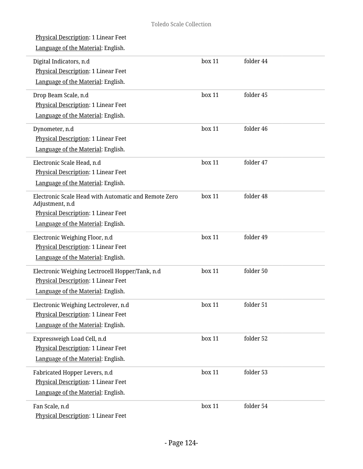| <b>Physical Description: 1 Linear Feet</b><br>Language of the Material: English.                                                                     |        |           |  |
|------------------------------------------------------------------------------------------------------------------------------------------------------|--------|-----------|--|
| Digital Indicators, n.d<br><b>Physical Description: 1 Linear Feet</b><br>Language of the Material: English.                                          | box 11 | folder 44 |  |
| Drop Beam Scale, n.d<br>Physical Description: 1 Linear Feet<br>Language of the Material: English.                                                    | box 11 | folder 45 |  |
| Dynometer, n.d<br>Physical Description: 1 Linear Feet<br>Language of the Material: English.                                                          | box 11 | folder 46 |  |
| Electronic Scale Head, n.d<br>Physical Description: 1 Linear Feet<br>Language of the Material: English.                                              | box 11 | folder 47 |  |
| Electronic Scale Head with Automatic and Remote Zero<br>Adjustment, n.d<br>Physical Description: 1 Linear Feet<br>Language of the Material: English. | box 11 | folder 48 |  |
| Electronic Weighing Floor, n.d<br>Physical Description: 1 Linear Feet<br>Language of the Material: English.                                          | box 11 | folder 49 |  |
| Electronic Weighing Lectrocell Hopper/Tank, n.d<br>Physical Description: 1 Linear Feet<br>Language of the Material: English.                         | box 11 | folder 50 |  |
| Electronic Weighing Lectrolever, n.d<br>Physical Description: 1 Linear Feet<br>Language of the Material: English.                                    | box 11 | folder 51 |  |
| Expressweigh Load Cell, n.d<br>Physical Description: 1 Linear Feet<br>Language of the Material: English.                                             | box 11 | folder 52 |  |
| Fabricated Hopper Levers, n.d<br>Physical Description: 1 Linear Feet<br>Language of the Material: English.                                           | box 11 | folder 53 |  |
| Fan Scale, n.d<br>Physical Description: 1 Linear Feet                                                                                                | box 11 | folder 54 |  |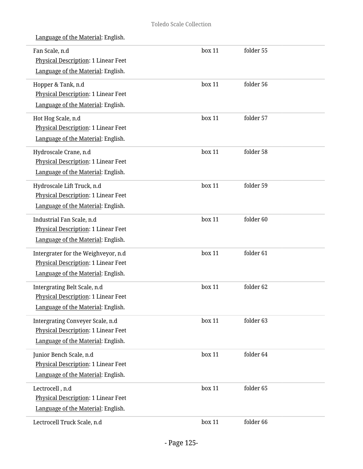| Fan Scale, n.d<br>Physical Description: 1 Linear Feet<br>Language of the Material: English.                      | box 11 | folder 55 |  |
|------------------------------------------------------------------------------------------------------------------|--------|-----------|--|
| Hopper & Tank, n.d<br>Physical Description: 1 Linear Feet<br>Language of the Material: English.                  | box 11 | folder 56 |  |
| Hot Hog Scale, n.d<br><b>Physical Description: 1 Linear Feet</b><br>Language of the Material: English.           | box 11 | folder 57 |  |
| Hydroscale Crane, n.d<br><b>Physical Description: 1 Linear Feet</b><br>Language of the Material: English.        | box 11 | folder 58 |  |
| Hydroscale Lift Truck, n.d<br>Physical Description: 1 Linear Feet<br>Language of the Material: English.          | box 11 | folder 59 |  |
| Industrial Fan Scale, n.d<br>Physical Description: 1 Linear Feet<br>Language of the Material: English.           | box 11 | folder 60 |  |
| Intergrater for the Weighveyor, n.d<br>Physical Description: 1 Linear Feet<br>Language of the Material: English. | box 11 | folder 61 |  |
| Intergrating Belt Scale, n.d<br>Physical Description: 1 Linear Feet<br>Language of the Material: English.        | box 11 | folder 62 |  |
| Intergrating Conveyer Scale, n.d<br>Physical Description: 1 Linear Feet<br>Language of the Material: English.    | box 11 | folder 63 |  |
| Junior Bench Scale, n.d<br>Physical Description: 1 Linear Feet<br>Language of the Material: English.             | box 11 | folder 64 |  |
| Lectrocell, n.d<br>Physical Description: 1 Linear Feet<br>Language of the Material: English.                     | box 11 | folder 65 |  |
| Lectrocell Truck Scale, n.d                                                                                      | box 11 | folder 66 |  |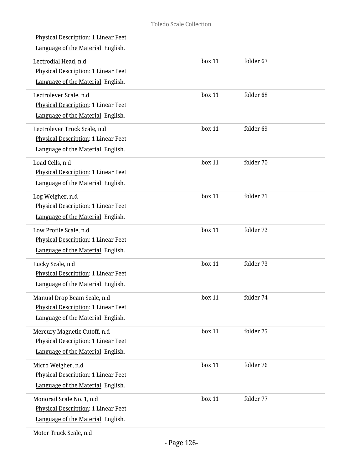| Physical Description: 1 Linear Feet<br>Language of the Material: English.                                        |        |           |  |
|------------------------------------------------------------------------------------------------------------------|--------|-----------|--|
| Lectrodial Head, n.d<br>Physical Description: 1 Linear Feet<br>Language of the Material: English.                | box 11 | folder 67 |  |
| Lectrolever Scale, n.d<br>Physical Description: 1 Linear Feet<br>Language of the Material: English.              | box 11 | folder 68 |  |
| Lectrolever Truck Scale, n.d<br>Physical Description: 1 Linear Feet<br>Language of the Material: English.        | box 11 | folder 69 |  |
| Load Cells, n.d<br>Physical Description: 1 Linear Feet<br>Language of the Material: English.                     | box 11 | folder 70 |  |
| Log Weigher, n.d<br>Physical Description: 1 Linear Feet<br>Language of the Material: English.                    | box 11 | folder 71 |  |
| Low Profile Scale, n.d<br>Physical Description: 1 Linear Feet<br>Language of the Material: English.              | box 11 | folder 72 |  |
| Lucky Scale, n.d<br>Physical Description: 1 Linear Feet<br>Language of the Material: English.                    | box 11 | folder 73 |  |
| Manual Drop Beam Scale, n.d<br>Physical Description: 1 Linear Feet<br>Language of the Material: English.         | box 11 | folder 74 |  |
| Mercury Magnetic Cutoff, n.d<br><b>Physical Description: 1 Linear Feet</b><br>Language of the Material: English. | box 11 | folder 75 |  |
| Micro Weigher, n.d<br><b>Physical Description: 1 Linear Feet</b><br>Language of the Material: English.           | box 11 | folder 76 |  |
| Monorail Scale No. 1, n.d<br>Physical Description: 1 Linear Feet<br>Language of the Material: English.           | box 11 | folder 77 |  |
|                                                                                                                  |        |           |  |

Motor Truck Scale, n.d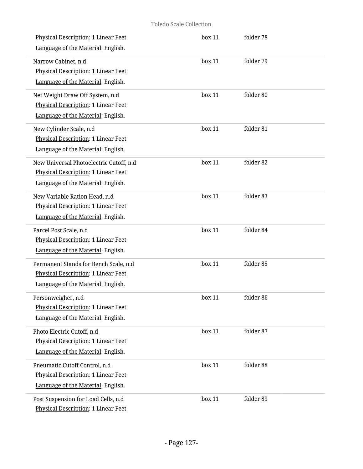#### Toledo Scale Collection

| Physical Description: 1 Linear Feet<br>Language of the Material: English.                                            | box 11 | folder 78 |  |
|----------------------------------------------------------------------------------------------------------------------|--------|-----------|--|
| Narrow Cabinet, n.d<br>Physical Description: 1 Linear Feet<br>Language of the Material: English.                     | box 11 | folder 79 |  |
| Net Weight Draw Off System, n.d<br>Physical Description: 1 Linear Feet<br>Language of the Material: English.         | box 11 | folder 80 |  |
| New Cylinder Scale, n.d<br>Physical Description: 1 Linear Feet<br>Language of the Material: English.                 | box 11 | folder 81 |  |
| New Universal Photoelectric Cutoff, n.d<br>Physical Description: 1 Linear Feet<br>Language of the Material: English. | box 11 | folder 82 |  |
| New Variable Ration Head, n.d<br>Physical Description: 1 Linear Feet<br>Language of the Material: English.           | box 11 | folder 83 |  |
| Parcel Post Scale, n.d<br>Physical Description: 1 Linear Feet<br>Language of the Material: English.                  | box 11 | folder 84 |  |
| Permanent Stands for Bench Scale, n.d<br>Physical Description: 1 Linear Feet<br>Language of the Material: English.   | box 11 | folder 85 |  |
| Personweigher, n.d<br>Physical Description: 1 Linear Feet<br>Language of the Material: English.                      | box 11 | folder 86 |  |
| Photo Electric Cutoff, n.d<br>Physical Description: 1 Linear Feet<br>Language of the Material: English.              | box 11 | folder 87 |  |
| Pneumatic Cutoff Control, n.d<br>Physical Description: 1 Linear Feet<br>Language of the Material: English.           | box 11 | folder 88 |  |
| Post Suspension for Load Cells, n.d<br>Physical Description: 1 Linear Feet                                           | box 11 | folder 89 |  |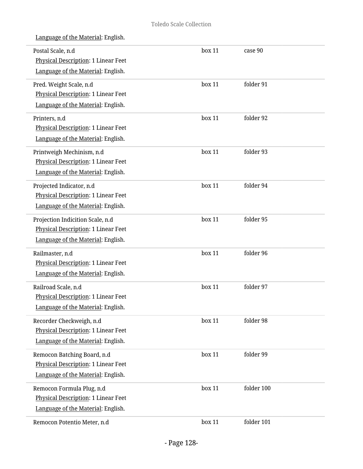| Postal Scale, n.d<br>Physical Description: 1 Linear Feet                                                                                     | box 11 | case 90    |
|----------------------------------------------------------------------------------------------------------------------------------------------|--------|------------|
| Language of the Material: English.<br>Pred. Weight Scale, n.d<br>Physical Description: 1 Linear Feet                                         | box 11 | folder 91  |
| Language of the Material: English.<br>Printers, n.d<br>Physical Description: 1 Linear Feet                                                   | box 11 | folder 92  |
| Language of the Material: English.<br>Printweigh Mechinism, n.d<br>Physical Description: 1 Linear Feet<br>Language of the Material: English. | box 11 | folder 93  |
| Projected Indicator, n.d<br>Physical Description: 1 Linear Feet<br>Language of the Material: English.                                        | box 11 | folder 94  |
| Projection Indicition Scale, n.d<br>Physical Description: 1 Linear Feet<br>Language of the Material: English.                                | box 11 | folder 95  |
| Railmaster, n.d<br>Physical Description: 1 Linear Feet<br>Language of the Material: English.                                                 | box 11 | folder 96  |
| Railroad Scale, n.d<br>Physical Description: 1 Linear Feet<br>Language of the Material: English.                                             | box 11 | folder 97  |
| Recorder Checkweigh, n.d<br>Physical Description: 1 Linear Feet<br>Language of the Material: English.                                        | box 11 | folder 98  |
| Remocon Batching Board, n.d<br>Physical Description: 1 Linear Feet<br>Language of the Material: English.                                     | box 11 | folder 99  |
| Remocon Formula Plug, n.d<br>Physical Description: 1 Linear Feet<br>Language of the Material: English.                                       | box 11 | folder 100 |
| Remocon Potentio Meter, n.d                                                                                                                  | box 11 | folder 101 |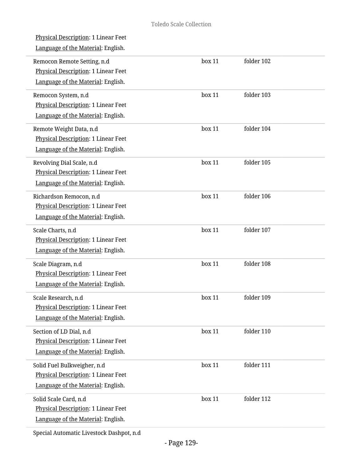| <u>Physical Description</u> : 1 Linear Feet<br>Language of the Material: English.                               |        |            |
|-----------------------------------------------------------------------------------------------------------------|--------|------------|
| Remocon Remote Setting, n.d<br><b>Physical Description: 1 Linear Feet</b><br>Language of the Material: English. | box 11 | folder 102 |
| Remocon System, n.d<br>Physical Description: 1 Linear Feet<br>Language of the Material: English.                | box 11 | folder 103 |
| Remote Weight Data, n.d<br>Physical Description: 1 Linear Feet<br>Language of the Material: English.            | box 11 | folder 104 |
| Revolving Dial Scale, n.d<br>Physical Description: 1 Linear Feet<br>Language of the Material: English.          | box 11 | folder 105 |
| Richardson Remocon, n.d<br>Physical Description: 1 Linear Feet<br>Language of the Material: English.            | box 11 | folder 106 |
| Scale Charts, n.d<br>Physical Description: 1 Linear Feet<br>Language of the Material: English.                  | box 11 | folder 107 |
| Scale Diagram, n.d<br>Physical Description: 1 Linear Feet<br>Language of the Material: English.                 | box 11 | folder 108 |
| Scale Research, n.d<br>Physical Description: 1 Linear Feet<br>Language of the Material: English.                | box 11 | folder 109 |
| Section of LD Dial, n.d<br>Physical Description: 1 Linear Feet<br>Language of the Material: English.            | box 11 | folder 110 |
| Solid Fuel Bulkweigher, n.d<br><b>Physical Description: 1 Linear Feet</b><br>Language of the Material: English. | box 11 | folder 111 |
| Solid Scale Card, n.d<br>Physical Description: 1 Linear Feet<br>Language of the Material: English.              | box 11 | folder 112 |
|                                                                                                                 |        |            |

Special Automatic Livestock Dashpot, n.d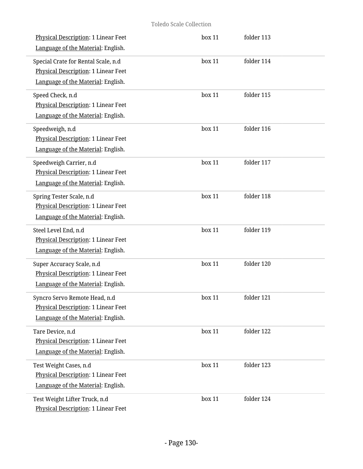| Physical Description: 1 Linear Feet<br>Language of the Material: English.                                        | box 11 | folder 113 |
|------------------------------------------------------------------------------------------------------------------|--------|------------|
| Special Crate for Rental Scale, n.d<br>Physical Description: 1 Linear Feet<br>Language of the Material: English. | box 11 | folder 114 |
| Speed Check, n.d<br>Physical Description: 1 Linear Feet<br>Language of the Material: English.                    | box 11 | folder 115 |
| Speedweigh, n.d<br>Physical Description: 1 Linear Feet<br>Language of the Material: English.                     | box 11 | folder 116 |
| Speedweigh Carrier, n.d<br><b>Physical Description: 1 Linear Feet</b><br>Language of the Material: English.      | box 11 | folder 117 |
| Spring Tester Scale, n.d<br>Physical Description: 1 Linear Feet<br>Language of the Material: English.            | box 11 | folder 118 |
| Steel Level End, n.d<br>Physical Description: 1 Linear Feet<br>Language of the Material: English.                | box 11 | folder 119 |
| Super Accuracy Scale, n.d<br>Physical Description: 1 Linear Feet<br>Language of the Material: English.           | box 11 | folder 120 |
| Syncro Servo Remote Head, n.d<br>Physical Description: 1 Linear Feet<br>Language of the Material: English.       | box 11 | folder 121 |
| Tare Device, n.d<br>Physical Description: 1 Linear Feet<br>Language of the Material: English.                    | box 11 | folder 122 |
| Test Weight Cases, n.d<br>Physical Description: 1 Linear Feet<br>Language of the Material: English.              | box 11 | folder 123 |
| Test Weight Lifter Truck, n.d<br>Physical Description: 1 Linear Feet                                             | box 11 | folder 124 |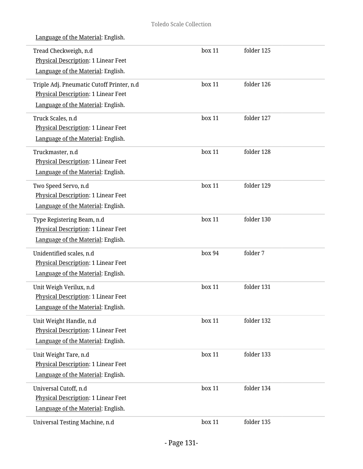| Tread Checkweigh, n.d<br>Physical Description: 1 Linear Feet<br>Language of the Material: English.                     | box 11 | folder 125 |  |
|------------------------------------------------------------------------------------------------------------------------|--------|------------|--|
| Triple Adj. Pneumatic Cutoff Printer, n.d<br>Physical Description: 1 Linear Feet<br>Language of the Material: English. | box 11 | folder 126 |  |
| Truck Scales, n.d<br>Physical Description: 1 Linear Feet<br>Language of the Material: English.                         | box 11 | folder 127 |  |
| Truckmaster, n.d<br>Physical Description: 1 Linear Feet<br>Language of the Material: English.                          | box 11 | folder 128 |  |
| Two Speed Servo, n.d<br>Physical Description: 1 Linear Feet<br>Language of the Material: English.                      | box 11 | folder 129 |  |
| Type Registering Beam, n.d<br>Physical Description: 1 Linear Feet<br>Language of the Material: English.                | box 11 | folder 130 |  |
| Unidentified scales, n.d<br>Physical Description: 1 Linear Feet<br>Language of the Material: English.                  | box 94 | folder 7   |  |
| Unit Weigh Verilux, n.d<br>Physical Description: 1 Linear Feet<br>Language of the Material: English.                   | box 11 | folder 131 |  |
| Unit Weight Handle, n.d<br>Physical Description: 1 Linear Feet<br>Language of the Material: English.                   | box 11 | folder 132 |  |
| Unit Weight Tare, n.d<br>Physical Description: 1 Linear Feet<br>Language of the Material: English.                     | box 11 | folder 133 |  |
| Universal Cutoff, n.d<br>Physical Description: 1 Linear Feet<br>Language of the Material: English.                     | box 11 | folder 134 |  |
| Universal Testing Machine, n.d                                                                                         | box 11 | folder 135 |  |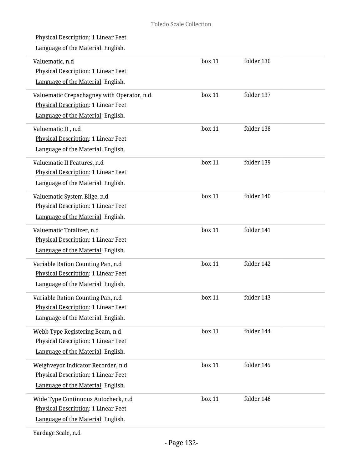| <b>Physical Description: 1 Linear Feet</b><br>Language of the Material: English.                                        |           |            |
|-------------------------------------------------------------------------------------------------------------------------|-----------|------------|
| Valuematic, n.d<br>Physical Description: 1 Linear Feet<br>Language of the Material: English.                            | box 11    | folder 136 |
| Valuematic Crepachagney with Operator, n.d<br>Physical Description: 1 Linear Feet<br>Language of the Material: English. | box 11    | folder 137 |
| Valuematic II, n.d<br>Physical Description: 1 Linear Feet<br>Language of the Material: English.                         | box 11    | folder 138 |
| Valuematic II Features, n.d<br>Physical Description: 1 Linear Feet<br>Language of the Material: English.                | box 11    | folder 139 |
| Valuematic System Blige, n.d<br>Physical Description: 1 Linear Feet<br>Language of the Material: English.               | box 11    | folder 140 |
| Valuematic Totalizer, n.d<br>Physical Description: 1 Linear Feet<br>Language of the Material: English.                  | box 11    | folder 141 |
| Variable Ration Counting Pan, n.d<br>Physical Description: 1 Linear Feet<br>Language of the Material: English.          | box 11    | folder 142 |
| Variable Ration Counting Pan, n.d<br>Physical Description: 1 Linear Feet<br>Language of the Material: English.          | $h$ ox 11 | folder 143 |
| Webb Type Registering Beam, n.d<br>Physical Description: 1 Linear Feet<br>Language of the Material: English.            | box 11    | folder 144 |
| Weighveyor Indicator Recorder, n.d<br><b>Physical Description: 1 Linear Feet</b><br>Language of the Material: English.  | box 11    | folder 145 |
| Wide Type Continuous Autocheck, n.d<br>Physical Description: 1 Linear Feet<br>Language of the Material: English.        | box 11    | folder 146 |
|                                                                                                                         |           |            |

Yardage Scale, n.d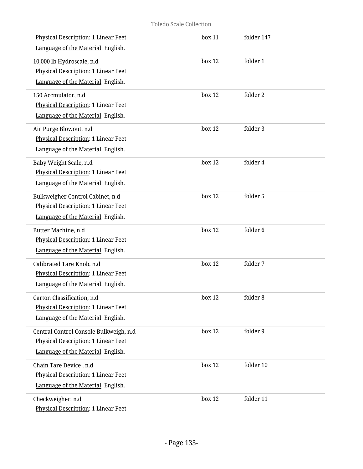| Physical Description: 1 Linear Feet<br>Language of the Material: English.                                           | box 11 | folder 147 |
|---------------------------------------------------------------------------------------------------------------------|--------|------------|
| 10,000 lb Hydroscale, n.d<br>Physical Description: 1 Linear Feet<br>Language of the Material: English.              | box 12 | folder 1   |
| 150 Accmulator, n.d<br><b>Physical Description: 1 Linear Feet</b><br>Language of the Material: English.             | box 12 | folder 2   |
| Air Purge Blowout, n.d<br>Physical Description: 1 Linear Feet<br>Language of the Material: English.                 | box 12 | folder 3   |
| Baby Weight Scale, n.d<br><b>Physical Description: 1 Linear Feet</b><br>Language of the Material: English.          | box 12 | folder 4   |
| Bulkweigher Control Cabinet, n.d<br>Physical Description: 1 Linear Feet<br>Language of the Material: English.       | box 12 | folder 5   |
| Butter Machine, n.d<br>Physical Description: 1 Linear Feet<br>Language of the Material: English.                    | box 12 | folder 6   |
| Calibrated Tare Knob, n.d<br>Physical Description: 1 Linear Feet<br>Language of the Material: English.              | box 12 | folder 7   |
| Carton Classification, n.d<br><b>Physical Description: 1 Linear Feet</b><br>Language of the Material: English.      | box 12 | folder 8   |
| Central Control Console Bulkweigh, n.d<br>Physical Description: 1 Linear Feet<br>Language of the Material: English. | box 12 | folder 9   |
| Chain Tare Device, n.d<br><b>Physical Description: 1 Linear Feet</b><br>Language of the Material: English.          | box 12 | folder 10  |
| Checkweigher, n.d<br>Physical Description: 1 Linear Feet                                                            | box 12 | folder 11  |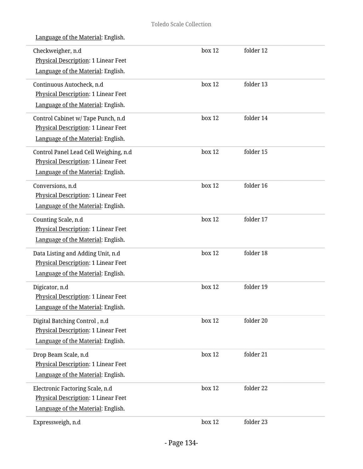| Checkweigher, n.d<br><b>Physical Description: 1 Linear Feet</b> | box 12 | folder 12 |  |
|-----------------------------------------------------------------|--------|-----------|--|
| Language of the Material: English.                              |        |           |  |
| Continuous Autocheck, n.d                                       | box 12 | folder 13 |  |
| Physical Description: 1 Linear Feet                             |        |           |  |
| Language of the Material: English.                              |        |           |  |
| Control Cabinet w/ Tape Punch, n.d                              | box 12 | folder 14 |  |
| Physical Description: 1 Linear Feet                             |        |           |  |
| Language of the Material: English.                              |        |           |  |
| Control Panel Lead Cell Weighing, n.d                           | box 12 | folder 15 |  |
| Physical Description: 1 Linear Feet                             |        |           |  |
| Language of the Material: English.                              |        |           |  |
| Conversions, n.d                                                | box 12 | folder 16 |  |
| Physical Description: 1 Linear Feet                             |        |           |  |
| Language of the Material: English.                              |        |           |  |
| Counting Scale, n.d                                             | box 12 | folder 17 |  |
| Physical Description: 1 Linear Feet                             |        |           |  |
| Language of the Material: English.                              |        |           |  |
| Data Listing and Adding Unit, n.d                               | box 12 | folder 18 |  |
| Physical Description: 1 Linear Feet                             |        |           |  |
| Language of the Material: English.                              |        |           |  |
| Digicator, n.d                                                  | box 12 | folder 19 |  |
| Physical Description: 1 Linear Feet                             |        |           |  |
| Language of the Material: English.                              |        |           |  |
| Digital Batching Control, n.d                                   | box 12 | folder 20 |  |
| <b>Physical Description: 1 Linear Feet</b>                      |        |           |  |
| Language of the Material: English.                              |        |           |  |
| Drop Beam Scale, n.d                                            | box 12 | folder 21 |  |
| Physical Description: 1 Linear Feet                             |        |           |  |
| Language of the Material: English.                              |        |           |  |
| Electronic Factoring Scale, n.d                                 | box 12 | folder 22 |  |
| Physical Description: 1 Linear Feet                             |        |           |  |
| Language of the Material: English.                              |        |           |  |
| Expressweigh, n.d                                               | box 12 | folder 23 |  |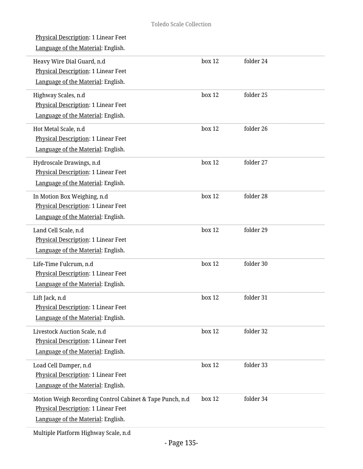| box 12 | folder 24 |
|--------|-----------|
| box 12 | folder 25 |
| box 12 | folder 26 |
| box 12 | folder 27 |
| box 12 | folder 28 |
| box 12 | folder 29 |
| box 12 | folder 30 |
| box 12 | folder 31 |
| box 12 | folder 32 |
| box 12 | folder 33 |
| box 12 | folder 34 |
|        |           |

Multiple Platform Highway Scale, n.d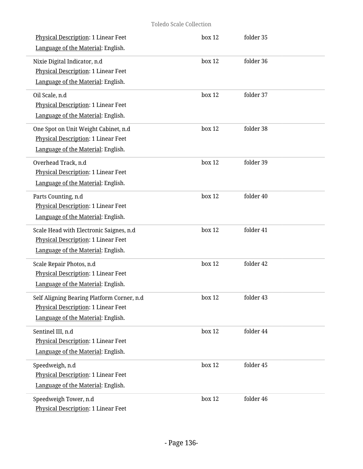| Physical Description: 1 Linear Feet<br>Language of the Material: English.                                               | box 12 | folder 35 |  |
|-------------------------------------------------------------------------------------------------------------------------|--------|-----------|--|
| Nixie Digital Indicator, n.d<br>Physical Description: 1 Linear Feet<br>Language of the Material: English.               | box 12 | folder 36 |  |
| Oil Scale, n.d<br>Physical Description: 1 Linear Feet<br>Language of the Material: English.                             | box 12 | folder 37 |  |
| One Spot on Unit Weight Cabinet, n.d<br>Physical Description: 1 Linear Feet<br>Language of the Material: English.       | box 12 | folder 38 |  |
| Overhead Track, n.d<br>Physical Description: 1 Linear Feet<br>Language of the Material: English.                        | box 12 | folder 39 |  |
| Parts Counting, n.d<br>Physical Description: 1 Linear Feet<br>Language of the Material: English.                        | box 12 | folder 40 |  |
| Scale Head with Electronic Saignes, n.d<br>Physical Description: 1 Linear Feet<br>Language of the Material: English.    | box 12 | folder 41 |  |
| Scale Repair Photos, n.d<br>Physical Description: 1 Linear Feet<br>Language of the Material: English.                   | box 12 | folder 42 |  |
| Self Aligning Bearing Platform Corner, n.d<br>Physical Description: 1 Linear Feet<br>Language of the Material: English. | box 12 | folder 43 |  |
| Sentinel III, n.d<br>Physical Description: 1 Linear Feet<br>Language of the Material: English.                          | box 12 | folder 44 |  |
| Speedweigh, n.d<br>Physical Description: 1 Linear Feet<br>Language of the Material: English.                            | box 12 | folder 45 |  |
| Speedweigh Tower, n.d<br>Physical Description: 1 Linear Feet                                                            | box 12 | folder 46 |  |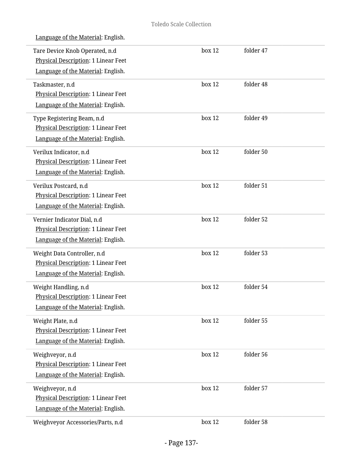|  |  | Language of the Material: English. |  |
|--|--|------------------------------------|--|
|  |  |                                    |  |

| Tare Device Knob Operated, n.d<br>Physical Description: 1 Linear Feet<br>Language of the Material: English. | box 12 | folder 47 |  |
|-------------------------------------------------------------------------------------------------------------|--------|-----------|--|
| Taskmaster, n.d<br>Physical Description: 1 Linear Feet<br>Language of the Material: English.                | box 12 | folder 48 |  |
| Type Registering Beam, n.d<br>Physical Description: 1 Linear Feet<br>Language of the Material: English.     | box 12 | folder 49 |  |
| Verilux Indicator, n.d<br><b>Physical Description: 1 Linear Feet</b><br>Language of the Material: English.  | box 12 | folder 50 |  |
| Verilux Postcard, n.d<br>Physical Description: 1 Linear Feet<br>Language of the Material: English.          | box 12 | folder 51 |  |
| Vernier Indicator Dial, n.d<br>Physical Description: 1 Linear Feet<br>Language of the Material: English.    | box 12 | folder 52 |  |
| Weight Data Controller, n.d<br>Physical Description: 1 Linear Feet<br>Language of the Material: English.    | box 12 | folder 53 |  |
| Weight Handling, n.d<br>Physical Description: 1 Linear Feet<br>Language of the Material: English.           | box 12 | folder 54 |  |
| Weight Plate, n.d<br>Physical Description: 1 Linear Feet<br>Language of the Material: English.              | box 12 | folder 55 |  |
| Weighveyor, n.d<br>Physical Description: 1 Linear Feet<br>Language of the Material: English.                | box 12 | folder 56 |  |
| Weighveyor, n.d<br>Physical Description: 1 Linear Feet<br>Language of the Material: English.                | box 12 | folder 57 |  |
| Weighveyor Accessories/Parts, n.d                                                                           | box 12 | folder 58 |  |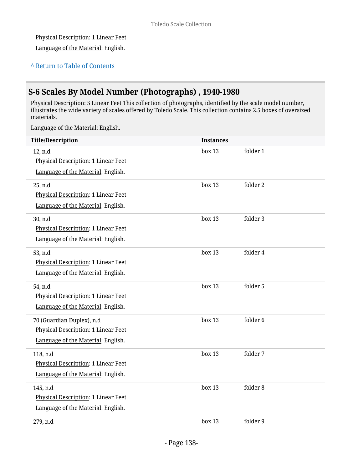#### Physical Description: 1 Linear Feet

Language of the Material: English.

### **^** [Return to Table of Contents](#page-1-0)

# **S-6 Scales By Model Number (Photographs) , 1940-1980**

Physical Description: 5 Linear Feet This collection of photographs, identified by the scale model number, illustrates the wide variety of scales offered by Toledo Scale. This collection contains 2.5 boxes of oversized materials.

| <b>Title/Description</b>                                                                                      | <b>Instances</b> |                     |
|---------------------------------------------------------------------------------------------------------------|------------------|---------------------|
| 12, n.d<br><b>Physical Description: 1 Linear Feet</b><br>Language of the Material: English.                   | box 13           | folder 1            |
| 25, n.d<br>Physical Description: 1 Linear Feet<br>Language of the Material: English.                          | box 13           | folder 2            |
| 30, n.d<br>Physical Description: 1 Linear Feet<br>Language of the Material: English.                          | box 13           | folder 3            |
| 53, n.d<br>Physical Description: 1 Linear Feet<br>Language of the Material: English.                          | box 13           | folder 4            |
| 54, n.d<br>Physical Description: 1 Linear Feet<br>Language of the Material: English.                          | box 13           | folder 5            |
| 70 (Guardian Duplex), n.d<br><b>Physical Description: 1 Linear Feet</b><br>Language of the Material: English. | box 13           | folder <sub>6</sub> |
| 118, n.d<br>Physical Description: 1 Linear Feet<br>Language of the Material: English.                         | box 13           | folder 7            |
| 145, n.d<br>Physical Description: 1 Linear Feet<br>Language of the Material: English.                         | box 13           | folder 8            |
| 279, n.d                                                                                                      | box 13           | folder 9            |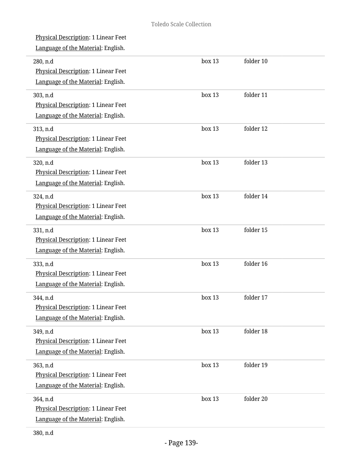| <b>Physical Description: 1 Linear Feet</b><br>Language of the Material: English.      |        |           |  |
|---------------------------------------------------------------------------------------|--------|-----------|--|
| 280, n.d<br>Physical Description: 1 Linear Feet<br>Language of the Material: English. | box 13 | folder 10 |  |
| 303, n.d<br>Physical Description: 1 Linear Feet<br>Language of the Material: English. | box 13 | folder 11 |  |
| 313, n.d<br>Physical Description: 1 Linear Feet<br>Language of the Material: English. | box 13 | folder 12 |  |
| 320, n.d<br>Physical Description: 1 Linear Feet<br>Language of the Material: English. | box 13 | folder 13 |  |
| 324, n.d<br>Physical Description: 1 Linear Feet<br>Language of the Material: English. | box 13 | folder 14 |  |
| 331, n.d<br>Physical Description: 1 Linear Feet<br>Language of the Material: English. | box 13 | folder 15 |  |
| 333, n.d<br>Physical Description: 1 Linear Feet<br>Language of the Material: English. | box 13 | folder 16 |  |
| 344, n.d<br>Physical Description: 1 Linear Feet<br>Language of the Material: English. | box 13 | folder 17 |  |
| 349, n.d<br>Physical Description: 1 Linear Feet<br>Language of the Material: English. | box 13 | folder 18 |  |
| 363, n.d<br>Physical Description: 1 Linear Feet<br>Language of the Material: English. | box 13 | folder 19 |  |
| 364, n.d<br>Physical Description: 1 Linear Feet<br>Language of the Material: English. | box 13 | folder 20 |  |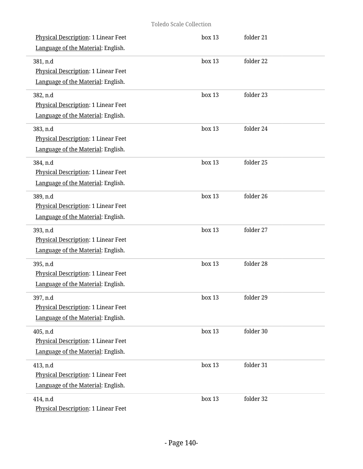| Physical Description: 1 Linear Feet<br>Language of the Material: English.             | box 13 | folder 21 |  |
|---------------------------------------------------------------------------------------|--------|-----------|--|
| 381, n.d<br>Physical Description: 1 Linear Feet<br>Language of the Material: English. | box 13 | folder 22 |  |
| 382, n.d<br>Physical Description: 1 Linear Feet<br>Language of the Material: English. | box 13 | folder 23 |  |
| 383, n.d<br>Physical Description: 1 Linear Feet<br>Language of the Material: English. | box 13 | folder 24 |  |
| 384, n.d<br>Physical Description: 1 Linear Feet<br>Language of the Material: English. | box 13 | folder 25 |  |
| 389, n.d<br>Physical Description: 1 Linear Feet<br>Language of the Material: English. | box 13 | folder 26 |  |
| 393, n.d<br>Physical Description: 1 Linear Feet<br>Language of the Material: English. | box 13 | folder 27 |  |
| 395, n.d<br>Physical Description: 1 Linear Feet<br>Language of the Material: English. | box 13 | folder 28 |  |
| 397, n.d<br>Physical Description: 1 Linear Feet<br>Language of the Material: English. | box 13 | folder 29 |  |
| 405, n.d<br>Physical Description: 1 Linear Feet<br>Language of the Material: English. | box 13 | folder 30 |  |
| 413, n.d<br>Physical Description: 1 Linear Feet<br>Language of the Material: English. | box 13 | folder 31 |  |
| 414, n.d<br>Physical Description: 1 Linear Feet                                       | box 13 | folder 32 |  |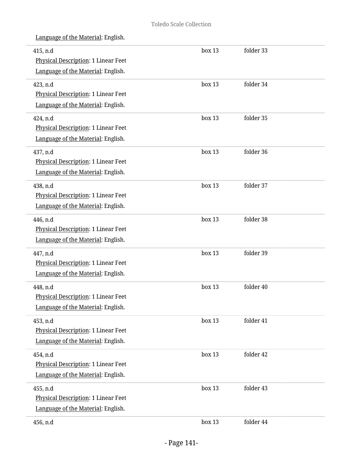| 415, n.d<br>Physical Description: 1 Linear Feet | box 13 | folder 33 |  |
|-------------------------------------------------|--------|-----------|--|
| Language of the Material: English.              |        |           |  |
| 423, n.d                                        | box 13 | folder 34 |  |
| Physical Description: 1 Linear Feet             |        |           |  |
| Language of the Material: English.              |        |           |  |
| 424, n.d                                        | box 13 | folder 35 |  |
| Physical Description: 1 Linear Feet             |        |           |  |
| Language of the Material: English.              |        |           |  |
| 437, n.d                                        | box 13 | folder 36 |  |
| Physical Description: 1 Linear Feet             |        |           |  |
| Language of the Material: English.              |        |           |  |
| 438, n.d                                        | box 13 | folder 37 |  |
| Physical Description: 1 Linear Feet             |        |           |  |
| Language of the Material: English.              |        |           |  |
| 446, n.d                                        | box 13 | folder 38 |  |
| Physical Description: 1 Linear Feet             |        |           |  |
| Language of the Material: English.              |        |           |  |
| 447, n.d                                        | box 13 | folder 39 |  |
| Physical Description: 1 Linear Feet             |        |           |  |
| Language of the Material: English.              |        |           |  |
| 448, n.d                                        | box 13 | folder 40 |  |
| Physical Description: 1 Linear Feet             |        |           |  |
| Language of the Material: English.              |        |           |  |
| 453, n.d                                        | box 13 | folder 41 |  |
| Physical Description: 1 Linear Feet             |        |           |  |
| Language of the Material: English.              |        |           |  |
| 454, n.d                                        | box 13 | folder 42 |  |
| Physical Description: 1 Linear Feet             |        |           |  |
| Language of the Material: English.              |        |           |  |
| 455, n.d                                        | box 13 | folder 43 |  |
| Physical Description: 1 Linear Feet             |        |           |  |
| Language of the Material: English.              |        |           |  |
| 456, n.d                                        | box 13 | folder 44 |  |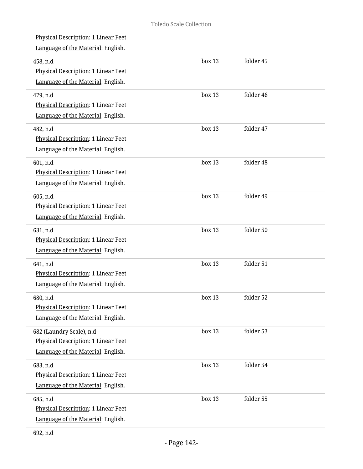Physical Description: 1 Linear Feet Language of the Material: English. 458, n.d Physical Description: 1 Linear Feet Language of the Material: English. box 13 folder 45 479, n.d Physical Description: 1 Linear Feet Language of the Material: English. box 13 folder 46 482, n.d Physical Description: 1 Linear Feet Language of the Material: English. box 13 folder 47 601, n.d Physical Description: 1 Linear Feet Language of the Material: English. box 13 folder 48 605, n.d Physical Description: 1 Linear Feet Language of the Material: English. box 13 folder 49 631, n.d Physical Description: 1 Linear Feet Language of the Material: English. box 13 folder 50 641, n.d Physical Description: 1 Linear Feet Language of the Material: English. box 13 folder 51 680, n.d Physical Description: 1 Linear Feet Language of the Material: English. box 13 folder 52 682 (Laundry Scale), n.d Physical Description: 1 Linear Feet Language of the Material: English. box 13 folder 53 683, n.d Physical Description: 1 Linear Feet Language of the Material: English. box 13 folder 54 685, n.d Physical Description: 1 Linear Feet Language of the Material: English. box 13 folder 55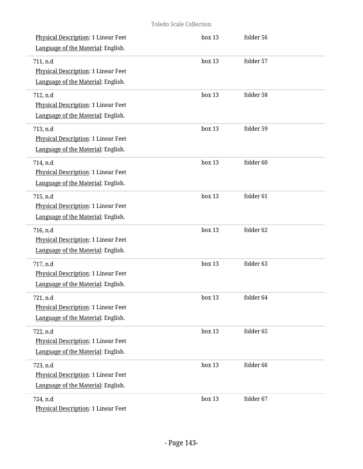| Physical Description: 1 Linear Feet<br>Language of the Material: English.                    | box 13 | folder 56 |  |
|----------------------------------------------------------------------------------------------|--------|-----------|--|
| 711, n.d<br><b>Physical Description: 1 Linear Feet</b><br>Language of the Material: English. | box 13 | folder 57 |  |
| 712, n.d<br>Physical Description: 1 Linear Feet<br>Language of the Material: English.        | box 13 | folder 58 |  |
| 713, n.d<br>Physical Description: 1 Linear Feet<br>Language of the Material: English.        | box 13 | folder 59 |  |
| 714, n.d<br>Physical Description: 1 Linear Feet<br>Language of the Material: English.        | box 13 | folder 60 |  |
| 715, n.d<br>Physical Description: 1 Linear Feet<br>Language of the Material: English.        | box 13 | folder 61 |  |
| 716, n.d<br>Physical Description: 1 Linear Feet<br>Language of the Material: English.        | box 13 | folder 62 |  |
| 717, n.d<br>Physical Description: 1 Linear Feet<br>Language of the Material: English.        | box 13 | folder 63 |  |
| 721, n.d<br>Physical Description: 1 Linear Feet<br>Language of the Material: English.        | box 13 | folder 64 |  |
| 722, n.d<br>Physical Description: 1 Linear Feet<br>Language of the Material: English.        | box 13 | folder 65 |  |
| 723, n.d<br>Physical Description: 1 Linear Feet<br>Language of the Material: English.        | box 13 | folder 66 |  |
| 724, n.d<br>Physical Description: 1 Linear Feet                                              | box 13 | folder 67 |  |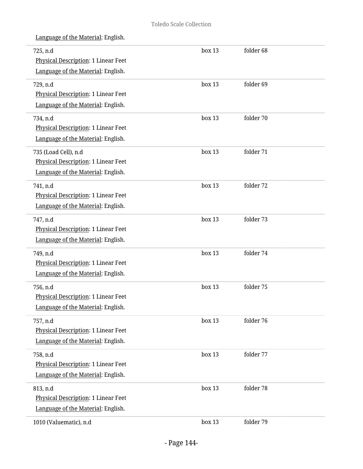| 725, n.d<br>Physical Description: 1 Linear Feet | box 13 | folder 68 |  |
|-------------------------------------------------|--------|-----------|--|
| Language of the Material: English.              |        |           |  |
| 729, n.d                                        | box 13 | folder 69 |  |
| Physical Description: 1 Linear Feet             |        |           |  |
| Language of the Material: English.              |        |           |  |
| 734, n.d                                        | box 13 | folder 70 |  |
| Physical Description: 1 Linear Feet             |        |           |  |
| Language of the Material: English.              |        |           |  |
| 735 (Load Cell), n.d                            | box 13 | folder 71 |  |
| Physical Description: 1 Linear Feet             |        |           |  |
| Language of the Material: English.              |        |           |  |
| 741, n.d                                        | box 13 | folder 72 |  |
| <b>Physical Description: 1 Linear Feet</b>      |        |           |  |
| Language of the Material: English.              |        |           |  |
| 747, n.d                                        | box 13 | folder 73 |  |
| Physical Description: 1 Linear Feet             |        |           |  |
| Language of the Material: English.              |        |           |  |
| 749, n.d                                        | box 13 | folder 74 |  |
| Physical Description: 1 Linear Feet             |        |           |  |
| Language of the Material: English.              |        |           |  |
| 756, n.d                                        | box 13 | folder 75 |  |
| Physical Description: 1 Linear Feet             |        |           |  |
| Language of the Material: English.              |        |           |  |
| 757, n.d                                        | box 13 | folder 76 |  |
| Physical Description: 1 Linear Feet             |        |           |  |
| Language of the Material: English.              |        |           |  |
| 758, n.d                                        | box 13 | folder 77 |  |
| Physical Description: 1 Linear Feet             |        |           |  |
| Language of the Material: English.              |        |           |  |
| 813, n.d                                        | box 13 | folder 78 |  |
| Physical Description: 1 Linear Feet             |        |           |  |
| Language of the Material: English.              |        |           |  |
| 1010 (Valuematic), n.d                          | box 13 | folder 79 |  |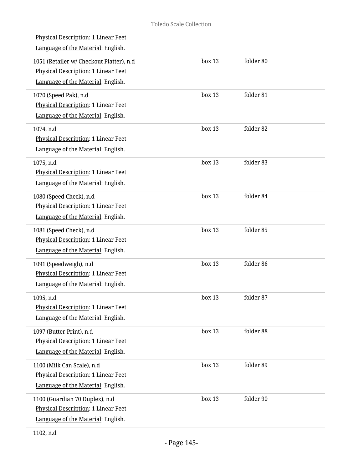| <u>Physical Description</u> : 1 Linear Feet<br>Language of the Material: English.                                     |        |           |
|-----------------------------------------------------------------------------------------------------------------------|--------|-----------|
| 1051 (Retailer w/ Checkout Platter), n.d<br>Physical Description: 1 Linear Feet<br>Language of the Material: English. | box 13 | folder 80 |
| 1070 (Speed Pak), n.d<br><b>Physical Description: 1 Linear Feet</b><br>Language of the Material: English.             | box 13 | folder 81 |
| 1074, n.d<br>Physical Description: 1 Linear Feet<br>Language of the Material: English.                                | box 13 | folder 82 |
| 1075, n.d<br><b>Physical Description: 1 Linear Feet</b><br>Language of the Material: English.                         | box 13 | folder 83 |
| 1080 (Speed Check), n.d<br>Physical Description: 1 Linear Feet<br>Language of the Material: English.                  | box 13 | folder 84 |
| 1081 (Speed Check), n.d<br>Physical Description: 1 Linear Feet<br>Language of the Material: English.                  | box 13 | folder 85 |
| 1091 (Speedweigh), n.d<br>Physical Description: 1 Linear Feet<br>Language of the Material: English.                   | box 13 | folder 86 |
| 1095, n.d<br>Physical Description: 1 Linear Feet<br>Language of the Material: English.                                | box 13 | folder 87 |
| 1097 (Butter Print), n.d<br><b>Physical Description: 1 Linear Feet</b><br>Language of the Material: English.          | box 13 | folder 88 |
| 1100 (Milk Can Scale), n.d<br><b>Physical Description: 1 Linear Feet</b><br>Language of the Material: English.        | box 13 | folder 89 |
| 1100 (Guardian 70 Duplex), n.d<br>Physical Description: 1 Linear Feet<br>Language of the Material: English.           | box 13 | folder 90 |
|                                                                                                                       |        |           |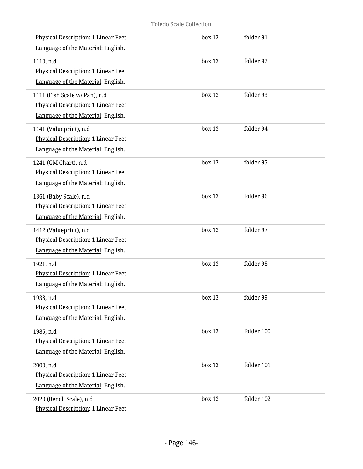| Physical Description: 1 Linear Feet<br>Language of the Material: English.                                  | box 13 | folder 91  |
|------------------------------------------------------------------------------------------------------------|--------|------------|
| 1110, n.d<br>Physical Description: 1 Linear Feet<br>Language of the Material: English.                     | box 13 | folder 92  |
| 1111 (Fish Scale w/ Pan), n.d<br>Physical Description: 1 Linear Feet<br>Language of the Material: English. | box 13 | folder 93  |
| 1141 (Valueprint), n.d<br>Physical Description: 1 Linear Feet<br>Language of the Material: English.        | box 13 | folder 94  |
| 1241 (GM Chart), n.d<br><b>Physical Description: 1 Linear Feet</b><br>Language of the Material: English.   | box 13 | folder 95  |
| 1361 (Baby Scale), n.d<br>Physical Description: 1 Linear Feet<br>Language of the Material: English.        | box 13 | folder 96  |
| 1412 (Valueprint), n.d<br>Physical Description: 1 Linear Feet<br>Language of the Material: English.        | box 13 | folder 97  |
| 1921, n.d<br>Physical Description: 1 Linear Feet<br>Language of the Material: English.                     | box 13 | folder 98  |
| 1938, n.d<br>Physical Description: 1 Linear Feet<br>Language of the Material: English.                     | box 13 | folder 99  |
| 1985, n.d<br>Physical Description: 1 Linear Feet<br>Language of the Material: English.                     | box 13 | folder 100 |
| 2000, n.d<br>Physical Description: 1 Linear Feet<br>Language of the Material: English.                     | box 13 | folder 101 |
| 2020 (Bench Scale), n.d<br>Physical Description: 1 Linear Feet                                             | box 13 | folder 102 |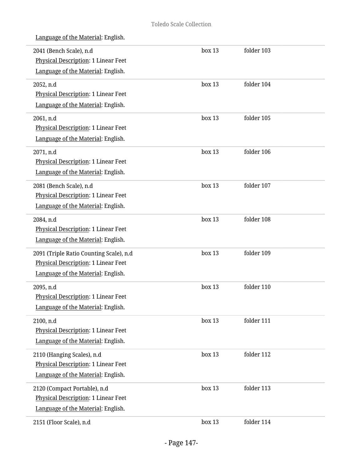| Language of the Material: English. |
|------------------------------------|
|                                    |

| 2041 (Bench Scale), n.d<br>Physical Description: 1 Linear Feet | box 13 | folder 103 |  |
|----------------------------------------------------------------|--------|------------|--|
| Language of the Material: English.                             |        |            |  |
| 2052, n.d                                                      | box 13 | folder 104 |  |
| Physical Description: 1 Linear Feet                            |        |            |  |
| Language of the Material: English.                             |        |            |  |
| 2061, n.d                                                      | box 13 | folder 105 |  |
| Physical Description: 1 Linear Feet                            |        |            |  |
| Language of the Material: English.                             |        |            |  |
| 2071, n.d                                                      | box 13 | folder 106 |  |
| Physical Description: 1 Linear Feet                            |        |            |  |
| Language of the Material: English.                             |        |            |  |
| 2081 (Bench Scale), n.d                                        | box 13 | folder 107 |  |
| Physical Description: 1 Linear Feet                            |        |            |  |
| Language of the Material: English.                             |        |            |  |
| 2084, n.d                                                      | box 13 | folder 108 |  |
| Physical Description: 1 Linear Feet                            |        |            |  |
| Language of the Material: English.                             |        |            |  |
| 2091 (Triple Ratio Counting Scale), n.d                        | box 13 | folder 109 |  |
| Physical Description: 1 Linear Feet                            |        |            |  |
| Language of the Material: English.                             |        |            |  |
| 2095, n.d                                                      | box 13 | folder 110 |  |
| Physical Description: 1 Linear Feet                            |        |            |  |
| Language of the Material: English.                             |        |            |  |
| 2100, n.d                                                      | box 13 | folder 111 |  |
| Physical Description: 1 Linear Feet                            |        |            |  |
| Language of the Material: English.                             |        |            |  |
| 2110 (Hanging Scales), n.d                                     | box 13 | folder 112 |  |
| Physical Description: 1 Linear Feet                            |        |            |  |
| Language of the Material: English.                             |        |            |  |
| 2120 (Compact Portable), n.d                                   | box 13 | folder 113 |  |
| Physical Description: 1 Linear Feet                            |        |            |  |
| Language of the Material: English.                             |        |            |  |
| 2151 (Floor Scale), n.d                                        | box 13 | folder 114 |  |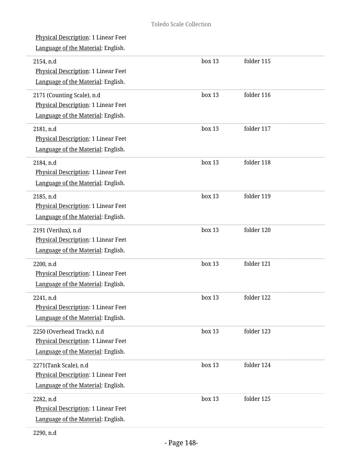| Language of the Material: English.                                                                                |            |
|-------------------------------------------------------------------------------------------------------------------|------------|
| box 13<br>2154, n.d<br>Physical Description: 1 Linear Feet<br>Language of the Material: English.                  | folder 115 |
| box 13<br>2171 (Counting Scale), n.d<br>Physical Description: 1 Linear Feet<br>Language of the Material: English. | folder 116 |
| box 13<br>2181, n.d<br>Physical Description: 1 Linear Feet<br>Language of the Material: English.                  | folder 117 |
| box 13<br>2184, n.d<br>Physical Description: 1 Linear Feet<br>Language of the Material: English.                  | folder 118 |
| box 13<br>2185, n.d<br>Physical Description: 1 Linear Feet<br>Language of the Material: English.                  | folder 119 |
| box 13<br>2191 (Verilux), n.d<br>Physical Description: 1 Linear Feet<br>Language of the Material: English.        | folder 120 |
| box 13<br>2200, n.d<br>Physical Description: 1 Linear Feet<br>Language of the Material: English.                  | folder 121 |
| box 13<br>2241. n.d<br><b>Physical Description: 1 Linear Feet</b><br>Language of the Material: English.           | folder 122 |
| box 13<br>2250 (Overhead Track), n.d<br>Physical Description: 1 Linear Feet<br>Language of the Material: English. | folder 123 |
| box 13<br>2271(Tank Scale), n.d<br>Physical Description: 1 Linear Feet<br>Language of the Material: English.      | folder 124 |
| box 13<br>2282, n.d<br>Physical Description: 1 Linear Feet<br>Language of the Material: English.                  | folder 125 |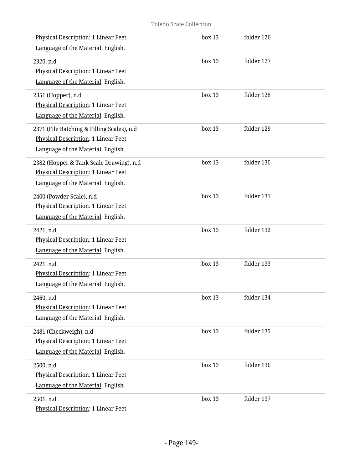| <b>Physical Description: 1 Linear Feet</b><br>Language of the Material: English.                                        | box 13 | folder 126 |  |
|-------------------------------------------------------------------------------------------------------------------------|--------|------------|--|
| 2320, n.d<br>Physical Description: 1 Linear Feet<br>Language of the Material: English.                                  | box 13 | folder 127 |  |
| 2351 (Hopper), n.d<br>Physical Description: 1 Linear Feet<br>Language of the Material: English.                         | box 13 | folder 128 |  |
| 2371 (File Batching & Filling Scales), n.d<br>Physical Description: 1 Linear Feet<br>Language of the Material: English. | box 13 | folder 129 |  |
| 2382 (Hopper & Tank Scale Drawing), n.d<br>Physical Description: 1 Linear Feet<br>Language of the Material: English.    | box 13 | folder 130 |  |
| 2400 (Powder Scale), n.d<br>Physical Description: 1 Linear Feet<br>Language of the Material: English.                   | box 13 | folder 131 |  |
| 2421, n.d<br>Physical Description: 1 Linear Feet<br>Language of the Material: English.                                  | box 13 | folder 132 |  |
| 2421, n.d<br>Physical Description: 1 Linear Feet<br>Language of the Material: English.                                  | box 13 | folder 133 |  |
| 2460, n.d<br>Physical Description: 1 Linear Feet<br>Language of the Material: English.                                  | box 13 | folder 134 |  |
| 2481 (Checkweigh), n.d<br>Physical Description: 1 Linear Feet<br>Language of the Material: English.                     | box 13 | folder 135 |  |
| 2500, n.d<br>Physical Description: 1 Linear Feet<br>Language of the Material: English.                                  | box 13 | folder 136 |  |
| 2501, n.d<br>Physical Description: 1 Linear Feet                                                                        | box 13 | folder 137 |  |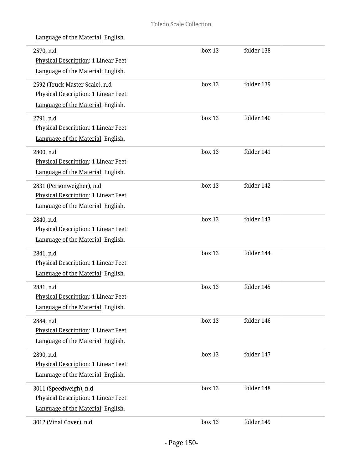| 2570, n.d<br><b>Physical Description: 1 Linear Feet</b><br>Language of the Material: English.                 | box 13 | folder 138 |  |
|---------------------------------------------------------------------------------------------------------------|--------|------------|--|
| 2592 (Truck Master Scale), n.d<br>Physical Description: 1 Linear Feet<br>Language of the Material: English.   | box 13 | folder 139 |  |
| 2791, n.d<br>Physical Description: 1 Linear Feet<br>Language of the Material: English.                        | box 13 | folder 140 |  |
| 2800, n.d<br><b>Physical Description: 1 Linear Feet</b><br>Language of the Material: English.                 | box 13 | folder 141 |  |
| 2831 (Personweigher), n.d<br><b>Physical Description: 1 Linear Feet</b><br>Language of the Material: English. | box 13 | folder 142 |  |
| 2840, n.d<br>Physical Description: 1 Linear Feet<br>Language of the Material: English.                        | box 13 | folder 143 |  |
| 2841, n.d<br>Physical Description: 1 Linear Feet<br>Language of the Material: English.                        | box 13 | folder 144 |  |
| 2881, n.d<br>Physical Description: 1 Linear Feet<br>Language of the Material: English.                        | box 13 | folder 145 |  |
| 2884, n.d<br>Physical Description: 1 Linear Feet<br>Language of the Material: English.                        | box 13 | folder 146 |  |
| 2890, n.d<br>Physical Description: 1 Linear Feet<br>Language of the Material: English.                        | box 13 | folder 147 |  |
| 3011 (Speedweigh), n.d<br>Physical Description: 1 Linear Feet<br>Language of the Material: English.           | box 13 | folder 148 |  |
| 3012 (Vinal Cover), n.d                                                                                       | box 13 | folder 149 |  |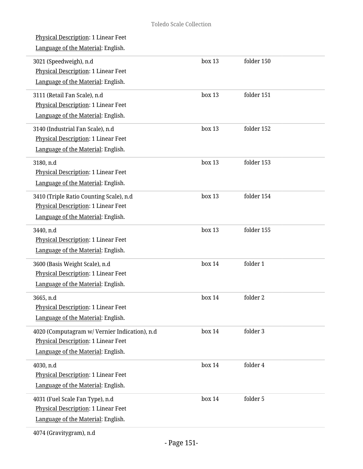| <u>Physical Description</u> : 1 Linear Feet<br>Language of the Material: English.                                                 |        |            |  |
|-----------------------------------------------------------------------------------------------------------------------------------|--------|------------|--|
| 3021 (Speedweigh), n.d<br>Physical Description: 1 Linear Feet<br>Language of the Material: English.                               | box 13 | folder 150 |  |
| 3111 (Retail Fan Scale), n.d<br>Physical Description: 1 Linear Feet<br>Language of the Material: English.                         | box 13 | folder 151 |  |
| 3140 (Industrial Fan Scale), n.d<br>Physical Description: 1 Linear Feet<br>Language of the Material: English.                     | box 13 | folder 152 |  |
| 3180, n.d<br>Physical Description: 1 Linear Feet<br>Language of the Material: English.                                            | box 13 | folder 153 |  |
| 3410 (Triple Ratio Counting Scale), n.d<br>Physical Description: 1 Linear Feet<br>Language of the Material: English.              | box 13 | folder 154 |  |
| 3440, n.d<br>Physical Description: 1 Linear Feet<br>Language of the Material: English.                                            | box 13 | folder 155 |  |
| 3600 (Basis Weight Scale), n.d<br>Physical Description: 1 Linear Feet<br>Language of the Material: English.                       | box 14 | folder 1   |  |
| 3665, n.d<br>Physical Description: 1 Linear Feet<br>Language of the Material: English.                                            | box 14 | folder 2   |  |
| 4020 (Computagram w/ Vernier Indication), n.d<br><b>Physical Description: 1 Linear Feet</b><br>Language of the Material: English. | box 14 | folder 3   |  |
| 4030, n.d<br>Physical Description: 1 Linear Feet<br>Language of the Material: English.                                            | box 14 | folder 4   |  |
| 4031 (Fuel Scale Fan Type), n.d<br>Physical Description: 1 Linear Feet<br>Language of the Material: English.                      | box 14 | folder 5   |  |
|                                                                                                                                   |        |            |  |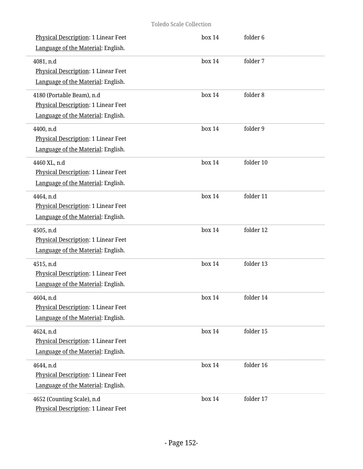| Physical Description: 1 Linear Feet<br>Language of the Material: English.                              | box 14    | folder 6  |
|--------------------------------------------------------------------------------------------------------|-----------|-----------|
| 4081, n.d<br>Physical Description: 1 Linear Feet<br>Language of the Material: English.                 | box 14    | folder 7  |
| 4180 (Portable Beam), n.d<br>Physical Description: 1 Linear Feet<br>Language of the Material: English. | box 14    | folder 8  |
| 4400, n.d<br>Physical Description: 1 Linear Feet<br>Language of the Material: English.                 | box 14    | folder 9  |
| 4460 XL, n.d<br>Physical Description: 1 Linear Feet<br>Language of the Material: English.              | box 14    | folder 10 |
| 4464, n.d<br>Physical Description: 1 Linear Feet<br>Language of the Material: English.                 | box 14    | folder 11 |
| 4505, n.d<br>Physical Description: 1 Linear Feet<br>Language of the Material: English.                 | box 14    | folder 12 |
| 4515, n.d<br>Physical Description: 1 Linear Feet<br>Language of the Material: English.                 | box 14    | folder 13 |
| 4604, n.d<br>Physical Description: 1 Linear Feet<br>Language of the Material: English.                 | $h$ ox 14 | folder 14 |
| 4624, n.d<br>Physical Description: 1 Linear Feet<br>Language of the Material: English.                 | box 14    | folder 15 |
| 4644, n.d<br>Physical Description: 1 Linear Feet<br>Language of the Material: English.                 | box 14    | folder 16 |
| 4652 (Counting Scale), n.d<br>Physical Description: 1 Linear Feet                                      | box 14    | folder 17 |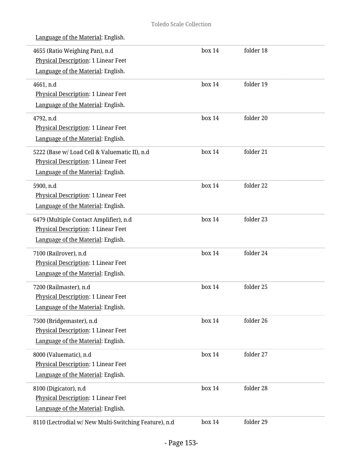|  | Language of the Material: English. |
|--|------------------------------------|
|  |                                    |

| 4655 (Ratio Weighing Pan), n.d<br>Physical Description: 1 Linear Feet<br>Language of the Material: English.                | box 14 | folder 18 |
|----------------------------------------------------------------------------------------------------------------------------|--------|-----------|
| 4661, n.d<br>Physical Description: 1 Linear Feet<br>Language of the Material: English.                                     | box 14 | folder 19 |
| 4792, n.d<br>Physical Description: 1 Linear Feet<br>Language of the Material: English.                                     | box 14 | folder 20 |
| 5222 (Base w/ Load Cell & Valuematic II), n.d<br>Physical Description: 1 Linear Feet<br>Language of the Material: English. | box 14 | folder 21 |
| 5900, n.d<br>Physical Description: 1 Linear Feet<br>Language of the Material: English.                                     | box 14 | folder 22 |
| 6479 (Multiple Contact Amplifier), n.d<br>Physical Description: 1 Linear Feet<br>Language of the Material: English.        | box 14 | folder 23 |
| 7100 (Railrover), n.d<br>Physical Description: 1 Linear Feet<br>Language of the Material: English.                         | box 14 | folder 24 |
| 7200 (Railmaster), n.d<br>Physical Description: 1 Linear Feet<br>Language of the Material: English.                        | box 14 | folder 25 |
| 7500 (Bridgemaster), n.d<br><b>Physical Description: 1 Linear Feet</b><br>Language of the Material: English.               | box 14 | folder 26 |
| 8000 (Valuematic), n.d<br><b>Physical Description: 1 Linear Feet</b><br>Language of the Material: English.                 | box 14 | folder 27 |
| 8100 (Digicator), n.d<br>Physical Description: 1 Linear Feet<br>Language of the Material: English.                         | box 14 | folder 28 |
| 8110 (Lectrodial w/ New Multi-Switching Feature), n.d                                                                      | box 14 | folder 29 |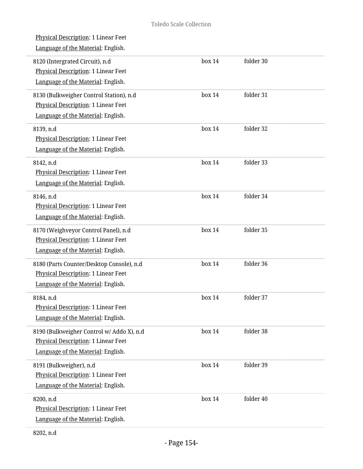| Physical Description: 1 Linear Feet<br>Language of the Material: English.                                              |        |           |
|------------------------------------------------------------------------------------------------------------------------|--------|-----------|
| 8120 (Intergrated Circuit), n.d<br>Physical Description: 1 Linear Feet<br>Language of the Material: English.           | box 14 | folder 30 |
| 8130 (Bulkweigher Control Station), n.d<br>Physical Description: 1 Linear Feet<br>Language of the Material: English.   | box 14 | folder 31 |
| 8139, n.d<br>Physical Description: 1 Linear Feet<br>Language of the Material: English.                                 | box 14 | folder 32 |
| 8142, n.d<br>Physical Description: 1 Linear Feet<br>Language of the Material: English.                                 | box 14 | folder 33 |
| 8146, n.d<br>Physical Description: 1 Linear Feet<br>Language of the Material: English.                                 | box 14 | folder 34 |
| 8170 (Weighveyor Control Panel), n.d<br>Physical Description: 1 Linear Feet<br>Language of the Material: English.      | box 14 | folder 35 |
| 8180 (Parts Counter/Desktop Console), n.d<br>Physical Description: 1 Linear Feet<br>Language of the Material: English. | box 14 | folder 36 |
| 8184, n.d<br>Physical Description: 1 Linear Feet<br>Language of the Material: English.                                 | box 14 | folder 37 |
| 8190 (Bulkweigher Control w/ Addo X), n.d<br>Physical Description: 1 Linear Feet<br>Language of the Material: English. | box 14 | folder 38 |
| 8191 (Bulkweigher), n.d<br><b>Physical Description: 1 Linear Feet</b><br>Language of the Material: English.            | box 14 | folder 39 |
| 8200, n.d<br>Physical Description: 1 Linear Feet<br>Language of the Material: English.                                 | box 14 | folder 40 |

L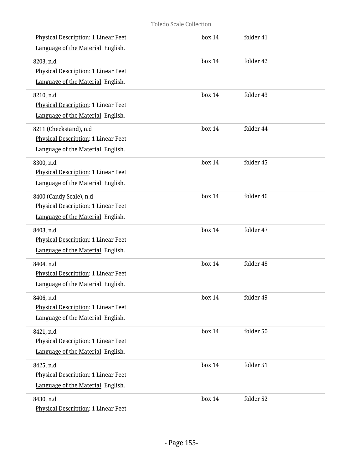| Physical Description: 1 Linear Feet<br>Language of the Material: English.                            | box 14 | folder 41 |
|------------------------------------------------------------------------------------------------------|--------|-----------|
| 8203, n.d<br>Physical Description: 1 Linear Feet<br>Language of the Material: English.               | box 14 | folder 42 |
| 8210, n.d<br>Physical Description: 1 Linear Feet<br>Language of the Material: English.               | box 14 | folder 43 |
| 8211 (Checkstand), n.d<br>Physical Description: 1 Linear Feet<br>Language of the Material: English.  | box 14 | folder 44 |
| 8300, n.d<br>Physical Description: 1 Linear Feet<br>Language of the Material: English.               | box 14 | folder 45 |
| 8400 (Candy Scale), n.d<br>Physical Description: 1 Linear Feet<br>Language of the Material: English. | box 14 | folder 46 |
| 8403, n.d<br>Physical Description: 1 Linear Feet<br>Language of the Material: English.               | box 14 | folder 47 |
| 8404, n.d<br>Physical Description: 1 Linear Feet<br>Language of the Material: English.               | box 14 | folder 48 |
| 8406, n.d<br>Physical Description: 1 Linear Feet<br>Language of the Material: English.               | box 14 | folder 49 |
| 8421, n.d<br><b>Physical Description: 1 Linear Feet</b><br>Language of the Material: English.        | box 14 | folder 50 |
| 8425, n.d<br>Physical Description: 1 Linear Feet<br>Language of the Material: English.               | box 14 | folder 51 |
| 8430, n.d<br>Physical Description: 1 Linear Feet                                                     | box 14 | folder 52 |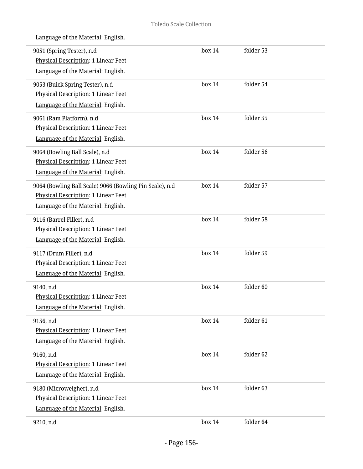| Language of the Material: English.                                                                     |        |           |  |
|--------------------------------------------------------------------------------------------------------|--------|-----------|--|
| 9051 (Spring Tester), n.d<br>Physical Description: 1 Linear Feet<br>Language of the Material: English. | box 14 | folder 53 |  |
|                                                                                                        |        |           |  |
| 9053 (Buick Spring Tester), n.d                                                                        | box 14 | folder 54 |  |
| Physical Description: 1 Linear Feet                                                                    |        |           |  |
| Language of the Material: English.                                                                     |        |           |  |
| 9061 (Ram Platform), n.d                                                                               | box 14 | folder 55 |  |
| Physical Description: 1 Linear Feet                                                                    |        |           |  |
| Language of the Material: English.                                                                     |        |           |  |
| 9064 (Bowling Ball Scale), n.d                                                                         | box 14 | folder 56 |  |
| Physical Description: 1 Linear Feet                                                                    |        |           |  |
| Language of the Material: English.                                                                     |        |           |  |
| 9064 (Bowling Ball Scale) 9066 (Bowling Pin Scale), n.d                                                | box 14 | folder 57 |  |
| Physical Description: 1 Linear Feet                                                                    |        |           |  |
| Language of the Material: English.                                                                     |        |           |  |
| 9116 (Barrel Filler), n.d                                                                              | box 14 | folder 58 |  |
| Physical Description: 1 Linear Feet                                                                    |        |           |  |
| Language of the Material: English.                                                                     |        |           |  |
| 9117 (Drum Filler), n.d                                                                                | box 14 | folder 59 |  |
| Physical Description: 1 Linear Feet                                                                    |        |           |  |
| Language of the Material: English.                                                                     |        |           |  |
| 9140, n.d                                                                                              | box 14 | folder 60 |  |
| Physical Description: 1 Linear Feet                                                                    |        |           |  |
| Language of the Material: English.                                                                     |        |           |  |
| 9156, n.d                                                                                              | box 14 | folder 61 |  |
| <b>Physical Description: 1 Linear Feet</b>                                                             |        |           |  |
| Language of the Material: English.                                                                     |        |           |  |
| 9160, n.d                                                                                              | box 14 | folder 62 |  |
| Physical Description: 1 Linear Feet                                                                    |        |           |  |
| Language of the Material: English.                                                                     |        |           |  |
| 9180 (Microweigher), n.d                                                                               | box 14 | folder 63 |  |
| Physical Description: 1 Linear Feet                                                                    |        |           |  |
| Language of the Material: English.                                                                     |        |           |  |
| 9210, n.d                                                                                              | box 14 | folder 64 |  |
|                                                                                                        |        |           |  |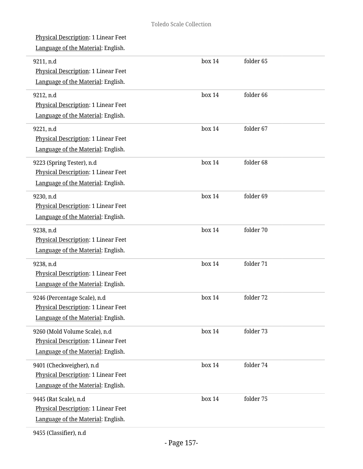| Physical Description: 1 Linear Feet<br>Language of the Material: English.                                  |        |           |  |
|------------------------------------------------------------------------------------------------------------|--------|-----------|--|
| 9211, n.d<br>Physical Description: 1 Linear Feet<br>Language of the Material: English.                     | box 14 | folder 65 |  |
| 9212, n.d<br>Physical Description: 1 Linear Feet<br>Language of the Material: English.                     | box 14 | folder 66 |  |
| 9221, n.d<br>Physical Description: 1 Linear Feet<br>Language of the Material: English.                     | box 14 | folder 67 |  |
| 9223 (Spring Tester), n.d<br>Physical Description: 1 Linear Feet<br>Language of the Material: English.     | box 14 | folder 68 |  |
| 9230, n.d<br>Physical Description: 1 Linear Feet<br>Language of the Material: English.                     | box 14 | folder 69 |  |
| 9238, n.d<br>Physical Description: 1 Linear Feet<br>Language of the Material: English.                     | box 14 | folder 70 |  |
| 9238, n.d<br>Physical Description: 1 Linear Feet<br>Language of the Material: English.                     | box 14 | folder 71 |  |
| 9246 (Percentage Scale), n.d<br>Physical Description: 1 Linear Feet<br>Language of the Material: English.  | box 14 | folder 72 |  |
| 9260 (Mold Volume Scale), n.d<br>Physical Description: 1 Linear Feet<br>Language of the Material: English. | box 14 | folder 73 |  |
| 9401 (Checkweigher), n.d<br>Physical Description: 1 Linear Feet<br>Language of the Material: English.      | box 14 | folder 74 |  |
| 9445 (Rat Scale), n.d<br>Physical Description: 1 Linear Feet<br>Language of the Material: English.         | box 14 | folder 75 |  |

9455 (Classifier), n.d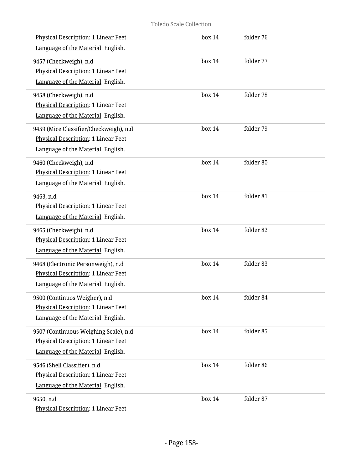| <b>Physical Description: 1 Linear Feet</b><br>Language of the Material: English.                                    | box 14    | folder 76 |  |
|---------------------------------------------------------------------------------------------------------------------|-----------|-----------|--|
| 9457 (Checkweigh), n.d<br>Physical Description: 1 Linear Feet<br>Language of the Material: English.                 | box 14    | folder 77 |  |
| 9458 (Checkweigh), n.d<br>Physical Description: 1 Linear Feet<br>Language of the Material: English.                 | box 14    | folder 78 |  |
| 9459 (Mice Classifier/Checkweigh), n.d<br>Physical Description: 1 Linear Feet<br>Language of the Material: English. | box 14    | folder 79 |  |
| 9460 (Checkweigh), n.d<br><b>Physical Description: 1 Linear Feet</b><br>Language of the Material: English.          | box 14    | folder 80 |  |
| 9463, n.d<br>Physical Description: 1 Linear Feet<br>Language of the Material: English.                              | box 14    | folder 81 |  |
| 9465 (Checkweigh), n.d<br>Physical Description: 1 Linear Feet<br>Language of the Material: English.                 | box 14    | folder 82 |  |
| 9468 (Electronic Personweigh), n.d<br>Physical Description: 1 Linear Feet<br>Language of the Material: English.     | box 14    | folder 83 |  |
| 9500 (Continuos Weigher), n.d<br>Physical Description: 1 Linear Feet<br>Language of the Material: English.          | $h$ ox 14 | folder 84 |  |
| 9507 (Continuous Weighing Scale), n.d<br>Physical Description: 1 Linear Feet<br>Language of the Material: English.  | box 14    | folder 85 |  |
| 9546 (Shell Classifier), n.d<br>Physical Description: 1 Linear Feet<br>Language of the Material: English.           | box 14    | folder 86 |  |
| 9650, n.d<br>Physical Description: 1 Linear Feet                                                                    | box 14    | folder 87 |  |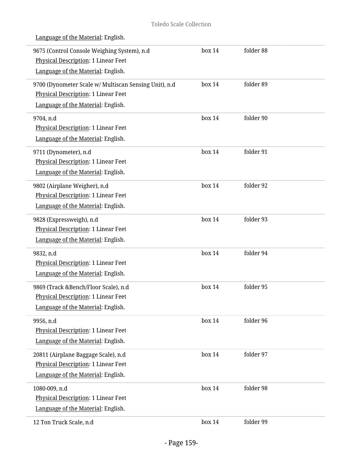| 9675 (Control Console Weighing System), n.d<br>Physical Description: 1 Linear Feet<br>Language of the Material: English.           | box 14 | folder 88 |  |
|------------------------------------------------------------------------------------------------------------------------------------|--------|-----------|--|
| 9700 (Dynometer Scale w/ Multiscan Sensing Unit), n.d<br>Physical Description: 1 Linear Feet<br>Language of the Material: English. | box 14 | folder 89 |  |
| 9704, n.d<br>Physical Description: 1 Linear Feet<br>Language of the Material: English.                                             | box 14 | folder 90 |  |
| 9711 (Dynometer), n.d<br><b>Physical Description: 1 Linear Feet</b><br>Language of the Material: English.                          | box 14 | folder 91 |  |
| 9802 (Airplane Weigher), n.d<br>Physical Description: 1 Linear Feet<br>Language of the Material: English.                          | box 14 | folder 92 |  |
| 9828 (Expressweigh), n.d<br>Physical Description: 1 Linear Feet<br>Language of the Material: English.                              | box 14 | folder 93 |  |
| 9832, n.d<br>Physical Description: 1 Linear Feet<br>Language of the Material: English.                                             | box 14 | folder 94 |  |
| 9869 (Track &Bench/Floor Scale), n.d<br>Physical Description: 1 Linear Feet<br>Language of the Material: English.                  | box 14 | folder 95 |  |
| 9956, n.d<br>Physical Description: 1 Linear Feet<br>Language of the Material: English.                                             | box 14 | folder 96 |  |
| 20811 (Airplane Baggage Scale), n.d<br><b>Physical Description: 1 Linear Feet</b><br>Language of the Material: English.            | box 14 | folder 97 |  |
| 1080-009, n.d<br>Physical Description: 1 Linear Feet<br>Language of the Material: English.                                         | box 14 | folder 98 |  |
| 12 Ton Truck Scale, n.d                                                                                                            | box 14 | folder 99 |  |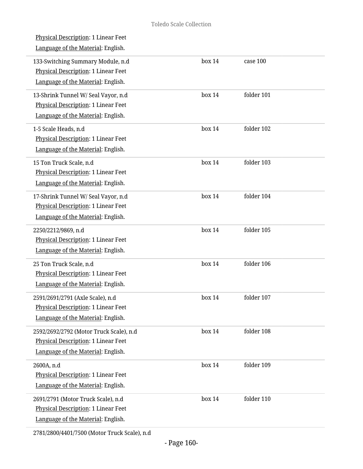| <b>Physical Description: 1 Linear Feet</b><br>Language of the Material: English.                                     |        |            |  |
|----------------------------------------------------------------------------------------------------------------------|--------|------------|--|
| 133-Switching Summary Module, n.d<br>Physical Description: 1 Linear Feet<br>Language of the Material: English.       | box 14 | case 100   |  |
| 13-Shrink Tunnel W/ Seal Vayor, n.d<br>Physical Description: 1 Linear Feet<br>Language of the Material: English.     | box 14 | folder 101 |  |
| 1-5 Scale Heads, n.d<br>Physical Description: 1 Linear Feet<br>Language of the Material: English.                    | box 14 | folder 102 |  |
| 15 Ton Truck Scale, n.d<br>Physical Description: 1 Linear Feet<br>Language of the Material: English.                 | box 14 | folder 103 |  |
| 17-Shrink Tunnel W/ Seal Vayor, n.d<br>Physical Description: 1 Linear Feet<br>Language of the Material: English.     | box 14 | folder 104 |  |
| 2250/2212/9869, n.d<br>Physical Description: 1 Linear Feet<br>Language of the Material: English.                     | box 14 | folder 105 |  |
| 25 Ton Truck Scale, n.d<br>Physical Description: 1 Linear Feet<br>Language of the Material: English.                 | box 14 | folder 106 |  |
| 2591/2691/2791 (Axle Scale), n.d<br>Physical Description: 1 Linear Feet<br>Language of the Material: English.        | box 14 | folder 107 |  |
| 2592/2692/2792 (Motor Truck Scale), n.d<br>Physical Description: 1 Linear Feet<br>Language of the Material: English. | box 14 | folder 108 |  |
| 2600A, n.d<br>Physical Description: 1 Linear Feet<br>Language of the Material: English.                              | box 14 | folder 109 |  |
| 2691/2791 (Motor Truck Scale), n.d<br>Physical Description: 1 Linear Feet<br>Language of the Material: English.      | box 14 | folder 110 |  |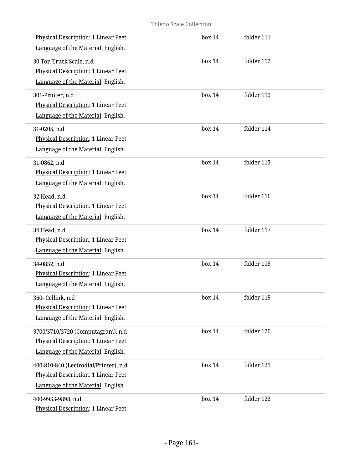| Physical Description: 1 Linear Feet<br>Language of the Material: English.                                                 | box 14    | folder 111 |  |
|---------------------------------------------------------------------------------------------------------------------------|-----------|------------|--|
| 30 Ton Truck Scale, n.d<br>Physical Description: 1 Linear Feet<br>Language of the Material: English.                      | box 14    | folder 112 |  |
| 301-Printer, n.d<br>Physical Description: 1 Linear Feet<br>Language of the Material: English.                             | box 14    | folder 113 |  |
| 31-0205, n.d<br>Physical Description: 1 Linear Feet<br>Language of the Material: English.                                 | box 14    | folder 114 |  |
| 31-0862, n.d<br>Physical Description: 1 Linear Feet<br>Language of the Material: English.                                 | box 14    | folder 115 |  |
| 32 Head, n.d<br>Physical Description: 1 Linear Feet<br>Language of the Material: English.                                 | box 14    | folder 116 |  |
| 34 Head, n.d<br>Physical Description: 1 Linear Feet<br>Language of the Material: English.                                 | box 14    | folder 117 |  |
| 34-0852, n.d<br>Physical Description: 1 Linear Feet<br>Language of the Material: English.                                 | box 14    | folder 118 |  |
| 360- Cellink, n.d<br>Physical Description: 1 Linear Feet<br>Language of the Material: English.                            | $h$ ox 14 | folder 119 |  |
| 3700/3710/3720 (Computagram), n.d<br>Physical Description: 1 Linear Feet<br>Language of the Material: English.            | box 14    | folder 120 |  |
| 400-810-840 (Lectrodial/Printer), n.d<br><b>Physical Description: 1 Linear Feet</b><br>Language of the Material: English. | box 14    | folder 121 |  |
| 400-9955-9898, n.d<br>Physical Description: 1 Linear Feet                                                                 | box 14    | folder 122 |  |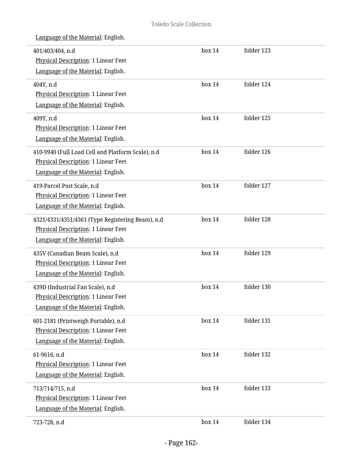| 401/403/404, n.d<br>Physical Description: 1 Linear Feet | box 14 | folder 123 |  |
|---------------------------------------------------------|--------|------------|--|
| Language of the Material: English.                      |        |            |  |
| 404Y, n.d                                               | box 14 | folder 124 |  |
| Physical Description: 1 Linear Feet                     |        |            |  |
| Language of the Material: English.                      |        |            |  |
| 409Y, n.d                                               | box 14 | folder 125 |  |
| Physical Description: 1 Linear Feet                     |        |            |  |
| Language of the Material: English.                      |        |            |  |
| 410-9940 (Full Load Cell and Platform Scale), n.d       | box 14 | folder 126 |  |
| Physical Description: 1 Linear Feet                     |        |            |  |
| Language of the Material: English.                      |        |            |  |
| 419-Parcel Post Scale, n.d                              | box 14 | folder 127 |  |
| Physical Description: 1 Linear Feet                     |        |            |  |
| Language of the Material: English.                      |        |            |  |
| 4321/4331/4351/4361 (Type Registering Beam), n.d        | box 14 | folder 128 |  |
| Physical Description: 1 Linear Feet                     |        |            |  |
| Language of the Material: English.                      |        |            |  |
| 435V (Canadian Beam Scale), n.d                         | box 14 | folder 129 |  |
| Physical Description: 1 Linear Feet                     |        |            |  |
| Language of the Material: English.                      |        |            |  |
| 439D (Industrial Fan Scale), n.d                        | box 14 | folder 130 |  |
| Physical Description: 1 Linear Feet                     |        |            |  |
| Language of the Material: English.                      |        |            |  |
| 601-2181 (Printweigh Portable), n.d                     | box 14 | folder 131 |  |
| <b>Physical Description: 1 Linear Feet</b>              |        |            |  |
| Language of the Material: English.                      |        |            |  |
| 61-9616, n.d                                            | box 14 | folder 132 |  |
| Physical Description: 1 Linear Feet                     |        |            |  |
| Language of the Material: English.                      |        |            |  |
| 713/714/715, n.d                                        | box 14 | folder 133 |  |
| Physical Description: 1 Linear Feet                     |        |            |  |
| Language of the Material: English.                      |        |            |  |
| 723-728, n.d                                            | box 14 | folder 134 |  |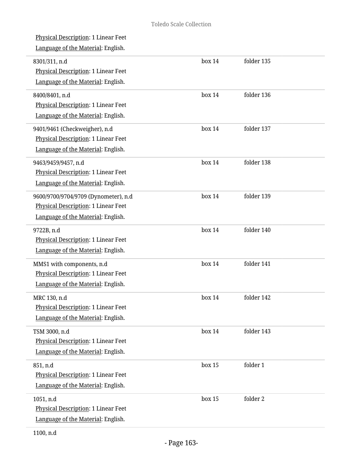Physical Description: 1 Linear Feet

| 8301/311, n.d<br>Physical Description: 1 Linear Feet<br>Language of the Material: English.                        | box 14 | folder 135 |
|-------------------------------------------------------------------------------------------------------------------|--------|------------|
| 8400/8401, n.d<br>Physical Description: 1 Linear Feet<br>Language of the Material: English.                       | box 14 | folder 136 |
| 9401/9461 (Checkweigher), n.d<br>Physical Description: 1 Linear Feet<br>Language of the Material: English.        | box 14 | folder 137 |
| 9463/9459/9457, n.d<br>Physical Description: 1 Linear Feet<br>Language of the Material: English.                  | box 14 | folder 138 |
| 9600/9700/9704/9709 (Dynometer), n.d<br>Physical Description: 1 Linear Feet<br>Language of the Material: English. | box 14 | folder 139 |
| 9722B, n.d<br>Physical Description: 1 Linear Feet<br>Language of the Material: English.                           | box 14 | folder 140 |
| MMS1 with components, n.d<br>Physical Description: 1 Linear Feet<br>Language of the Material: English.            | box 14 | folder 141 |
| MRC 130, n.d<br>Physical Description: 1 Linear Feet<br>Language of the Material: English.                         | box 14 | folder 142 |
| TSM 3000, n.d<br>Physical Description: 1 Linear Feet<br>Language of the Material: English.                        | box 14 | folder 143 |
| 851, n.d<br>Physical Description: 1 Linear Feet<br>Language of the Material: English.                             | box 15 | folder 1   |
| 1051, n.d<br>Physical Description: 1 Linear Feet<br>Language of the Material: English.                            | box 15 | folder 2   |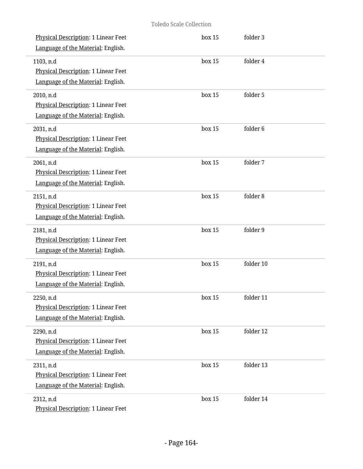| Physical Description: 1 Linear Feet<br>Language of the Material: English.                     | box 15 | folder 3  |  |
|-----------------------------------------------------------------------------------------------|--------|-----------|--|
| 1103, n.d<br><b>Physical Description: 1 Linear Feet</b><br>Language of the Material: English. | box 15 | folder 4  |  |
| 2010, n.d<br>Physical Description: 1 Linear Feet<br>Language of the Material: English.        | box 15 | folder 5  |  |
| 2031, n.d<br>Physical Description: 1 Linear Feet<br>Language of the Material: English.        | box 15 | folder 6  |  |
| 2061, n.d<br>Physical Description: 1 Linear Feet<br>Language of the Material: English.        | box 15 | folder 7  |  |
| 2151, n.d<br>Physical Description: 1 Linear Feet<br>Language of the Material: English.        | box 15 | folder 8  |  |
| 2181, n.d<br>Physical Description: 1 Linear Feet<br>Language of the Material: English.        | box 15 | folder 9  |  |
| 2191, n.d<br>Physical Description: 1 Linear Feet<br>Language of the Material: English.        | box 15 | folder 10 |  |
| 2250, n.d<br><b>Physical Description: 1 Linear Feet</b><br>Language of the Material: English. | box 15 | folder 11 |  |
| 2290, n.d<br>Physical Description: 1 Linear Feet<br>Language of the Material: English.        | box 15 | folder 12 |  |
| 2311, n.d<br>Physical Description: 1 Linear Feet<br>Language of the Material: English.        | box 15 | folder 13 |  |
| 2312, n.d<br>Physical Description: 1 Linear Feet                                              | box 15 | folder 14 |  |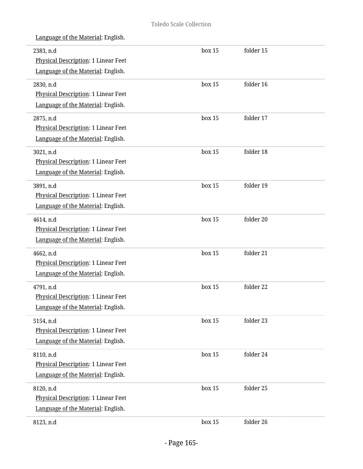| 2383, n.d<br>Physical Description: 1 Linear Feet<br>Language of the Material: English.        | box 15 | folder 15 |
|-----------------------------------------------------------------------------------------------|--------|-----------|
| 2830, n.d<br>Physical Description: 1 Linear Feet<br>Language of the Material: English.        | box 15 | folder 16 |
| 2875, n.d<br>Physical Description: 1 Linear Feet<br>Language of the Material: English.        | box 15 | folder 17 |
| 3021, n.d<br>Physical Description: 1 Linear Feet<br>Language of the Material: English.        | box 15 | folder 18 |
| 3891, n.d<br>Physical Description: 1 Linear Feet<br>Language of the Material: English.        | box 15 | folder 19 |
| 4614, n.d<br>Physical Description: 1 Linear Feet<br>Language of the Material: English.        | box 15 | folder 20 |
| 4662, n.d<br>Physical Description: 1 Linear Feet<br>Language of the Material: English.        | box 15 | folder 21 |
| 4791, n.d<br><b>Physical Description: 1 Linear Feet</b><br>Language of the Material: English. | box 15 | folder 22 |
| 5154, n.d<br>Physical Description: 1 Linear Feet<br>Language of the Material: English.        | box 15 | folder 23 |
| 8110, n.d<br>Physical Description: 1 Linear Feet<br>Language of the Material: English.        | box 15 | folder 24 |
| 8120, n.d<br>Physical Description: 1 Linear Feet<br>Language of the Material: English.        | box 15 | folder 25 |
| 8123, n.d                                                                                     | box 15 | folder 26 |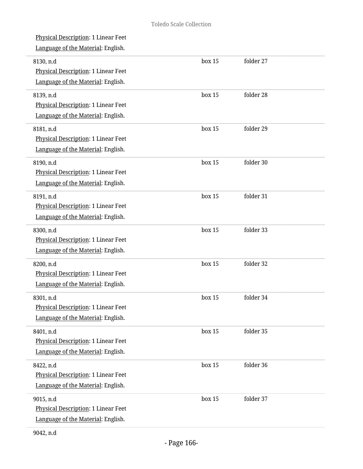| Physical Description: 1 Linear Feet<br>Language of the Material: English.                     |        |           |
|-----------------------------------------------------------------------------------------------|--------|-----------|
| 8130, n.d<br>Physical Description: 1 Linear Feet<br>Language of the Material: English.        | box 15 | folder 27 |
| 8139, n.d<br>Physical Description: 1 Linear Feet<br>Language of the Material: English.        | box 15 | folder 28 |
| 8181, n.d<br>Physical Description: 1 Linear Feet<br>Language of the Material: English.        | box 15 | folder 29 |
| 8190, n.d<br>Physical Description: 1 Linear Feet<br>Language of the Material: English.        | box 15 | folder 30 |
| 8191, n.d<br>Physical Description: 1 Linear Feet<br>Language of the Material: English.        | box 15 | folder 31 |
| 8300, n.d<br>Physical Description: 1 Linear Feet<br>Language of the Material: English.        | box 15 | folder 33 |
| 8200, n.d<br>Physical Description: 1 Linear Feet<br>Language of the Material: English.        | box 15 | folder 32 |
| 8301, n.d<br><b>Physical Description: 1 Linear Feet</b><br>Language of the Material: English. | box 15 | folder 34 |
| 8401, n.d<br>Physical Description: 1 Linear Feet<br>Language of the Material: English.        | box 15 | folder 35 |
| 8422, n.d<br>Physical Description: 1 Linear Feet<br>Language of the Material: English.        | box 15 | folder 36 |
| 9015, n.d<br>Physical Description: 1 Linear Feet<br>Language of the Material: English.        | box 15 | folder 37 |
|                                                                                               |        |           |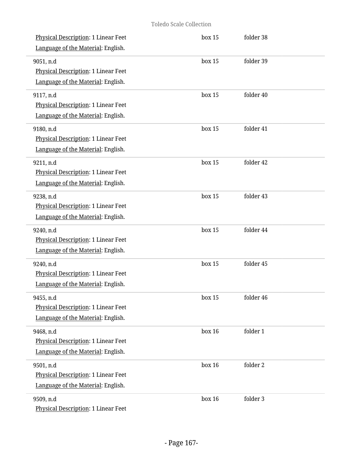| <b>Physical Description: 1 Linear Feet</b><br>Language of the Material: English.              | box 15 | folder 38 |
|-----------------------------------------------------------------------------------------------|--------|-----------|
| 9051, n.d<br>Physical Description: 1 Linear Feet<br>Language of the Material: English.        | box 15 | folder 39 |
| 9117, n.d<br>Physical Description: 1 Linear Feet<br>Language of the Material: English.        | box 15 | folder 40 |
| 9180, n.d<br>Physical Description: 1 Linear Feet<br>Language of the Material: English.        | box 15 | folder 41 |
| 9211, n.d<br>Physical Description: 1 Linear Feet<br>Language of the Material: English.        | box 15 | folder 42 |
| 9238, n.d<br>Physical Description: 1 Linear Feet<br>Language of the Material: English.        | box 15 | folder 43 |
| 9240, n.d<br>Physical Description: 1 Linear Feet<br>Language of the Material: English.        | box 15 | folder 44 |
| 9240, n.d<br>Physical Description: 1 Linear Feet<br>Language of the Material: English.        | box 15 | folder 45 |
| 9455, n.d<br><b>Physical Description: 1 Linear Feet</b><br>Language of the Material: English. | box 15 | folder 46 |
| 9468, n.d<br>Physical Description: 1 Linear Feet<br>Language of the Material: English.        | box 16 | folder 1  |
| 9501, n.d<br>Physical Description: 1 Linear Feet<br>Language of the Material: English.        | box 16 | folder 2  |
| 9509, n.d<br>Physical Description: 1 Linear Feet                                              | box 16 | folder 3  |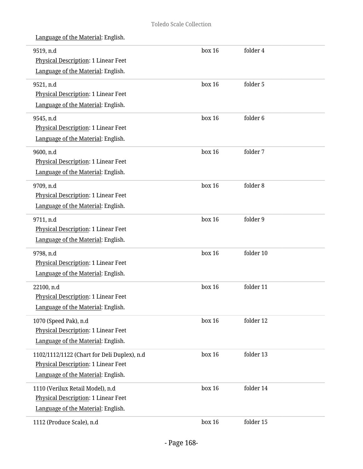| 9519, n.d<br><b>Physical Description: 1 Linear Feet</b> | box 16 | folder 4            |  |
|---------------------------------------------------------|--------|---------------------|--|
| Language of the Material: English.                      |        |                     |  |
| 9521, n.d                                               | box 16 | folder 5            |  |
| Physical Description: 1 Linear Feet                     |        |                     |  |
| Language of the Material: English.                      |        |                     |  |
| 9545, n.d                                               | box 16 | folder <sub>6</sub> |  |
| Physical Description: 1 Linear Feet                     |        |                     |  |
| Language of the Material: English.                      |        |                     |  |
| 9600, n.d                                               | box 16 | folder 7            |  |
| Physical Description: 1 Linear Feet                     |        |                     |  |
| Language of the Material: English.                      |        |                     |  |
| 9709, n.d                                               | box 16 | folder 8            |  |
| Physical Description: 1 Linear Feet                     |        |                     |  |
| Language of the Material: English.                      |        |                     |  |
| 9711, n.d                                               | box 16 | folder 9            |  |
| Physical Description: 1 Linear Feet                     |        |                     |  |
| Language of the Material: English.                      |        |                     |  |
| 9798, n.d                                               | box 16 | folder 10           |  |
| Physical Description: 1 Linear Feet                     |        |                     |  |
| Language of the Material: English.                      |        |                     |  |
| 22100, n.d                                              | box 16 | folder 11           |  |
| Physical Description: 1 Linear Feet                     |        |                     |  |
| Language of the Material: English.                      |        |                     |  |
| 1070 (Speed Pak), n.d                                   | box 16 | folder 12           |  |
| Physical Description: 1 Linear Feet                     |        |                     |  |
| Language of the Material: English.                      |        |                     |  |
| 1102/1112/1122 (Chart for Deli Duplex), n.d             | box 16 | folder 13           |  |
| Physical Description: 1 Linear Feet                     |        |                     |  |
| Language of the Material: English.                      |        |                     |  |
| 1110 (Verilux Retail Model), n.d                        | box 16 | folder 14           |  |
| Physical Description: 1 Linear Feet                     |        |                     |  |
| Language of the Material: English.                      |        |                     |  |
| 1112 (Produce Scale), n.d                               | box 16 | folder 15           |  |
|                                                         |        |                     |  |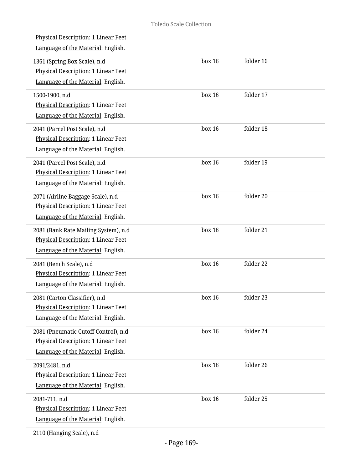| Physical Description: 1 Linear Feet<br>Language of the Material: English.                                         |        |           |  |
|-------------------------------------------------------------------------------------------------------------------|--------|-----------|--|
| 1361 (Spring Box Scale), n.d<br>Physical Description: 1 Linear Feet<br>Language of the Material: English.         | box 16 | folder 16 |  |
| 1500-1900, n.d<br><b>Physical Description: 1 Linear Feet</b><br>Language of the Material: English.                | box 16 | folder 17 |  |
| 2041 (Parcel Post Scale), n.d<br>Physical Description: 1 Linear Feet<br>Language of the Material: English.        | box 16 | folder 18 |  |
| 2041 (Parcel Post Scale), n.d<br><b>Physical Description: 1 Linear Feet</b><br>Language of the Material: English. | box 16 | folder 19 |  |
| 2071 (Airline Baggage Scale), n.d<br>Physical Description: 1 Linear Feet<br>Language of the Material: English.    | box 16 | folder 20 |  |
| 2081 (Bank Rate Mailing System), n.d<br>Physical Description: 1 Linear Feet<br>Language of the Material: English. | box 16 | folder 21 |  |
| 2081 (Bench Scale), n.d<br>Physical Description: 1 Linear Feet<br>Language of the Material: English.              | box 16 | folder 22 |  |
| 2081 (Carton Classifier), n.d<br>Physical Description: 1 Linear Feet<br>Language of the Material: English.        | box 16 | folder 23 |  |
| 2081 (Pneumatic Cutoff Control), n.d<br>Physical Description: 1 Linear Feet<br>Language of the Material: English. | box 16 | folder 24 |  |
| 2091/2481, n.d<br>Physical Description: 1 Linear Feet<br>Language of the Material: English.                       | box 16 | folder 26 |  |
| 2081-711, n.d<br>Physical Description: 1 Linear Feet<br>Language of the Material: English.                        | box 16 | folder 25 |  |
|                                                                                                                   |        |           |  |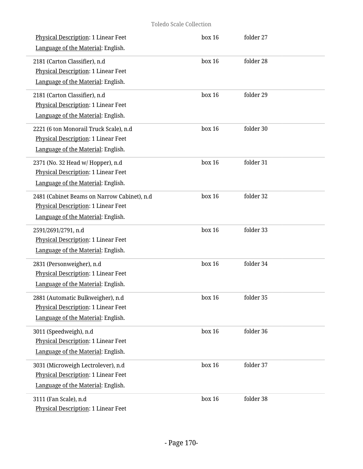## Toledo Scale Collection

| Physical Description: 1 Linear Feet<br>Language of the Material: English.                                                | box 16 | folder 27 |  |
|--------------------------------------------------------------------------------------------------------------------------|--------|-----------|--|
| 2181 (Carton Classifier), n.d<br>Physical Description: 1 Linear Feet<br>Language of the Material: English.               | box 16 | folder 28 |  |
| 2181 (Carton Classifier), n.d<br>Physical Description: 1 Linear Feet<br>Language of the Material: English.               | box 16 | folder 29 |  |
| 2221 (6 ton Monorail Truck Scale), n.d<br>Physical Description: 1 Linear Feet<br>Language of the Material: English.      | box 16 | folder 30 |  |
| 2371 (No. 32 Head w/ Hopper), n.d<br>Physical Description: 1 Linear Feet<br>Language of the Material: English.           | box 16 | folder 31 |  |
| 2481 (Cabinet Beams on Narrow Cabinet), n.d<br>Physical Description: 1 Linear Feet<br>Language of the Material: English. | box 16 | folder 32 |  |
| 2591/2691/2791, n.d<br>Physical Description: 1 Linear Feet<br>Language of the Material: English.                         | box 16 | folder 33 |  |
| 2831 (Personweigher), n.d<br><b>Physical Description: 1 Linear Feet</b><br>Language of the Material: English.            | box 16 | folder 34 |  |
| 2881 (Automatic Bulkweigher), n.d<br>Physical Description: 1 Linear Feet<br>Language of the Material: English.           | box 16 | folder 35 |  |
| 3011 (Speedweigh), n.d<br><b>Physical Description: 1 Linear Feet</b><br>Language of the Material: English.               | box 16 | folder 36 |  |
| 3031 (Microweigh Lectrolever), n.d<br>Physical Description: 1 Linear Feet<br>Language of the Material: English.          | box 16 | folder 37 |  |
| 3111 (Fan Scale), n.d<br>Physical Description: 1 Linear Feet                                                             | box 16 | folder 38 |  |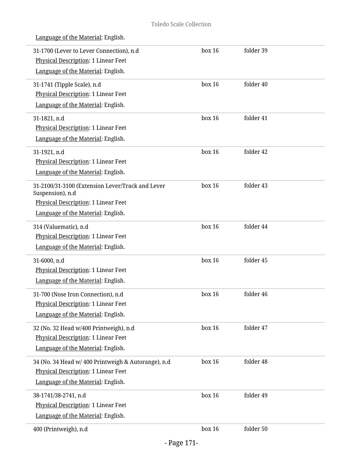| 31-1700 (Lever to Lever Connection), n.d<br>Physical Description: 1 Linear Feet<br>Language of the Material: English.                             | box 16 | folder 39 |
|---------------------------------------------------------------------------------------------------------------------------------------------------|--------|-----------|
| 31-1741 (Tipple Scale), n.d<br>Physical Description: 1 Linear Feet<br>Language of the Material: English.                                          | box 16 | folder 40 |
| 31-1821, n.d<br>Physical Description: 1 Linear Feet<br>Language of the Material: English.                                                         | box 16 | folder 41 |
| 31-1921, n.d<br>Physical Description: 1 Linear Feet<br>Language of the Material: English.                                                         | box 16 | folder 42 |
| 31-2100/31-3100 (Extension Lever/Track and Lever<br>Suspension), n.d<br>Physical Description: 1 Linear Feet<br>Language of the Material: English. | box 16 | folder 43 |
| 314 (Valuematic), n.d<br>Physical Description: 1 Linear Feet<br>Language of the Material: English.                                                | box 16 | folder 44 |
| 31-6000, n.d<br>Physical Description: 1 Linear Feet<br>Language of the Material: English.                                                         | box 16 | folder 45 |
| 31-700 (Nose Iron Connection), n.d<br>Physical Description: 1 Linear Feet<br>Language of the Material: English.                                   | box 16 | folder 46 |
| 32 (No. 32 Head w/400 Printweigh), n.d<br>Physical Description: 1 Linear Feet<br>Language of the Material: English.                               | box 16 | folder 47 |
| 34 (No. 34 Head w/ 400 Printweigh & Autorange), n.d<br>Physical Description: 1 Linear Feet<br>Language of the Material: English.                  | box 16 | folder 48 |
| 38-1741/38-2741, n.d<br>Physical Description: 1 Linear Feet<br>Language of the Material: English.                                                 | box 16 | folder 49 |
| 400 (Printweigh), n.d                                                                                                                             | box 16 | folder 50 |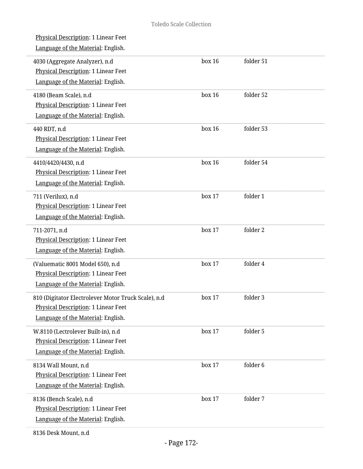| Physical Description: 1 Linear Feet<br>Language of the Material: English.                                                        |        |           |  |
|----------------------------------------------------------------------------------------------------------------------------------|--------|-----------|--|
| 4030 (Aggregate Analyzer), n.d<br>Physical Description: 1 Linear Feet<br>Language of the Material: English.                      | box 16 | folder 51 |  |
| 4180 (Beam Scale), n.d<br>Physical Description: 1 Linear Feet<br>Language of the Material: English.                              | box 16 | folder 52 |  |
| 440 RDT, n.d<br>Physical Description: 1 Linear Feet<br>Language of the Material: English.                                        | box 16 | folder 53 |  |
| 4410/4420/4430, n.d<br><b>Physical Description: 1 Linear Feet</b><br>Language of the Material: English.                          | box 16 | folder 54 |  |
| 711 (Verilux), n.d<br>Physical Description: 1 Linear Feet<br>Language of the Material: English.                                  | box 17 | folder 1  |  |
| 711-2071, n.d<br>Physical Description: 1 Linear Feet<br>Language of the Material: English.                                       | box 17 | folder 2  |  |
| (Valuematic 8001 Model 650), n.d<br>Physical Description: 1 Linear Feet<br>Language of the Material: English.                    | box 17 | folder 4  |  |
| 810 (Digitator Electrolever Motor Truck Scale), n.d<br>Physical Description: 1 Linear Feet<br>Language of the Material: English. | box 17 | folder 3  |  |
| W.8110 (Lectrolever Built-in), n.d<br>Physical Description: 1 Linear Feet<br>Language of the Material: English.                  | box 17 | folder 5  |  |
| 8134 Wall Mount, n.d<br>Physical Description: 1 Linear Feet<br>Language of the Material: English.                                | box 17 | folder 6  |  |
| 8136 (Bench Scale), n.d<br>Physical Description: 1 Linear Feet<br>Language of the Material: English.                             | box 17 | folder 7  |  |
|                                                                                                                                  |        |           |  |

8136 Desk Mount, n.d

L

i.

i,

i.

i.

L.

i,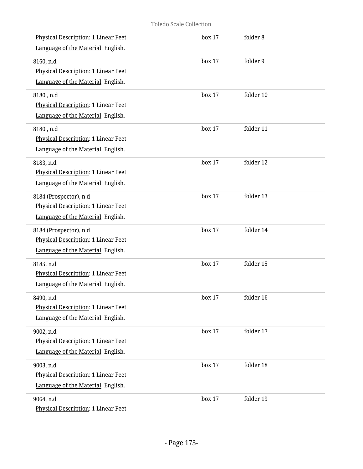| <b>Physical Description: 1 Linear Feet</b><br>Language of the Material: English.                    | box 17 | folder 8  |
|-----------------------------------------------------------------------------------------------------|--------|-----------|
| 8160, n.d<br>Physical Description: 1 Linear Feet<br>Language of the Material: English.              | box 17 | folder 9  |
| 8180, n.d<br>Physical Description: 1 Linear Feet<br>Language of the Material: English.              | box 17 | folder 10 |
| 8180, n.d<br>Physical Description: 1 Linear Feet<br>Language of the Material: English.              | box 17 | folder 11 |
| 8183, n.d<br>Physical Description: 1 Linear Feet<br>Language of the Material: English.              | box 17 | folder 12 |
| 8184 (Prospector), n.d<br>Physical Description: 1 Linear Feet<br>Language of the Material: English. | box 17 | folder 13 |
| 8184 (Prospector), n.d<br>Physical Description: 1 Linear Feet<br>Language of the Material: English. | box 17 | folder 14 |
| 8185, n.d<br>Physical Description: 1 Linear Feet<br>Language of the Material: English.              | box 17 | folder 15 |
| 8490, n.d<br><b>Physical Description: 1 Linear Feet</b><br>Language of the Material: English.       | box 17 | folder 16 |
| 9002, n.d<br>Physical Description: 1 Linear Feet<br>Language of the Material: English.              | box 17 | folder 17 |
| 9003, n.d<br>Physical Description: 1 Linear Feet<br>Language of the Material: English.              | box 17 | folder 18 |
| 9064, n.d<br>Physical Description: 1 Linear Feet                                                    | box 17 | folder 19 |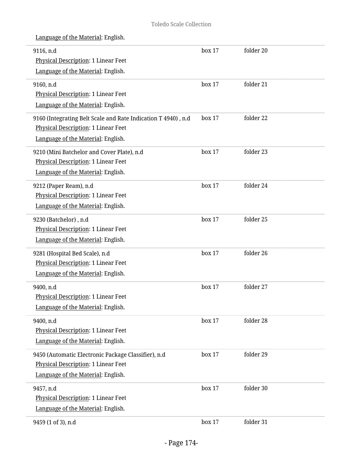| 9116, n.d<br>Physical Description: 1 Linear Feet              | box 17 | folder 20 |  |
|---------------------------------------------------------------|--------|-----------|--|
| Language of the Material: English.                            |        |           |  |
| 9160, n.d                                                     | box 17 | folder 21 |  |
| Physical Description: 1 Linear Feet                           |        |           |  |
| Language of the Material: English.                            |        |           |  |
| 9160 (Integrating Belt Scale and Rate Indication T 4940), n.d | box 17 | folder 22 |  |
| Physical Description: 1 Linear Feet                           |        |           |  |
| Language of the Material: English.                            |        |           |  |
| 9210 (Mini Batchelor and Cover Plate), n.d                    | box 17 | folder 23 |  |
| <b>Physical Description: 1 Linear Feet</b>                    |        |           |  |
| Language of the Material: English.                            |        |           |  |
| 9212 (Paper Ream), n.d                                        | box 17 | folder 24 |  |
| Physical Description: 1 Linear Feet                           |        |           |  |
| Language of the Material: English.                            |        |           |  |
| 9230 (Batchelor), n.d                                         | box 17 | folder 25 |  |
| Physical Description: 1 Linear Feet                           |        |           |  |
| Language of the Material: English.                            |        |           |  |
| 9281 (Hospital Bed Scale), n.d                                | box 17 | folder 26 |  |
| Physical Description: 1 Linear Feet                           |        |           |  |
| Language of the Material: English.                            |        |           |  |
| 9400, n.d                                                     | box 17 | folder 27 |  |
| Physical Description: 1 Linear Feet                           |        |           |  |
| Language of the Material: English.                            |        |           |  |
| 9400, n.d                                                     | box 17 | folder 28 |  |
| Physical Description: 1 Linear Feet                           |        |           |  |
| Language of the Material: English.                            |        |           |  |
| 9450 (Automatic Electronic Package Classifier), n.d           | box 17 | folder 29 |  |
| <b>Physical Description: 1 Linear Feet</b>                    |        |           |  |
| Language of the Material: English.                            |        |           |  |
| 9457, n.d                                                     | box 17 | folder 30 |  |
| Physical Description: 1 Linear Feet                           |        |           |  |
| Language of the Material: English.                            |        |           |  |
| 9459 (1 of 3), n.d                                            | box 17 | folder 31 |  |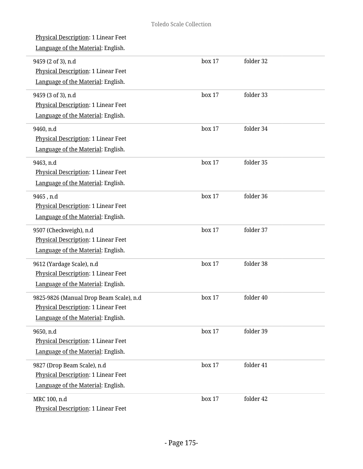| <b>Physical Description: 1 Linear Feet</b><br>Language of the Material: English.                                     |        |           |  |
|----------------------------------------------------------------------------------------------------------------------|--------|-----------|--|
| 9459 (2 of 3), n.d<br>Physical Description: 1 Linear Feet<br>Language of the Material: English.                      | box 17 | folder 32 |  |
| 9459 (3 of 3), n.d<br>Physical Description: 1 Linear Feet<br>Language of the Material: English.                      | box 17 | folder 33 |  |
| 9460, n.d<br>Physical Description: 1 Linear Feet<br>Language of the Material: English.                               | box 17 | folder 34 |  |
| 9463, n.d<br>Physical Description: 1 Linear Feet<br>Language of the Material: English.                               | box 17 | folder 35 |  |
| 9465, n.d<br>Physical Description: 1 Linear Feet<br>Language of the Material: English.                               | box 17 | folder 36 |  |
| 9507 (Checkweigh), n.d<br>Physical Description: 1 Linear Feet<br>Language of the Material: English.                  | box 17 | folder 37 |  |
| 9612 (Yardage Scale), n.d<br>Physical Description: 1 Linear Feet<br>Language of the Material: English.               | box 17 | folder 38 |  |
| 9825-9826 (Manual Drop Beam Scale), n.d<br>Physical Description: 1 Linear Feet<br>Language of the Material: English. | box 17 | folder 40 |  |
| 9650, n.d<br>Physical Description: 1 Linear Feet<br>Language of the Material: English.                               | box 17 | folder 39 |  |
| 9827 (Drop Beam Scale), n.d<br>Physical Description: 1 Linear Feet<br>Language of the Material: English.             | box 17 | folder 41 |  |
| MRC 100, n.d<br>Physical Description: 1 Linear Feet                                                                  | box 17 | folder 42 |  |

 $\overline{a}$ 

L.

i.

i.

L

L

 $\overline{a}$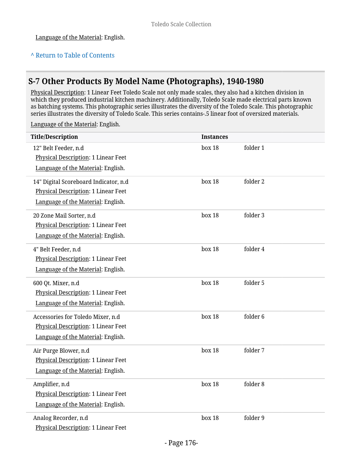## **^** [Return to Table of Contents](#page-1-0)

## **S-7 Other Products By Model Name (Photographs), 1940-1980**

Physical Description: 1 Linear Feet Toledo Scale not only made scales, they also had a kitchen division in which they produced industrial kitchen machinery. Additionally, Toledo Scale made electrical parts known as batching systems. This photographic series illustrates the diversity of the Toledo Scale. This photographic series illustrates the diversity of Toledo Scale. This series contains-.5 linear foot of oversized materials.

| <b>Title/Description</b>                   | <b>Instances</b> |          |
|--------------------------------------------|------------------|----------|
| 12" Belt Feeder, n.d                       | box 18           | folder 1 |
| Physical Description: 1 Linear Feet        |                  |          |
| Language of the Material: English.         |                  |          |
| 14" Digital Scoreboard Indicator, n.d      | box 18           | folder 2 |
| <b>Physical Description: 1 Linear Feet</b> |                  |          |
| Language of the Material: English.         |                  |          |
| 20 Zone Mail Sorter, n.d                   | box 18           | folder 3 |
| Physical Description: 1 Linear Feet        |                  |          |
| Language of the Material: English.         |                  |          |
| 4" Belt Feeder, n.d                        | box 18           | folder 4 |
| Physical Description: 1 Linear Feet        |                  |          |
| Language of the Material: English.         |                  |          |
| 600 Qt. Mixer, n.d                         | box 18           | folder 5 |
| Physical Description: 1 Linear Feet        |                  |          |
| Language of the Material: English.         |                  |          |
| Accessories for Toledo Mixer, n.d          | box 18           | folder 6 |
| Physical Description: 1 Linear Feet        |                  |          |
| Language of the Material: English.         |                  |          |
| Air Purge Blower, n.d                      | box 18           | folder 7 |
| Physical Description: 1 Linear Feet        |                  |          |
| Language of the Material: English.         |                  |          |
| Amplifier, n.d                             | box 18           | folder 8 |
| Physical Description: 1 Linear Feet        |                  |          |
| Language of the Material: English.         |                  |          |
| Analog Recorder, n.d                       | box 18           | folder 9 |
| Physical Description: 1 Linear Feet        |                  |          |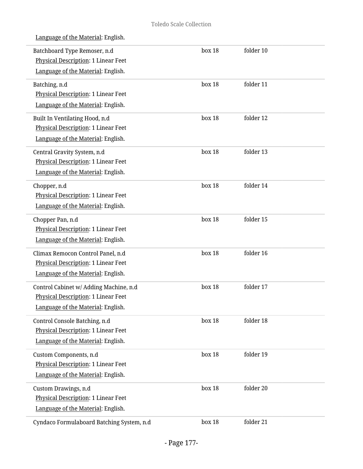| Batchboard Type Remoser, n.d<br>Physical Description: 1 Linear Feet<br>Language of the Material: English.                  | box 18 | folder 10 |  |
|----------------------------------------------------------------------------------------------------------------------------|--------|-----------|--|
| Batching, n.d<br>Physical Description: 1 Linear Feet<br>Language of the Material: English.                                 | box 18 | folder 11 |  |
| Built In Ventilating Hood, n.d<br>Physical Description: 1 Linear Feet<br>Language of the Material: English.                | box 18 | folder 12 |  |
| Central Gravity System, n.d<br>Physical Description: 1 Linear Feet<br>Language of the Material: English.                   | box 18 | folder 13 |  |
| Chopper, n.d<br><b>Physical Description: 1 Linear Feet</b><br>Language of the Material: English.                           | box 18 | folder 14 |  |
| Chopper Pan, n.d<br>Physical Description: 1 Linear Feet<br>Language of the Material: English.                              | box 18 | folder 15 |  |
| Climax Remocon Control Panel, n.d<br>Physical Description: 1 Linear Feet<br>Language of the Material: English.             | box 18 | folder 16 |  |
| Control Cabinet w/ Adding Machine, n.d<br><b>Physical Description: 1 Linear Feet</b><br>Language of the Material: English. | box 18 | folder 17 |  |
| Control Console Batching, n.d<br>Physical Description: 1 Linear Feet<br>Language of the Material: English.                 | box 18 | folder 18 |  |
| Custom Components, n.d<br>Physical Description: 1 Linear Feet<br>Language of the Material: English.                        | box 18 | folder 19 |  |
| Custom Drawings, n.d<br>Physical Description: 1 Linear Feet<br>Language of the Material: English.                          | box 18 | folder 20 |  |
| Cyndaco Formulaboard Batching System, n.d                                                                                  | box 18 | folder 21 |  |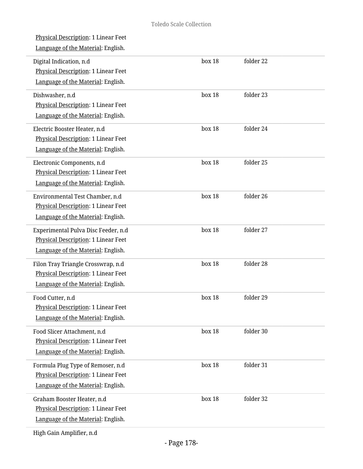| <b>Physical Description: 1 Linear Feet</b><br>Language of the Material: English.                                      |        |           |
|-----------------------------------------------------------------------------------------------------------------------|--------|-----------|
| Digital Indication, n.d<br>Physical Description: 1 Linear Feet<br>Language of the Material: English.                  | box 18 | folder 22 |
| Dishwasher, n.d<br><b>Physical Description: 1 Linear Feet</b><br>Language of the Material: English.                   | box 18 | folder 23 |
| Electric Booster Heater, n.d<br>Physical Description: 1 Linear Feet<br>Language of the Material: English.             | box 18 | folder 24 |
| Electronic Components, n.d<br>Physical Description: 1 Linear Feet<br>Language of the Material: English.               | box 18 | folder 25 |
| Environmental Test Chamber, n.d<br>Physical Description: 1 Linear Feet<br>Language of the Material: English.          | box 18 | folder 26 |
| Experimental Pulva Disc Feeder, n.d<br>Physical Description: 1 Linear Feet<br>Language of the Material: English.      | box 18 | folder 27 |
| Filon Tray Triangle Crosswrap, n.d<br>Physical Description: 1 Linear Feet<br>Language of the Material: English.       | box 18 | folder 28 |
| Food Cutter, n.d<br><b>Physical Description: 1 Linear Feet</b><br>Language of the Material: English.                  | box 18 | folder 29 |
| Food Slicer Attachment, n.d<br>Physical Description: 1 Linear Feet<br>Language of the Material: English.              | box 18 | folder 30 |
| Formula Plug Type of Remoser, n.d<br><b>Physical Description: 1 Linear Feet</b><br>Language of the Material: English. | box 18 | folder 31 |
| Graham Booster Heater, n.d<br>Physical Description: 1 Linear Feet<br>Language of the Material: English.               | box 18 | folder 32 |
|                                                                                                                       |        |           |

High Gain Amplifier, n.d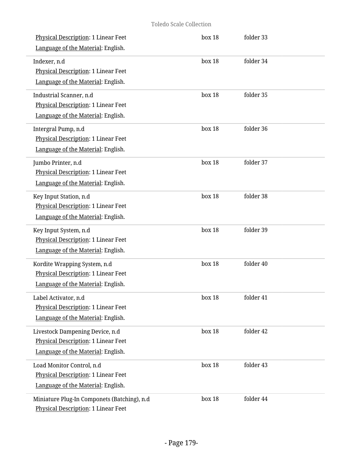| <b>Physical Description: 1 Linear Feet</b><br>Language of the Material: English.                             | box 18 | folder 33 |  |
|--------------------------------------------------------------------------------------------------------------|--------|-----------|--|
| Indexer, n.d<br>Physical Description: 1 Linear Feet<br>Language of the Material: English.                    | box 18 | folder 34 |  |
| Industrial Scanner, n.d<br>Physical Description: 1 Linear Feet<br>Language of the Material: English.         | box 18 | folder 35 |  |
| Intergral Pump, n.d<br>Physical Description: 1 Linear Feet<br>Language of the Material: English.             | box 18 | folder 36 |  |
| Jumbo Printer, n.d<br>Physical Description: 1 Linear Feet<br>Language of the Material: English.              | box 18 | folder 37 |  |
| Key Input Station, n.d<br>Physical Description: 1 Linear Feet<br>Language of the Material: English.          | box 18 | folder 38 |  |
| Key Input System, n.d<br>Physical Description: 1 Linear Feet<br>Language of the Material: English.           | box 18 | folder 39 |  |
| Kordite Wrapping System, n.d<br>Physical Description: 1 Linear Feet<br>Language of the Material: English.    | box 18 | folder 40 |  |
| Label Activator, n.d<br>Physical Description: 1 Linear Feet<br>Language of the Material: English.            | box 18 | folder 41 |  |
| Livestock Dampening Device, n.d<br>Physical Description: 1 Linear Feet<br>Language of the Material: English. | box 18 | folder 42 |  |
| Load Monitor Control, n.d<br>Physical Description: 1 Linear Feet<br>Language of the Material: English.       | box 18 | folder 43 |  |
| Miniature Plug-In Componets (Batching), n.d<br>Physical Description: 1 Linear Feet                           | box 18 | folder 44 |  |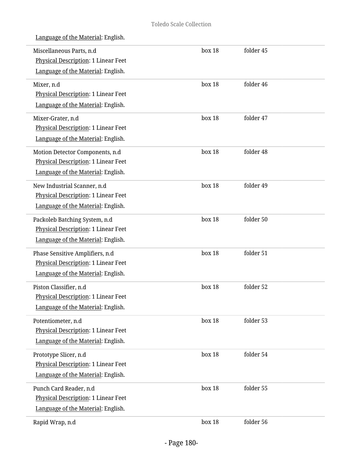| Miscellaneous Parts, n.d<br><b>Physical Description: 1 Linear Feet</b><br>Language of the Material: English. | box 18 | folder 45 |  |
|--------------------------------------------------------------------------------------------------------------|--------|-----------|--|
| Mixer, n.d<br>Physical Description: 1 Linear Feet<br>Language of the Material: English.                      | box 18 | folder 46 |  |
| Mixer-Grater, n.d<br>Physical Description: 1 Linear Feet<br>Language of the Material: English.               | box 18 | folder 47 |  |
| Motion Detector Components, n.d<br>Physical Description: 1 Linear Feet<br>Language of the Material: English. | box 18 | folder 48 |  |
| New Industrial Scanner, n.d<br>Physical Description: 1 Linear Feet<br>Language of the Material: English.     | box 18 | folder 49 |  |
| Packoleb Batching System, n.d<br>Physical Description: 1 Linear Feet<br>Language of the Material: English.   | box 18 | folder 50 |  |
| Phase Sensitive Amplifiers, n.d<br>Physical Description: 1 Linear Feet<br>Language of the Material: English. | box 18 | folder 51 |  |
| Piston Classifier, n.d<br>Physical Description: 1 Linear Feet<br>Language of the Material: English.          | box 18 | folder 52 |  |
| Potentiometer, n.d<br>Physical Description: 1 Linear Feet<br>Language of the Material: English.              | box 18 | folder 53 |  |
| Prototype Slicer, n.d<br>Physical Description: 1 Linear Feet<br>Language of the Material: English.           | box 18 | folder 54 |  |
| Punch Card Reader, n.d<br>Physical Description: 1 Linear Feet<br>Language of the Material: English.          | box 18 | folder 55 |  |
| Rapid Wrap, n.d                                                                                              | box 18 | folder 56 |  |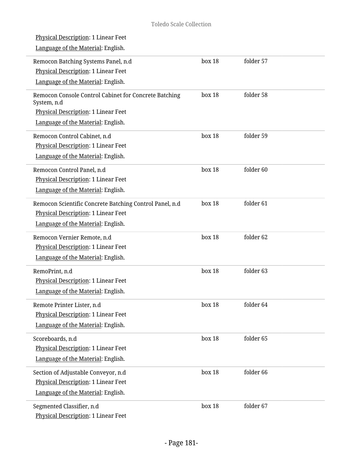| <u>Physical Description</u> : 1 Linear Feet                          |        |                      |  |
|----------------------------------------------------------------------|--------|----------------------|--|
| Language of the Material: English.                                   |        |                      |  |
| Remocon Batching Systems Panel, n.d                                  | box 18 | folder 57            |  |
| Physical Description: 1 Linear Feet                                  |        |                      |  |
| Language of the Material: English.                                   |        |                      |  |
| Remocon Console Control Cabinet for Concrete Batching<br>System, n.d | box 18 | folder 58            |  |
| <b>Physical Description: 1 Linear Feet</b>                           |        |                      |  |
| Language of the Material: English.                                   |        |                      |  |
| Remocon Control Cabinet, n.d                                         | box 18 | folder 59            |  |
| Physical Description: 1 Linear Feet                                  |        |                      |  |
| Language of the Material: English.                                   |        |                      |  |
| Remocon Control Panel, n.d                                           | box 18 | folder <sub>60</sub> |  |
| <b>Physical Description: 1 Linear Feet</b>                           |        |                      |  |
| Language of the Material: English.                                   |        |                      |  |
| Remocon Scientific Concrete Batching Control Panel, n.d              | box 18 | folder 61            |  |
| Physical Description: 1 Linear Feet                                  |        |                      |  |
| Language of the Material: English.                                   |        |                      |  |
| Remocon Vernier Remote, n.d                                          | box 18 | folder <sub>62</sub> |  |
| Physical Description: 1 Linear Feet                                  |        |                      |  |
| Language of the Material: English.                                   |        |                      |  |
| RemoPrint, n.d                                                       | box 18 | folder 63            |  |
| Physical Description: 1 Linear Feet                                  |        |                      |  |
| Language of the Material: English.                                   |        |                      |  |
| Remote Printer Lister, n.d                                           | box 18 | folder 64            |  |
| <b>Physical Description: 1 Linear Feet</b>                           |        |                      |  |
| Language of the Material: English.                                   |        |                      |  |
| Scoreboards, n.d                                                     | box 18 | folder 65            |  |
| <b>Physical Description: 1 Linear Feet</b>                           |        |                      |  |
| Language of the Material: English.                                   |        |                      |  |
| Section of Adjustable Conveyor, n.d                                  | box 18 | folder 66            |  |
| Physical Description: 1 Linear Feet                                  |        |                      |  |
| Language of the Material: English.                                   |        |                      |  |
| Segmented Classifier, n.d                                            | box 18 | folder 67            |  |
| Physical Description: 1 Linear Feet                                  |        |                      |  |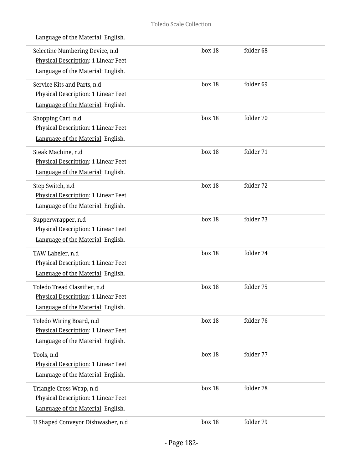| Language of the Material: English.                                                                           |        |           |  |
|--------------------------------------------------------------------------------------------------------------|--------|-----------|--|
| Selectine Numbering Device, n.d<br>Physical Description: 1 Linear Feet<br>Language of the Material: English. | box 18 | folder 68 |  |
| Service Kits and Parts, n.d<br>Physical Description: 1 Linear Feet<br>Language of the Material: English.     | box 18 | folder 69 |  |
| Shopping Cart, n.d<br>Physical Description: 1 Linear Feet<br>Language of the Material: English.              | box 18 | folder 70 |  |
| Steak Machine, n.d<br>Physical Description: 1 Linear Feet<br>Language of the Material: English.              | box 18 | folder 71 |  |
| Step Switch, n.d<br>Physical Description: 1 Linear Feet<br>Language of the Material: English.                | box 18 | folder 72 |  |
| Supperwrapper, n.d<br>Physical Description: 1 Linear Feet<br>Language of the Material: English.              | box 18 | folder 73 |  |
| TAW Labeler, n.d<br>Physical Description: 1 Linear Feet<br>Language of the Material: English.                | box 18 | folder 74 |  |
| Toledo Tread Classifier, n.d<br>Physical Description: 1 Linear Feet<br>Language of the Material: English.    | box 18 | folder 75 |  |
| Toledo Wiring Board, n.d<br>Physical Description: 1 Linear Feet<br>Language of the Material: English.        | box 18 | folder 76 |  |
| Tools, n.d<br>Physical Description: 1 Linear Feet<br>Language of the Material: English.                      | box 18 | folder 77 |  |
| Triangle Cross Wrap, n.d<br>Physical Description: 1 Linear Feet<br>Language of the Material: English.        | box 18 | folder 78 |  |
| U Shaped Conveyor Dishwasher, n.d                                                                            | box 18 | folder 79 |  |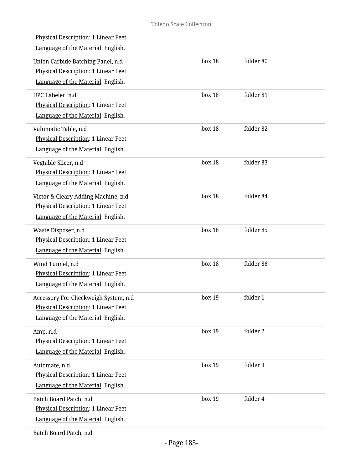| <b>Physical Description: 1 Linear Feet</b><br>Language of the Material: English.                                         |        |           |  |
|--------------------------------------------------------------------------------------------------------------------------|--------|-----------|--|
| Union Carbide Batching Panel, n.d<br>Physical Description: 1 Linear Feet<br>Language of the Material: English.           | box 18 | folder 80 |  |
| UPC Labeler, n.d<br>Physical Description: 1 Linear Feet<br>Language of the Material: English.                            | box 18 | folder 81 |  |
| Valumatic Table, n.d<br>Physical Description: 1 Linear Feet<br>Language of the Material: English.                        | box 18 | folder 82 |  |
| Vegtable Slicer, n.d<br>Physical Description: 1 Linear Feet<br>Language of the Material: English.                        | box 18 | folder 83 |  |
| Victor & Cleary Adding Machine, n.d<br><b>Physical Description: 1 Linear Feet</b><br>Language of the Material: English.  | box 18 | folder 84 |  |
| Waste Disposer, n.d<br>Physical Description: 1 Linear Feet<br>Language of the Material: English.                         | box 18 | folder 85 |  |
| Wind Tunnel, n.d<br>Physical Description: 1 Linear Feet<br>Language of the Material: English.                            | box 18 | folder 86 |  |
| Accessory For Checkweigh System, n.d<br><b>Physical Description: 1 Linear Feet</b><br>Language of the Material: English. | box 19 | folder 1  |  |
| Amp, n.d<br>Physical Description: 1 Linear Feet<br>Language of the Material: English.                                    | box 19 | folder 2  |  |
| Automate, n.d<br><b>Physical Description: 1 Linear Feet</b><br>Language of the Material: English.                        | box 19 | folder 3  |  |
| Batch Board Patch, n.d<br>Physical Description: 1 Linear Feet<br>Language of the Material: English.                      | box 19 | folder 4  |  |
| Batch Board Patch, n.d                                                                                                   |        |           |  |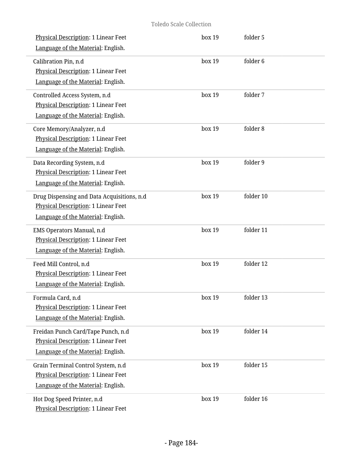| Physical Description: 1 Linear Feet<br>Language of the Material: English.                                               | box 19 | folder 5  |
|-------------------------------------------------------------------------------------------------------------------------|--------|-----------|
| Calibration Pin, n.d<br>Physical Description: 1 Linear Feet<br>Language of the Material: English.                       | box 19 | folder 6  |
| Controlled Access System, n.d<br>Physical Description: 1 Linear Feet<br>Language of the Material: English.              | box 19 | folder 7  |
| Core Memory/Analyzer, n.d<br>Physical Description: 1 Linear Feet<br>Language of the Material: English.                  | box 19 | folder 8  |
| Data Recording System, n.d<br>Physical Description: 1 Linear Feet<br>Language of the Material: English.                 | box 19 | folder 9  |
| Drug Dispensing and Data Acquisitions, n.d<br>Physical Description: 1 Linear Feet<br>Language of the Material: English. | box 19 | folder 10 |
| EMS Operators Manual, n.d<br>Physical Description: 1 Linear Feet<br>Language of the Material: English.                  | box 19 | folder 11 |
| Feed Mill Control, n.d<br>Physical Description: 1 Linear Feet<br>Language of the Material: English.                     | box 19 | folder 12 |
| Formula Card, n.d<br>Physical Description: 1 Linear Feet<br>Language of the Material: English.                          | box 19 | folder 13 |
| Freidan Punch Card/Tape Punch, n.d<br>Physical Description: 1 Linear Feet<br>Language of the Material: English.         | box 19 | folder 14 |
| Grain Terminal Control System, n.d<br>Physical Description: 1 Linear Feet<br>Language of the Material: English.         | box 19 | folder 15 |
| Hot Dog Speed Printer, n.d<br>Physical Description: 1 Linear Feet                                                       | box 19 | folder 16 |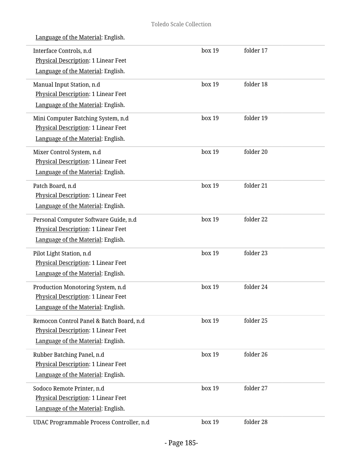| Language of the Material: English. |  |
|------------------------------------|--|
|                                    |  |

| Interface Controls, n.d<br>Physical Description: 1 Linear Feet | box 19 | folder 17 |  |
|----------------------------------------------------------------|--------|-----------|--|
| Language of the Material: English.                             |        |           |  |
| Manual Input Station, n.d                                      | box 19 | folder 18 |  |
| Physical Description: 1 Linear Feet                            |        |           |  |
| Language of the Material: English.                             |        |           |  |
| Mini Computer Batching System, n.d                             | box 19 | folder 19 |  |
| Physical Description: 1 Linear Feet                            |        |           |  |
| Language of the Material: English.                             |        |           |  |
| Mixer Control System, n.d                                      | box 19 | folder 20 |  |
| Physical Description: 1 Linear Feet                            |        |           |  |
| Language of the Material: English.                             |        |           |  |
| Patch Board, n.d                                               | box 19 | folder 21 |  |
| <b>Physical Description: 1 Linear Feet</b>                     |        |           |  |
| Language of the Material: English.                             |        |           |  |
| Personal Computer Software Guide, n.d                          | box 19 | folder 22 |  |
| Physical Description: 1 Linear Feet                            |        |           |  |
| Language of the Material: English.                             |        |           |  |
| Pilot Light Station, n.d                                       | box 19 | folder 23 |  |
| Physical Description: 1 Linear Feet                            |        |           |  |
| Language of the Material: English.                             |        |           |  |
| Production Monotoring System, n.d                              | box 19 | folder 24 |  |
| Physical Description: 1 Linear Feet                            |        |           |  |
| Language of the Material: English.                             |        |           |  |
| Remocon Control Panel & Batch Board, n.d                       | box 19 | folder 25 |  |
| Physical Description: 1 Linear Feet                            |        |           |  |
| Language of the Material: English.                             |        |           |  |
| Rubber Batching Panel, n.d                                     | box 19 | folder 26 |  |
| Physical Description: 1 Linear Feet                            |        |           |  |
| Language of the Material: English.                             |        |           |  |
| Sodoco Remote Printer, n.d                                     | box 19 | folder 27 |  |
| Physical Description: 1 Linear Feet                            |        |           |  |
| Language of the Material: English.                             |        |           |  |
| UDAC Programmable Process Controller, n.d                      | box 19 | folder 28 |  |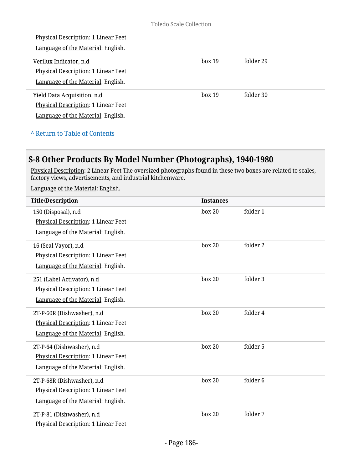| Physical Description: 1 Linear Feet        |        |           |  |
|--------------------------------------------|--------|-----------|--|
| Language of the Material: English.         |        |           |  |
| Verilux Indicator, n.d.                    | box 19 | folder 29 |  |
| <b>Physical Description: 1 Linear Feet</b> |        |           |  |
| Language of the Material: English.         |        |           |  |
| Yield Data Acquisition, n.d                | box 19 | folder 30 |  |
| Physical Description: 1 Linear Feet        |        |           |  |
| Language of the Material: English.         |        |           |  |
|                                            |        |           |  |

**^** [Return to Table of Contents](#page-1-0)

# **S-8 Other Products By Model Number (Photographs), 1940-1980**

<u>Physical Description</u>: 2 Linear Feet The oversized photographs found in these two boxes are related to scales, factory views, advertisements, and industrial kitchenware.

| <b>Title/Description</b>                                                                                | <b>Instances</b> |                     |
|---------------------------------------------------------------------------------------------------------|------------------|---------------------|
| 150 (Disposal), n.d<br>Physical Description: 1 Linear Feet<br>Language of the Material: English.        | box 20           | folder 1            |
| 16 (Seal Vayor), n.d<br>Physical Description: 1 Linear Feet<br>Language of the Material: English.       | box 20           | folder 2            |
| 251 (Label Activator), n.d<br>Physical Description: 1 Linear Feet<br>Language of the Material: English. | box 20           | folder 3            |
| 2T-P-60R (Dishwasher), n.d<br>Physical Description: 1 Linear Feet<br>Language of the Material: English. | box 20           | folder 4            |
| 2T-P-64 (Dishwasher), n.d<br>Physical Description: 1 Linear Feet<br>Language of the Material: English.  | box 20           | folder 5            |
| 2T-P-68R (Dishwasher), n.d<br>Physical Description: 1 Linear Feet<br>Language of the Material: English. | box 20           | folder <sub>6</sub> |
| 2T-P-81 (Dishwasher), n.d<br><b>Physical Description: 1 Linear Feet</b>                                 | box 20           | folder 7            |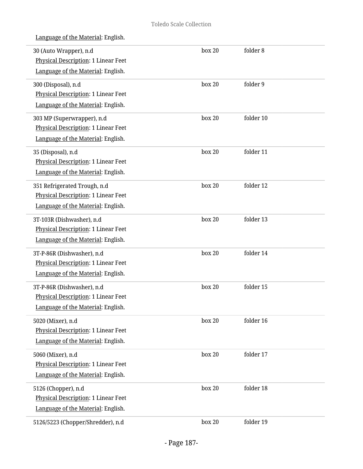| 30 (Auto Wrapper), n.d<br>Physical Description: 1 Linear Feet<br>Language of the Material: English.            | box 20 | folder 8  |
|----------------------------------------------------------------------------------------------------------------|--------|-----------|
| 300 (Disposal), n.d<br>Physical Description: 1 Linear Feet<br>Language of the Material: English.               | box 20 | folder 9  |
| 303 MP (Superwrapper), n.d<br><b>Physical Description: 1 Linear Feet</b><br>Language of the Material: English. | box 20 | folder 10 |
| 35 (Disposal), n.d<br>Physical Description: 1 Linear Feet<br>Language of the Material: English.                | box 20 | folder 11 |
| 351 Refrigerated Trough, n.d<br>Physical Description: 1 Linear Feet<br>Language of the Material: English.      | box 20 | folder 12 |
| 3T-103R (Dishwasher), n.d<br>Physical Description: 1 Linear Feet<br>Language of the Material: English.         | box 20 | folder 13 |
| 3T-P-86R (Dishwasher), n.d<br>Physical Description: 1 Linear Feet<br>Language of the Material: English.        | box 20 | folder 14 |
| 3T-P-86R (Dishwasher), n.d<br>Physical Description: 1 Linear Feet<br>Language of the Material: English.        | box 20 | folder 15 |
| 5020 (Mixer), n.d<br><b>Physical Description: 1 Linear Feet</b><br>Language of the Material: English.          | box 20 | folder 16 |
| 5060 (Mixer), n.d<br>Physical Description: 1 Linear Feet<br>Language of the Material: English.                 | box 20 | folder 17 |
| 5126 (Chopper), n.d<br>Physical Description: 1 Linear Feet<br>Language of the Material: English.               | box 20 | folder 18 |
| 5126/5223 (Chopper/Shredder), n.d                                                                              | box 20 | folder 19 |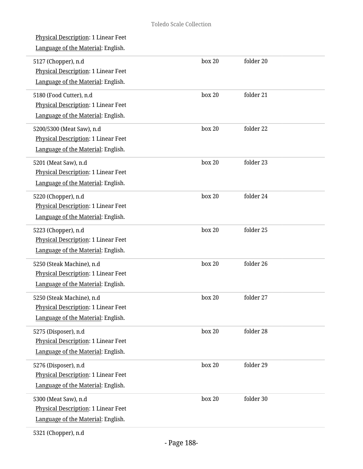| <b>Physical Description: 1 Linear Feet</b><br>Language of the Material: English.                         |        |           |
|----------------------------------------------------------------------------------------------------------|--------|-----------|
| 5127 (Chopper), n.d<br>Physical Description: 1 Linear Feet<br>Language of the Material: English.         | box 20 | folder 20 |
| 5180 (Food Cutter), n.d<br>Physical Description: 1 Linear Feet<br>Language of the Material: English.     | box 20 | folder 21 |
| 5200/5300 (Meat Saw), n.d<br>Physical Description: 1 Linear Feet<br>Language of the Material: English.   | box 20 | folder 22 |
| 5201 (Meat Saw), n.d<br>Physical Description: 1 Linear Feet<br>Language of the Material: English.        | box 20 | folder 23 |
| 5220 (Chopper), n.d<br>Physical Description: 1 Linear Feet<br>Language of the Material: English.         | box 20 | folder 24 |
| 5223 (Chopper), n.d<br>Physical Description: 1 Linear Feet<br>Language of the Material: English.         | box 20 | folder 25 |
| 5250 (Steak Machine), n.d<br>Physical Description: 1 Linear Feet<br>Language of the Material: English.   | box 20 | folder 26 |
| 5250 (Steak Machine), n.d<br>Physical Description: 1 Linear Feet<br>Language of the Material: English.   | box 20 | folder 27 |
| 5275 (Disposer), n.d<br><b>Physical Description: 1 Linear Feet</b><br>Language of the Material: English. | box 20 | folder 28 |
| 5276 (Disposer), n.d<br>Physical Description: 1 Linear Feet<br>Language of the Material: English.        | box 20 | folder 29 |
| 5300 (Meat Saw), n.d<br>Physical Description: 1 Linear Feet<br>Language of the Material: English.        | box 20 | folder 30 |
|                                                                                                          |        |           |

5321 (Chopper), n.d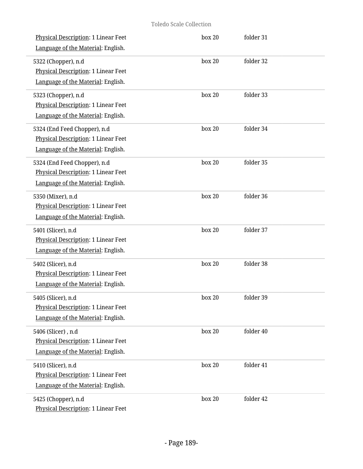| <b>Physical Description: 1 Linear Feet</b><br>Language of the Material: English.                          | box 20 | folder 31 |
|-----------------------------------------------------------------------------------------------------------|--------|-----------|
| 5322 (Chopper), n.d<br>Physical Description: 1 Linear Feet<br>Language of the Material: English.          | box 20 | folder 32 |
| 5323 (Chopper), n.d<br>Physical Description: 1 Linear Feet<br>Language of the Material: English.          | box 20 | folder 33 |
| 5324 (End Feed Chopper), n.d<br>Physical Description: 1 Linear Feet<br>Language of the Material: English. | box 20 | folder 34 |
| 5324 (End Feed Chopper), n.d<br>Physical Description: 1 Linear Feet<br>Language of the Material: English. | box 20 | folder 35 |
| 5350 (Mixer), n.d<br>Physical Description: 1 Linear Feet<br>Language of the Material: English.            | box 20 | folder 36 |
| 5401 (Slicer), n.d<br>Physical Description: 1 Linear Feet<br>Language of the Material: English.           | box 20 | folder 37 |
| 5402 (Slicer), n.d<br>Physical Description: 1 Linear Feet<br>Language of the Material: English.           | box 20 | folder 38 |
| 5405 (Slicer), n.d<br>Physical Description: 1 Linear Feet<br>Language of the Material: English.           | box 20 | folder 39 |
| 5406 (Slicer), n.d<br>Physical Description: 1 Linear Feet<br>Language of the Material: English.           | box 20 | folder 40 |
| 5410 (Slicer), n.d<br>Physical Description: 1 Linear Feet<br>Language of the Material: English.           | box 20 | folder 41 |
| 5425 (Chopper), n.d<br>Physical Description: 1 Linear Feet                                                | box 20 | folder 42 |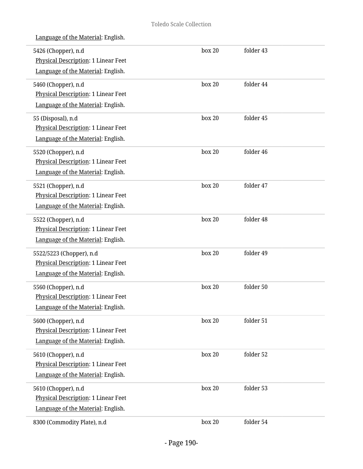| 5426 (Chopper), n.d<br>Physical Description: 1 Linear Feet<br>Language of the Material: English.        | box 20 | folder 43 |  |
|---------------------------------------------------------------------------------------------------------|--------|-----------|--|
| 5460 (Chopper), n.d<br>Physical Description: 1 Linear Feet<br>Language of the Material: English.        | box 20 | folder 44 |  |
| 55 (Disposal), n.d<br>Physical Description: 1 Linear Feet<br>Language of the Material: English.         | box 20 | folder 45 |  |
| 5520 (Chopper), n.d<br><b>Physical Description: 1 Linear Feet</b><br>Language of the Material: English. | box 20 | folder 46 |  |
| 5521 (Chopper), n.d<br>Physical Description: 1 Linear Feet<br>Language of the Material: English.        | box 20 | folder 47 |  |
| 5522 (Chopper), n.d<br>Physical Description: 1 Linear Feet<br>Language of the Material: English.        | box 20 | folder 48 |  |
| 5522/5223 (Chopper), n.d<br>Physical Description: 1 Linear Feet<br>Language of the Material: English.   | box 20 | folder 49 |  |
| 5560 (Chopper), n.d<br>Physical Description: 1 Linear Feet<br>Language of the Material: English.        | box 20 | folder 50 |  |
| 5600 (Chopper), n.d<br>Physical Description: 1 Linear Feet<br>Language of the Material: English.        | box 20 | folder 51 |  |
| 5610 (Chopper), n.d<br>Physical Description: 1 Linear Feet<br>Language of the Material: English.        | box 20 | folder 52 |  |
| 5610 (Chopper), n.d<br>Physical Description: 1 Linear Feet<br>Language of the Material: English.        | box 20 | folder 53 |  |
| 8300 (Commodity Plate), n.d                                                                             | box 20 | folder 54 |  |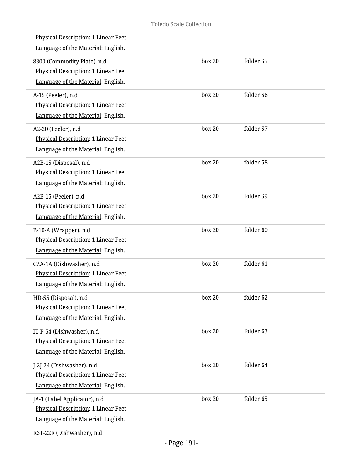| Physical Description: 1 Linear Feet<br>Language of the Material: English.                                 |        |           |  |
|-----------------------------------------------------------------------------------------------------------|--------|-----------|--|
| 8300 (Commodity Plate), n.d<br>Physical Description: 1 Linear Feet<br>Language of the Material: English.  | box 20 | folder 55 |  |
| A-15 (Peeler), n.d<br><b>Physical Description: 1 Linear Feet</b><br>Language of the Material: English.    | box 20 | folder 56 |  |
| A2-20 (Peeler), n.d<br>Physical Description: 1 Linear Feet<br>Language of the Material: English.          | box 20 | folder 57 |  |
| A2B-15 (Disposal), n.d<br>Physical Description: 1 Linear Feet<br>Language of the Material: English.       | box 20 | folder 58 |  |
| A2B-15 (Peeler), n.d<br>Physical Description: 1 Linear Feet<br>Language of the Material: English.         | box 20 | folder 59 |  |
| B-10-A (Wrapper), n.d<br>Physical Description: 1 Linear Feet<br>Language of the Material: English.        | box 20 | folder 60 |  |
| CZA-1A (Dishwasher), n.d<br>Physical Description: 1 Linear Feet<br>Language of the Material: English.     | box 20 | folder 61 |  |
| HD-55 (Disposal), n.d<br><b>Physical Description: 1 Linear Feet</b><br>Language of the Material: English. | box 20 | folder 62 |  |
| IT-P-54 (Dishwasher), n.d<br>Physical Description: 1 Linear Feet<br>Language of the Material: English.    | box 20 | folder 63 |  |
| J-3J-24 (Dishwasher), n.d<br>Physical Description: 1 Linear Feet<br>Language of the Material: English.    | box 20 | folder 64 |  |
| JA-1 (Label Applicator), n.d<br>Physical Description: 1 Linear Feet<br>Language of the Material: English. | box 20 | folder 65 |  |
| $\mathbf{p}$                                                                                              |        |           |  |

L

i.

i,

i.

i,

i,

i,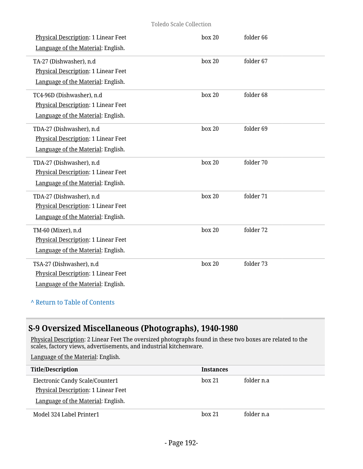#### Toledo Scale Collection

| <b>Physical Description: 1 Linear Feet</b><br>Language of the Material: English.                       | box 20 | folder 66 |
|--------------------------------------------------------------------------------------------------------|--------|-----------|
| TA-27 (Dishwasher), n.d<br>Physical Description: 1 Linear Feet<br>Language of the Material: English.   | box 20 | folder 67 |
| TC4-96D (Dishwasher), n.d<br>Physical Description: 1 Linear Feet<br>Language of the Material: English. | box 20 | folder 68 |
| TDA-27 (Dishwasher), n.d<br>Physical Description: 1 Linear Feet<br>Language of the Material: English.  | box 20 | folder 69 |
| TDA-27 (Dishwasher), n.d<br>Physical Description: 1 Linear Feet<br>Language of the Material: English.  | box 20 | folder 70 |
| TDA-27 (Dishwasher), n.d<br>Physical Description: 1 Linear Feet<br>Language of the Material: English.  | box 20 | folder 71 |
| TM-60 (Mixer), n.d<br>Physical Description: 1 Linear Feet<br>Language of the Material: English.        | box 20 | folder 72 |
| TSA-27 (Dishwasher), n.d<br>Physical Description: 1 Linear Feet<br>Language of the Material: English.  | box 20 | folder 73 |

## **^** [Return to Table of Contents](#page-1-0)

# **S-9 Oversized Miscellaneous (Photographs), 1940-1980**

Physical Description: 2 Linear Feet The oversized photographs found in these two boxes are related to the scales, factory views, advertisements, and industrial kitchenware.

| <b>Title/Description</b>            | <b>Instances</b> |            |
|-------------------------------------|------------------|------------|
| Electronic Candy Scale/Counter1     | box 21           | folder n.a |
| Physical Description: 1 Linear Feet |                  |            |
| Language of the Material: English.  |                  |            |
| Model 324 Label Printer1            | hox 21           | folder n.a |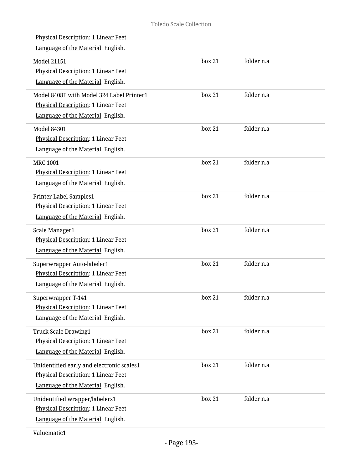| Physical Description: 1 Linear Feet<br>Language of the Material: English.                                              |        |            |  |
|------------------------------------------------------------------------------------------------------------------------|--------|------------|--|
| <b>Model 21151</b><br>Physical Description: 1 Linear Feet<br>Language of the Material: English.                        | box 21 | folder n.a |  |
| Model 8408E with Model 324 Label Printer1<br>Physical Description: 1 Linear Feet<br>Language of the Material: English. | box 21 | folder n.a |  |
| <b>Model 84301</b><br>Physical Description: 1 Linear Feet<br>Language of the Material: English.                        | box 21 | folder n.a |  |
| <b>MRC 1001</b><br>Physical Description: 1 Linear Feet<br>Language of the Material: English.                           | box 21 | folder n.a |  |
| Printer Label Samples1<br><b>Physical Description: 1 Linear Feet</b><br>Language of the Material: English.             | box 21 | folder n.a |  |
| Scale Manager1<br>Physical Description: 1 Linear Feet<br>Language of the Material: English.                            | box 21 | folder n.a |  |
| Superwrapper Auto-labeler1<br>Physical Description: 1 Linear Feet<br>Language of the Material: English.                | box 21 | folder n.a |  |
| Superwrapper T-141<br><b>Physical Description: 1 Linear Feet</b><br>Language of the Material: English.                 | box 21 | folder n.a |  |
| <b>Truck Scale Drawing1</b><br><b>Physical Description: 1 Linear Feet</b><br>Language of the Material: English.        | box 21 | folder n.a |  |
| Unidentified early and electronic scales1<br>Physical Description: 1 Linear Feet<br>Language of the Material: English. | box 21 | folder n.a |  |
| Unidentified wrapper/labelers1<br>Physical Description: 1 Linear Feet<br>Language of the Material: English.            | box 21 | folder n.a |  |
|                                                                                                                        |        |            |  |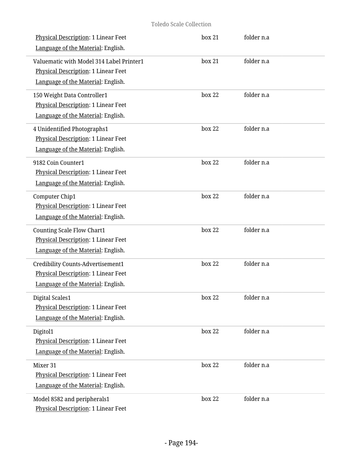| Physical Description: 1 Linear Feet<br>Language of the Material: English.                                             | box 21 | folder n.a |  |
|-----------------------------------------------------------------------------------------------------------------------|--------|------------|--|
| Valuematic with Model 314 Label Printer1<br>Physical Description: 1 Linear Feet<br>Language of the Material: English. | box 21 | folder n.a |  |
| 150 Weight Data Controller1<br>Physical Description: 1 Linear Feet<br>Language of the Material: English.              | box 22 | folder n.a |  |
| 4 Unidentified Photographs1<br>Physical Description: 1 Linear Feet<br>Language of the Material: English.              | box 22 | folder n.a |  |
| 9182 Coin Counter1<br>Physical Description: 1 Linear Feet<br>Language of the Material: English.                       | box 22 | folder n.a |  |
| Computer Chip1<br>Physical Description: 1 Linear Feet<br>Language of the Material: English.                           | box 22 | folder n.a |  |
| <b>Counting Scale Flow Chart1</b><br>Physical Description: 1 Linear Feet<br>Language of the Material: English.        | box 22 | folder n.a |  |
| Credibility Counts-Advertisement1<br>Physical Description: 1 Linear Feet<br>Language of the Material: English.        | box 22 | folder n.a |  |
| Digital Scales1<br>Physical Description: 1 Linear Feet<br>Language of the Material: English.                          | box 22 | folder n.a |  |
| Digitol1<br><b>Physical Description: 1 Linear Feet</b><br>Language of the Material: English.                          | box 22 | folder n.a |  |
| Mixer 31<br>Physical Description: 1 Linear Feet<br>Language of the Material: English.                                 | box 22 | folder n.a |  |
| Model 8582 and peripherals1<br>Physical Description: 1 Linear Feet                                                    | box 22 | folder n.a |  |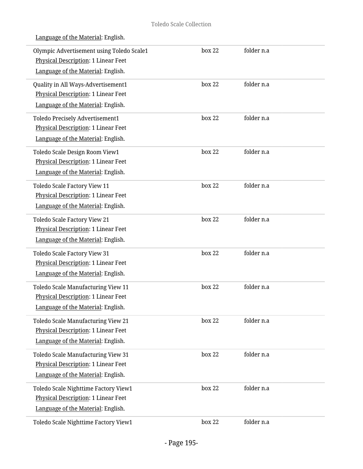| Olympic Advertisement using Toledo Scale1<br>Physical Description: 1 Linear Feet<br>Language of the Material: English. | box 22 | folder n.a |  |
|------------------------------------------------------------------------------------------------------------------------|--------|------------|--|
|                                                                                                                        |        |            |  |
| Quality in All Ways-Advertisement1                                                                                     | box 22 | folder n.a |  |
| Physical Description: 1 Linear Feet                                                                                    |        |            |  |
| Language of the Material: English.                                                                                     |        |            |  |
| Toledo Precisely Advertisement1                                                                                        | box 22 | folder n.a |  |
| Physical Description: 1 Linear Feet                                                                                    |        |            |  |
| Language of the Material: English.                                                                                     |        |            |  |
| Toledo Scale Design Room View1                                                                                         | box 22 | folder n.a |  |
| Physical Description: 1 Linear Feet                                                                                    |        |            |  |
| Language of the Material: English.                                                                                     |        |            |  |
| Toledo Scale Factory View 11                                                                                           | box 22 | folder n.a |  |
| <b>Physical Description: 1 Linear Feet</b>                                                                             |        |            |  |
| Language of the Material: English.                                                                                     |        |            |  |
| Toledo Scale Factory View 21                                                                                           | box 22 | folder n.a |  |
| Physical Description: 1 Linear Feet                                                                                    |        |            |  |
| Language of the Material: English.                                                                                     |        |            |  |
| Toledo Scale Factory View 31                                                                                           | box 22 | folder n.a |  |
| Physical Description: 1 Linear Feet                                                                                    |        |            |  |
| Language of the Material: English.                                                                                     |        |            |  |
|                                                                                                                        |        |            |  |
| Toledo Scale Manufacturing View 11                                                                                     | box 22 | folder n.a |  |
| Physical Description: 1 Linear Feet                                                                                    |        |            |  |
| Language of the Material: English.                                                                                     |        |            |  |
| Toledo Scale Manufacturing View 21                                                                                     | box 22 | folder n.a |  |
| Physical Description: 1 Linear Feet                                                                                    |        |            |  |
| Language of the Material: English.                                                                                     |        |            |  |
| Toledo Scale Manufacturing View 31                                                                                     | box 22 | folder n.a |  |
| Physical Description: 1 Linear Feet                                                                                    |        |            |  |
| Language of the Material: English.                                                                                     |        |            |  |
| Toledo Scale Nighttime Factory View1                                                                                   | box 22 | folder n.a |  |
| Physical Description: 1 Linear Feet                                                                                    |        |            |  |
| Language of the Material: English.                                                                                     |        |            |  |
| Toledo Scale Nighttime Factory View1                                                                                   | box 22 | folder n.a |  |
|                                                                                                                        |        |            |  |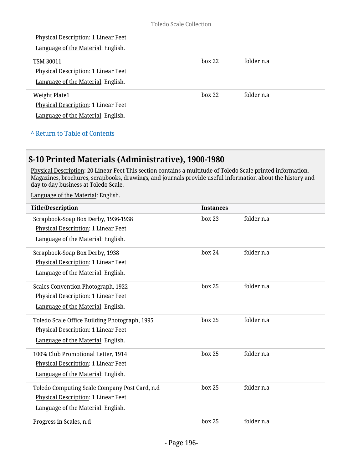| <b>Physical Description: 1 Linear Feet</b> |        |            |
|--------------------------------------------|--------|------------|
| Language of the Material: English.         |        |            |
| <b>TSM 30011</b>                           | box 22 | folder n.a |
| Physical Description: 1 Linear Feet        |        |            |
| Language of the Material: English.         |        |            |
| <b>Weight Plate1</b>                       | box 22 | folder n.a |
| Physical Description: 1 Linear Feet        |        |            |
| Language of the Material: English.         |        |            |
|                                            |        |            |

#### **^** [Return to Table of Contents](#page-1-0)

## **S-10 Printed Materials (Administrative), 1900-1980**

<u>Physical Description</u>: 20 Linear Feet This section contains a multitude of Toledo Scale printed information. Magazines, brochures, scrapbooks, drawings, and journals provide useful information about the history and day to day business at Toledo Scale.

| <b>Title/Description</b>                                                                                                   | <b>Instances</b> |            |
|----------------------------------------------------------------------------------------------------------------------------|------------------|------------|
| Scrapbook-Soap Box Derby, 1936-1938<br>Physical Description: 1 Linear Feet<br>Language of the Material: English.           | box 23           | folder n.a |
| Scrapbook-Soap Box Derby, 1938<br>Physical Description: 1 Linear Feet<br>Language of the Material: English.                | box 24           | folder n.a |
| <b>Scales Convention Photograph, 1922</b><br>Physical Description: 1 Linear Feet<br>Language of the Material: English.     | box 25           | folder n.a |
| Toledo Scale Office Building Photograph, 1995<br>Physical Description: 1 Linear Feet<br>Language of the Material: English. | box 25           | folder n.a |
| 100% Club Promotional Letter, 1914<br>Physical Description: 1 Linear Feet<br>Language of the Material: English.            | box 25           | folder n.a |
| Toledo Computing Scale Company Post Card, n.d<br>Physical Description: 1 Linear Feet<br>Language of the Material: English. | box 25           | folder n.a |
| Progress in Scales, n.d.                                                                                                   | box 25           | folder n.a |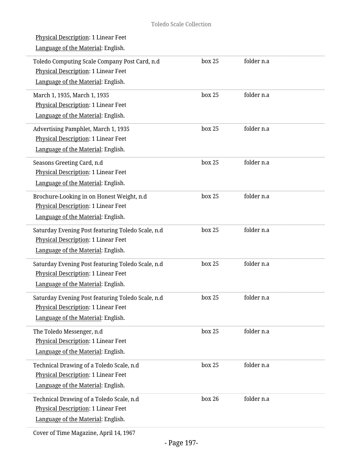| Physical Description: 1 Linear Feet<br>Language of the Material: English.                                                      |        |            |  |
|--------------------------------------------------------------------------------------------------------------------------------|--------|------------|--|
| Toledo Computing Scale Company Post Card, n.d<br>Physical Description: 1 Linear Feet<br>Language of the Material: English.     | box 25 | folder n.a |  |
| March 1, 1935, March 1, 1935<br>Physical Description: 1 Linear Feet<br>Language of the Material: English.                      | box 25 | folder n.a |  |
| Advertising Pamphlet, March 1, 1935<br>Physical Description: 1 Linear Feet<br>Language of the Material: English.               | box 25 | folder n.a |  |
| Seasons Greeting Card, n.d<br>Physical Description: 1 Linear Feet<br>Language of the Material: English.                        | box 25 | folder n.a |  |
| Brochure-Looking in on Honest Weight, n.d<br>Physical Description: 1 Linear Feet<br>Language of the Material: English.         | box 25 | folder n.a |  |
| Saturday Evening Post featuring Toledo Scale, n.d<br>Physical Description: 1 Linear Feet<br>Language of the Material: English. | box 25 | folder n.a |  |
| Saturday Evening Post featuring Toledo Scale, n.d<br>Physical Description: 1 Linear Feet<br>Language of the Material: English. | box 25 | folder n.a |  |
| Saturday Evening Post featuring Toledo Scale, n.d<br>Physical Description: 1 Linear Feet<br>Language of the Material: English. | box 25 | folder n.a |  |
| The Toledo Messenger, n.d<br>Physical Description: 1 Linear Feet<br>Language of the Material: English.                         | box 25 | folder n.a |  |
| Technical Drawing of a Toledo Scale, n.d<br>Physical Description: 1 Linear Feet<br>Language of the Material: English.          | box 25 | folder n.a |  |
| Technical Drawing of a Toledo Scale, n.d<br>Physical Description: 1 Linear Feet<br>Language of the Material: English.          | box 26 | folder n.a |  |
|                                                                                                                                |        |            |  |

Cover of Time Magazine, April 14, 1967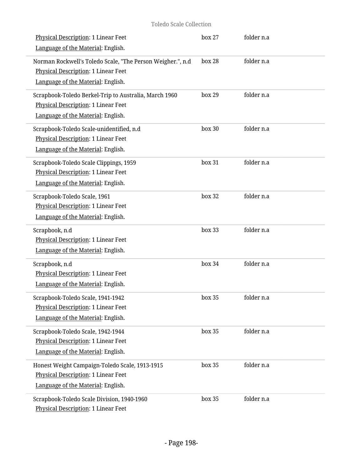### Toledo Scale Collection

| <b>Physical Description: 1 Linear Feet</b><br>Language of the Material: English.                                                        | box 27 | folder n.a |  |
|-----------------------------------------------------------------------------------------------------------------------------------------|--------|------------|--|
| Norman Rockwell's Toledo Scale, "The Person Weigher.", n.d<br>Physical Description: 1 Linear Feet<br>Language of the Material: English. | box 28 | folder n.a |  |
| Scrapbook-Toledo Berkel-Trip to Australia, March 1960<br>Physical Description: 1 Linear Feet<br>Language of the Material: English.      | box 29 | folder n.a |  |
| Scrapbook-Toledo Scale-unidentified, n.d<br>Physical Description: 1 Linear Feet<br>Language of the Material: English.                   | box 30 | folder n.a |  |
| Scrapbook-Toledo Scale Clippings, 1959<br><b>Physical Description: 1 Linear Feet</b><br>Language of the Material: English.              | box 31 | folder n.a |  |
| Scrapbook-Toledo Scale, 1961<br>Physical Description: 1 Linear Feet<br>Language of the Material: English.                               | box 32 | folder n.a |  |
| Scrapbook, n.d<br>Physical Description: 1 Linear Feet<br>Language of the Material: English.                                             | box 33 | folder n.a |  |
| Scrapbook, n.d<br>Physical Description: 1 Linear Feet<br>Language of the Material: English.                                             | box 34 | folder n.a |  |
| Scrapbook-Toledo Scale, 1941-1942<br>Physical Description: 1 Linear Feet<br>Language of the Material: English.                          | box~35 | folder n.a |  |
| Scrapbook-Toledo Scale, 1942-1944<br>Physical Description: 1 Linear Feet<br>Language of the Material: English.                          | box 35 | folder n.a |  |
| Honest Weight Campaign-Toledo Scale, 1913-1915<br>Physical Description: 1 Linear Feet<br>Language of the Material: English.             | box 35 | folder n.a |  |
| Scrapbook-Toledo Scale Division, 1940-1960<br>Physical Description: 1 Linear Feet                                                       | box 35 | folder n.a |  |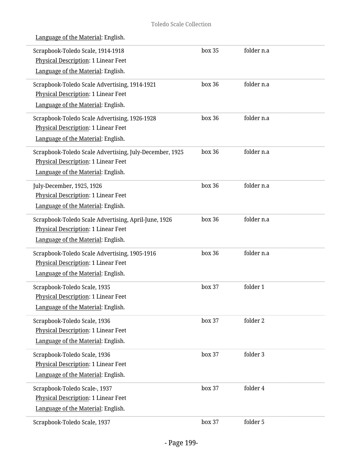| Language of the Material: English. |
|------------------------------------|
|                                    |

| Scrapbook-Toledo Scale, 1914-1918<br><b>Physical Description: 1 Linear Feet</b><br>Language of the Material: English.                | box 35 | folder n.a |  |
|--------------------------------------------------------------------------------------------------------------------------------------|--------|------------|--|
| Scrapbook-Toledo Scale Advertising, 1914-1921<br>Physical Description: 1 Linear Feet<br>Language of the Material: English.           | box 36 | folder n.a |  |
| Scrapbook-Toledo Scale Advertising, 1926-1928<br>Physical Description: 1 Linear Feet<br>Language of the Material: English.           | box 36 | folder n.a |  |
| Scrapbook-Toledo Scale Advertising, July-December, 1925<br>Physical Description: 1 Linear Feet<br>Language of the Material: English. | box 36 | folder n.a |  |
| July-December, 1925, 1926<br>Physical Description: 1 Linear Feet<br>Language of the Material: English.                               | box 36 | folder n.a |  |
| Scrapbook-Toledo Scale Advertising, April-June, 1926<br>Physical Description: 1 Linear Feet<br>Language of the Material: English.    | box 36 | folder n.a |  |
| Scrapbook-Toledo Scale Advertising, 1905-1916<br>Physical Description: 1 Linear Feet<br>Language of the Material: English.           | box 36 | folder n.a |  |
| Scrapbook-Toledo Scale, 1935<br>Physical Description: 1 Linear Feet<br>Language of the Material: English.                            | box 37 | folder 1   |  |
| Scrapbook-Toledo Scale, 1936<br>Physical Description: 1 Linear Feet<br>Language of the Material: English.                            | box 37 | folder 2   |  |
| Scrapbook-Toledo Scale, 1936<br>Physical Description: 1 Linear Feet<br>Language of the Material: English.                            | box 37 | folder 3   |  |
| Scrapbook-Toledo Scale-, 1937<br>Physical Description: 1 Linear Feet<br>Language of the Material: English.                           | box 37 | folder 4   |  |
| Scrapbook-Toledo Scale, 1937                                                                                                         | box 37 | folder 5   |  |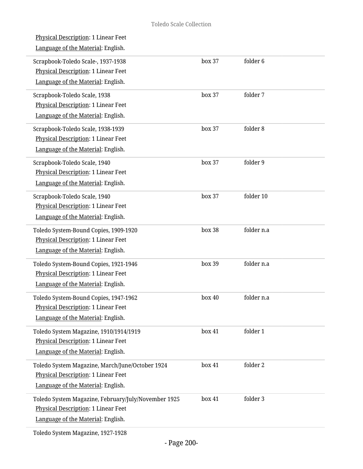| <b>Physical Description: 1 Linear Feet</b><br>Language of the Material: English.                                                 |        |            |
|----------------------------------------------------------------------------------------------------------------------------------|--------|------------|
| Scrapbook-Toledo Scale-, 1937-1938<br>Physical Description: 1 Linear Feet<br>Language of the Material: English.                  | box 37 | folder 6   |
| Scrapbook-Toledo Scale, 1938<br>Physical Description: 1 Linear Feet<br>Language of the Material: English.                        | box 37 | folder 7   |
| Scrapbook-Toledo Scale, 1938-1939<br>Physical Description: 1 Linear Feet<br>Language of the Material: English.                   | box 37 | folder 8   |
| Scrapbook-Toledo Scale, 1940<br>Physical Description: 1 Linear Feet<br>Language of the Material: English.                        | box 37 | folder 9   |
| Scrapbook-Toledo Scale, 1940<br>Physical Description: 1 Linear Feet<br>Language of the Material: English.                        | box 37 | folder 10  |
| Toledo System-Bound Copies, 1909-1920<br>Physical Description: 1 Linear Feet<br>Language of the Material: English.               | box 38 | folder n.a |
| Toledo System-Bound Copies, 1921-1946<br>Physical Description: 1 Linear Feet<br>Language of the Material: English.               | box 39 | folder n.a |
| Toledo System-Bound Copies, 1947-1962<br><b>Physical Description: 1 Linear Feet</b><br>Language of the Material: English.        | box 40 | folder n.a |
| Toledo System Magazine, 1910/1914/1919<br>Physical Description: 1 Linear Feet<br>Language of the Material: English.              | box 41 | folder 1   |
| Toledo System Magazine, March/June/October 1924<br>Physical Description: 1 Linear Feet<br>Language of the Material: English.     | box 41 | folder 2   |
| Toledo System Magazine, February/July/November 1925<br>Physical Description: 1 Linear Feet<br>Language of the Material: English. | box 41 | folder 3   |
|                                                                                                                                  |        |            |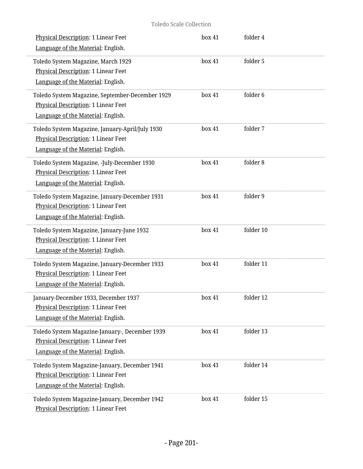### Toledo Scale Collection

| Physical Description: 1 Linear Feet<br>Language of the Material: English.                                                           | box 41 | folder 4  |  |
|-------------------------------------------------------------------------------------------------------------------------------------|--------|-----------|--|
| Toledo System Magazine, March 1929<br>Physical Description: 1 Linear Feet<br>Language of the Material: English.                     | box 41 | folder 5  |  |
| Toledo System Magazine, September-December 1929<br><b>Physical Description: 1 Linear Feet</b><br>Language of the Material: English. | box 41 | folder 6  |  |
| Toledo System Magazine, January-April/July 1930<br>Physical Description: 1 Linear Feet<br>Language of the Material: English.        | box 41 | folder 7  |  |
| Toledo System Magazine, -July-December 1930<br>Physical Description: 1 Linear Feet<br>Language of the Material: English.            | box 41 | folder 8  |  |
| Toledo System Magazine, January-December 1931<br>Physical Description: 1 Linear Feet<br>Language of the Material: English.          | box 41 | folder 9  |  |
| Toledo System Magazine, January-June 1932<br>Physical Description: 1 Linear Feet<br>Language of the Material: English.              | box 41 | folder 10 |  |
| Toledo System Magazine, January-December 1933<br>Physical Description: 1 Linear Feet<br>Language of the Material: English.          | box 41 | folder 11 |  |
| January-December 1933, December 1937<br>Physical Description: 1 Linear Feet<br>Language of the Material: English.                   | box 41 | folder 12 |  |
| Toledo System Magazine-January-, December 1939<br><b>Physical Description: 1 Linear Feet</b><br>Language of the Material: English.  | box 41 | folder 13 |  |
| Toledo System Magazine-January, December 1941<br>Physical Description: 1 Linear Feet<br>Language of the Material: English.          | box 41 | folder 14 |  |
| Toledo System Magazine-January, December 1942<br>Physical Description: 1 Linear Feet                                                | box 41 | folder 15 |  |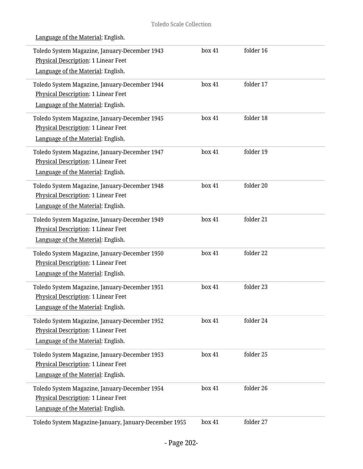| Toledo System Magazine, January-December 1943<br>Physical Description: 1 Linear Feet<br>Language of the Material: English.        | box 41 | folder 16 |
|-----------------------------------------------------------------------------------------------------------------------------------|--------|-----------|
| Toledo System Magazine, January-December 1944<br>Physical Description: 1 Linear Feet<br>Language of the Material: English.        | box 41 | folder 17 |
| Toledo System Magazine, January-December 1945<br>Physical Description: 1 Linear Feet<br>Language of the Material: English.        | box 41 | folder 18 |
| Toledo System Magazine, January-December 1947<br>Physical Description: 1 Linear Feet<br>Language of the Material: English.        | box 41 | folder 19 |
| Toledo System Magazine, January-December 1948<br><b>Physical Description: 1 Linear Feet</b><br>Language of the Material: English. | box 41 | folder 20 |
| Toledo System Magazine, January-December 1949<br>Physical Description: 1 Linear Feet<br>Language of the Material: English.        | box 41 | folder 21 |
| Toledo System Magazine, January-December 1950<br>Physical Description: 1 Linear Feet<br>Language of the Material: English.        | box 41 | folder 22 |
| Toledo System Magazine, January-December 1951<br>Physical Description: 1 Linear Feet<br>Language of the Material: English.        | box 41 | folder 23 |
| Toledo System Magazine, January-December 1952<br>Physical Description: 1 Linear Feet<br>Language of the Material: English.        | box 41 | folder 24 |
| Toledo System Magazine, January-December 1953<br>Physical Description: 1 Linear Feet<br>Language of the Material: English.        | box 41 | folder 25 |
| Toledo System Magazine, January-December 1954<br>Physical Description: 1 Linear Feet<br>Language of the Material: English.        | box 41 | folder 26 |
| Toledo System Magazine-January, January-December 1955                                                                             | box 41 | folder 27 |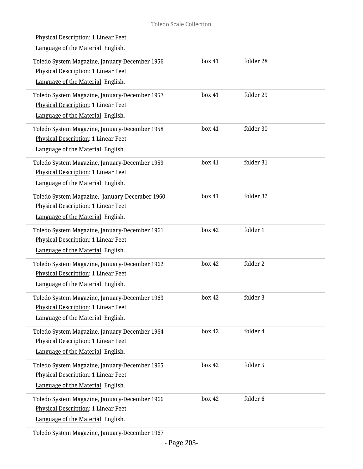| Physical Description: 1 Linear Feet<br>Language of the Material: English.                                                         |        |           |  |
|-----------------------------------------------------------------------------------------------------------------------------------|--------|-----------|--|
| Toledo System Magazine, January-December 1956<br>Physical Description: 1 Linear Feet<br>Language of the Material: English.        | box 41 | folder 28 |  |
| Toledo System Magazine, January-December 1957<br>Physical Description: 1 Linear Feet<br>Language of the Material: English.        | box 41 | folder 29 |  |
| Toledo System Magazine, January-December 1958<br>Physical Description: 1 Linear Feet<br>Language of the Material: English.        | box 41 | folder 30 |  |
| Toledo System Magazine, January-December 1959<br>Physical Description: 1 Linear Feet<br>Language of the Material: English.        | box 41 | folder 31 |  |
| Toledo System Magazine, -January-December 1960<br>Physical Description: 1 Linear Feet<br>Language of the Material: English.       | box 41 | folder 32 |  |
| Toledo System Magazine, January-December 1961<br>Physical Description: 1 Linear Feet<br>Language of the Material: English.        | box 42 | folder 1  |  |
| Toledo System Magazine, January-December 1962<br>Physical Description: 1 Linear Feet<br>Language of the Material: English.        | box 42 | folder 2  |  |
| Toledo System Magazine, January-December 1963<br>Physical Description: 1 Linear Feet<br>Language of the Material: English.        | hox 42 | folder 3  |  |
| Toledo System Magazine, January-December 1964<br>Physical Description: 1 Linear Feet<br>Language of the Material: English.        | box 42 | folder 4  |  |
| Toledo System Magazine, January-December 1965<br><b>Physical Description: 1 Linear Feet</b><br>Language of the Material: English. | box 42 | folder 5  |  |
| Toledo System Magazine, January-December 1966<br>Physical Description: 1 Linear Feet<br>Language of the Material: English.        | box 42 | folder 6  |  |

Toledo System Magazine, January-December 1967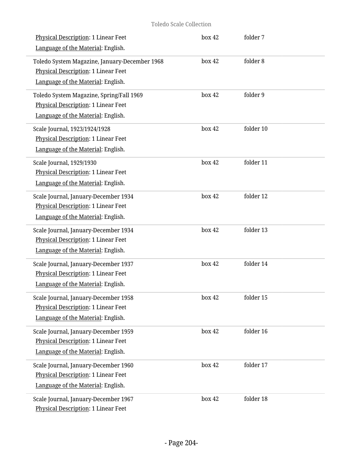| Physical Description: 1 Linear Feet<br>Language of the Material: English.                                                  | box 42 | folder 7  |  |
|----------------------------------------------------------------------------------------------------------------------------|--------|-----------|--|
| Toledo System Magazine, January-December 1968<br>Physical Description: 1 Linear Feet<br>Language of the Material: English. | box 42 | folder 8  |  |
| Toledo System Magazine, Spring/Fall 1969<br>Physical Description: 1 Linear Feet<br>Language of the Material: English.      | box 42 | folder 9  |  |
| Scale Journal, 1923/1924/1928<br>Physical Description: 1 Linear Feet<br>Language of the Material: English.                 | box 42 | folder 10 |  |
| Scale Journal, 1929/1930<br><b>Physical Description: 1 Linear Feet</b><br>Language of the Material: English.               | box 42 | folder 11 |  |
| Scale Journal, January-December 1934<br>Physical Description: 1 Linear Feet<br>Language of the Material: English.          | box 42 | folder 12 |  |
| Scale Journal, January-December 1934<br>Physical Description: 1 Linear Feet<br>Language of the Material: English.          | box 42 | folder 13 |  |
| Scale Journal, January-December 1937<br>Physical Description: 1 Linear Feet<br>Language of the Material: English.          | box 42 | folder 14 |  |
| Scale Journal, January-December 1958<br>Physical Description: 1 Linear Feet<br>Language of the Material: English.          | box 42 | folder 15 |  |
| Scale Journal, January-December 1959<br><b>Physical Description: 1 Linear Feet</b><br>Language of the Material: English.   | box 42 | folder 16 |  |
| Scale Journal, January-December 1960<br>Physical Description: 1 Linear Feet<br>Language of the Material: English.          | box 42 | folder 17 |  |
| Scale Journal, January-December 1967<br>Physical Description: 1 Linear Feet                                                | box 42 | folder 18 |  |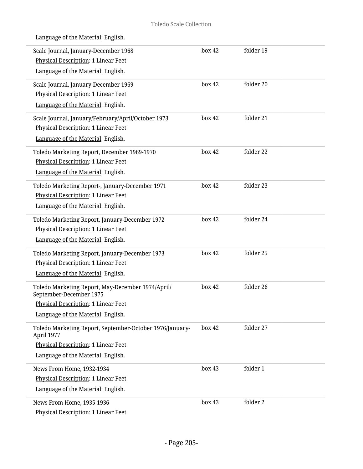Language of the Material: English. Scale Journal, January-December 1968 Physical Description: 1 Linear Feet Language of the Material: English. box 42 folder 19 Scale Journal, January-December 1969 Physical Description: 1 Linear Feet Language of the Material: English. box 42 folder 20 Scale Journal, January/February/April/October 1973 Physical Description: 1 Linear Feet Language of the Material: English. box 42 folder 21 Toledo Marketing Report, December 1969-1970 Physical Description: 1 Linear Feet Language of the Material: English. box 42 folder 22 Toledo Marketing Report-, January-December 1971 Physical Description: 1 Linear Feet Language of the Material: English. box 42 folder 23 Toledo Marketing Report, January-December 1972 Physical Description: 1 Linear Feet Language of the Material: English. box 42 folder 24 Toledo Marketing Report, January-December 1973 Physical Description: 1 Linear Feet Language of the Material: English. box 42 folder 25 Toledo Marketing Report, May-December 1974/April/ September-December 1975 Physical Description: 1 Linear Feet Language of the Material: English. box 42 folder 26 Toledo Marketing Report, September-October 1976/January-April 1977 Physical Description: 1 Linear Feet Language of the Material: English. box 42 folder 27

News From Home, 1932-1934

News From Home, 1935-1936

Physical Description: 1 Linear Feet Language of the Material: English.

Physical Description: 1 Linear Feet

box 43 folder 1

box 43 folder 2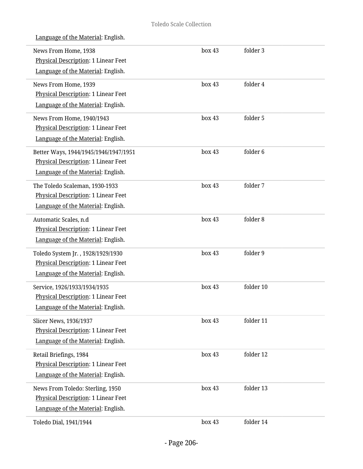| News From Home, 1938<br><b>Physical Description: 1 Linear Feet</b> | box 43 | folder 3  |  |
|--------------------------------------------------------------------|--------|-----------|--|
| Language of the Material: English.                                 |        |           |  |
| News From Home, 1939                                               | box 43 | folder 4  |  |
| Physical Description: 1 Linear Feet                                |        |           |  |
| Language of the Material: English.                                 |        |           |  |
| News From Home, 1940/1943                                          | box 43 | folder 5  |  |
| Physical Description: 1 Linear Feet                                |        |           |  |
| Language of the Material: English.                                 |        |           |  |
| Better Ways, 1944/1945/1946/1947/1951                              | box 43 | folder 6  |  |
| Physical Description: 1 Linear Feet                                |        |           |  |
| Language of the Material: English.                                 |        |           |  |
| The Toledo Scaleman, 1930-1933                                     | box 43 | folder 7  |  |
| Physical Description: 1 Linear Feet                                |        |           |  |
| Language of the Material: English.                                 |        |           |  |
| Automatic Scales, n.d                                              | box 43 | folder 8  |  |
| Physical Description: 1 Linear Feet                                |        |           |  |
| Language of the Material: English.                                 |        |           |  |
| Toledo System Jr., 1928/1929/1930                                  | box 43 | folder 9  |  |
| Physical Description: 1 Linear Feet                                |        |           |  |
| Language of the Material: English.                                 |        |           |  |
| Service, 1926/1933/1934/1935                                       | box 43 | folder 10 |  |
| <b>Physical Description: 1 Linear Feet</b>                         |        |           |  |
| Language of the Material: English.                                 |        |           |  |
| Slicer News, 1936/1937                                             | box 43 | folder 11 |  |
| <b>Physical Description: 1 Linear Feet</b>                         |        |           |  |
| Language of the Material: English.                                 |        |           |  |
| Retail Briefings, 1984                                             | box 43 | folder 12 |  |
| Physical Description: 1 Linear Feet                                |        |           |  |
| Language of the Material: English.                                 |        |           |  |
| News From Toledo: Sterling, 1950                                   | box 43 | folder 13 |  |
| Physical Description: 1 Linear Feet                                |        |           |  |
| Language of the Material: English.                                 |        |           |  |
| Toledo Dial, 1941/1944                                             | box 43 | folder 14 |  |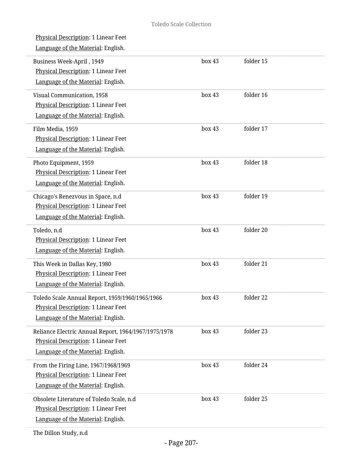| Physical Description: 1 Linear Feet<br>Language of the Material: English.                                                           |        |           |  |
|-------------------------------------------------------------------------------------------------------------------------------------|--------|-----------|--|
| Business Week-April, 1949<br><b>Physical Description: 1 Linear Feet</b><br>Language of the Material: English.                       | box 43 | folder 15 |  |
| Visual Communication, 1958<br><b>Physical Description: 1 Linear Feet</b><br>Language of the Material: English.                      | box 43 | folder 16 |  |
| Film Media, 1959<br>Physical Description: 1 Linear Feet<br>Language of the Material: English.                                       | box 43 | folder 17 |  |
| Photo Equipment, 1959<br><b>Physical Description: 1 Linear Feet</b><br>Language of the Material: English.                           | box 43 | folder 18 |  |
| Chicago's Renezvous in Space, n.d<br>Physical Description: 1 Linear Feet<br>Language of the Material: English.                      | box 43 | folder 19 |  |
| Toledo, n.d<br>Physical Description: 1 Linear Feet<br>Language of the Material: English.                                            | box 43 | folder 20 |  |
| This Week in Dallas Key, 1980<br>Physical Description: 1 Linear Feet<br>Language of the Material: English.                          | box 43 | folder 21 |  |
| Toledo Scale Annual Report, 1959/1960/1965/1966<br><b>Physical Description: 1 Linear Feet</b><br>Language of the Material: English. | box 43 | folder 22 |  |
| Reliance Electric Annual Report, 1964/1967/1975/1978<br>Physical Description: 1 Linear Feet<br>Language of the Material: English.   | box 43 | folder 23 |  |
| From the Firing Line, 1967/1968/1969<br>Physical Description: 1 Linear Feet<br>Language of the Material: English.                   | box 43 | folder 24 |  |
| Obsolete Literature of Toledo Scale, n.d<br>Physical Description: 1 Linear Feet<br>Language of the Material: English.               | box 43 | folder 25 |  |
|                                                                                                                                     |        |           |  |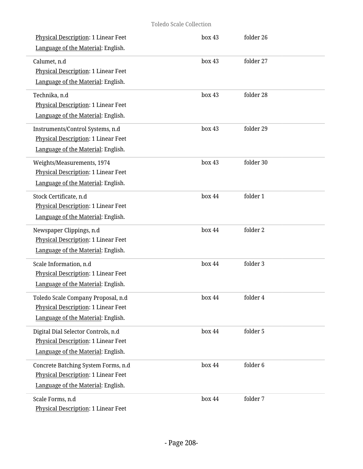| Physical Description: 1 Linear Feet<br>Language of the Material: English.                                               | box 43 | folder 26 |
|-------------------------------------------------------------------------------------------------------------------------|--------|-----------|
| Calumet, n.d<br>Physical Description: 1 Linear Feet<br>Language of the Material: English.                               | box 43 | folder 27 |
| Technika, n.d<br>Physical Description: 1 Linear Feet<br>Language of the Material: English.                              | box 43 | folder 28 |
| Instruments/Control Systems, n.d<br>Physical Description: 1 Linear Feet<br>Language of the Material: English.           | box 43 | folder 29 |
| Weights/Measurements, 1974<br>Physical Description: 1 Linear Feet<br>Language of the Material: English.                 | box 43 | folder 30 |
| Stock Certificate, n.d<br>Physical Description: 1 Linear Feet<br>Language of the Material: English.                     | box 44 | folder 1  |
| Newspaper Clippings, n.d<br>Physical Description: 1 Linear Feet<br>Language of the Material: English.                   | box 44 | folder 2  |
| Scale Information, n.d<br>Physical Description: 1 Linear Feet<br>Language of the Material: English.                     | box 44 | folder 3  |
| Toledo Scale Company Proposal, n.d<br><b>Physical Description: 1 Linear Feet</b><br>Language of the Material: English.  | box 44 | folder 4  |
| Digital Dial Selector Controls, n.d<br><b>Physical Description: 1 Linear Feet</b><br>Language of the Material: English. | box 44 | folder 5  |
| Concrete Batching System Forms, n.d<br><b>Physical Description: 1 Linear Feet</b><br>Language of the Material: English. | box 44 | folder 6  |
| Scale Forms, n.d<br>Physical Description: 1 Linear Feet                                                                 | box 44 | folder 7  |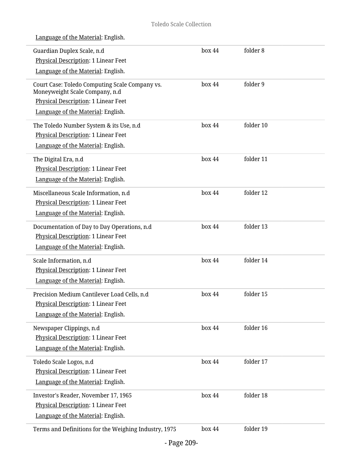| Guardian Duplex Scale, n.d                                                       | box 44 | folder 8  |  |
|----------------------------------------------------------------------------------|--------|-----------|--|
| Physical Description: 1 Linear Feet                                              |        |           |  |
| Language of the Material: English.                                               |        |           |  |
| Court Case: Toledo Computing Scale Company vs.<br>Moneyweight Scale Company, n.d | box 44 | folder 9  |  |
| Physical Description: 1 Linear Feet                                              |        |           |  |
| Language of the Material: English.                                               |        |           |  |
| The Toledo Number System & its Use, n.d                                          | box 44 | folder 10 |  |
| Physical Description: 1 Linear Feet                                              |        |           |  |
| Language of the Material: English.                                               |        |           |  |
| The Digital Era, n.d                                                             | box 44 | folder 11 |  |
| Physical Description: 1 Linear Feet                                              |        |           |  |
| Language of the Material: English.                                               |        |           |  |
| Miscellaneous Scale Information, n.d                                             | box 44 | folder 12 |  |
| Physical Description: 1 Linear Feet                                              |        |           |  |
| Language of the Material: English.                                               |        |           |  |
| Documentation of Day to Day Operations, n.d                                      | box 44 | folder 13 |  |
| Physical Description: 1 Linear Feet                                              |        |           |  |
| Language of the Material: English.                                               |        |           |  |
| Scale Information, n.d                                                           | box 44 | folder 14 |  |
| Physical Description: 1 Linear Feet                                              |        |           |  |
| Language of the Material: English.                                               |        |           |  |
| Precision Medium Cantilever Load Cells, n.d.                                     | box 44 | folder 15 |  |
| Physical Description: 1 Linear Feet                                              |        |           |  |
| Language of the Material: English.                                               |        |           |  |
| Newspaper Clippings, n.d                                                         | box 44 | folder 16 |  |
| <b>Physical Description: 1 Linear Feet</b>                                       |        |           |  |
| Language of the Material: English.                                               |        |           |  |
| Toledo Scale Logos, n.d                                                          | box 44 | folder 17 |  |
| Physical Description: 1 Linear Feet                                              |        |           |  |
| Language of the Material: English.                                               |        |           |  |
| Investor's Reader, November 17, 1965                                             | box 44 | folder 18 |  |
| Physical Description: 1 Linear Feet                                              |        |           |  |
| Language of the Material: English.                                               |        |           |  |
| Terms and Definitions for the Weighing Industry, 1975                            | box 44 | folder 19 |  |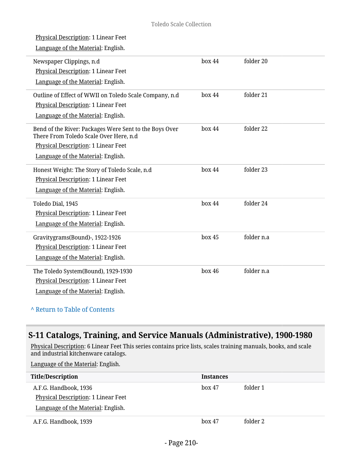| <b>Physical Description: 1 Linear Feet</b>                                                       |        |            |
|--------------------------------------------------------------------------------------------------|--------|------------|
| Language of the Material: English.                                                               |        |            |
| Newspaper Clippings, n.d                                                                         | box 44 | folder 20  |
| Physical Description: 1 Linear Feet                                                              |        |            |
| Language of the Material: English.                                                               |        |            |
| Outline of Effect of WWII on Toledo Scale Company, n.d                                           | box 44 | folder 21  |
| Physical Description: 1 Linear Feet                                                              |        |            |
| Language of the Material: English.                                                               |        |            |
| Bend of the River: Packages Were Sent to the Boys Over<br>There From Toledo Scale Over Here, n.d | box 44 | folder 22  |
| Physical Description: 1 Linear Feet                                                              |        |            |
| Language of the Material: English.                                                               |        |            |
| Honest Weight: The Story of Toledo Scale, n.d                                                    | box 44 | folder 23  |
| Physical Description: 1 Linear Feet                                                              |        |            |
| Language of the Material: English.                                                               |        |            |
| Toledo Dial, 1945                                                                                | box 44 | folder 24  |
| Physical Description: 1 Linear Feet                                                              |        |            |
| Language of the Material: English.                                                               |        |            |
| Gravitygrams(Bound)-, 1922-1926                                                                  | box 45 | folder n.a |
| Physical Description: 1 Linear Feet                                                              |        |            |
| Language of the Material: English.                                                               |        |            |
| The Toledo System(Bound), 1929-1930                                                              | box 46 | folder n.a |
| Physical Description: 1 Linear Feet                                                              |        |            |
| Language of the Material: English.                                                               |        |            |
|                                                                                                  |        |            |

## **^** [Return to Table of Contents](#page-1-0)

# **S-11 Catalogs, Training, and Service Manuals (Administrative), 1900-1980**

<u>Physical Description</u>: 6 Linear Feet This series contains price lists, scales training manuals, books, and scale and industrial kitchenware catalogs.

| <b>Title/Description</b>            | <b>Instances</b> |          |
|-------------------------------------|------------------|----------|
| A.F.G. Handbook, 1936               | $h$ ox 47        | folder 1 |
| Physical Description: 1 Linear Feet |                  |          |
| Language of the Material: English.  |                  |          |
| A.F.G. Handbook, 1939               | $h$ ox 47        | folder 2 |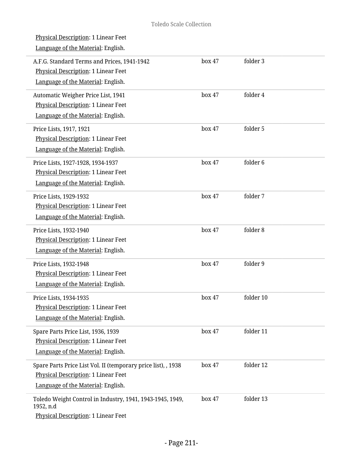L

| Physical Description: 1 Linear Feet<br>Language of the Material: English.                                                                  |        |           |
|--------------------------------------------------------------------------------------------------------------------------------------------|--------|-----------|
| A.F.G. Standard Terms and Prices, 1941-1942<br><b>Physical Description: 1 Linear Feet</b><br>Language of the Material: English.            | box 47 | folder 3  |
| Automatic Weigher Price List, 1941<br>Physical Description: 1 Linear Feet<br>Language of the Material: English.                            | box 47 | folder 4  |
| Price Lists, 1917, 1921<br>Physical Description: 1 Linear Feet<br>Language of the Material: English.                                       | box 47 | folder 5  |
| Price Lists, 1927-1928, 1934-1937<br>Physical Description: 1 Linear Feet<br>Language of the Material: English.                             | box 47 | folder 6  |
| Price Lists, 1929-1932<br>Physical Description: 1 Linear Feet<br>Language of the Material: English.                                        | box 47 | folder 7  |
| Price Lists, 1932-1940<br>Physical Description: 1 Linear Feet<br>Language of the Material: English.                                        | box 47 | folder 8  |
| Price Lists, 1932-1948<br>Physical Description: 1 Linear Feet<br>Language of the Material: English.                                        | box 47 | folder 9  |
| Price Lists, 1934-1935<br>Physical Description: 1 Linear Feet<br>Language of the Material: English.                                        | box 47 | folder 10 |
| Spare Parts Price List, 1936, 1939<br><b>Physical Description: 1 Linear Feet</b><br>Language of the Material: English.                     | box 47 | folder 11 |
| Spare Parts Price List Vol. II (temporary price list), , 1938<br>Physical Description: 1 Linear Feet<br>Language of the Material: English. | box 47 | folder 12 |
| Toledo Weight Control in Industry, 1941, 1943-1945, 1949,<br>1952, n.d<br>Physical Description: 1 Linear Feet                              | box 47 | folder 13 |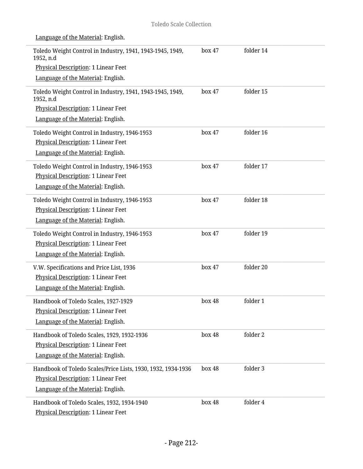#### Toledo Scale Collection

| Language of the Material: English.                                                |        |           |
|-----------------------------------------------------------------------------------|--------|-----------|
| Toledo Weight Control in Industry, 1941, 1943-1945, 1949,<br>1952, n.d            | box 47 | folder 14 |
| <b>Physical Description: 1 Linear Feet</b>                                        |        |           |
| Language of the Material: English.                                                |        |           |
| Toledo Weight Control in Industry, 1941, 1943-1945, 1949,<br>1952, n.d            | box 47 | folder 15 |
| Physical Description: 1 Linear Feet                                               |        |           |
| Language of the Material: English.                                                |        |           |
| Toledo Weight Control in Industry, 1946-1953                                      | box 47 | folder 16 |
| Physical Description: 1 Linear Feet                                               |        |           |
| Language of the Material: English.                                                |        |           |
| Toledo Weight Control in Industry, 1946-1953                                      | box 47 | folder 17 |
| Physical Description: 1 Linear Feet                                               |        |           |
| Language of the Material: English.                                                |        |           |
| Toledo Weight Control in Industry, 1946-1953                                      | box 47 | folder 18 |
| Physical Description: 1 Linear Feet                                               |        |           |
| Language of the Material: English.                                                |        |           |
| Toledo Weight Control in Industry, 1946-1953                                      | box 47 | folder 19 |
| Physical Description: 1 Linear Feet                                               |        |           |
| Language of the Material: English.                                                |        |           |
| V.W. Specifications and Price List, 1936                                          | box 47 | folder 20 |
| Physical Description: 1 Linear Feet                                               |        |           |
| Language of the Material: English.                                                |        |           |
| Handbook of Toledo Scales, 1927-1929                                              | box 48 | folder 1  |
| <b>Physical Description: 1 Linear Feet</b>                                        |        |           |
| Language of the Material: English.                                                |        |           |
| Handbook of Toledo Scales, 1929, 1932-1936                                        | box 48 | folder 2  |
| Physical Description: 1 Linear Feet                                               |        |           |
| Language of the Material: English.                                                |        |           |
| Handbook of Toledo Scales/Price Lists, 1930, 1932, 1934-1936                      | box 48 | folder 3  |
| Physical Description: 1 Linear Feet                                               |        |           |
| Language of the Material: English.                                                |        |           |
| Handbook of Toledo Scales, 1932, 1934-1940<br>Physical Description: 1 Linear Feet | box 48 | folder 4  |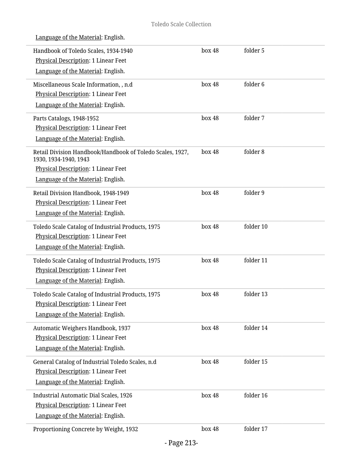Î,

| Language of the Material: English.                                                                                                                              |        |           |
|-----------------------------------------------------------------------------------------------------------------------------------------------------------------|--------|-----------|
| Handbook of Toledo Scales, 1934-1940<br>Physical Description: 1 Linear Feet<br>Language of the Material: English.                                               | box 48 | folder 5  |
| Miscellaneous Scale Information, , n.d<br><b>Physical Description: 1 Linear Feet</b><br>Language of the Material: English.                                      | box 48 | folder 6  |
| Parts Catalogs, 1948-1952<br>Physical Description: 1 Linear Feet<br>Language of the Material: English.                                                          | box 48 | folder 7  |
| Retail Division Handbook/Handbook of Toledo Scales, 1927,<br>1930, 1934-1940, 1943<br>Physical Description: 1 Linear Feet<br>Language of the Material: English. | box 48 | folder 8  |
| Retail Division Handbook, 1948-1949<br>Physical Description: 1 Linear Feet<br>Language of the Material: English.                                                | box 48 | folder 9  |
| Toledo Scale Catalog of Industrial Products, 1975<br>Physical Description: 1 Linear Feet<br>Language of the Material: English.                                  | box 48 | folder 10 |
| Toledo Scale Catalog of Industrial Products, 1975<br><b>Physical Description: 1 Linear Feet</b><br>Language of the Material: English.                           | box 48 | folder 11 |
| Toledo Scale Catalog of Industrial Products, 1975<br>Physical Description: 1 Linear Feet<br>Language of the Material: English.                                  | box 48 | folder 13 |
| Automatic Weighers Handbook, 1937<br><b>Physical Description: 1 Linear Feet</b><br>Language of the Material: English.                                           | box 48 | folder 14 |
| General Catalog of Industrial Toledo Scales, n.d<br>Physical Description: 1 Linear Feet<br>Language of the Material: English.                                   | box 48 | folder 15 |
| <b>Industrial Automatic Dial Scales, 1926</b><br>Physical Description: 1 Linear Feet<br>Language of the Material: English.                                      | box 48 | folder 16 |
| Proportioning Concrete by Weight, 1932                                                                                                                          | box 48 | folder 17 |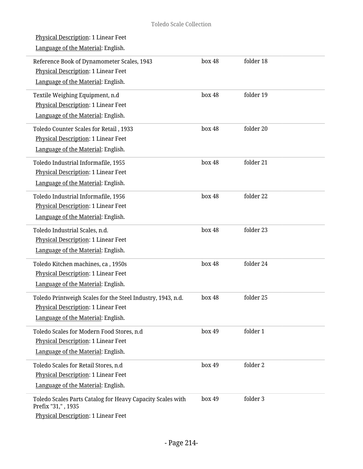i,

 $\overline{a}$ 

L.

i.

i,

L

| Physical Description: 1 Linear Feet                                              |        |           |
|----------------------------------------------------------------------------------|--------|-----------|
| Language of the Material: English.                                               |        |           |
| Reference Book of Dynamometer Scales, 1943                                       | box 48 | folder 18 |
| Physical Description: 1 Linear Feet                                              |        |           |
| Language of the Material: English.                                               |        |           |
| Textile Weighing Equipment, n.d                                                  | box 48 | folder 19 |
| Physical Description: 1 Linear Feet                                              |        |           |
| Language of the Material: English.                                               |        |           |
| Toledo Counter Scales for Retail, 1933                                           | box 48 | folder 20 |
| Physical Description: 1 Linear Feet                                              |        |           |
| Language of the Material: English.                                               |        |           |
| Toledo Industrial Informafile, 1955                                              | box 48 | folder 21 |
| Physical Description: 1 Linear Feet                                              |        |           |
| Language of the Material: English.                                               |        |           |
| Toledo Industrial Informafile, 1956                                              | box 48 | folder 22 |
| Physical Description: 1 Linear Feet                                              |        |           |
| Language of the Material: English.                                               |        |           |
| Toledo Industrial Scales, n.d.                                                   | box 48 | folder 23 |
| Physical Description: 1 Linear Feet                                              |        |           |
| Language of the Material: English.                                               |        |           |
| Toledo Kitchen machines, ca, 1950s                                               | box 48 | folder 24 |
| Physical Description: 1 Linear Feet                                              |        |           |
| Language of the Material: English.                                               |        |           |
| Toledo Printweigh Scales for the Steel Industry, 1943, n.d.                      | box 48 | folder 25 |
| Physical Description: 1 Linear Feet                                              |        |           |
| Language of the Material: English.                                               |        |           |
| Toledo Scales for Modern Food Stores, n.d                                        | box 49 | folder 1  |
| Physical Description: 1 Linear Feet                                              |        |           |
| Language of the Material: English.                                               |        |           |
| Toledo Scales for Retail Stores, n.d                                             | box 49 | folder 2  |
| <b>Physical Description: 1 Linear Feet</b>                                       |        |           |
| Language of the Material: English.                                               |        |           |
| Toledo Scales Parts Catalog for Heavy Capacity Scales with<br>Prefix "31,", 1935 | box 49 | folder 3  |
| Physical Description: 1 Linear Feet                                              |        |           |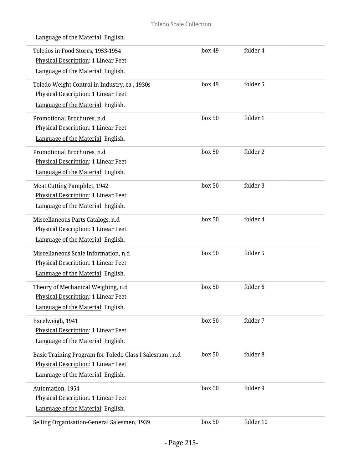| Toledos in Food Stores, 1953-1954<br>Physical Description: 1 Linear Feet<br>Language of the Material: English.                              | box 49 | folder 4  |  |
|---------------------------------------------------------------------------------------------------------------------------------------------|--------|-----------|--|
| Toledo Weight Control in Industry, ca, 1930s<br>Physical Description: 1 Linear Feet<br>Language of the Material: English.                   | box 49 | folder 5  |  |
| Promotional Brochures, n.d<br>Physical Description: 1 Linear Feet<br>Language of the Material: English.                                     | box 50 | folder 1  |  |
| Promotional Brochures, n.d<br>Physical Description: 1 Linear Feet<br>Language of the Material: English.                                     | box 50 | folder 2  |  |
| Meat Cutting Pamphlet, 1942<br>Physical Description: 1 Linear Feet<br>Language of the Material: English.                                    | box 50 | folder 3  |  |
| Miscellaneous Parts Catalogs, n.d<br>Physical Description: 1 Linear Feet<br>Language of the Material: English.                              | box 50 | folder 4  |  |
| Miscellaneous Scale Information, n.d<br>Physical Description: 1 Linear Feet<br>Language of the Material: English.                           | box 50 | folder 5  |  |
| Theory of Mechanical Weighing, n.d<br>Physical Description: 1 Linear Feet<br>Language of the Material: English.                             | box 50 | folder 6  |  |
| Excelweigh, 1941<br>Physical Description: 1 Linear Feet<br>Language of the Material: English.                                               | box 50 | folder 7  |  |
| Basic Training Program for Toledo Class I Salesman, n.d<br><b>Physical Description: 1 Linear Feet</b><br>Language of the Material: English. | box 50 | folder 8  |  |
| Automation, 1954<br>Physical Description: 1 Linear Feet<br>Language of the Material: English.                                               | box 50 | folder 9  |  |
| Selling Organisation-General Salesmen, 1939                                                                                                 | box 50 | folder 10 |  |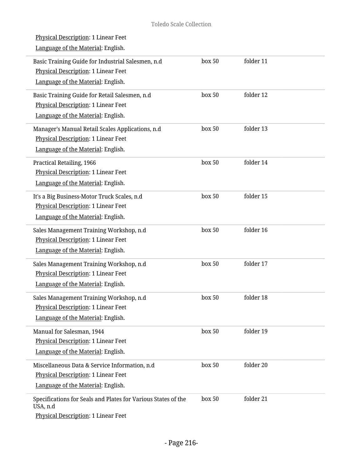| Physical Description: 1 Linear Feet<br>Language of the Material: English. |           |           |
|---------------------------------------------------------------------------|-----------|-----------|
| Basic Training Guide for Industrial Salesmen, n.d                         | box 50    | folder 11 |
| Physical Description: 1 Linear Feet                                       |           |           |
| Language of the Material: English.                                        |           |           |
| Basic Training Guide for Retail Salesmen, n.d                             | box 50    | folder 12 |
| Physical Description: 1 Linear Feet                                       |           |           |
| Language of the Material: English.                                        |           |           |
| Manager's Manual Retail Scales Applications, n.d                          | box 50    | folder 13 |
| Physical Description: 1 Linear Feet                                       |           |           |
| Language of the Material: English.                                        |           |           |
| Practical Retailing, 1966                                                 | box 50    | folder 14 |
| Physical Description: 1 Linear Feet                                       |           |           |
| Language of the Material: English.                                        |           |           |
| It's a Big Business-Motor Truck Scales, n.d                               | box 50    | folder 15 |
| Physical Description: 1 Linear Feet                                       |           |           |
| Language of the Material: English.                                        |           |           |
| Sales Management Training Workshop, n.d                                   | box 50    | folder 16 |
| Physical Description: 1 Linear Feet                                       |           |           |
| Language of the Material: English.                                        |           |           |
| Sales Management Training Workshop, n.d                                   | box 50    | folder 17 |
| Physical Description: 1 Linear Feet                                       |           |           |
| Language of the Material: English.                                        |           |           |
| Sales Management Training Workshop, n.d                                   | $h$ ox 50 | folder 18 |
| Physical Description: 1 Linear Feet                                       |           |           |
| Language of the Material: English.                                        |           |           |
| Manual for Salesman, 1944                                                 | box 50    | folder 19 |
| Physical Description: 1 Linear Feet                                       |           |           |
| Language of the Material: English.                                        |           |           |
| Miscellaneous Data & Service Information, n.d                             | box 50    | folder 20 |
| Physical Description: 1 Linear Feet                                       |           |           |
| Language of the Material: English.                                        |           |           |
| Specifications for Seals and Plates for Various States of the<br>USA, n.d | box 50    | folder 21 |
| Physical Description: 1 Linear Feet                                       |           |           |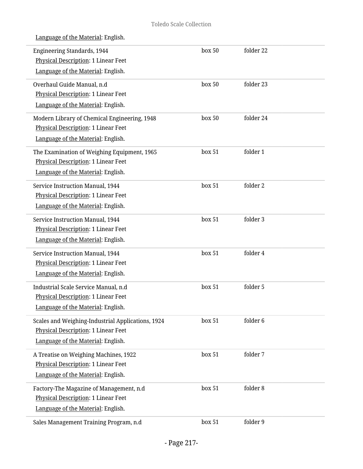| Language of the Material: English.                                        |        |           |
|---------------------------------------------------------------------------|--------|-----------|
| <b>Engineering Standards, 1944</b><br>Physical Description: 1 Linear Feet | box 50 | folder 22 |
| Language of the Material: English.                                        |        |           |
| Overhaul Guide Manual, n.d                                                | box 50 | folder 23 |
| Physical Description: 1 Linear Feet                                       |        |           |
| Language of the Material: English.                                        |        |           |
| Modern Library of Chemical Engineering, 1948                              | box 50 | folder 24 |
| Physical Description: 1 Linear Feet                                       |        |           |
| Language of the Material: English.                                        |        |           |
| The Examination of Weighing Equipment, 1965                               | box 51 | folder 1  |
| <b>Physical Description: 1 Linear Feet</b>                                |        |           |
| Language of the Material: English.                                        |        |           |
| Service Instruction Manual, 1944                                          | box 51 | folder 2  |
| <b>Physical Description: 1 Linear Feet</b>                                |        |           |
| Language of the Material: English.                                        |        |           |
| Service Instruction Manual, 1944                                          | box 51 | folder 3  |
| Physical Description: 1 Linear Feet                                       |        |           |
| Language of the Material: English.                                        |        |           |
| Service Instruction Manual, 1944                                          | box 51 | folder 4  |
| Physical Description: 1 Linear Feet                                       |        |           |
| Language of the Material: English.                                        |        |           |
| Industrial Scale Service Manual, n.d                                      | box 51 | folder 5  |
| Physical Description: 1 Linear Feet                                       |        |           |
| Language of the Material: English.                                        |        |           |
| Scales and Weighing-Industrial Applications, 1924                         | box 51 | folder 6  |
| Physical Description: 1 Linear Feet                                       |        |           |
| Language of the Material: English.                                        |        |           |
| A Treatise on Weighing Machines, 1922                                     | box 51 | folder 7  |
| Physical Description: 1 Linear Feet                                       |        |           |
| Language of the Material: English.                                        |        |           |
| Factory-The Magazine of Management, n.d                                   | box 51 | folder 8  |
| Physical Description: 1 Linear Feet                                       |        |           |
| Language of the Material: English.                                        |        |           |
| Sales Management Training Program, n.d                                    | box 51 | folder 9  |
|                                                                           |        |           |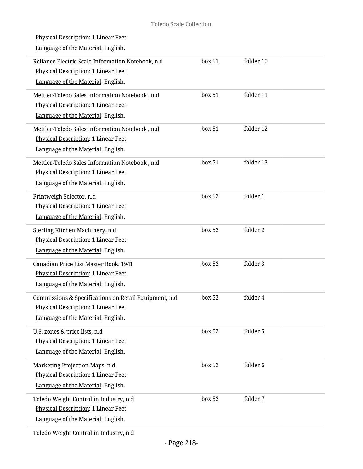| Physical Description: 1 Linear Feet                   |        |           |  |
|-------------------------------------------------------|--------|-----------|--|
| Language of the Material: English.                    |        |           |  |
| Reliance Electric Scale Information Notebook, n.d     | box 51 | folder 10 |  |
| Physical Description: 1 Linear Feet                   |        |           |  |
| Language of the Material: English.                    |        |           |  |
|                                                       |        |           |  |
| Mettler-Toledo Sales Information Notebook, n.d        | box 51 | folder 11 |  |
| Physical Description: 1 Linear Feet                   |        |           |  |
| Language of the Material: English.                    |        |           |  |
| Mettler-Toledo Sales Information Notebook, n.d        | box 51 | folder 12 |  |
| Physical Description: 1 Linear Feet                   |        |           |  |
| Language of the Material: English.                    |        |           |  |
| Mettler-Toledo Sales Information Notebook, n.d        | box 51 | folder 13 |  |
| Physical Description: 1 Linear Feet                   |        |           |  |
| Language of the Material: English.                    |        |           |  |
| Printweigh Selector, n.d                              | box 52 | folder 1  |  |
| Physical Description: 1 Linear Feet                   |        |           |  |
| Language of the Material: English.                    |        |           |  |
| Sterling Kitchen Machinery, n.d                       | box 52 | folder 2  |  |
| Physical Description: 1 Linear Feet                   |        |           |  |
| Language of the Material: English.                    |        |           |  |
| Canadian Price List Master Book, 1941                 | box 52 | folder 3  |  |
| Physical Description: 1 Linear Feet                   |        |           |  |
| Language of the Material: English.                    |        |           |  |
| Commissions & Specifications on Retail Equipment, n.d | box 52 | folder 4  |  |
| <b>Physical Description: 1 Linear Feet</b>            |        |           |  |
| Language of the Material: English.                    |        |           |  |
| U.S. zones & price lists, n.d                         | box 52 | folder 5  |  |
| Physical Description: 1 Linear Feet                   |        |           |  |
| Language of the Material: English.                    |        |           |  |
| Marketing Projection Maps, n.d                        | box 52 | folder 6  |  |
| Physical Description: 1 Linear Feet                   |        |           |  |
| Language of the Material: English.                    |        |           |  |
| Toledo Weight Control in Industry, n.d                | box 52 | folder 7  |  |
| Physical Description: 1 Linear Feet                   |        |           |  |
| Language of the Material: English.                    |        |           |  |
| Toledo Weight Control in Industry, n.d                |        |           |  |

L

L.

i.

i.

L

i,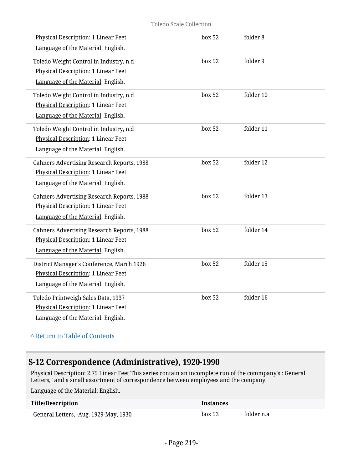#### Toledo Scale Collection

| Physical Description: 1 Linear Feet<br>Language of the Material: English.                                                      | box 52 | folder 8  |
|--------------------------------------------------------------------------------------------------------------------------------|--------|-----------|
| Toledo Weight Control in Industry, n.d<br>Physical Description: 1 Linear Feet<br>Language of the Material: English.            | box 52 | folder 9  |
| Toledo Weight Control in Industry, n.d<br><b>Physical Description: 1 Linear Feet</b><br>Language of the Material: English.     | box 52 | folder 10 |
| Toledo Weight Control in Industry, n.d<br>Physical Description: 1 Linear Feet<br>Language of the Material: English.            | box 52 | folder 11 |
| <b>Cahners Advertising Research Reports, 1988</b><br>Physical Description: 1 Linear Feet<br>Language of the Material: English. | box 52 | folder 12 |
| <b>Cahners Advertising Research Reports, 1988</b><br>Physical Description: 1 Linear Feet<br>Language of the Material: English. | box 52 | folder 13 |
| <b>Cahners Advertising Research Reports, 1988</b><br>Physical Description: 1 Linear Feet<br>Language of the Material: English. | box 52 | folder 14 |
| District Manager's Conference, March 1926<br>Physical Description: 1 Linear Feet<br>Language of the Material: English.         | box 52 | folder 15 |
| Toledo Printweigh Sales Data, 1937<br>Physical Description: 1 Linear Feet<br>Language of the Material: English.                | box 52 | folder 16 |

**^** [Return to Table of Contents](#page-1-0)

# **S-12 Correspondence (Administrative), 1920-1990**

Physical Description: 2.75 Linear Feet This series contain an incomplete run of the commpany's : General Letters," and a small assortment of correspondence between employees and the company.

| <b>Title/Description</b>              | <b>Instances</b> |            |
|---------------------------------------|------------------|------------|
| General Letters, -Aug. 1929-May, 1930 | box~53           | folder n.a |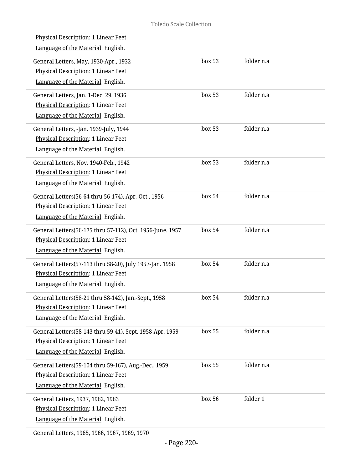| Physical Description: 1 Linear Feet                       |        |            |  |
|-----------------------------------------------------------|--------|------------|--|
| Language of the Material: English.                        |        |            |  |
| General Letters, May, 1930-Apr., 1932                     | box 53 | folder n.a |  |
| Physical Description: 1 Linear Feet                       |        |            |  |
| Language of the Material: English.                        |        |            |  |
| General Letters, Jan. 1-Dec. 29, 1936                     | box 53 | folder n.a |  |
| Physical Description: 1 Linear Feet                       |        |            |  |
| Language of the Material: English.                        |        |            |  |
| General Letters, -Jan. 1939-July, 1944                    | box 53 | folder n.a |  |
| Physical Description: 1 Linear Feet                       |        |            |  |
| Language of the Material: English.                        |        |            |  |
| General Letters, Nov. 1940-Feb., 1942                     | box~53 | folder n.a |  |
| Physical Description: 1 Linear Feet                       |        |            |  |
| Language of the Material: English.                        |        |            |  |
| General Letters(56-64 thru 56-174), Apr.-Oct., 1956       | box 54 | folder n.a |  |
| Physical Description: 1 Linear Feet                       |        |            |  |
| Language of the Material: English.                        |        |            |  |
| General Letters(56-175 thru 57-112), Oct. 1956-June, 1957 | box 54 | folder n.a |  |
| Physical Description: 1 Linear Feet                       |        |            |  |
| Language of the Material: English.                        |        |            |  |
| General Letters(57-113 thru 58-20), July 1957-Jan. 1958   | box 54 | folder n.a |  |
| Physical Description: 1 Linear Feet                       |        |            |  |
| Language of the Material: English.                        |        |            |  |
| General Letters(58-21 thru 58-142), Jan.-Sept., 1958      | box 54 | folder n.a |  |
| Physical Description: 1 Linear Feet                       |        |            |  |
| Language of the Material: English.                        |        |            |  |
| General Letters(58-143 thru 59-41), Sept. 1958-Apr. 1959  | box 55 | folder n.a |  |
| Physical Description: 1 Linear Feet                       |        |            |  |
| Language of the Material: English.                        |        |            |  |
| General Letters(59-104 thru 59-167), Aug.-Dec., 1959      | box 55 | folder n.a |  |
| <b>Physical Description: 1 Linear Feet</b>                |        |            |  |
| Language of the Material: English.                        |        |            |  |
| General Letters, 1937, 1962, 1963                         | box 56 | folder 1   |  |
| Physical Description: 1 Linear Feet                       |        |            |  |
| Language of the Material: English.                        |        |            |  |
|                                                           |        |            |  |

General Letters, 1965, 1966, 1967, 1969, 1970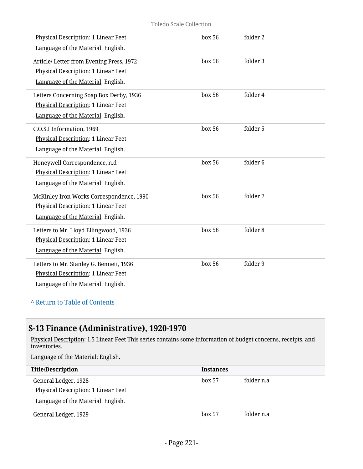#### Toledo Scale Collection

| Physical Description: 1 Linear Feet<br>Language of the Material: English.                                             | box 56 | folder 2            |
|-----------------------------------------------------------------------------------------------------------------------|--------|---------------------|
| Article/ Letter from Evening Press, 1972<br>Physical Description: 1 Linear Feet<br>Language of the Material: English. | box 56 | folder 3            |
| Letters Concerning Soap Box Derby, 1936<br>Physical Description: 1 Linear Feet<br>Language of the Material: English.  | box 56 | folder 4            |
| C.O.S.I Information, 1969<br>Physical Description: 1 Linear Feet<br>Language of the Material: English.                | box 56 | folder 5            |
| Honeywell Correspondence, n.d<br>Physical Description: 1 Linear Feet<br>Language of the Material: English.            | box 56 | folder <sub>6</sub> |
| McKinley Iron Works Correspondence, 1990<br>Physical Description: 1 Linear Feet<br>Language of the Material: English. | box 56 | folder 7            |
| Letters to Mr. Lloyd Ellingwood, 1936<br>Physical Description: 1 Linear Feet<br>Language of the Material: English.    | box 56 | folder 8            |
| Letters to Mr. Stanley G. Bennett, 1936<br>Physical Description: 1 Linear Feet<br>Language of the Material: English.  | box 56 | folder 9            |

## **^** [Return to Table of Contents](#page-1-0)

## **S-13 Finance (Administrative), 1920-1970**

<u>Physical Description</u>: 1.5 Linear Feet This series contains some information of budget concerns, receipts, and inventories.

| <b>Title/Description</b>            | <b>Instances</b> |            |
|-------------------------------------|------------------|------------|
| General Ledger, 1928                | box 57           | folder n.a |
| Physical Description: 1 Linear Feet |                  |            |
| Language of the Material: English.  |                  |            |
| General Ledger, 1929                | box 57           | folder n.a |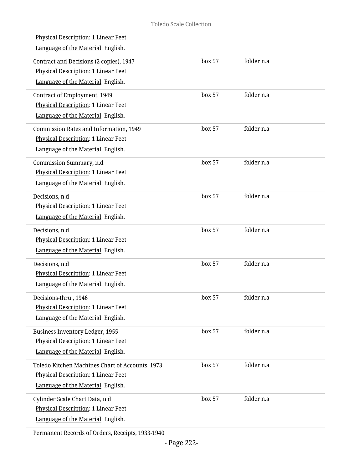| <u>Physical Description</u> : 1 Linear Feet<br>Language of the Material: English.                                            |        |            |  |
|------------------------------------------------------------------------------------------------------------------------------|--------|------------|--|
| Contract and Decisions (2 copies), 1947<br><b>Physical Description: 1 Linear Feet</b><br>Language of the Material: English.  | box 57 | folder n.a |  |
| Contract of Employment, 1949<br><b>Physical Description: 1 Linear Feet</b><br>Language of the Material: English.             | box 57 | folder n.a |  |
| <b>Commission Rates and Information, 1949</b><br>Physical Description: 1 Linear Feet<br>Language of the Material: English.   | box 57 | folder n.a |  |
| Commission Summary, n.d<br>Physical Description: 1 Linear Feet<br>Language of the Material: English.                         | box 57 | folder n.a |  |
| Decisions, n.d<br>Physical Description: 1 Linear Feet<br>Language of the Material: English.                                  | box 57 | folder n.a |  |
| Decisions, n.d<br>Physical Description: 1 Linear Feet<br>Language of the Material: English.                                  | box 57 | folder n.a |  |
| Decisions, n.d<br>Physical Description: 1 Linear Feet<br>Language of the Material: English.                                  | box 57 | folder n.a |  |
| Decisions-thru, 1946<br><b>Physical Description: 1 Linear Feet</b><br>Language of the Material: English.                     | box 57 | folder n.a |  |
| <b>Business Inventory Ledger, 1955</b><br><b>Physical Description: 1 Linear Feet</b><br>Language of the Material: English.   | box 57 | folder n.a |  |
| Toledo Kitchen Machines Chart of Accounts, 1973<br>Physical Description: 1 Linear Feet<br>Language of the Material: English. | box 57 | folder n.a |  |
| Cylinder Scale Chart Data, n.d<br>Physical Description: 1 Linear Feet<br>Language of the Material: English.                  | box 57 | folder n.a |  |
|                                                                                                                              |        |            |  |

Permanent Records of Orders, Receipts, 1933-1940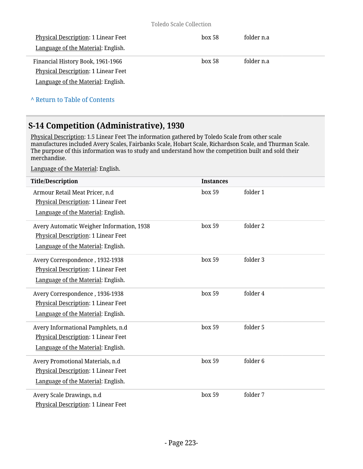| Physical Description: 1 Linear Feet        | box~58 | folder n.a |
|--------------------------------------------|--------|------------|
| Language of the Material: English.         |        |            |
| Financial History Book, 1961-1966          | box~58 | folder n.a |
| <b>Physical Description: 1 Linear Feet</b> |        |            |
| Language of the Material: English.         |        |            |
|                                            |        |            |

**^** [Return to Table of Contents](#page-1-0)

## **S-14 Competition (Administrative), 1930**

Physical Description: 1.5 Linear Feet The information gathered by Toledo Scale from other scale manufactures included Avery Scales, Fairbanks Scale, Hobart Scale, Richardson Scale, and Thurman Scale. The purpose of this information was to study and understand how the competition built and sold their merchandise.

| <b>Title/Description</b>                                                                                               | <b>Instances</b> |          |
|------------------------------------------------------------------------------------------------------------------------|------------------|----------|
| Armour Retail Meat Pricer, n.d<br>Physical Description: 1 Linear Feet<br>Language of the Material: English.            | box 59           | folder 1 |
| Avery Automatic Weigher Information, 1938<br>Physical Description: 1 Linear Feet<br>Language of the Material: English. | box 59           | folder 2 |
| Avery Correspondence, 1932-1938<br>Physical Description: 1 Linear Feet<br>Language of the Material: English.           | box 59           | folder 3 |
| Avery Correspondence, 1936-1938<br>Physical Description: 1 Linear Feet<br>Language of the Material: English.           | box 59           | folder 4 |
| Avery Informational Pamphlets, n.d<br>Physical Description: 1 Linear Feet<br>Language of the Material: English.        | box 59           | folder 5 |
| Avery Promotional Materials, n.d<br>Physical Description: 1 Linear Feet<br>Language of the Material: English.          | box 59           | folder 6 |
| Avery Scale Drawings, n.d<br>Physical Description: 1 Linear Feet                                                       | box 59           | folder 7 |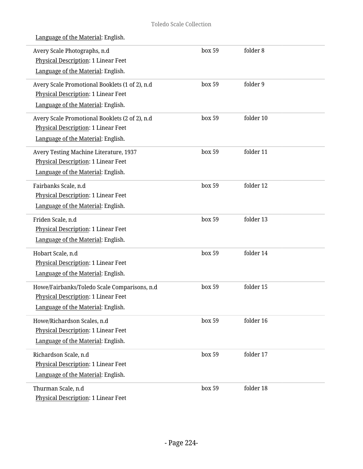|  | Language of the Material: English. |  |
|--|------------------------------------|--|
|  |                                    |  |

| Avery Scale Photographs, n.d<br>Physical Description: 1 Linear Feet<br>Language of the Material: English.                   | box 59 | folder 8  |  |
|-----------------------------------------------------------------------------------------------------------------------------|--------|-----------|--|
| Avery Scale Promotional Booklets (1 of 2), n.d<br>Physical Description: 1 Linear Feet<br>Language of the Material: English. | box 59 | folder 9  |  |
| Avery Scale Promotional Booklets (2 of 2), n.d<br>Physical Description: 1 Linear Feet<br>Language of the Material: English. | box 59 | folder 10 |  |
| Avery Testing Machine Literature, 1937<br><b>Physical Description: 1 Linear Feet</b><br>Language of the Material: English.  | box 59 | folder 11 |  |
| Fairbanks Scale, n.d<br>Physical Description: 1 Linear Feet<br>Language of the Material: English.                           | box 59 | folder 12 |  |
| Friden Scale, n.d<br>Physical Description: 1 Linear Feet<br>Language of the Material: English.                              | box 59 | folder 13 |  |
| Hobart Scale, n.d<br>Physical Description: 1 Linear Feet<br>Language of the Material: English.                              | box 59 | folder 14 |  |
| Howe/Fairbanks/Toledo Scale Comparisons, n.d<br>Physical Description: 1 Linear Feet<br>Language of the Material: English.   | box 59 | folder 15 |  |
| Howe/Richardson Scales, n.d<br>Physical Description: 1 Linear Feet<br>Language of the Material: English.                    | box 59 | folder 16 |  |
| Richardson Scale, n.d<br>Physical Description: 1 Linear Feet<br>Language of the Material: English.                          | box 59 | folder 17 |  |
| Thurman Scale, n.d<br>Physical Description: 1 Linear Feet                                                                   | box 59 | folder 18 |  |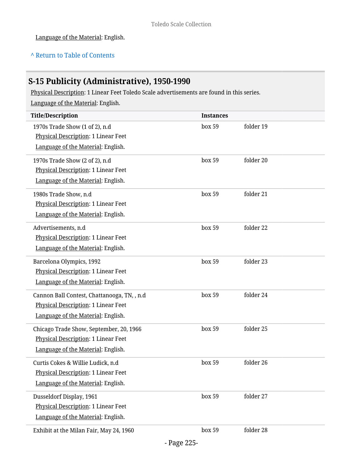## **^** [Return to Table of Contents](#page-1-0)

# **S-15 Publicity (Administrative), 1950-1990**

Physical Description: 1 Linear Feet Toledo Scale advertisements are found in this series.

| <b>Title/Description</b>                    | <b>Instances</b> |           |
|---------------------------------------------|------------------|-----------|
| 1970s Trade Show (1 of 2), n.d              | box 59           | folder 19 |
| Physical Description: 1 Linear Feet         |                  |           |
| Language of the Material: English.          |                  |           |
| 1970s Trade Show (2 of 2), n.d              | box 59           | folder 20 |
| Physical Description: 1 Linear Feet         |                  |           |
| Language of the Material: English.          |                  |           |
| 1980s Trade Show, n.d                       | box 59           | folder 21 |
| Physical Description: 1 Linear Feet         |                  |           |
| Language of the Material: English.          |                  |           |
| Advertisements, n.d                         | box 59           | folder 22 |
| Physical Description: 1 Linear Feet         |                  |           |
| Language of the Material: English.          |                  |           |
| Barcelona Olympics, 1992                    | box 59           | folder 23 |
| Physical Description: 1 Linear Feet         |                  |           |
| Language of the Material: English.          |                  |           |
| Cannon Ball Contest, Chattanooga, TN, , n.d | box 59           | folder 24 |
| Physical Description: 1 Linear Feet         |                  |           |
| Language of the Material: English.          |                  |           |
| Chicago Trade Show, September, 20, 1966     | box 59           | folder 25 |
| Physical Description: 1 Linear Feet         |                  |           |
| Language of the Material: English.          |                  |           |
| Curtis Cokes & Willie Ludick, n.d           | box 59           | folder 26 |
| Physical Description: 1 Linear Feet         |                  |           |
| Language of the Material: English.          |                  |           |
| Dusseldorf Display, 1961                    | box 59           | folder 27 |
| <b>Physical Description: 1 Linear Feet</b>  |                  |           |
| Language of the Material: English.          |                  |           |
| Exhibit at the Milan Fair, May 24, 1960     | box 59           | folder 28 |
|                                             |                  |           |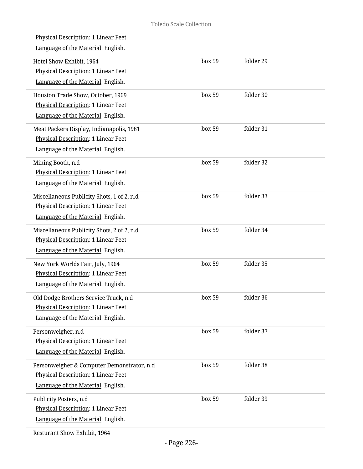| Physical Description: 1 Linear Feet<br>Language of the Material: English.                                               |        |           |  |
|-------------------------------------------------------------------------------------------------------------------------|--------|-----------|--|
| Hotel Show Exhibit, 1964<br>Physical Description: 1 Linear Feet<br>Language of the Material: English.                   | box 59 | folder 29 |  |
| Houston Trade Show, October, 1969<br>Physical Description: 1 Linear Feet<br>Language of the Material: English.          | box 59 | folder 30 |  |
| Meat Packers Display, Indianapolis, 1961<br>Physical Description: 1 Linear Feet<br>Language of the Material: English.   | box 59 | folder 31 |  |
| Mining Booth, n.d<br><b>Physical Description: 1 Linear Feet</b><br>Language of the Material: English.                   | box 59 | folder 32 |  |
| Miscellaneous Publicity Shots, 1 of 2, n.d<br>Physical Description: 1 Linear Feet<br>Language of the Material: English. | box 59 | folder 33 |  |
| Miscellaneous Publicity Shots, 2 of 2, n.d<br>Physical Description: 1 Linear Feet<br>Language of the Material: English. | box 59 | folder 34 |  |
| New York Worlds Fair, July, 1964<br>Physical Description: 1 Linear Feet<br>Language of the Material: English.           | box 59 | folder 35 |  |
| Old Dodge Brothers Service Truck, n.d<br>Physical Description: 1 Linear Feet<br>Language of the Material: English.      | box 59 | folder 36 |  |
| Personweigher, n.d<br>Physical Description: 1 Linear Feet<br>Language of the Material: English.                         | box 59 | folder 37 |  |
| Personweigher & Computer Demonstrator, n.d<br>Physical Description: 1 Linear Feet<br>Language of the Material: English. | box 59 | folder 38 |  |
| Publicity Posters, n.d<br>Physical Description: 1 Linear Feet<br>Language of the Material: English.                     | box 59 | folder 39 |  |
| Resturant Show Exhibit, 1964                                                                                            |        |           |  |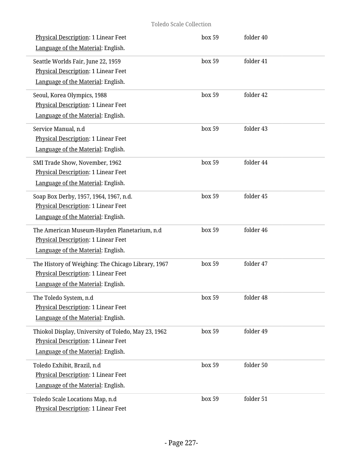#### Toledo Scale Collection

| Physical Description: 1 Linear Feet<br>Language of the Material: English.                                                        | box 59 | folder 40 |  |
|----------------------------------------------------------------------------------------------------------------------------------|--------|-----------|--|
| Seattle Worlds Fair, June 22, 1959<br><b>Physical Description: 1 Linear Feet</b><br>Language of the Material: English.           | box 59 | folder 41 |  |
| Seoul, Korea Olympics, 1988<br><b>Physical Description: 1 Linear Feet</b><br>Language of the Material: English.                  | box 59 | folder 42 |  |
| Service Manual, n.d<br>Physical Description: 1 Linear Feet<br>Language of the Material: English.                                 | box 59 | folder 43 |  |
| SMI Trade Show, November, 1962<br>Physical Description: 1 Linear Feet<br>Language of the Material: English.                      | box 59 | folder 44 |  |
| Soap Box Derby, 1957, 1964, 1967, n.d.<br>Physical Description: 1 Linear Feet<br>Language of the Material: English.              | box 59 | folder 45 |  |
| The American Museum-Hayden Planetarium, n.d<br>Physical Description: 1 Linear Feet<br>Language of the Material: English.         | box 59 | folder 46 |  |
| The History of Weighing: The Chicago Library, 1967<br>Physical Description: 1 Linear Feet<br>Language of the Material: English.  | box 59 | folder 47 |  |
| The Toledo System, n.d<br><b>Physical Description: 1 Linear Feet</b><br>Language of the Material: English.                       | box 59 | folder 48 |  |
| Thiokol Display, University of Toledo, May 23, 1962<br>Physical Description: 1 Linear Feet<br>Language of the Material: English. | box 59 | folder 49 |  |
| Toledo Exhibit, Brazil, n.d<br>Physical Description: 1 Linear Feet<br>Language of the Material: English.                         | box 59 | folder 50 |  |
| Toledo Scale Locations Map, n.d<br>Physical Description: 1 Linear Feet                                                           | box 59 | folder 51 |  |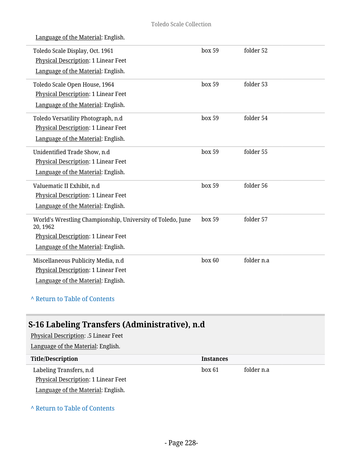| Language of the Material: English.                                                                                                                         |        |            |
|------------------------------------------------------------------------------------------------------------------------------------------------------------|--------|------------|
| Toledo Scale Display, Oct. 1961<br>Physical Description: 1 Linear Feet<br>Language of the Material: English.                                               | box 59 | folder 52  |
| Toledo Scale Open House, 1964<br>Physical Description: 1 Linear Feet<br>Language of the Material: English.                                                 | box 59 | folder 53  |
| Toledo Versatility Photograph, n.d<br>Physical Description: 1 Linear Feet<br>Language of the Material: English.                                            | box 59 | folder 54  |
| Unidentified Trade Show, n.d<br><b>Physical Description: 1 Linear Feet</b><br>Language of the Material: English.                                           | box 59 | folder 55  |
| Valuematic II Exhibit, n.d<br>Physical Description: 1 Linear Feet<br>Language of the Material: English.                                                    | box 59 | folder 56  |
| World's Wrestling Championship, University of Toledo, June<br>20, 1962<br><b>Physical Description: 1 Linear Feet</b><br>Language of the Material: English. | box 59 | folder 57  |
| Miscellaneous Publicity Media, n.d<br>Physical Description: 1 Linear Feet<br>Language of the Material: English.                                            | box 60 | folder n.a |

### **^** [Return to Table of Contents](#page-1-0)

# **S-16 Labeling Transfers (Administrative), n.d**

Physical Description: .5 Linear Feet Language of the Material: English. **Title/Description Instances** Labeling Transfers, n.d Physical Description: 1 Linear Feet box 61 folder n.a

Language of the Material: English.

### **^** [Return to Table of Contents](#page-1-0)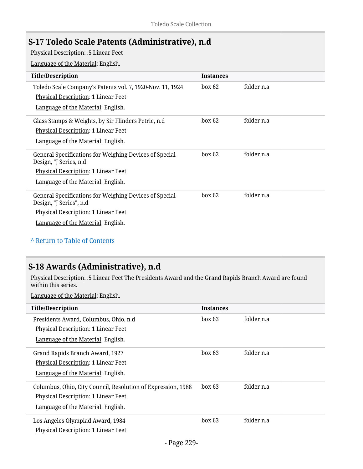## **S-17 Toledo Scale Patents (Administrative), n.d**

Physical Description: .5 Linear Feet

Language of the Material: English.

| <b>Title/Description</b>                                                                                                                                               | <b>Instances</b> |            |
|------------------------------------------------------------------------------------------------------------------------------------------------------------------------|------------------|------------|
| Toledo Scale Company's Patents vol. 7, 1920-Nov. 11, 1924<br>Physical Description: 1 Linear Feet                                                                       | box 62           | folder n.a |
| Language of the Material: English.                                                                                                                                     |                  |            |
| Glass Stamps & Weights, by Sir Flinders Petrie, n.d<br>Physical Description: 1 Linear Feet<br>Language of the Material: English.                                       | box 62           | folder n.a |
| General Specifications for Weighing Devices of Special<br>Design, "J Series, n.d.<br><b>Physical Description: 1 Linear Feet</b><br>Language of the Material: English.  | box 62           | folder n.a |
| General Specifications for Weighing Devices of Special<br>Design, "J Series", n.d.<br><b>Physical Description: 1 Linear Feet</b><br>Language of the Material: English. | box 62           | folder n.a |

### **^** [Return to Table of Contents](#page-1-0)

## **S-18 Awards (Administrative), n.d**

Physical Description: .5 Linear Feet The Presidents Award and the Grand Rapids Branch Award are found within this series.

| <b>Title/Description</b>                                                                                                                  | <b>Instances</b> |            |
|-------------------------------------------------------------------------------------------------------------------------------------------|------------------|------------|
| Presidents Award, Columbus, Ohio, n.d.<br><b>Physical Description: 1 Linear Feet</b><br>Language of the Material: English.                | box 63           | folder n.a |
| Grand Rapids Branch Award, 1927<br>Physical Description: 1 Linear Feet<br>Language of the Material: English.                              | box 63           | folder n.a |
| Columbus, Ohio, City Council, Resolution of Expression, 1988<br>Physical Description: 1 Linear Feet<br>Language of the Material: English. | box 63           | folder n.a |
| Los Angeles Olympiad Award, 1984<br>Physical Description: 1 Linear Feet                                                                   | box 63           | folder n.a |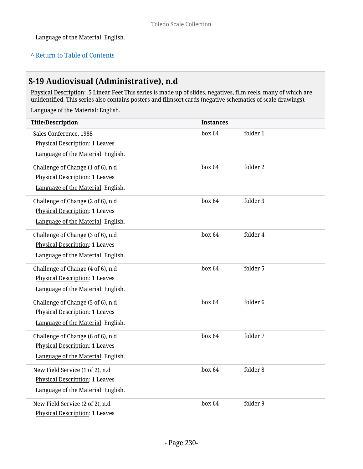### **^** [Return to Table of Contents](#page-1-0)

## **S-19 Audiovisual (Administrative), n.d**

Physical Description: .5 Linear Feet This series is made up of slides, negatives, film reels, many of which are unidentified. This series also contains posters and filmsort cards (negative schematics of scale drawings).

| <b>Title/Description</b>              | <b>Instances</b> |          |
|---------------------------------------|------------------|----------|
| Sales Conference, 1988                | box 64           | folder 1 |
| Physical Description: 1 Leaves        |                  |          |
| Language of the Material: English.    |                  |          |
| Challenge of Change (1 of 6), n.d     | box 64           | folder 2 |
| Physical Description: 1 Leaves        |                  |          |
| Language of the Material: English.    |                  |          |
| Challenge of Change (2 of 6), n.d     | box 64           | folder 3 |
| <b>Physical Description: 1 Leaves</b> |                  |          |
| Language of the Material: English.    |                  |          |
| Challenge of Change (3 of 6), n.d     | box 64           | folder 4 |
| Physical Description: 1 Leaves        |                  |          |
| Language of the Material: English.    |                  |          |
| Challenge of Change (4 of 6), n.d     | box 64           | folder 5 |
| Physical Description: 1 Leaves        |                  |          |
| Language of the Material: English.    |                  |          |
| Challenge of Change (5 of 6), n.d     | box 64           | folder 6 |
| Physical Description: 1 Leaves        |                  |          |
| Language of the Material: English.    |                  |          |
| Challenge of Change (6 of 6), n.d     | box 64           | folder 7 |
| Physical Description: 1 Leaves        |                  |          |
| Language of the Material: English.    |                  |          |
| New Field Service (1 of 2), n.d       | box 64           | folder 8 |
| Physical Description: 1 Leaves        |                  |          |
| Language of the Material: English.    |                  |          |
| New Field Service (2 of 2), n.d       | box 64           | folder 9 |
| <b>Physical Description: 1 Leaves</b> |                  |          |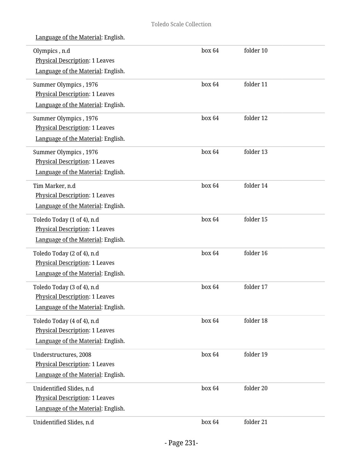| Olympics, n.d<br>Physical Description: 1 Leaves<br>Language of the Material: English.                     | box 64 | folder 10 |  |
|-----------------------------------------------------------------------------------------------------------|--------|-----------|--|
| Summer Olympics, 1976<br><b>Physical Description: 1 Leaves</b><br>Language of the Material: English.      | box 64 | folder 11 |  |
| Summer Olympics, 1976<br><b>Physical Description: 1 Leaves</b><br>Language of the Material: English.      | box 64 | folder 12 |  |
| Summer Olympics, 1976<br><b>Physical Description: 1 Leaves</b><br>Language of the Material: English.      | box 64 | folder 13 |  |
| Tim Marker, n.d<br><b>Physical Description: 1 Leaves</b><br>Language of the Material: English.            | box 64 | folder 14 |  |
| Toledo Today (1 of 4), n.d<br><b>Physical Description: 1 Leaves</b><br>Language of the Material: English. | box 64 | folder 15 |  |
| Toledo Today (2 of 4), n.d<br><b>Physical Description: 1 Leaves</b><br>Language of the Material: English. | box 64 | folder 16 |  |
| Toledo Today (3 of 4), n.d<br><b>Physical Description: 1 Leaves</b><br>Language of the Material: English. | box 64 | folder 17 |  |
| Toledo Today (4 of 4), n.d<br><b>Physical Description: 1 Leaves</b><br>Language of the Material: English. | box 64 | folder 18 |  |
| Understructures, 2008<br><b>Physical Description: 1 Leaves</b><br>Language of the Material: English.      | box 64 | folder 19 |  |
| Unidentified Slides, n.d<br>Physical Description: 1 Leaves<br>Language of the Material: English.          | box 64 | folder 20 |  |
| Unidentified Slides, n.d                                                                                  | box 64 | folder 21 |  |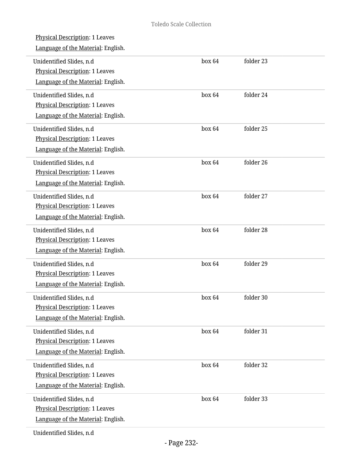| <b>Physical Description: 1 Leaves</b><br>Language of the Material: English.                             |        |           |  |
|---------------------------------------------------------------------------------------------------------|--------|-----------|--|
| Unidentified Slides, n.d<br><b>Physical Description: 1 Leaves</b><br>Language of the Material: English. | box 64 | folder 23 |  |
| Unidentified Slides, n.d<br><b>Physical Description: 1 Leaves</b><br>Language of the Material: English. | box 64 | folder 24 |  |
| Unidentified Slides, n.d<br>Physical Description: 1 Leaves<br>Language of the Material: English.        | box 64 | folder 25 |  |
| Unidentified Slides, n.d<br>Physical Description: 1 Leaves<br>Language of the Material: English.        | box 64 | folder 26 |  |
| Unidentified Slides, n.d<br>Physical Description: 1 Leaves<br>Language of the Material: English.        | box 64 | folder 27 |  |
| Unidentified Slides, n.d<br><b>Physical Description: 1 Leaves</b><br>Language of the Material: English. | box 64 | folder 28 |  |
| Unidentified Slides, n.d<br>Physical Description: 1 Leaves<br>Language of the Material: English.        | box 64 | folder 29 |  |
| Unidentified Slides, n.d<br>Physical Description: 1 Leaves<br>Language of the Material: English.        | box 64 | folder 30 |  |
| Unidentified Slides, n.d<br>Physical Description: 1 Leaves<br>Language of the Material: English.        | box 64 | folder 31 |  |
| Unidentified Slides, n.d<br><b>Physical Description: 1 Leaves</b><br>Language of the Material: English. | box 64 | folder 32 |  |
| Unidentified Slides, n.d<br>Physical Description: 1 Leaves<br>Language of the Material: English.        | box 64 | folder 33 |  |
| Unidentified Slides, n.d                                                                                |        |           |  |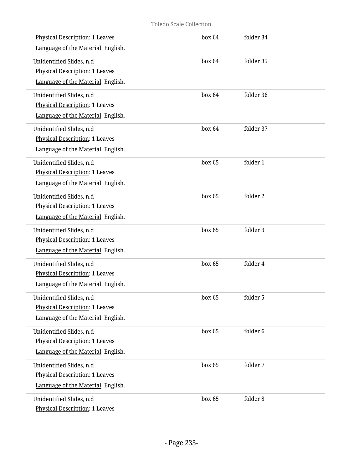| Physical Description: 1 Leaves<br>Language of the Material: English.                                    | box 64 | folder 34 |
|---------------------------------------------------------------------------------------------------------|--------|-----------|
| Unidentified Slides, n.d<br><b>Physical Description: 1 Leaves</b><br>Language of the Material: English. | box 64 | folder 35 |
| Unidentified Slides, n.d<br>Physical Description: 1 Leaves<br>Language of the Material: English.        | box 64 | folder 36 |
| Unidentified Slides, n.d<br>Physical Description: 1 Leaves<br>Language of the Material: English.        | box 64 | folder 37 |
| Unidentified Slides, n.d<br><b>Physical Description: 1 Leaves</b><br>Language of the Material: English. | box 65 | folder 1  |
| Unidentified Slides, n.d<br>Physical Description: 1 Leaves<br>Language of the Material: English.        | box 65 | folder 2  |
| Unidentified Slides, n.d<br>Physical Description: 1 Leaves<br>Language of the Material: English.        | box 65 | folder 3  |
| Unidentified Slides, n.d<br>Physical Description: 1 Leaves<br>Language of the Material: English.        | box 65 | folder 4  |
| Unidentified Slides, n.d<br>Physical Description: 1 Leaves<br>Language of the Material: English.        | box 65 | folder 5  |
| Unidentified Slides, n.d<br><b>Physical Description: 1 Leaves</b><br>Language of the Material: English. | box 65 | folder 6  |
| Unidentified Slides, n.d<br>Physical Description: 1 Leaves<br>Language of the Material: English.        | box 65 | folder 7  |
| Unidentified Slides, n.d<br><b>Physical Description: 1 Leaves</b>                                       | box 65 | folder 8  |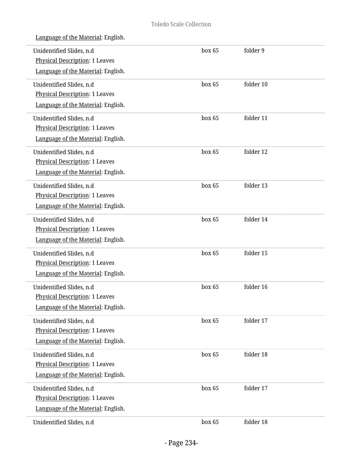| Language of the Material: English.                                                                      |        |           |
|---------------------------------------------------------------------------------------------------------|--------|-----------|
| Unidentified Slides, n.d<br><b>Physical Description: 1 Leaves</b><br>Language of the Material: English. | box 65 | folder 9  |
| Unidentified Slides, n.d<br><b>Physical Description: 1 Leaves</b><br>Language of the Material: English. | box 65 | folder 10 |
| Unidentified Slides, n.d<br>Physical Description: 1 Leaves<br>Language of the Material: English.        | box 65 | folder 11 |
| Unidentified Slides, n.d<br><b>Physical Description: 1 Leaves</b><br>Language of the Material: English. | box 65 | folder 12 |
| Unidentified Slides, n.d<br><b>Physical Description: 1 Leaves</b><br>Language of the Material: English. | box 65 | folder 13 |
| Unidentified Slides, n.d<br>Physical Description: 1 Leaves<br>Language of the Material: English.        | box 65 | folder 14 |
| Unidentified Slides, n.d<br>Physical Description: 1 Leaves<br>Language of the Material: English.        | box 65 | folder 15 |
| Unidentified Slides, n.d<br><b>Physical Description: 1 Leaves</b><br>Language of the Material: English. | box 65 | folder 16 |
| Unidentified Slides, n.d<br>Physical Description: 1 Leaves<br>Language of the Material: English.        | box 65 | folder 17 |
| Unidentified Slides, n.d<br>Physical Description: 1 Leaves<br>Language of the Material: English.        | box 65 | folder 18 |
| Unidentified Slides, n.d<br>Physical Description: 1 Leaves<br>Language of the Material: English.        | box 65 | folder 17 |
| Unidentified Slides, n.d                                                                                | box 65 | folder 18 |

 $\overline{a}$ 

L.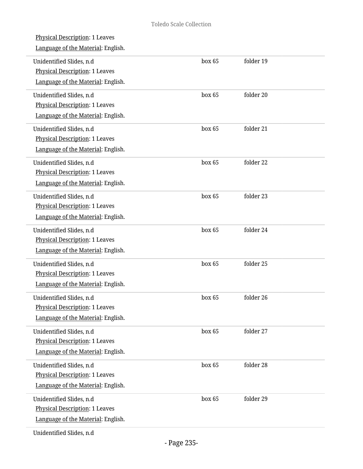| <b>Physical Description: 1 Leaves</b><br>Language of the Material: English.                             |        |           |  |
|---------------------------------------------------------------------------------------------------------|--------|-----------|--|
| Unidentified Slides, n.d<br><b>Physical Description: 1 Leaves</b><br>Language of the Material: English. | box 65 | folder 19 |  |
| Unidentified Slides, n.d<br><b>Physical Description: 1 Leaves</b><br>Language of the Material: English. | box 65 | folder 20 |  |
| Unidentified Slides, n.d<br>Physical Description: 1 Leaves<br>Language of the Material: English.        | box 65 | folder 21 |  |
| Unidentified Slides, n.d<br>Physical Description: 1 Leaves<br>Language of the Material: English.        | box 65 | folder 22 |  |
| Unidentified Slides, n.d<br>Physical Description: 1 Leaves<br>Language of the Material: English.        | box 65 | folder 23 |  |
| Unidentified Slides, n.d<br><b>Physical Description: 1 Leaves</b><br>Language of the Material: English. | box 65 | folder 24 |  |
| Unidentified Slides, n.d<br>Physical Description: 1 Leaves<br>Language of the Material: English.        | box 65 | folder 25 |  |
| Unidentified Slides, n.d<br>Physical Description: 1 Leaves<br>Language of the Material: English.        | box 65 | folder 26 |  |
| Unidentified Slides, n.d<br>Physical Description: 1 Leaves<br>Language of the Material: English.        | box 65 | folder 27 |  |
| Unidentified Slides, n.d<br>Physical Description: 1 Leaves<br>Language of the Material: English.        | box 65 | folder 28 |  |
| Unidentified Slides, n.d<br>Physical Description: 1 Leaves<br>Language of the Material: English.        | box 65 | folder 29 |  |
| Unidentified Slides, n.d                                                                                |        |           |  |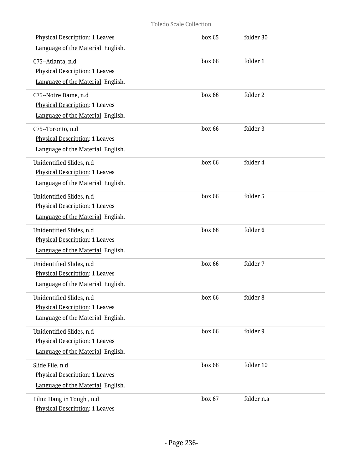| Physical Description: 1 Leaves<br>Language of the Material: English.                                    | box 65 | folder 30  |
|---------------------------------------------------------------------------------------------------------|--------|------------|
| C75--Atlanta, n.d<br><b>Physical Description: 1 Leaves</b><br>Language of the Material: English.        | box 66 | folder 1   |
| C75--Notre Dame, n.d<br>Physical Description: 1 Leaves<br>Language of the Material: English.            | box 66 | folder 2   |
| C75--Toronto, n.d<br><b>Physical Description: 1 Leaves</b><br>Language of the Material: English.        | box 66 | folder 3   |
| Unidentified Slides, n.d<br>Physical Description: 1 Leaves<br>Language of the Material: English.        | box 66 | folder 4   |
| Unidentified Slides, n.d<br>Physical Description: 1 Leaves<br>Language of the Material: English.        | box 66 | folder 5   |
| Unidentified Slides, n.d<br>Physical Description: 1 Leaves<br>Language of the Material: English.        | box 66 | folder 6   |
| Unidentified Slides, n.d<br>Physical Description: 1 Leaves<br>Language of the Material: English.        | box 66 | folder 7   |
| Unidentified Slides, n.d<br><b>Physical Description: 1 Leaves</b><br>Language of the Material: English. | box 66 | folder 8   |
| Unidentified Slides, n.d<br>Physical Description: 1 Leaves<br>Language of the Material: English.        | box 66 | folder 9   |
| Slide File, n.d<br>Physical Description: 1 Leaves<br>Language of the Material: English.                 | box 66 | folder 10  |
| Film: Hang in Tough, n.d<br>Physical Description: 1 Leaves                                              | box 67 | folder n.a |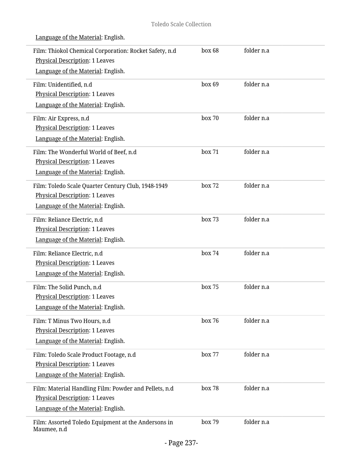| Film: Thiokol Chemical Corporation: Rocket Safety, n.d<br>Physical Description: 1 Leaves<br>Language of the Material: English.       | box 68 | folder n.a |  |
|--------------------------------------------------------------------------------------------------------------------------------------|--------|------------|--|
| Film: Unidentified, n.d<br><b>Physical Description: 1 Leaves</b><br>Language of the Material: English.                               | box 69 | folder n.a |  |
| Film: Air Express, n.d<br>Physical Description: 1 Leaves<br>Language of the Material: English.                                       | box 70 | folder n.a |  |
| Film: The Wonderful World of Beef, n.d<br><b>Physical Description: 1 Leaves</b><br>Language of the Material: English.                | box 71 | folder n.a |  |
| Film: Toledo Scale Quarter Century Club, 1948-1949<br>Physical Description: 1 Leaves<br>Language of the Material: English.           | box 72 | folder n.a |  |
| Film: Reliance Electric, n.d<br><b>Physical Description: 1 Leaves</b><br>Language of the Material: English.                          | box 73 | folder n.a |  |
| Film: Reliance Electric, n.d<br>Physical Description: 1 Leaves<br>Language of the Material: English.                                 | box 74 | folder n.a |  |
| Film: The Solid Punch, n.d<br>Physical Description: 1 Leaves<br>Language of the Material: English.                                   | box 75 | folder n.a |  |
| Film: T Minus Two Hours, n.d<br><b>Physical Description: 1 Leaves</b><br>Language of the Material: English.                          | box 76 | folder n.a |  |
| Film: Toledo Scale Product Footage, n.d<br><b>Physical Description: 1 Leaves</b><br>Language of the Material: English.               | box 77 | folder n.a |  |
| Film: Material Handling Film: Powder and Pellets, n.d<br><b>Physical Description: 1 Leaves</b><br>Language of the Material: English. | box 78 | folder n.a |  |
| Film: Assorted Toledo Equipment at the Andersons in<br>Maumee, n.d                                                                   | box 79 | folder n.a |  |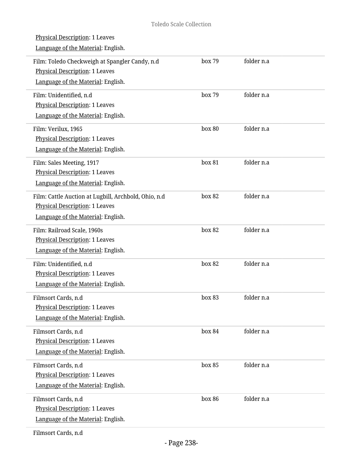| <b>Physical Description: 1 Leaves</b><br>Language of the Material: English.                                                         |        |            |  |
|-------------------------------------------------------------------------------------------------------------------------------------|--------|------------|--|
| Film: Toledo Checkweigh at Spangler Candy, n.d<br>Physical Description: 1 Leaves<br>Language of the Material: English.              | box 79 | folder n.a |  |
| Film: Unidentified, n.d<br><b>Physical Description: 1 Leaves</b><br>Language of the Material: English.                              | box 79 | folder n.a |  |
| Film: Verilux, 1965<br><b>Physical Description: 1 Leaves</b><br>Language of the Material: English.                                  | box 80 | folder n.a |  |
| Film: Sales Meeting, 1917<br><b>Physical Description: 1 Leaves</b><br>Language of the Material: English.                            | box 81 | folder n.a |  |
| Film: Cattle Auction at Lugbill, Archbold, Ohio, n.d<br><b>Physical Description: 1 Leaves</b><br>Language of the Material: English. | box 82 | folder n.a |  |
| Film: Railroad Scale, 1960s<br><b>Physical Description: 1 Leaves</b><br>Language of the Material: English.                          | box 82 | folder n.a |  |
| Film: Unidentified, n.d<br><b>Physical Description: 1 Leaves</b><br>Language of the Material: English.                              | box 82 | folder n.a |  |
| Filmsort Cards, n.d<br><b>Physical Description: 1 Leaves</b><br>Language of the Material: English.                                  | box 83 | folder n.a |  |
| Filmsort Cards, n.d<br><b>Physical Description: 1 Leaves</b><br>Language of the Material: English.                                  | box 84 | folder n.a |  |
| Filmsort Cards, n.d<br><b>Physical Description: 1 Leaves</b><br>Language of the Material: English.                                  | box 85 | folder n.a |  |
| Filmsort Cards, n.d<br><b>Physical Description: 1 Leaves</b><br>Language of the Material: English.                                  | box 86 | folder n.a |  |
|                                                                                                                                     |        |            |  |

Filmsort Cards, n.d